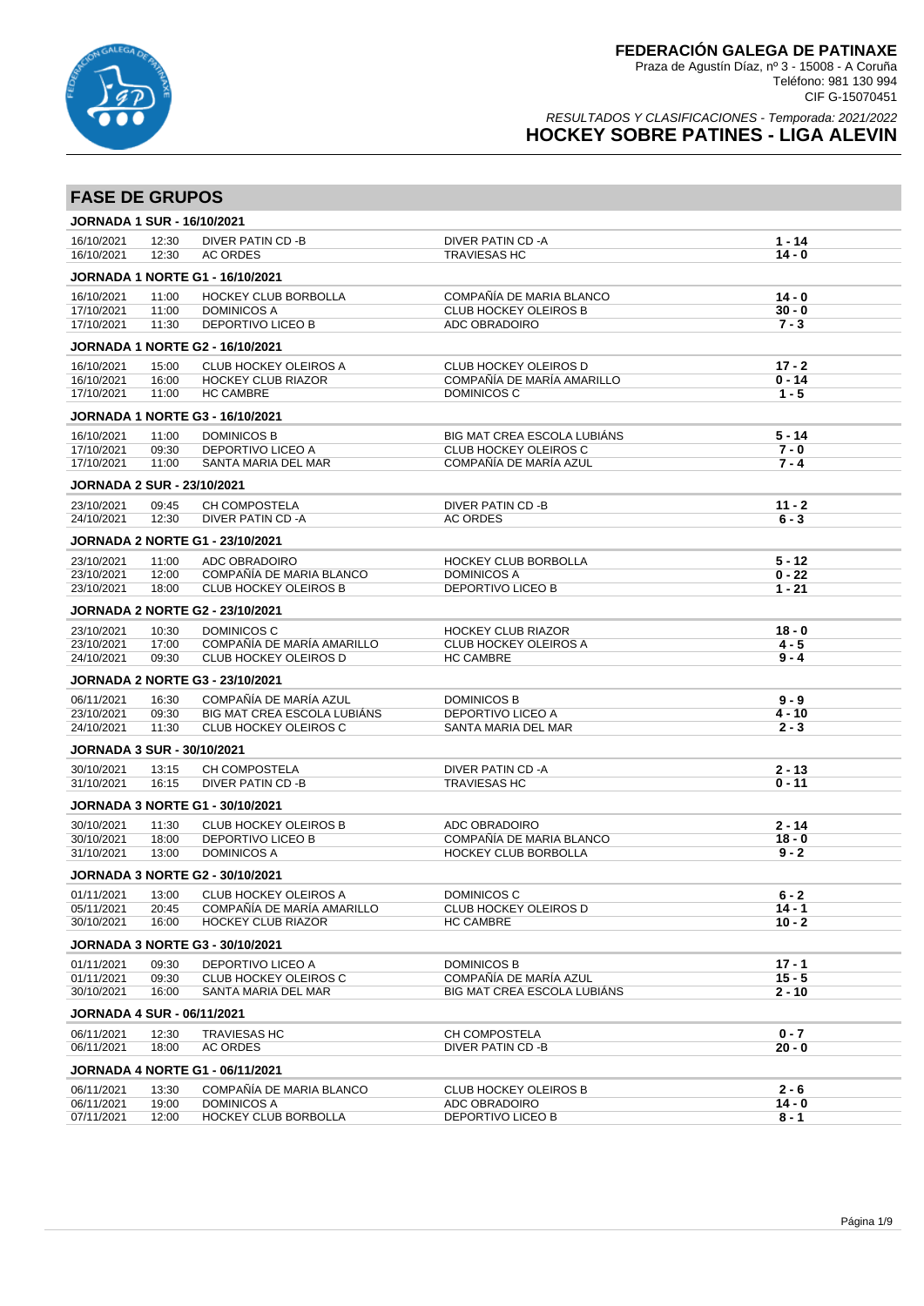

| <b>FASE DE GRUPOS</b>             |                |                                                            |                                                            |                      |
|-----------------------------------|----------------|------------------------------------------------------------|------------------------------------------------------------|----------------------|
| <b>JORNADA 1 SUR - 16/10/2021</b> |                |                                                            |                                                            |                      |
| 16/10/2021<br>16/10/2021          | 12:30<br>12:30 | DIVER PATIN CD -B<br>AC ORDES                              | <b>DIVER PATIN CD-A</b><br><b>TRAVIESAS HC</b>             | $1 - 14$<br>$14 - 0$ |
|                                   |                | <b>JORNADA 1 NORTE G1 - 16/10/2021</b>                     |                                                            |                      |
| 16/10/2021                        | 11:00          | <b>HOCKEY CLUB BORBOLLA</b>                                | COMPAÑÍA DE MARIA BLANCO                                   | $14 - 0$             |
| 17/10/2021                        | 11:00          | <b>DOMINICOS A</b><br><b>DEPORTIVO LICEO B</b>             | <b>CLUB HOCKEY OLEIROS B</b>                               | $30 - 0$<br>$7 - 3$  |
| 17/10/2021                        | 11:30          |                                                            | ADC OBRADOIRO                                              |                      |
|                                   |                | <b>JORNADA 1 NORTE G2 - 16/10/2021</b>                     |                                                            |                      |
| 16/10/2021<br>16/10/2021          | 15:00<br>16:00 | <b>CLUB HOCKEY OLEIROS A</b><br><b>HOCKEY CLUB RIAZOR</b>  | <b>CLUB HOCKEY OLEIROS D</b><br>COMPAÑÍA DE MARÍA AMARILLO | $17 - 2$<br>$0 - 14$ |
| 17/10/2021                        | 11:00          | <b>HC CAMBRE</b>                                           | DOMINICOS C                                                | $1 - 5$              |
|                                   |                | <b>JORNADA 1 NORTE G3 - 16/10/2021</b>                     |                                                            |                      |
| 16/10/2021                        | 11:00          | <b>DOMINICOS B</b>                                         | BIG MAT CREA ESCOLA LUBIÁNS                                | $5 - 14$             |
| 17/10/2021                        | 09:30          | DEPORTIVO LICEO A                                          | <b>CLUB HOCKEY OLEIROS C</b>                               | $7 - 0$              |
| 17/10/2021                        | 11:00          | SANTA MARIA DEL MAR                                        | COMPAÑÍA DE MARÍA AZUL                                     | $7 - 4$              |
| <b>JORNADA 2 SUR - 23/10/2021</b> |                |                                                            |                                                            |                      |
| 23/10/2021                        | 09:45          | <b>CH COMPOSTELA</b>                                       | DIVER PATIN CD -B                                          | $11 - 2$             |
| 24/10/2021                        | 12:30          | DIVER PATIN CD-A                                           | <b>AC ORDES</b>                                            | $6 - 3$              |
|                                   |                | <b>JORNADA 2 NORTE G1 - 23/10/2021</b>                     |                                                            |                      |
| 23/10/2021<br>23/10/2021          | 11:00<br>12:00 | ADC OBRADOIRO<br>COMPAÑÍA DE MARIA BLANCO                  | HOCKEY CLUB BORBOLLA<br><b>DOMINICOS A</b>                 | $5 - 12$<br>$0 - 22$ |
| 23/10/2021                        | 18:00          | <b>CLUB HOCKEY OLEIROS B</b>                               | DEPORTIVO LICEO B                                          | $1 - 21$             |
|                                   |                | <b>JORNADA 2 NORTE G2 - 23/10/2021</b>                     |                                                            |                      |
| 23/10/2021                        | 10:30          | DOMINICOS C                                                | <b>HOCKEY CLUB RIAZOR</b>                                  | $18 - 0$             |
| 23/10/2021                        | 17:00          | COMPAÑÍA DE MARÍA AMARILLO                                 | <b>CLUB HOCKEY OLEIROS A</b>                               | 4 - 5                |
| 24/10/2021                        | 09:30          | CLUB HOCKEY OLEIROS D                                      | <b>HC CAMBRE</b>                                           | $9 - 4$              |
|                                   |                | <b>JORNADA 2 NORTE G3 - 23/10/2021</b>                     |                                                            |                      |
| 06/11/2021                        | 16:30          | COMPAÑÍA DE MARÍA AZUL                                     | <b>DOMINICOS B</b>                                         | $9 - 9$              |
| 23/10/2021<br>24/10/2021          | 09:30<br>11:30 | BIG MAT CREA ESCOLA LUBIÁNS<br>CLUB HOCKEY OLEIROS C       | <b>DEPORTIVO LICEO A</b><br>SANTA MARIA DEL MAR            | $4 - 10$<br>$2 - 3$  |
| <b>JORNADA 3 SUR - 30/10/2021</b> |                |                                                            |                                                            |                      |
| 30/10/2021                        | 13:15          | CH COMPOSTELA                                              | DIVER PATIN CD -A                                          | $2 - 13$             |
| 31/10/2021                        | 16:15          | DIVER PATIN CD -B                                          | <b>TRAVIESAS HC</b>                                        | $0 - 11$             |
|                                   |                | <b>JORNADA 3 NORTE G1 - 30/10/2021</b>                     |                                                            |                      |
| 30/10/2021                        | 11:30          | <b>CLUB HOCKEY OLEIROS B</b>                               | ADC OBRADOIRO                                              | $2 - 14$             |
| 30/10/2021                        | 18:00          | DEPORTIVO LICEO B                                          | COMPAÑÍA DE MARIA BLANCO                                   | $18 - 0$             |
| 31/10/2021                        | 13:00          | <b>DOMINICOS A</b>                                         | HOCKEY CLUB BORBOLLA                                       | $9 - 2$              |
|                                   |                | <b>JORNADA 3 NORTE G2 - 30/10/2021</b>                     |                                                            |                      |
| 01/11/2021<br>05/11/2021          | 13:00          | <b>CLUB HOCKEY OLEIROS A</b><br>COMPAÑÍA DE MARÍA AMARILLO | DOMINICOS C<br><b>CLUB HOCKEY OLEIROS D</b>                | $6 - 2$              |
| 30/10/2021                        | 20:45<br>16:00 | <b>HOCKEY CLUB RIAZOR</b>                                  | <b>HC CAMBRE</b>                                           | $14 - 1$<br>$10 - 2$ |
|                                   |                | <b>JORNADA 3 NORTE G3 - 30/10/2021</b>                     |                                                            |                      |
| 01/11/2021                        | 09:30          | <b>DEPORTIVO LICEO A</b>                                   | <b>DOMINICOS B</b>                                         | $17 - 1$             |
| 01/11/2021                        | 09:30          | CLUB HOCKEY OLEIROS C                                      | COMPAÑÍA DE MARÍA AZUL                                     | $15 - 5$             |
| 30/10/2021                        | 16:00          | SANTA MARIA DEL MAR                                        | BIG MAT CREA ESCOLA LUBIÁNS                                | $2 - 10$             |
| <b>JORNADA 4 SUR - 06/11/2021</b> |                |                                                            |                                                            |                      |
| 06/11/2021<br>06/11/2021          | 12:30<br>18:00 | <b>TRAVIESAS HC</b>                                        | <b>CH COMPOSTELA</b>                                       | $0 - 7$<br>20 - 0    |
|                                   |                | AC ORDES                                                   | DIVER PATIN CD-B                                           |                      |
|                                   |                | <b>JORNADA 4 NORTE G1 - 06/11/2021</b>                     |                                                            |                      |
| 06/11/2021<br>06/11/2021          | 13:30<br>19:00 | COMPAÑÍA DE MARIA BLANCO<br><b>DOMINICOS A</b>             | <b>CLUB HOCKEY OLEIROS B</b><br>ADC OBRADOIRO              | 2 - 6<br>$14 - 0$    |
| 07/11/2021                        | 12:00          | HOCKEY CLUB BORBOLLA                                       | DEPORTIVO LICEO B                                          | 8 - 1                |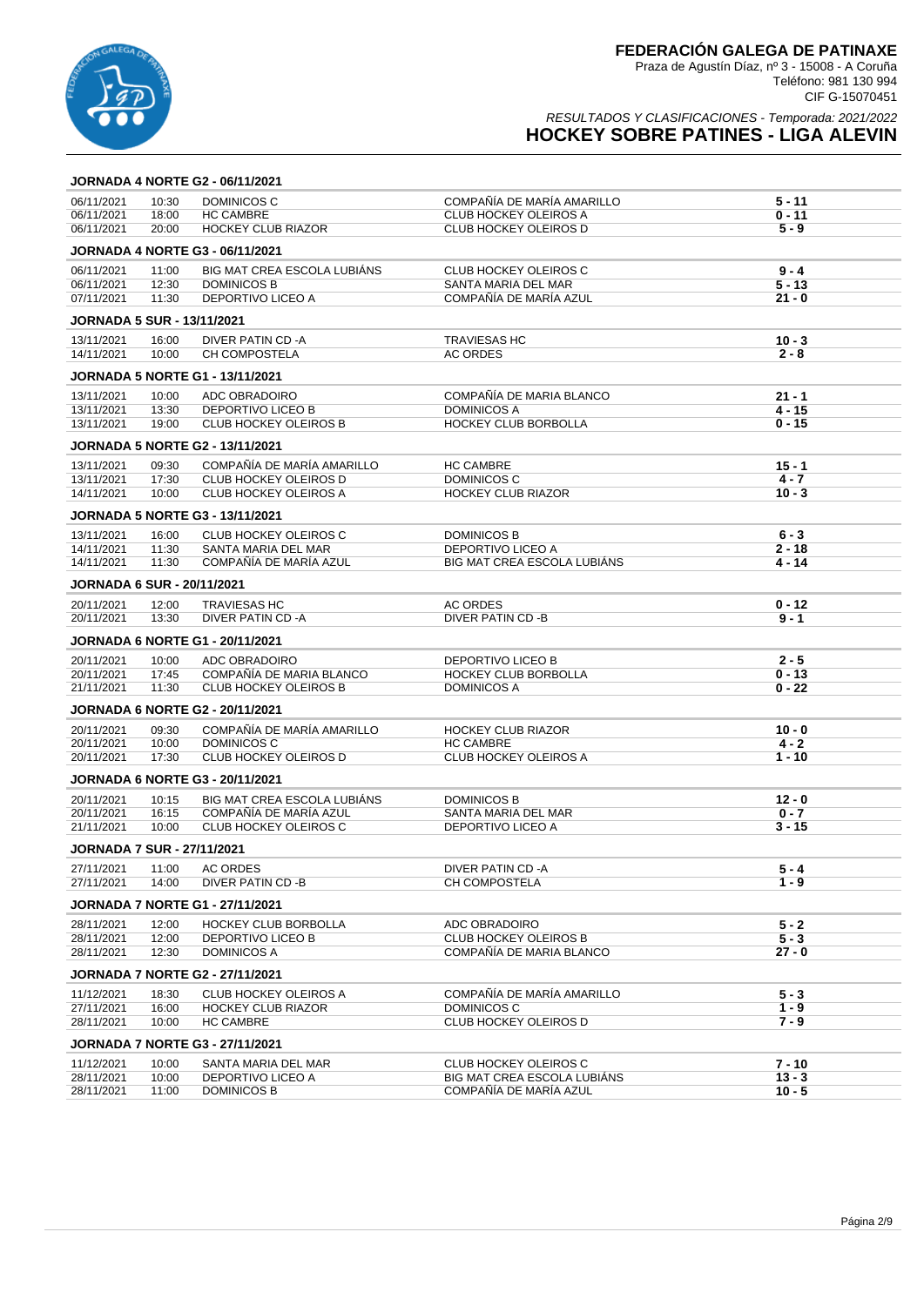

RESULTADOS Y CLASIFICACIONES - Temporada: 2021/2022

# **HOCKEY SOBRE PATINES - LIGA ALEVIN**

|                                   |                | <b>JORNADA 4 NORTE G2 - 06/11/2021</b>       |                                         |                     |
|-----------------------------------|----------------|----------------------------------------------|-----------------------------------------|---------------------|
| 06/11/2021                        | 10:30          | DOMINICOS C                                  | COMPAÑÍA DE MARÍA AMARILLO              | 5 - 11              |
| 06/11/2021                        | 18:00          | <b>HC CAMBRE</b>                             | <b>CLUB HOCKEY OLEIROS A</b>            | $0 - 11$            |
| 06/11/2021                        | 20:00          | <b>HOCKEY CLUB RIAZOR</b>                    | <b>CLUB HOCKEY OLEIROS D</b>            | $5 - 9$             |
|                                   |                | <b>JORNADA 4 NORTE G3 - 06/11/2021</b>       |                                         |                     |
| 06/11/2021                        | 11:00          | BIG MAT CREA ESCOLA LUBIANS                  | <b>CLUB HOCKEY OLEIROS C</b>            | $9 - 4$             |
| 06/11/2021                        | 12:30          | <b>DOMINICOS B</b>                           | SANTA MARIA DEL MAR                     | $5 - 13$            |
| 07/11/2021                        | 11:30          | DEPORTIVO LICEO A                            | COMPAÑÍA DE MARÍA AZUL                  | 21 - 0              |
| <b>JORNADA 5 SUR - 13/11/2021</b> |                |                                              |                                         |                     |
| 13/11/2021                        | 16:00          | DIVER PATIN CD -A                            | <b>TRAVIESAS HC</b>                     | $10 - 3$            |
| 14/11/2021                        | 10:00          | CH COMPOSTELA                                | <b>AC ORDES</b>                         | $2 - 8$             |
|                                   |                | <b>JORNADA 5 NORTE G1 - 13/11/2021</b>       |                                         |                     |
| 13/11/2021                        | 10:00          | ADC OBRADOIRO                                | COMPAÑÍA DE MARIA BLANCO                | $21 - 1$            |
| 13/11/2021                        | 13:30          | <b>DEPORTIVO LICEO B</b>                     | <b>DOMINICOS A</b>                      | 4 - 15              |
| 13/11/2021                        | 19:00          | <b>CLUB HOCKEY OLEIROS B</b>                 | HOCKEY CLUB BORBOLLA                    | 0 - 15              |
|                                   |                | <b>JORNADA 5 NORTE G2 - 13/11/2021</b>       |                                         |                     |
| 13/11/2021                        | 09:30          | COMPAÑÍA DE MARÍA AMARILLO                   | <b>HC CAMBRE</b>                        | $15 - 1$            |
| 13/11/2021                        | 17:30          | CLUB HOCKEY OLEIROS D                        | DOMINICOS C                             | 4 - 7               |
| 14/11/2021                        | 10:00          | <b>CLUB HOCKEY OLEIROS A</b>                 | <b>HOCKEY CLUB RIAZOR</b>               | $10 - 3$            |
|                                   |                | <b>JORNADA 5 NORTE G3 - 13/11/2021</b>       |                                         |                     |
|                                   |                |                                              |                                         |                     |
| 13/11/2021<br>14/11/2021          | 16:00<br>11:30 | CLUB HOCKEY OLEIROS C<br>SANTA MARIA DEL MAR | <b>DOMINICOS B</b><br>DEPORTIVO LICEO A | $6 - 3$<br>$2 - 18$ |
| 14/11/2021                        | 11:30          | COMPAÑÍA DE MARÍA AZUL                       | BIG MAT CREA ESCOLA LUBIANS             | 4 - 14              |
|                                   |                |                                              |                                         |                     |
| <b>JORNADA 6 SUR - 20/11/2021</b> |                |                                              |                                         |                     |
| 20/11/2021                        | 12:00          | <b>TRAVIESAS HC</b>                          | <b>AC ORDES</b>                         | $0 - 12$<br>$9 - 1$ |
| 20/11/2021                        | 13:30          | DIVER PATIN CD -A                            | DIVER PATIN CD -B                       |                     |
|                                   |                | <b>JORNADA 6 NORTE G1 - 20/11/2021</b>       |                                         |                     |
| 20/11/2021                        | 10:00          | ADC OBRADOIRO                                | DEPORTIVO LICEO B                       | $2 - 5$             |
| 20/11/2021                        | 17:45          | COMPAÑÍA DE MARIA BLANCO                     | HOCKEY CLUB BORBOLLA                    | $0 - 13$            |
| 21/11/2021                        | 11:30          | <b>CLUB HOCKEY OLEIROS B</b>                 | <b>DOMINICOS A</b>                      | $0 - 22$            |
|                                   |                | <b>JORNADA 6 NORTE G2 - 20/11/2021</b>       |                                         |                     |
| 20/11/2021                        | 09:30          | COMPAÑÍA DE MARÍA AMARILLO                   | <b>HOCKEY CLUB RIAZOR</b>               | $10 - 0$            |
| 20/11/2021                        | 10:00          | DOMINICOS C                                  | <b>HC CAMBRE</b>                        | $4 - 2$             |
| 20/11/2021                        | 17:30          | <b>CLUB HOCKEY OLEIROS D</b>                 | <b>CLUB HOCKEY OLEIROS A</b>            | $1 - 10$            |
|                                   |                | <b>JORNADA 6 NORTE G3 - 20/11/2021</b>       |                                         |                     |
| 20/11/2021                        | 10:15          | <b>BIG MAT CREA ESCOLA LUBIÁNS</b>           | <b>DOMINICOS B</b>                      | $12 - 0$            |
| 20/11/2021                        | 16:15          | COMPAÑÍA DE MARÍA AZUL                       | SANTA MARIA DEL MAR                     | $0 - 7$             |
| 21/11/2021                        | 10:00          | CLUB HOCKEY OLEIROS C                        | DEPORTIVO LICEO A                       | $3 - 15$            |
| <b>JORNADA 7 SUR - 27/11/2021</b> |                |                                              |                                         |                     |
| 27/11/2021                        | 11:00          | AC ORDES                                     | DIVER PATIN CD -A                       | 5 - 4               |
| 27/11/2021                        | 14:00          | DIVER PATIN CD -B                            | CH COMPOSTELA                           | $1 - 9$             |
|                                   |                | <b>JORNADA 7 NORTE G1 - 27/11/2021</b>       |                                         |                     |
| 28/11/2021                        | 12:00          | HOCKEY CLUB BORBOLLA                         | ADC OBRADOIRO                           | $5 - 2$             |
| 28/11/2021                        | 12:00          | <b>DEPORTIVO LICEO B</b>                     | <b>CLUB HOCKEY OLEIROS B</b>            | $5 - 3$             |
| 28/11/2021                        | 12:30          | <b>DOMINICOS A</b>                           | COMPAÑÍA DE MARIA BLANCO                | $27 - 0$            |
|                                   |                | <b>JORNADA 7 NORTE G2 - 27/11/2021</b>       |                                         |                     |
| 11/12/2021                        | 18:30          | <b>CLUB HOCKEY OLEIROS A</b>                 | COMPAÑÍA DE MARÍA AMARILLO              | $5 - 3$             |
| 27/11/2021                        | 16:00          | <b>HOCKEY CLUB RIAZOR</b>                    | DOMINICOS C                             | $1 - 9$             |
| 28/11/2021                        | 10:00          | <b>HC CAMBRE</b>                             | <b>CLUB HOCKEY OLEIROS D</b>            | $7 - 9$             |
|                                   |                | <b>JORNADA 7 NORTE G3 - 27/11/2021</b>       |                                         |                     |
| 11/12/2021                        | 10:00          | SANTA MARIA DEL MAR                          | <b>CLUB HOCKEY OLEIROS C</b>            | $7 - 10$            |
| 28/11/2021                        | 10:00          | DEPORTIVO LICEO A                            | BIG MAT CREA ESCOLA LUBIANS             | $13 - 3$            |
| 28/11/2021                        | 11:00          | DOMINICOS B                                  | COMPAÑÍA DE MARÍA AZUL                  | $10 - 5$            |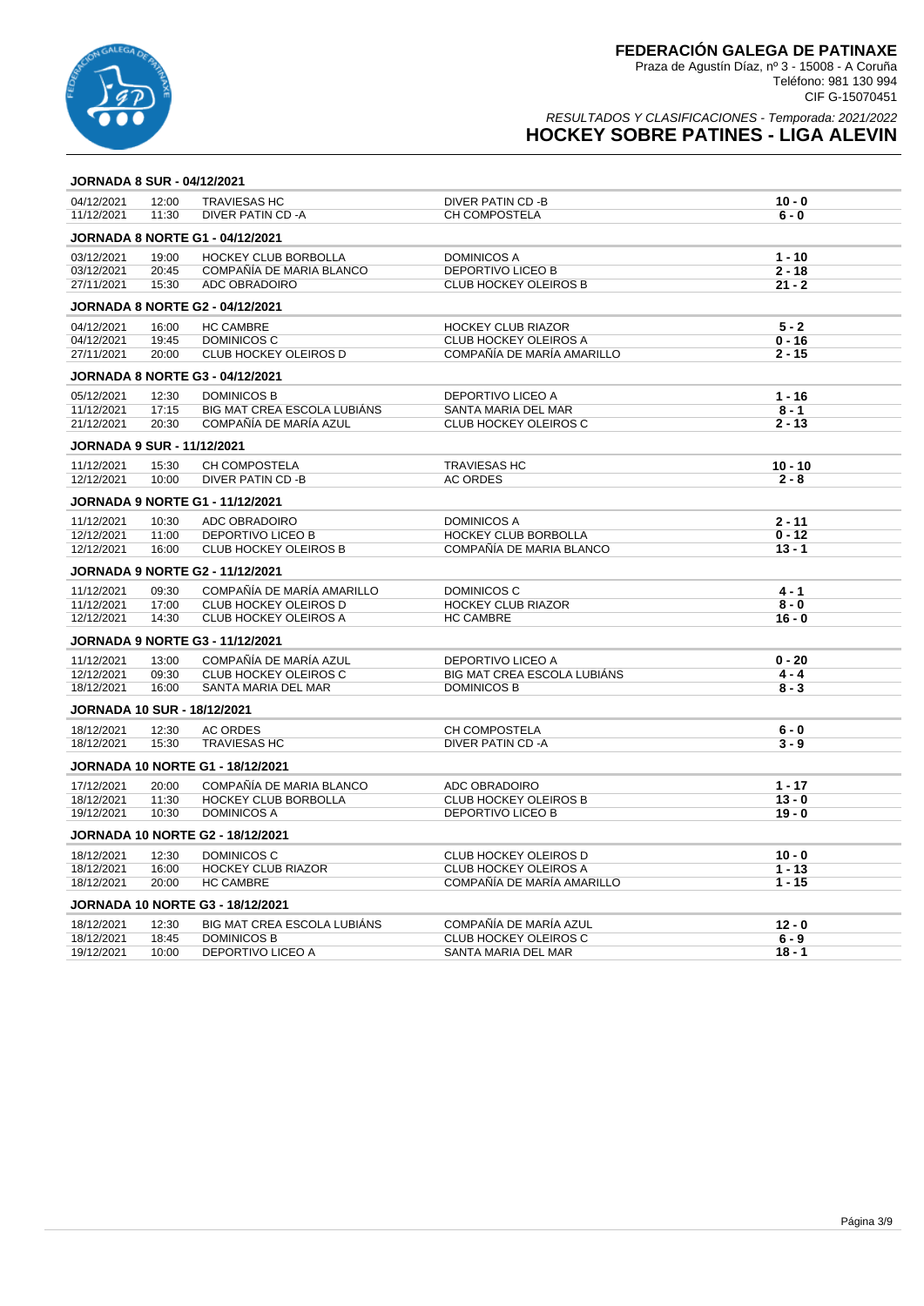

| <b>JORNADA 8 SUR - 04/12/2021</b>  |       |                                         |                              |           |
|------------------------------------|-------|-----------------------------------------|------------------------------|-----------|
| 04/12/2021                         | 12:00 | <b>TRAVIESAS HC</b>                     | DIVER PATIN CD -B            | $10 - 0$  |
| 11/12/2021                         | 11:30 | DIVER PATIN CD-A                        | CH COMPOSTELA                | $6 - 0$   |
|                                    |       | <b>JORNADA 8 NORTE G1 - 04/12/2021</b>  |                              |           |
| 03/12/2021                         | 19:00 | <b>HOCKEY CLUB BORBOLLA</b>             | DOMINICOS A                  | $1 - 10$  |
| 03/12/2021                         | 20:45 | COMPAÑÍA DE MARIA BLANCO                | DEPORTIVO LICEO B            | $2 - 18$  |
| 27/11/2021                         | 15:30 | ADC OBRADOIRO                           | <b>CLUB HOCKEY OLEIROS B</b> | $21 - 2$  |
|                                    |       | <b>JORNADA 8 NORTE G2 - 04/12/2021</b>  |                              |           |
| 04/12/2021                         | 16:00 | <b>HC CAMBRE</b>                        | <b>HOCKEY CLUB RIAZOR</b>    | $5 - 2$   |
| 04/12/2021                         | 19:45 | <b>DOMINICOS C</b>                      | CLUB HOCKEY OLEIROS A        | $0 - 16$  |
| 27/11/2021                         | 20:00 | CLUB HOCKEY OLEIROS D                   | COMPAÑÍA DE MARÍA AMARILLO   | $2 - 15$  |
|                                    |       | <b>JORNADA 8 NORTE G3 - 04/12/2021</b>  |                              |           |
| 05/12/2021                         | 12:30 | <b>DOMINICOS B</b>                      | DEPORTIVO LICEO A            | $1 - 16$  |
| 11/12/2021                         | 17:15 | BIG MAT CREA ESCOLA LUBIÁNS             | SANTA MARIA DEL MAR          | $8 - 1$   |
| 21/12/2021                         | 20:30 | COMPAÑÍA DE MARÍA AZUL                  | <b>CLUB HOCKEY OLEIROS C</b> | $2 - 13$  |
| <b>JORNADA 9 SUR - 11/12/2021</b>  |       |                                         |                              |           |
| 11/12/2021                         | 15:30 | CH COMPOSTELA                           | <b>TRAVIESAS HC</b>          | $10 - 10$ |
| 12/12/2021                         | 10:00 | DIVER PATIN CD -B                       | <b>AC ORDES</b>              | $2 - 8$   |
|                                    |       | <b>JORNADA 9 NORTE G1 - 11/12/2021</b>  |                              |           |
| 11/12/2021                         | 10:30 | ADC OBRADOIRO                           | <b>DOMINICOS A</b>           | $2 - 11$  |
| 12/12/2021                         | 11:00 | <b>DEPORTIVO LICEO B</b>                | <b>HOCKEY CLUB BORBOLLA</b>  | $0 - 12$  |
| 12/12/2021                         | 16:00 | <b>CLUB HOCKEY OLEIROS B</b>            | COMPAÑÍA DE MARIA BLANCO     | $13 - 1$  |
|                                    |       | <b>JORNADA 9 NORTE G2 - 11/12/2021</b>  |                              |           |
| 11/12/2021                         | 09:30 | COMPAÑÍA DE MARÍA AMARILLO              | DOMINICOS C                  | $4 - 1$   |
| 11/12/2021                         | 17:00 | CLUB HOCKEY OLEIROS D                   | <b>HOCKEY CLUB RIAZOR</b>    | $8 - 0$   |
| 12/12/2021                         | 14:30 | <b>CLUB HOCKEY OLEIROS A</b>            | <b>HC CAMBRE</b>             | $16 - 0$  |
|                                    |       | <b>JORNADA 9 NORTE G3 - 11/12/2021</b>  |                              |           |
| 11/12/2021                         | 13:00 | COMPAÑÍA DE MARÍA AZUL                  | <b>DEPORTIVO LICEO A</b>     | $0 - 20$  |
| 12/12/2021                         | 09:30 | CLUB HOCKEY OLEIROS C                   | BIG MAT CREA ESCOLA LUBIÁNS  | $4 - 4$   |
| 18/12/2021                         | 16:00 | SANTA MARIA DEL MAR                     | <b>DOMINICOS B</b>           | $8 - 3$   |
| <b>JORNADA 10 SUR - 18/12/2021</b> |       |                                         |                              |           |
| 18/12/2021                         | 12:30 | <b>AC ORDES</b>                         | CH COMPOSTELA                | $6 - 0$   |
| 18/12/2021                         | 15:30 | <b>TRAVIESAS HC</b>                     | DIVER PATIN CD -A            | $3 - 9$   |
|                                    |       | <b>JORNADA 10 NORTE G1 - 18/12/2021</b> |                              |           |
| 17/12/2021                         | 20:00 | COMPAÑÍA DE MARIA BLANCO                | ADC OBRADOIRO                | $1 - 17$  |
| 18/12/2021                         | 11:30 | HOCKEY CLUB BORBOLLA                    | <b>CLUB HOCKEY OLEIROS B</b> | $13 - 0$  |
| 19/12/2021                         | 10:30 | <b>DOMINICOS A</b>                      | DEPORTIVO LICEO B            | $19 - 0$  |
|                                    |       | <b>JORNADA 10 NORTE G2 - 18/12/2021</b> |                              |           |
| 18/12/2021                         | 12:30 | DOMINICOS C                             | <b>CLUB HOCKEY OLEIROS D</b> | $10 - 0$  |
| 18/12/2021                         | 16:00 | <b>HOCKEY CLUB RIAZOR</b>               | <b>CLUB HOCKEY OLEIROS A</b> | $1 - 13$  |
| 18/12/2021                         | 20:00 | <b>HC CAMBRE</b>                        | COMPAÑÍA DE MARÍA AMARILLO   | $1 - 15$  |
|                                    |       | <b>JORNADA 10 NORTE G3 - 18/12/2021</b> |                              |           |
| 18/12/2021                         | 12:30 | BIG MAT CREA ESCOLA LUBIÁNS             | COMPAÑÍA DE MARÍA AZUL       | $12 - 0$  |
| 18/12/2021                         | 18:45 | <b>DOMINICOS B</b>                      | CLUB HOCKEY OLEIROS C        | $6 - 9$   |
| 19/12/2021                         | 10:00 | <b>DEPORTIVO LICEO A</b>                | SANTA MARIA DEL MAR          | $18 - 1$  |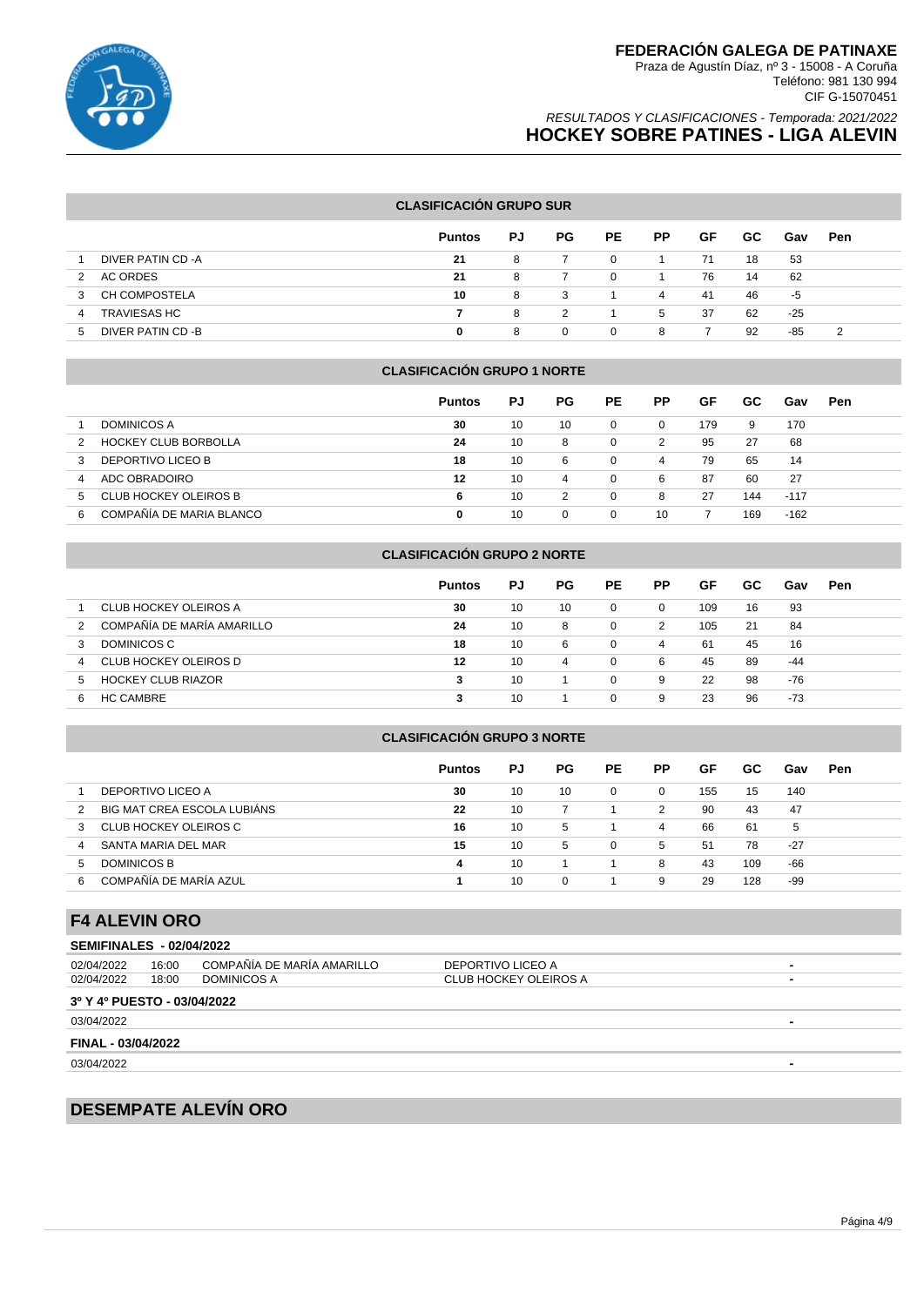

### RESULTADOS Y CLASIFICACIONES - Temporada: 2021/2022 **HOCKEY SOBRE PATINES - LIGA ALEVIN**

### **CLASIFICACIÓN GRUPO SUR**

|                           | <b>Puntos</b> | PJ | <b>PG</b> | <b>PE</b> | <b>PP</b> | GF | GC. | Gav | Pen |
|---------------------------|---------------|----|-----------|-----------|-----------|----|-----|-----|-----|
| DIVER PATIN CD -A         | 21            | 8  |           | $\Omega$  |           | 71 | 18  | 53  |     |
| AC ORDES<br>2             | 21            | 8  |           | $\Omega$  |           | 76 | 14  | 62  |     |
| <b>CH COMPOSTELA</b><br>3 | 10            | 8  | -3        |           | 4         | 41 | 46  | -5  |     |
| <b>TRAVIESAS HC</b><br>4  |               | 8  | 2         |           | 5         | 37 | 62  | -25 |     |
| DIVER PATIN CD -B<br>.5   | 0             | 8  | $\Omega$  | 0         | 8         |    | 92  | -85 | 2   |

#### **CLASIFICACIÓN GRUPO 1 NORTE**

|                               | <b>Puntos</b> | PJ | PG. | <b>PE</b> | РP       | GF  | GC. | Gav    | Pen |
|-------------------------------|---------------|----|-----|-----------|----------|-----|-----|--------|-----|
| <b>DOMINICOS A</b>            | 30            | 10 | 10  | 0         | $\Omega$ | 179 | 9   | 170    |     |
| <b>HOCKEY CLUB BORBOLLA</b>   | 24            | 10 | 8   | 0         | 2        | 95  | 27  | 68     |     |
| DEPORTIVO LICEO B<br>3        | 18            | 10 | 6   | 0         | 4        | 79  | 65  | 14     |     |
| ADC OBRADOIRO<br>4            | 12            | 10 | 4   | 0         | 6        | 87  | 60  | 27     |     |
| CLUB HOCKEY OLEIROS B<br>5    | 6             | 10 | 2   | 0         | 8        | 27  | 144 | $-117$ |     |
| COMPAÑÍA DE MARIA BLANCO<br>6 | 0             | 10 |     | 0         | 10       |     | 169 | $-162$ |     |

### **CLASIFICACIÓN GRUPO 2 NORTE**

|                                 | <b>Puntos</b> | PJ | PG. | <b>PE</b> | <b>PP</b> | GF  | GC. | Gav | Pen |
|---------------------------------|---------------|----|-----|-----------|-----------|-----|-----|-----|-----|
| CLUB HOCKEY OLEIROS A           | 30            | 10 | 10  | $\Omega$  | $\Omega$  | 109 | 16  | 93  |     |
| COMPAÑÍA DE MARÍA AMARILLO      | 24            | 10 | 8   |           | 2         | 105 | 21  | 84  |     |
| DOMINICOS C<br>3                | 18            | 10 | 6   | $\Omega$  | 4         | 61  | 45  | 16  |     |
| CLUB HOCKEY OLEIROS D<br>4      | 12            | 10 | 4   | $\Omega$  | 6         | 45  | 89  | -44 |     |
| <b>HOCKEY CLUB RIAZOR</b><br>b. | 3             | 10 |     | $\Omega$  | 9         | 22  | 98  | -76 |     |
| <b>HC CAMBRE</b><br>h           |               | 10 |     | $\Omega$  | 9         | 23  | 96  | -73 |     |

#### **CLASIFICACIÓN GRUPO 3 NORTE**

|                             | <b>Puntos</b> | PJ | PG. | <b>PE</b> | <b>PP</b> | GF  | GC. | Gav   | Pen |
|-----------------------------|---------------|----|-----|-----------|-----------|-----|-----|-------|-----|
| DEPORTIVO LICEO A           | 30            | 10 | 10  | $\Omega$  |           | 155 | 15  | 140   |     |
| BIG MAT CREA ESCOLA LUBIÁNS | 22            | 10 |     |           | 2         | 90  | 43  | 47    |     |
| CLUB HOCKEY OLEIROS C<br>3  | 16            | 10 | 5   |           | 4         | 66  | 61  | 5     |     |
| SANTA MARIA DEL MAR<br>4    | 15            | 10 | 5   | $\Omega$  | 5         | 51  | 78  | $-27$ |     |
| DOMINICOS B<br><sub>5</sub> | 4             | 10 |     |           | 8         | 43  | 109 | -66   |     |
| COMPAÑÍA DE MARÍA AZUL<br>6 |               | 10 | 0   |           | 9         | 29  | 128 | -99   |     |

# **F4 ALEVIN ORO**

|                                 | .     |                            |                       |                          |  |  |  |  |  |  |
|---------------------------------|-------|----------------------------|-----------------------|--------------------------|--|--|--|--|--|--|
| <b>SEMIFINALES - 02/04/2022</b> |       |                            |                       |                          |  |  |  |  |  |  |
| 02/04/2022                      | 16:00 | COMPAÑÍA DE MARÍA AMARILLO | DEPORTIVO LICEO A     | $\blacksquare$           |  |  |  |  |  |  |
| 02/04/2022                      | 18:00 | DOMINICOS A                | CLUB HOCKEY OLEIROS A | $\blacksquare$           |  |  |  |  |  |  |
| 3º Y 4º PUESTO - 03/04/2022     |       |                            |                       |                          |  |  |  |  |  |  |
| 03/04/2022                      |       |                            |                       | $\blacksquare$           |  |  |  |  |  |  |
| FINAL - 03/04/2022              |       |                            |                       |                          |  |  |  |  |  |  |
| 03/04/2022                      |       |                            |                       | $\overline{\phantom{0}}$ |  |  |  |  |  |  |

# **DESEMPATE ALEVÍN ORO**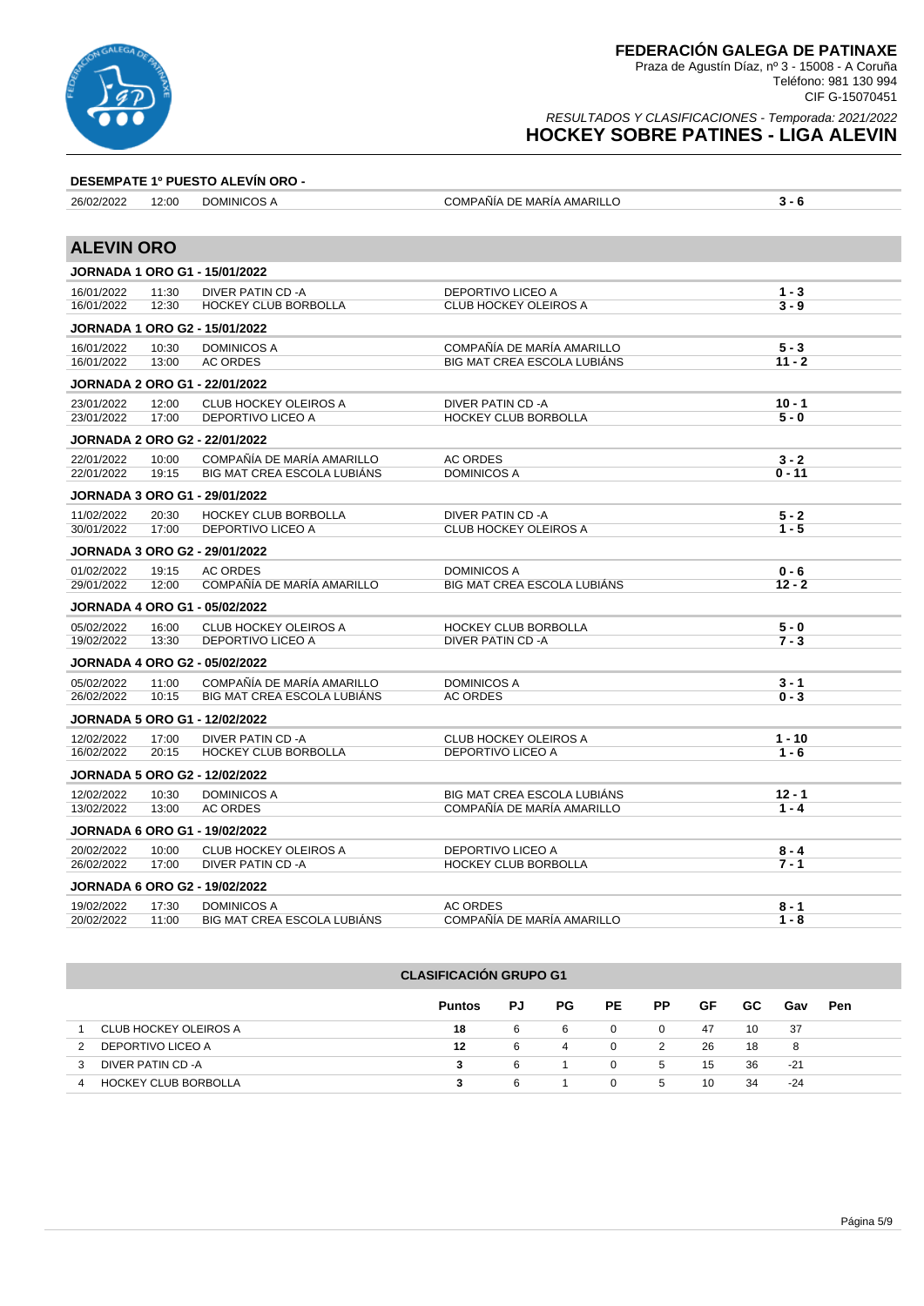

### RESULTADOS Y CLASIFICACIONES - Temporada: 2021/2022 **HOCKEY SOBRE PATINES - LIGA ALEVIN**

### **DESEMPATE 1º PUESTO ALEVÍN ORO -**

| 26/02/2022        | 12:00 | DOMINICOS A                          | COMPAÑÍA DE MARÍA AMARILLO         | $3 - 6$  |
|-------------------|-------|--------------------------------------|------------------------------------|----------|
|                   |       |                                      |                                    |          |
| <b>ALEVIN ORO</b> |       |                                      |                                    |          |
|                   |       | <b>JORNADA 1 ORO G1 - 15/01/2022</b> |                                    |          |
| 16/01/2022        | 11:30 | <b>DIVER PATIN CD-A</b>              | <b>DEPORTIVO LICEO A</b>           | $1 - 3$  |
| 16/01/2022        | 12:30 | HOCKEY CLUB BORBOLLA                 | CLUB HOCKEY OLEIROS A              | $3 - 9$  |
|                   |       | <b>JORNADA 1 ORO G2 - 15/01/2022</b> |                                    |          |
| 16/01/2022        | 10:30 | <b>DOMINICOS A</b>                   | COMPAÑÍA DE MARÍA AMARILLO         | $5 - 3$  |
| 16/01/2022        | 13:00 | <b>AC ORDES</b>                      | <b>BIG MAT CREA ESCOLA LUBIÁNS</b> | $11 - 2$ |
|                   |       | <b>JORNADA 2 ORO G1 - 22/01/2022</b> |                                    |          |
| 23/01/2022        | 12:00 | <b>CLUB HOCKEY OLEIROS A</b>         | DIVER PATIN CD -A                  | $10 - 1$ |
| 23/01/2022        | 17:00 | DEPORTIVO LICEO A                    | HOCKEY CLUB BORBOLLA               | $5 - 0$  |
|                   |       | <b>JORNADA 2 ORO G2 - 22/01/2022</b> |                                    |          |
| 22/01/2022        | 10:00 | COMPAÑÍA DE MARÍA AMARILLO           | <b>AC ORDES</b>                    | $3 - 2$  |
| 22/01/2022        | 19:15 | BIG MAT CREA ESCOLA LUBIÁNS          | <b>DOMINICOS A</b>                 | $0 - 11$ |
|                   |       | <b>JORNADA 3 ORO G1 - 29/01/2022</b> |                                    |          |
| 11/02/2022        | 20:30 | HOCKEY CLUB BORBOLLA                 | DIVER PATIN CD -A                  | $5 - 2$  |
| 30/01/2022        | 17:00 | DEPORTIVO LICEO A                    | <b>CLUB HOCKEY OLEIROS A</b>       | $1 - 5$  |
|                   |       | <b>JORNADA 3 ORO G2 - 29/01/2022</b> |                                    |          |
| 01/02/2022        | 19:15 | <b>AC ORDES</b>                      | <b>DOMINICOS A</b>                 | $0 - 6$  |
| 29/01/2022        | 12:00 | COMPAÑÍA DE MARÍA AMARILLO           | BIG MAT CREA ESCOLA LUBIÁNS        | $12 - 2$ |
|                   |       | <b>JORNADA 4 ORO G1 - 05/02/2022</b> |                                    |          |
| 05/02/2022        | 16:00 | <b>CLUB HOCKEY OLEIROS A</b>         | <b>HOCKEY CLUB BORBOLLA</b>        | $5 - 0$  |
| 19/02/2022        | 13:30 | <b>DEPORTIVO LICEO A</b>             | DIVER PATIN CD -A                  | $7 - 3$  |
|                   |       | <b>JORNADA 4 ORO G2 - 05/02/2022</b> |                                    |          |
| 05/02/2022        | 11:00 | COMPAÑÍA DE MARÍA AMARILLO           | <b>DOMINICOS A</b>                 | $3 - 1$  |
| 26/02/2022        | 10:15 | <b>BIG MAT CREA ESCOLA LUBIÁNS</b>   | <b>AC ORDES</b>                    | $0 - 3$  |
|                   |       | <b>JORNADA 5 ORO G1 - 12/02/2022</b> |                                    |          |
| 12/02/2022        | 17:00 | DIVER PATIN CD-A                     | <b>CLUB HOCKEY OLEIROS A</b>       | $1 - 10$ |
| 16/02/2022        | 20:15 | <b>HOCKEY CLUB BORBOLLA</b>          | DEPORTIVO LICEO A                  | $1 - 6$  |
|                   |       | <b>JORNADA 5 ORO G2 - 12/02/2022</b> |                                    |          |
| 12/02/2022        | 10:30 | <b>DOMINICOS A</b>                   | BIG MAT CREA ESCOLA LUBIÁNS        | $12 - 1$ |
| 13/02/2022        | 13:00 | <b>AC ORDES</b>                      | COMPAÑÍA DE MARÍA AMARILLO         | $1 - 4$  |
|                   |       | <b>JORNADA 6 ORO G1 - 19/02/2022</b> |                                    |          |
| 20/02/2022        | 10:00 | <b>CLUB HOCKEY OLEIROS A</b>         | DEPORTIVO LICEO A                  | $8 - 4$  |
| 26/02/2022        | 17:00 | DIVER PATIN CD-A                     | HOCKEY CLUB BORBOLLA               | $7 - 1$  |
|                   |       | <b>JORNADA 6 ORO G2 - 19/02/2022</b> |                                    |          |
| 19/02/2022        | 17:30 | <b>DOMINICOS A</b>                   | <b>AC ORDES</b>                    | $8 - 1$  |
| 20/02/2022        | 11:00 | BIG MAT CREA ESCOLA LUBIÁNS          | COMPAÑÍA DE MARÍA AMARILLO         | $1 - 8$  |

|   | <b>CLASIFICACION GRUPO G1</b> |               |    |     |              |           |    |     |       |     |  |
|---|-------------------------------|---------------|----|-----|--------------|-----------|----|-----|-------|-----|--|
|   |                               | <b>Puntos</b> | PJ | PG. | PE.          | <b>PP</b> | GF | GC. | Gav   | Pen |  |
|   | CLUB HOCKEY OLEIROS A         | 18            | 6  | -6  | 0            | 0         | 47 | 10  | -37   |     |  |
|   | DEPORTIVO LICEO A             | 12            | 6  | 4   | $\mathbf{0}$ | 2         | 26 | 18  | 8     |     |  |
|   | DIVER PATIN CD -A             | 3             | 6  |     | 0            | 5         | 15 | 36  | $-21$ |     |  |
| 4 | <b>HOCKEY CLUB BORBOLLA</b>   |               | 6  |     | $\Omega$     | 5         | 10 | 34  | -24   |     |  |

**CLASIFICACIÓN GRUPO G1**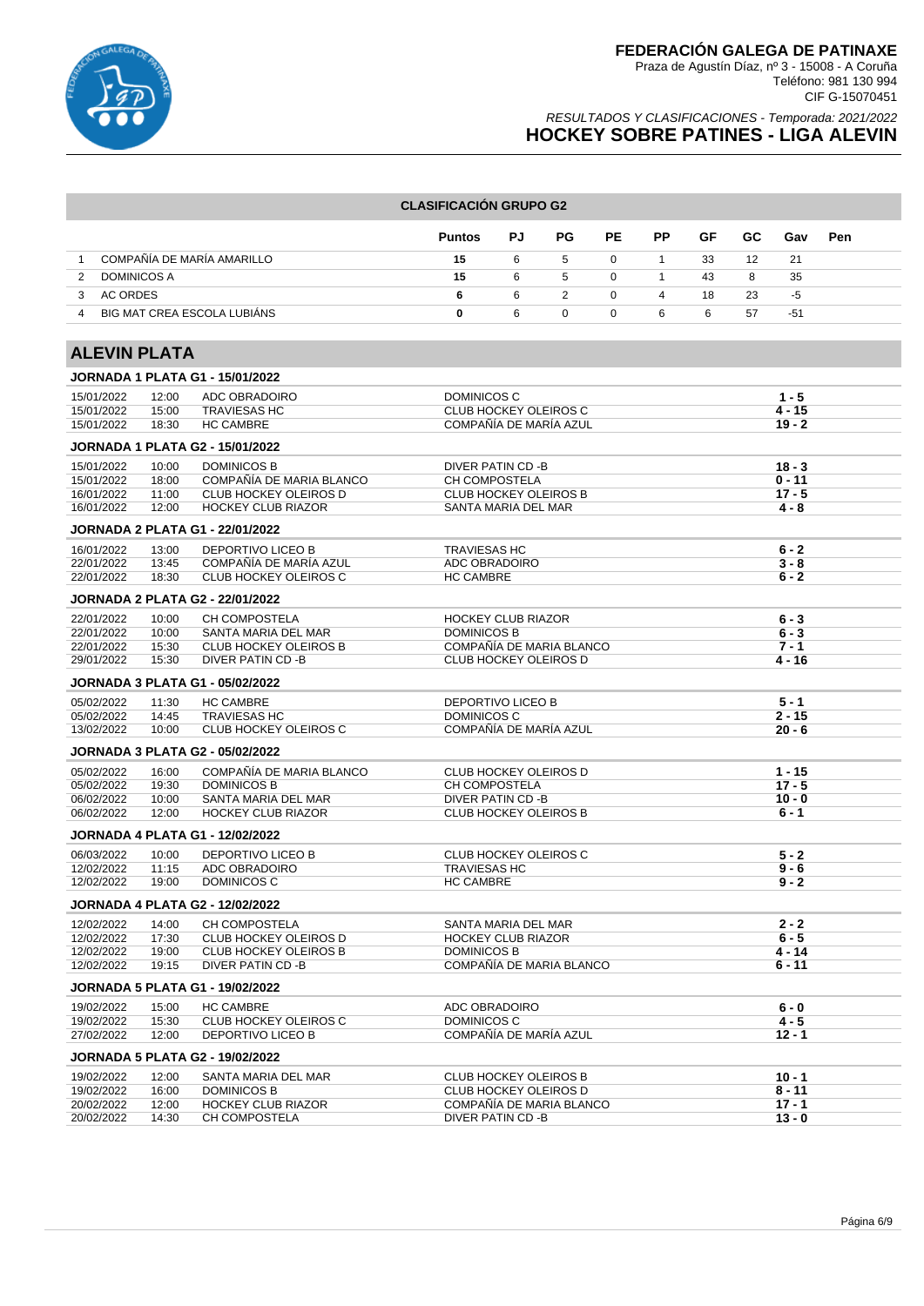

### RESULTADOS Y CLASIFICACIONES - Temporada: 2021/2022 **HOCKEY SOBRE PATINES - LIGA ALEVIN**

#### **CLASIFICACIÓN GRUPO G2**

|                                  | <b>Puntos</b> | PJ. | PG.          | PE             | <b>PP</b> | GF | GC. | Gav | <b>Pen</b> |
|----------------------------------|---------------|-----|--------------|----------------|-----------|----|-----|-----|------------|
| COMPAÑÍA DE MARÍA AMARILLO       | 15            | 6   | $\mathbf{b}$ | $\Omega$       |           | 33 | 12  | -21 |            |
| <b>DOMINICOS A</b>               | 15            | 6   | -5           | $\overline{0}$ |           | 43 | 8   | -35 |            |
| AC ORDES                         | 6             | 6   |              | $\mathbf{0}$   | 4         | 18 | 23  | -5  |            |
| BIG MAT CREA ESCOLA LUBIÁNS<br>4 | 0             | 6   |              | $\Omega$       | 6         | 6  | 57  | -51 |            |

# **ALEVIN PLATA**

|            |       | <b>JORNADA 1 PLATA G1 - 15/01/2022</b> |                              |          |
|------------|-------|----------------------------------------|------------------------------|----------|
| 15/01/2022 | 12:00 | ADC OBRADOIRO                          | <b>DOMINICOS C</b>           | $1 - 5$  |
| 15/01/2022 | 15:00 | <b>TRAVIESAS HC</b>                    | <b>CLUB HOCKEY OLEIROS C</b> | $4 - 15$ |
| 15/01/2022 | 18:30 | <b>HC CAMBRE</b>                       | COMPAÑÍA DE MARÍA AZUL       | $19 - 2$ |
|            |       | <b>JORNADA 1 PLATA G2 - 15/01/2022</b> |                              |          |
| 15/01/2022 | 10:00 | <b>DOMINICOS B</b>                     | DIVER PATIN CD -B            | $18 - 3$ |
| 15/01/2022 | 18:00 | COMPAÑÍA DE MARIA BLANCO               | CH COMPOSTELA                | $0 - 11$ |
| 16/01/2022 | 11:00 | CLUB HOCKEY OLEIROS D                  | CLUB HOCKEY OLEIROS B        | $17 - 5$ |
| 16/01/2022 | 12:00 | <b>HOCKEY CLUB RIAZOR</b>              | SANTA MARIA DEL MAR          | $4 - 8$  |
|            |       | <b>JORNADA 2 PLATA G1 - 22/01/2022</b> |                              |          |
| 16/01/2022 | 13:00 | DEPORTIVO LICEO B                      | <b>TRAVIESAS HC</b>          | $6 - 2$  |
| 22/01/2022 | 13:45 | COMPAÑÍA DE MARÍA AZUL                 | ADC OBRADOIRO                | $3 - 8$  |
| 22/01/2022 | 18:30 | <b>CLUB HOCKEY OLEIROS C</b>           | <b>HC CAMBRE</b>             | $6 - 2$  |
|            |       | <b>JORNADA 2 PLATA G2 - 22/01/2022</b> |                              |          |
| 22/01/2022 | 10:00 | CH COMPOSTELA                          | <b>HOCKEY CLUB RIAZOR</b>    | $6 - 3$  |
| 22/01/2022 | 10:00 | SANTA MARIA DEL MAR                    | <b>DOMINICOS B</b>           | $6 - 3$  |
| 22/01/2022 | 15:30 | <b>CLUB HOCKEY OLEIROS B</b>           | COMPAÑÍA DE MARIA BLANCO     | $7 - 1$  |
| 29/01/2022 | 15:30 | DIVER PATIN CD -B                      | <b>CLUB HOCKEY OLEIROS D</b> | $4 - 16$ |
|            |       | <b>JORNADA 3 PLATA G1 - 05/02/2022</b> |                              |          |
| 05/02/2022 | 11:30 | <b>HC CAMBRE</b>                       | <b>DEPORTIVO LICEO B</b>     | $5 - 1$  |
| 05/02/2022 | 14:45 | <b>TRAVIESAS HC</b>                    | DOMINICOS C                  | $2 - 15$ |
| 13/02/2022 | 10:00 | CLUB HOCKEY OLEIROS C                  | COMPAÑÍA DE MARÍA AZUL       | $20 - 6$ |
|            |       | <b>JORNADA 3 PLATA G2 - 05/02/2022</b> |                              |          |
| 05/02/2022 | 16:00 | COMPAÑÍA DE MARIA BLANCO               | <b>CLUB HOCKEY OLEIROS D</b> | $1 - 15$ |
| 05/02/2022 | 19:30 | <b>DOMINICOS B</b>                     | <b>CH COMPOSTELA</b>         | $17 - 5$ |
| 06/02/2022 | 10:00 | SANTA MARIA DEL MAR                    | <b>DIVER PATIN CD-B</b>      | $10 - 0$ |
| 06/02/2022 | 12:00 | <b>HOCKEY CLUB RIAZOR</b>              | <b>CLUB HOCKEY OLEIROS B</b> | $6 - 1$  |
|            |       | <b>JORNADA 4 PLATA G1 - 12/02/2022</b> |                              |          |
| 06/03/2022 | 10:00 | <b>DEPORTIVO LICEO B</b>               | CLUB HOCKEY OLEIROS C        | $5 - 2$  |
| 12/02/2022 | 11:15 | ADC OBRADOIRO                          | <b>TRAVIESAS HC</b>          | $9 - 6$  |
| 12/02/2022 | 19:00 | <b>DOMINICOS C</b>                     | <b>HC CAMBRE</b>             | $9 - 2$  |
|            |       | <b>JORNADA 4 PLATA G2 - 12/02/2022</b> |                              |          |
| 12/02/2022 | 14:00 | CH COMPOSTELA                          | SANTA MARIA DEL MAR          | $2 - 2$  |
| 12/02/2022 | 17:30 | <b>CLUB HOCKEY OLEIROS D</b>           | <b>HOCKEY CLUB RIAZOR</b>    | $6 - 5$  |
| 12/02/2022 | 19:00 | <b>CLUB HOCKEY OLEIROS B</b>           | <b>DOMINICOS B</b>           | $4 - 14$ |
| 12/02/2022 | 19:15 | DIVER PATIN CD -B                      | COMPAÑÍA DE MARIA BLANCO     | $6 - 11$ |
|            |       | <b>JORNADA 5 PLATA G1 - 19/02/2022</b> |                              |          |
| 19/02/2022 | 15:00 | <b>HC CAMBRE</b>                       | ADC OBRADOIRO                | $6 - 0$  |
| 19/02/2022 | 15:30 | CLUB HOCKEY OLEIROS C                  | DOMINICOS C                  | $4 - 5$  |
| 27/02/2022 | 12:00 | <b>DEPORTIVO LICEO B</b>               | COMPAÑÍA DE MARÍA AZUL       | $12 - 1$ |
|            |       | <b>JORNADA 5 PLATA G2 - 19/02/2022</b> |                              |          |
| 19/02/2022 | 12:00 | SANTA MARIA DEL MAR                    | <b>CLUB HOCKEY OLEIROS B</b> | $10 - 1$ |
| 19/02/2022 | 16:00 | <b>DOMINICOS B</b>                     | CLUB HOCKEY OLEIROS D        | $8 - 11$ |
| 20/02/2022 | 12:00 | <b>HOCKEY CLUB RIAZOR</b>              | COMPAÑÍA DE MARIA BLANCO     | $17 - 1$ |
| 20/02/2022 | 14:30 | CH COMPOSTELA                          | DIVER PATIN CD -B            | $13 - 0$ |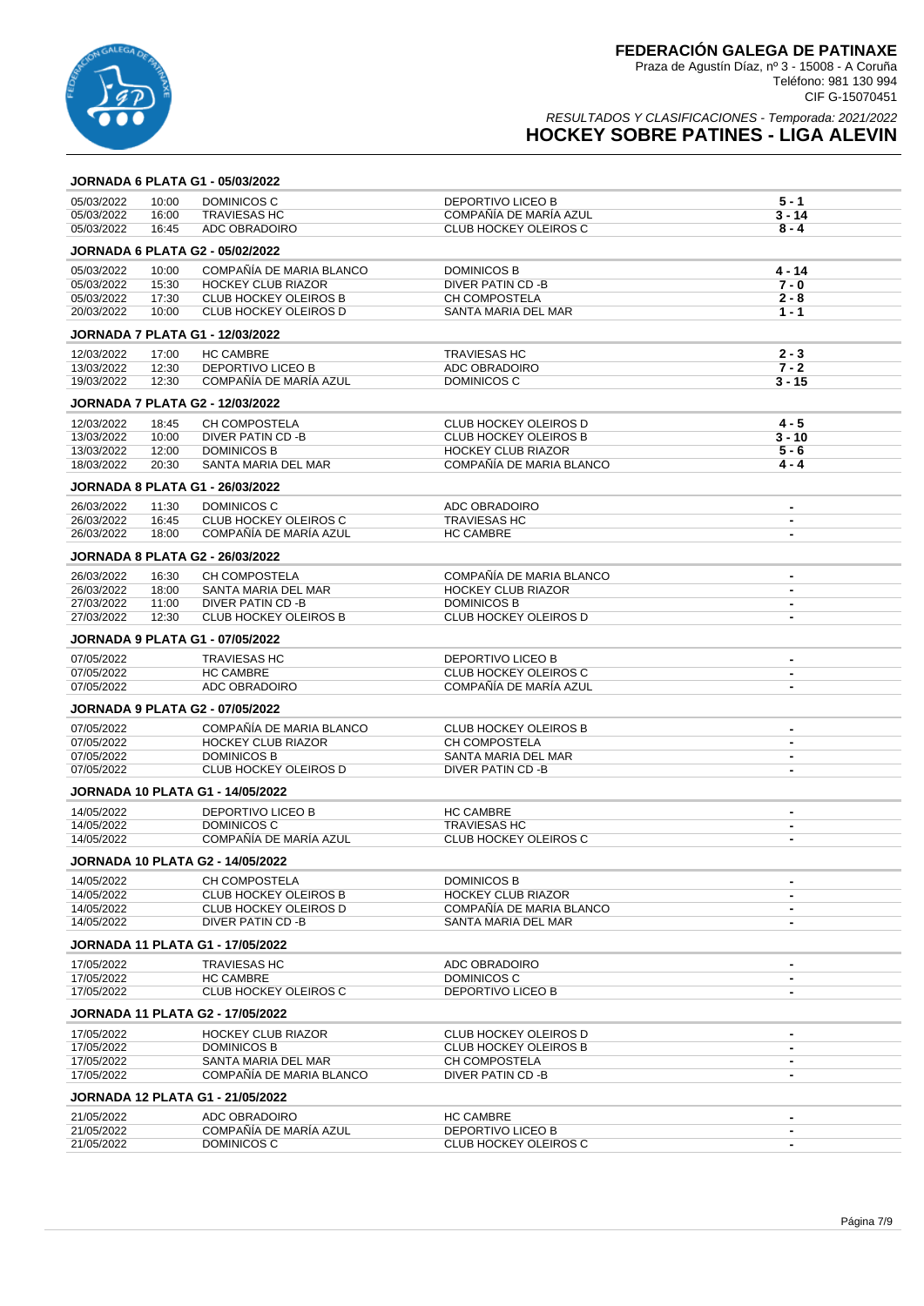

|                          |                | <b>JORNADA 6 PLATA G1 - 05/03/2022</b>                  |                                                    |                          |
|--------------------------|----------------|---------------------------------------------------------|----------------------------------------------------|--------------------------|
| 05/03/2022               | 10:00          | DOMINICOS C                                             | DEPORTIVO LICEO B                                  | $5 - 1$                  |
| 05/03/2022               | 16:00          | <b>TRAVIESAS HC</b>                                     | COMPAÑÍA DE MARÍA AZUL                             | $3 - 14$                 |
| 05/03/2022               | 16:45          | ADC OBRADOIRO                                           | <b>CLUB HOCKEY OLEIROS C</b>                       | $8 - 4$                  |
|                          |                | <b>JORNADA 6 PLATA G2 - 05/02/2022</b>                  |                                                    |                          |
| 05/03/2022               | 10:00          | COMPAÑÍA DE MARIA BLANCO                                | <b>DOMINICOS B</b>                                 | $4 - 14$                 |
| 05/03/2022               | 15:30          | <b>HOCKEY CLUB RIAZOR</b>                               | DIVER PATIN CD -B                                  | $7 - 0$                  |
| 05/03/2022               | 17:30          | <b>CLUB HOCKEY OLEIROS B</b>                            | CH COMPOSTELA                                      | $2 - 8$                  |
| 20/03/2022               | 10:00          | <b>CLUB HOCKEY OLEIROS D</b>                            | SANTA MARIA DEL MAR                                | $1 - 1$                  |
|                          |                | <b>JORNADA 7 PLATA G1 - 12/03/2022</b>                  |                                                    |                          |
| 12/03/2022               | 17:00          | <b>HC CAMBRE</b>                                        | <b>TRAVIESAS HC</b>                                | $2 - 3$                  |
| 13/03/2022               | 12:30          | <b>DEPORTIVO LICEO B</b>                                | ADC OBRADOIRO                                      | $7 - 2$                  |
| 19/03/2022               | 12:30          | COMPAÑÍA DE MARÍA AZUL                                  | DOMINICOS C                                        | $3 - 15$                 |
|                          |                | <b>JORNADA 7 PLATA G2 - 12/03/2022</b>                  |                                                    |                          |
| 12/03/2022               | 18:45          | <b>CH COMPOSTELA</b>                                    | CLUB HOCKEY OLEIROS D                              | $4 - 5$                  |
| 13/03/2022               | 10:00          | DIVER PATIN CD -B                                       | <b>CLUB HOCKEY OLEIROS B</b>                       | $3 - 10$                 |
| 13/03/2022               | 12:00          | <b>DOMINICOS B</b>                                      | <b>HOCKEY CLUB RIAZOR</b>                          | $5 - 6$                  |
| 18/03/2022               | 20:30          | SANTA MARIA DEL MAR                                     | COMPAÑÍA DE MARIA BLANCO                           | $4 - 4$                  |
|                          |                | <b>JORNADA 8 PLATA G1 - 26/03/2022</b>                  |                                                    |                          |
| 26/03/2022               | 11:30          | DOMINICOS C                                             | ADC OBRADOIRO                                      | $\blacksquare$           |
| 26/03/2022               | 16:45          | CLUB HOCKEY OLEIROS C                                   | <b>TRAVIESAS HC</b>                                | $\blacksquare$           |
| 26/03/2022               | 18:00          | COMPAÑÍA DE MARÍA AZUL                                  | <b>HC CAMBRE</b>                                   | $\blacksquare$           |
|                          |                | <b>JORNADA 8 PLATA G2 - 26/03/2022</b>                  |                                                    |                          |
| 26/03/2022               | 16:30          | CH COMPOSTELA                                           | COMPAÑÍA DE MARIA BLANCO                           | $\blacksquare$           |
| 26/03/2022               | 18:00          | SANTA MARIA DEL MAR                                     | <b>HOCKEY CLUB RIAZOR</b>                          | $\overline{\phantom{a}}$ |
| 27/03/2022<br>27/03/2022 | 11:00<br>12:30 | <b>DIVER PATIN CD-B</b><br><b>CLUB HOCKEY OLEIROS B</b> | <b>DOMINICOS B</b><br><b>CLUB HOCKEY OLEIROS D</b> | $\blacksquare$           |
|                          |                | <b>JORNADA 9 PLATA G1 - 07/05/2022</b>                  |                                                    | $\overline{\phantom{a}}$ |
| 07/05/2022               |                | <b>TRAVIESAS HC</b>                                     | DEPORTIVO LICEO B                                  | $\blacksquare$           |
| 07/05/2022               |                | <b>HC CAMBRE</b>                                        | <b>CLUB HOCKEY OLEIROS C</b>                       | $\blacksquare$           |
| 07/05/2022               |                | ADC OBRADOIRO                                           | COMPAÑÍA DE MARÍA AZUL                             | $\blacksquare$           |
|                          |                | <b>JORNADA 9 PLATA G2 - 07/05/2022</b>                  |                                                    |                          |
| 07/05/2022               |                | COMPAÑÍA DE MARIA BLANCO                                | <b>CLUB HOCKEY OLEIROS B</b>                       | $\blacksquare$           |
| 07/05/2022               |                | <b>HOCKEY CLUB RIAZOR</b>                               | <b>CH COMPOSTELA</b>                               | $\blacksquare$           |
| 07/05/2022               |                | <b>DOMINICOS B</b>                                      | SANTA MARIA DEL MAR                                | $\blacksquare$           |
| 07/05/2022               |                | CLUB HOCKEY OLEIROS D                                   | DIVER PATIN CD -B                                  | $\overline{\phantom{a}}$ |
|                          |                | <b>JORNADA 10 PLATA G1 - 14/05/2022</b>                 |                                                    |                          |
| 14/05/2022               |                | DEPORTIVO LICEO B                                       | <b>HC CAMBRE</b>                                   | $\blacksquare$           |
| 14/05/2022               |                | DOMINICOS C                                             | <b>TRAVIESAS HC</b>                                | $\blacksquare$           |
| 14/05/2022               |                | COMPAÑÍA DE MARÍA AZUL                                  | <b>CLUB HOCKEY OLEIROS C</b>                       | $\overline{\phantom{a}}$ |
|                          |                | <b>JORNADA 10 PLATA G2 - 14/05/2022</b>                 |                                                    |                          |
| 14/05/2022               |                | CH COMPOSTELA                                           | <b>DOMINICOS B</b>                                 | $\blacksquare$           |
| 14/05/2022               |                | <b>CLUB HOCKEY OLEIROS B</b>                            | <b>HOCKEY CLUB RIAZOR</b>                          | $\blacksquare$           |
| 14/05/2022               |                | CLUB HOCKEY OLEIROS D                                   | COMPAÑÍA DE MARIA BLANCO                           | $\blacksquare$           |
| 14/05/2022               |                | DIVER PATIN CD -B                                       | SANTA MARIA DEL MAR                                | $\overline{\phantom{a}}$ |
|                          |                | JORNADA 11 PLATA G1 - 17/05/2022                        |                                                    |                          |
| 17/05/2022               |                | <b>TRAVIESAS HC</b>                                     | ADC OBRADOIRO                                      |                          |
| 17/05/2022               |                | <b>HC CAMBRE</b>                                        | DOMINICOS C                                        | $\blacksquare$           |
| 17/05/2022               |                | <b>CLUB HOCKEY OLEIROS C</b>                            | DEPORTIVO LICEO B                                  | $\blacksquare$           |
|                          |                | <b>JORNADA 11 PLATA G2 - 17/05/2022</b>                 |                                                    |                          |
| 17/05/2022               |                | <b>HOCKEY CLUB RIAZOR</b>                               | CLUB HOCKEY OLEIROS D                              | $\blacksquare$           |
| 17/05/2022               |                | <b>DOMINICOS B</b>                                      | <b>CLUB HOCKEY OLEIROS B</b>                       | $\blacksquare$           |
| 17/05/2022               |                | SANTA MARIA DEL MAR                                     | CH COMPOSTELA                                      | $\blacksquare$           |
| 17/05/2022               |                | COMPAÑÍA DE MARIA BLANCO                                | DIVER PATIN CD -B                                  | $\blacksquare$           |
|                          |                | <b>JORNADA 12 PLATA G1 - 21/05/2022</b>                 |                                                    |                          |
| 21/05/2022               |                | ADC OBRADOIRO                                           | <b>HC CAMBRE</b>                                   | $\blacksquare$           |
| 21/05/2022               |                | COMPAÑÍA DE MARÍA AZUL                                  | DEPORTIVO LICEO B                                  | $\blacksquare$           |
| 21/05/2022               |                | DOMINICOS C                                             | CLUB HOCKEY OLEIROS C                              | $\blacksquare$           |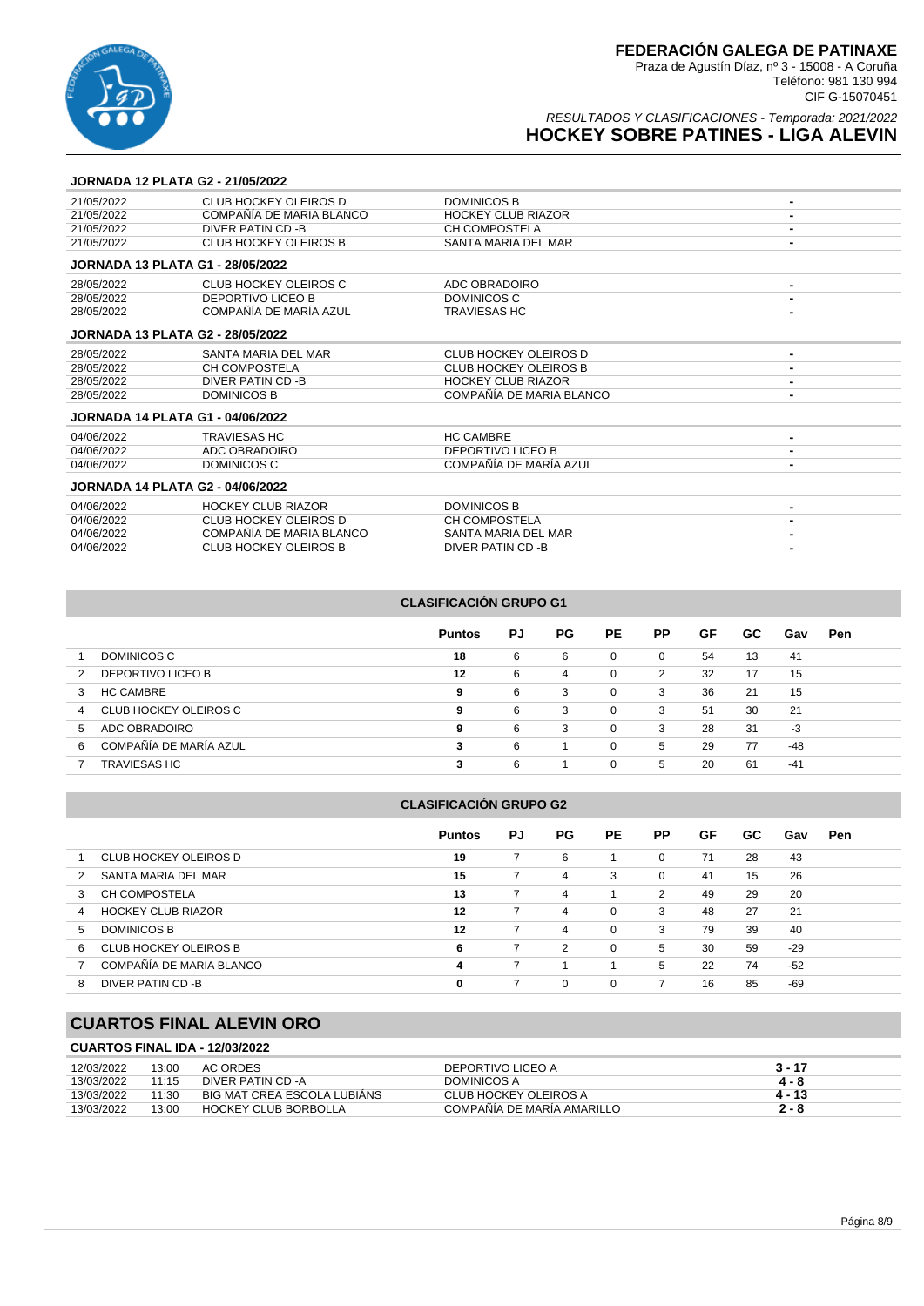

### RESULTADOS Y CLASIFICACIONES - Temporada: 2021/2022 **HOCKEY SOBRE PATINES - LIGA ALEVIN**

#### **JORNADA 12 PLATA G2 - 21/05/2022**

| 21/05/2022                              | CLUB HOCKEY OLEIROS D        | <b>DOMINICOS B</b>           |                |
|-----------------------------------------|------------------------------|------------------------------|----------------|
| 21/05/2022                              | COMPAÑÍA DE MARIA BLANCO     | <b>HOCKEY CLUB RIAZOR</b>    |                |
| 21/05/2022                              | DIVER PATIN CD -B            | CH COMPOSTELA                | $\blacksquare$ |
| 21/05/2022                              | <b>CLUB HOCKEY OLEIROS B</b> | SANTA MARIA DEL MAR          |                |
| <b>JORNADA 13 PLATA G1 - 28/05/2022</b> |                              |                              |                |
| 28/05/2022                              | CLUB HOCKEY OLEIROS C        | ADC OBRADOIRO                |                |
| 28/05/2022                              | <b>DEPORTIVO LICEO B</b>     | DOMINICOS C                  |                |
| 28/05/2022                              | COMPAÑÍA DE MARÍA AZUL       | <b>TRAVIESAS HC</b>          |                |
| <b>JORNADA 13 PLATA G2 - 28/05/2022</b> |                              |                              |                |
| 28/05/2022                              | SANTA MARIA DEL MAR          | <b>CLUB HOCKEY OLEIROS D</b> | $\blacksquare$ |
| 28/05/2022                              | <b>CH COMPOSTELA</b>         | <b>CLUB HOCKEY OLEIROS B</b> |                |
| 28/05/2022                              | DIVER PATIN CD -B            | <b>HOCKEY CLUB RIAZOR</b>    |                |
| 28/05/2022                              | <b>DOMINICOS B</b>           | COMPAÑÍA DE MARIA BLANCO     |                |
| <b>JORNADA 14 PLATA G1 - 04/06/2022</b> |                              |                              |                |
| 04/06/2022                              | <b>TRAVIESAS HC</b>          | <b>HC CAMBRE</b>             |                |
| 04/06/2022                              | ADC OBRADOIRO                | <b>DEPORTIVO LICEO B</b>     |                |
| 04/06/2022                              | <b>DOMINICOS C</b>           | COMPAÑÍA DE MARÍA AZUL       |                |
| <b>JORNADA 14 PLATA G2 - 04/06/2022</b> |                              |                              |                |
| 04/06/2022                              | <b>HOCKEY CLUB RIAZOR</b>    | <b>DOMINICOS B</b>           |                |
| 04/06/2022                              | <b>CLUB HOCKEY OLEIROS D</b> | <b>CH COMPOSTELA</b>         |                |
| 04/06/2022                              | COMPAÑÍA DE MARIA BLANCO     | SANTA MARIA DEL MAR          |                |
| 04/06/2022                              | <b>CLUB HOCKEY OLEIROS B</b> | <b>DIVER PATIN CD -B</b>     |                |

### **CLASIFICACIÓN GRUPO G1**

|                             | <b>Puntos</b> | PJ | <b>PG</b> | PE.      | <b>PP</b>      | GF | GC. | Gav   | Pen |
|-----------------------------|---------------|----|-----------|----------|----------------|----|-----|-------|-----|
| DOMINICOS C                 | 18            | 6  | 6         | 0        | $\overline{0}$ | 54 | 13  | 41    |     |
| DEPORTIVO LICEO B<br>2      | 12            | 6  | 4         | 0        | 2              | 32 | 17  | 15    |     |
| <b>HC CAMBRE</b><br>3       | 9             | 6  | 3         | $\Omega$ | 3              | 36 | 21  | 15    |     |
| CLUB HOCKEY OLEIROS C<br>4  | 9             | 6  | 3         | $\Omega$ | 3              | 51 | 30  | 21    |     |
| ADC OBRADOIRO<br>5          | 9             | 6  | 3         | $\Omega$ | 3              | 28 | 31  | -3    |     |
| COMPAÑÍA DE MARÍA AZUL<br>6 | 3             | 6  |           | $\Omega$ | 5              | 29 | 77  | -48   |     |
| TRAVIESAS HC                | 3             | 6  |           | $\Omega$ | 5              | 20 | 61  | $-41$ |     |

#### **CLASIFICACIÓN GRUPO G2**

|    |                           | <b>Puntos</b> | PJ | PG.            | PE.      | <b>PP</b> | GF | GC. | Gav   | <b>Pen</b> |  |
|----|---------------------------|---------------|----|----------------|----------|-----------|----|-----|-------|------------|--|
|    | CLUB HOCKEY OLEIROS D     | 19            |    | 6              |          | $\Omega$  | 71 | 28  | 43    |            |  |
|    | SANTA MARIA DEL MAR       | 15            | 7  | 4              | 3        | $\Omega$  | 41 | 15  | 26    |            |  |
| 3  | <b>CH COMPOSTELA</b>      | 13            | 7  | 4              |          | 2         | 49 | 29  | 20    |            |  |
| 4  | <b>HOCKEY CLUB RIAZOR</b> | 12            |    | 4              | $\Omega$ | 3         | 48 | 27  | 21    |            |  |
| 5. | <b>DOMINICOS B</b>        | 12            |    | $\overline{4}$ | $\Omega$ | 3         | 79 | 39  | 40    |            |  |
| 6  | CLUB HOCKEY OLEIROS B     | 6             | 7  | 2              | $\Omega$ | 5         | 30 | 59  | $-29$ |            |  |
|    | COMPAÑÍA DE MARIA BLANCO  | 4             |    |                |          | 5         | 22 | 74  | $-52$ |            |  |
| 8  | DIVER PATIN CD-B          | 0             |    | $\Omega$       | 0        |           | 16 | 85  | $-69$ |            |  |

# **CUARTOS FINAL ALEVIN ORO**

### **CUARTOS FINAL IDA - 12/03/2022**

| 12/03/2022 | 13:00 | AC ORDES                    | DEPORTIVO LICEO A          | 3 - 17 |
|------------|-------|-----------------------------|----------------------------|--------|
| 13/03/2022 | 11:15 | DIVER PATIN CD -A           | DOMINICOS A                | 4 - 8  |
| 13/03/2022 | 11:30 | BIG MAT CREA ESCOLA LUBIANS | CLUB HOCKEY OLEIROS A      | 4 - 13 |
| 13/03/2022 | 13:00 | <b>HOCKEY CLUB BORBOLLA</b> | COMPAÑÍA DE MARÍA AMARILLO | 2 - 8  |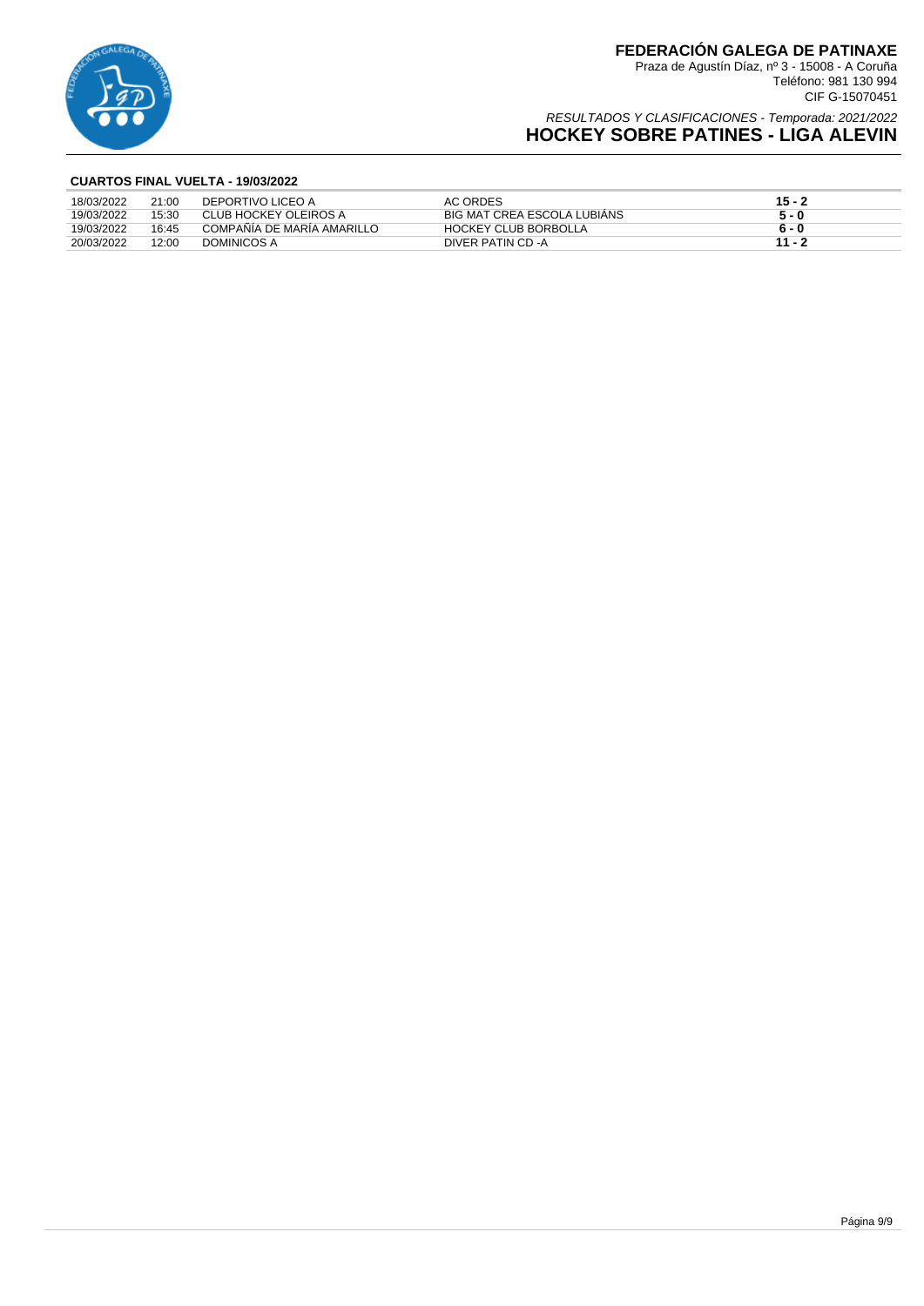

Teléfono: 981 130 994 CIF G-15070451

### RESULTADOS Y CLASIFICACIONES - Temporada: 2021/2022 **HOCKEY SOBRE PATINES - LIGA ALEVIN**

### **CUARTOS FINAL VUELTA - 19/03/2022**

| 18/03/2022 | 21:00 | DEPORTIVO LICEO A          | AC ORDES                    | $15 - 2$ |
|------------|-------|----------------------------|-----------------------------|----------|
| 19/03/2022 | 15:30 | CLUB HOCKEY OLEIROS A      | BIG MAT CREA ESCOLA LUBIANS | 5 - 0    |
| 19/03/2022 | 16:45 | COMPAÑÍA DE MARÍA AMARILLO | <b>HOCKEY CLUB BORBOLLA</b> | 6 - 0    |
| 20/03/2022 | 12:00 | DOMINICOS A                | DIVER PATIN CD -A           | $11 - 3$ |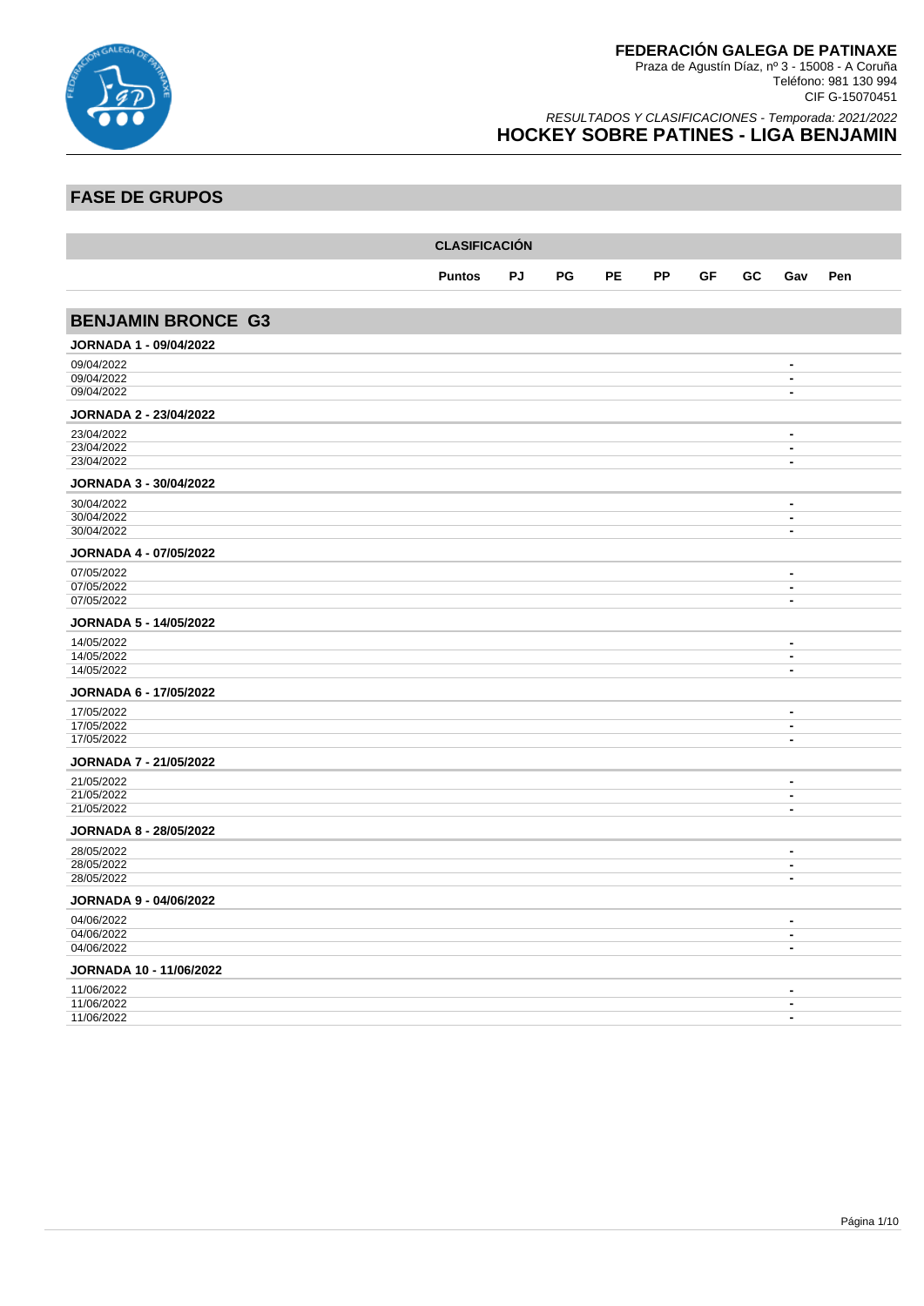

Teléfono: 981 130 994 CIF G-15070451

### RESULTADOS Y CLASIFICACIONES - Temporada: 2021/2022 **HOCKEY SOBRE PATINES - LIGA BENJAMIN**

## **FASE DE GRUPOS**

|                               | <b>CLASIFICACIÓN</b> |    |    |    |           |    |    |                                                      |     |  |  |  |
|-------------------------------|----------------------|----|----|----|-----------|----|----|------------------------------------------------------|-----|--|--|--|
|                               | <b>Puntos</b>        | PJ | PG | PE | <b>PP</b> | GF | GC | Gav                                                  | Pen |  |  |  |
|                               |                      |    |    |    |           |    |    |                                                      |     |  |  |  |
| <b>BENJAMIN BRONCE G3</b>     |                      |    |    |    |           |    |    |                                                      |     |  |  |  |
| <b>JORNADA 1 - 09/04/2022</b> |                      |    |    |    |           |    |    |                                                      |     |  |  |  |
| 09/04/2022                    |                      |    |    |    |           |    |    | $\blacksquare$                                       |     |  |  |  |
| 09/04/2022<br>09/04/2022      |                      |    |    |    |           |    |    | $\blacksquare$<br>$\blacksquare$                     |     |  |  |  |
|                               |                      |    |    |    |           |    |    |                                                      |     |  |  |  |
| <b>JORNADA 2 - 23/04/2022</b> |                      |    |    |    |           |    |    |                                                      |     |  |  |  |
| 23/04/2022<br>23/04/2022      |                      |    |    |    |           |    |    | $\blacksquare$<br>$\blacksquare$                     |     |  |  |  |
| 23/04/2022                    |                      |    |    |    |           |    |    | $\blacksquare$                                       |     |  |  |  |
| <b>JORNADA 3 - 30/04/2022</b> |                      |    |    |    |           |    |    |                                                      |     |  |  |  |
| 30/04/2022                    |                      |    |    |    |           |    |    | $\overline{\phantom{a}}$                             |     |  |  |  |
| 30/04/2022                    |                      |    |    |    |           |    |    | $\overline{\phantom{a}}$                             |     |  |  |  |
| 30/04/2022                    |                      |    |    |    |           |    |    | $\overline{\phantom{a}}$                             |     |  |  |  |
| <b>JORNADA 4 - 07/05/2022</b> |                      |    |    |    |           |    |    |                                                      |     |  |  |  |
| 07/05/2022                    |                      |    |    |    |           |    |    | $\blacksquare$                                       |     |  |  |  |
| 07/05/2022<br>07/05/2022      |                      |    |    |    |           |    |    | $\blacksquare$<br>$\blacksquare$                     |     |  |  |  |
|                               |                      |    |    |    |           |    |    |                                                      |     |  |  |  |
| JORNADA 5 - 14/05/2022        |                      |    |    |    |           |    |    |                                                      |     |  |  |  |
| 14/05/2022<br>14/05/2022      |                      |    |    |    |           |    |    | $\overline{\phantom{a}}$<br>$\blacksquare$           |     |  |  |  |
| 14/05/2022                    |                      |    |    |    |           |    |    | $\blacksquare$                                       |     |  |  |  |
| JORNADA 6 - 17/05/2022        |                      |    |    |    |           |    |    |                                                      |     |  |  |  |
| 17/05/2022                    |                      |    |    |    |           |    |    | $\blacksquare$                                       |     |  |  |  |
| 17/05/2022                    |                      |    |    |    |           |    |    | $\overline{\phantom{a}}$                             |     |  |  |  |
| 17/05/2022                    |                      |    |    |    |           |    |    | $\overline{\phantom{a}}$                             |     |  |  |  |
| <b>JORNADA 7 - 21/05/2022</b> |                      |    |    |    |           |    |    |                                                      |     |  |  |  |
| 21/05/2022                    |                      |    |    |    |           |    |    | $\blacksquare$                                       |     |  |  |  |
| 21/05/2022<br>21/05/2022      |                      |    |    |    |           |    |    | $\overline{\phantom{a}}$<br>$\blacksquare$           |     |  |  |  |
| <b>JORNADA 8 - 28/05/2022</b> |                      |    |    |    |           |    |    |                                                      |     |  |  |  |
| 28/05/2022                    |                      |    |    |    |           |    |    | $\blacksquare$                                       |     |  |  |  |
| 28/05/2022                    |                      |    |    |    |           |    |    | $\blacksquare$                                       |     |  |  |  |
| 28/05/2022                    |                      |    |    |    |           |    |    | $\overline{\phantom{a}}$                             |     |  |  |  |
| <b>JORNADA 9 - 04/06/2022</b> |                      |    |    |    |           |    |    |                                                      |     |  |  |  |
| 04/06/2022                    |                      |    |    |    |           |    |    | $\blacksquare$                                       |     |  |  |  |
| 04/06/2022<br>04/06/2022      |                      |    |    |    |           |    |    | $\overline{\phantom{a}}$<br>$\overline{\phantom{a}}$ |     |  |  |  |
| JORNADA 10 - 11/06/2022       |                      |    |    |    |           |    |    |                                                      |     |  |  |  |
|                               |                      |    |    |    |           |    |    | $\blacksquare$                                       |     |  |  |  |
| 11/06/2022<br>11/06/2022      |                      |    |    |    |           |    |    | $\overline{\phantom{a}}$                             |     |  |  |  |
| 11/06/2022                    |                      |    |    |    |           |    |    | $\blacksquare$                                       |     |  |  |  |
|                               |                      |    |    |    |           |    |    |                                                      |     |  |  |  |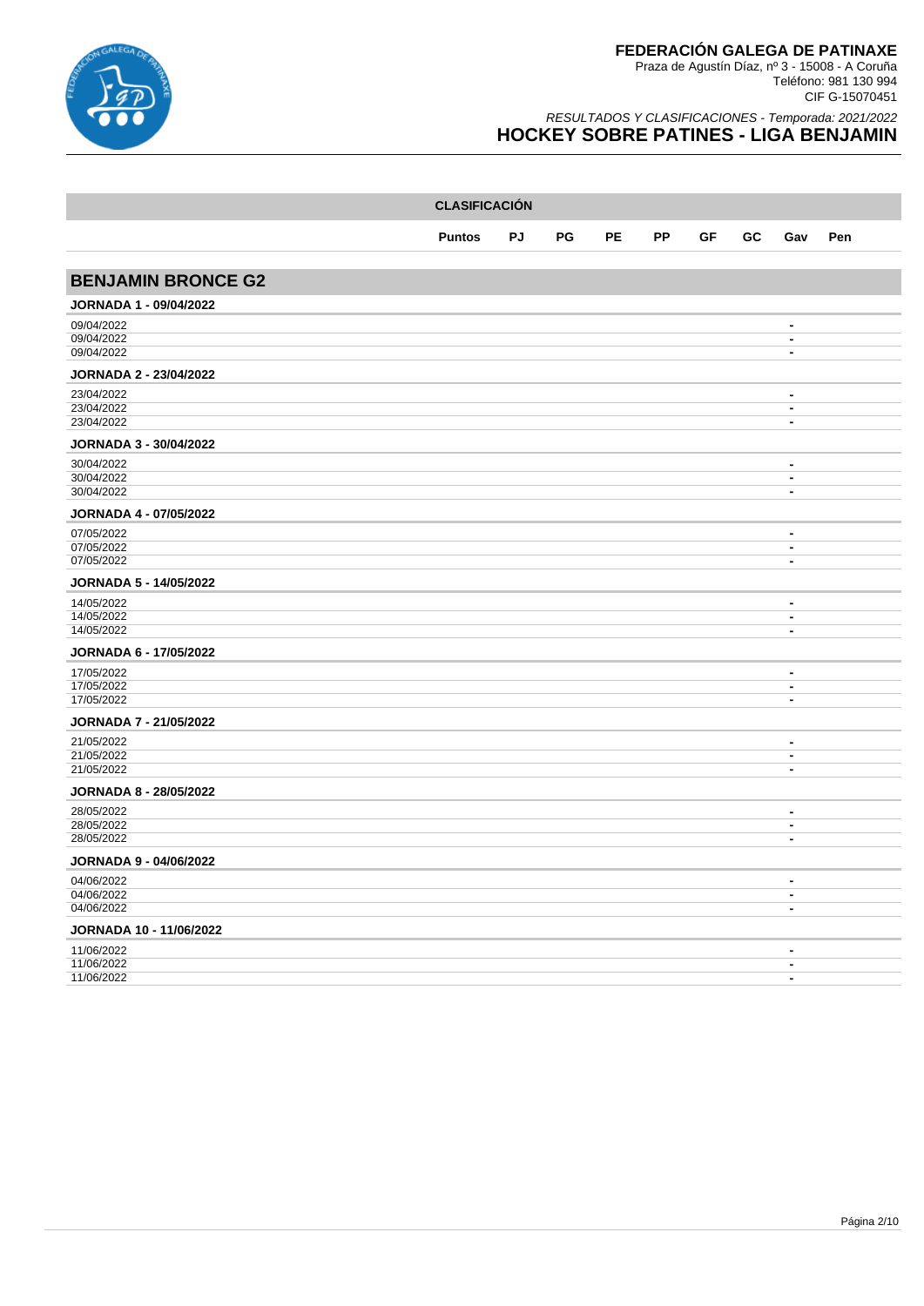

|                                | <b>CLASIFICACIÓN</b> |    |    |           |           |    |    |                                            |     |  |  |  |
|--------------------------------|----------------------|----|----|-----------|-----------|----|----|--------------------------------------------|-----|--|--|--|
|                                | <b>Puntos</b>        | PJ | PG | <b>PE</b> | <b>PP</b> | GF | GC | Gav                                        | Pen |  |  |  |
|                                |                      |    |    |           |           |    |    |                                            |     |  |  |  |
| <b>BENJAMIN BRONCE G2</b>      |                      |    |    |           |           |    |    |                                            |     |  |  |  |
| <b>JORNADA 1 - 09/04/2022</b>  |                      |    |    |           |           |    |    |                                            |     |  |  |  |
| 09/04/2022                     |                      |    |    |           |           |    |    | $\blacksquare$                             |     |  |  |  |
| 09/04/2022<br>09/04/2022       |                      |    |    |           |           |    |    | $\overline{\phantom{a}}$<br>$\blacksquare$ |     |  |  |  |
| <b>JORNADA 2 - 23/04/2022</b>  |                      |    |    |           |           |    |    |                                            |     |  |  |  |
| 23/04/2022                     |                      |    |    |           |           |    |    | $\blacksquare$                             |     |  |  |  |
| 23/04/2022<br>23/04/2022       |                      |    |    |           |           |    |    | $\blacksquare$<br>$\blacksquare$           |     |  |  |  |
| JORNADA 3 - 30/04/2022         |                      |    |    |           |           |    |    |                                            |     |  |  |  |
| 30/04/2022                     |                      |    |    |           |           |    |    | $\blacksquare$                             |     |  |  |  |
| 30/04/2022                     |                      |    |    |           |           |    |    | $\overline{\phantom{a}}$                   |     |  |  |  |
| 30/04/2022                     |                      |    |    |           |           |    |    | $\blacksquare$                             |     |  |  |  |
| <b>JORNADA 4 - 07/05/2022</b>  |                      |    |    |           |           |    |    |                                            |     |  |  |  |
| 07/05/2022                     |                      |    |    |           |           |    |    | $\blacksquare$                             |     |  |  |  |
| 07/05/2022<br>07/05/2022       |                      |    |    |           |           |    |    | $\blacksquare$<br>$\blacksquare$           |     |  |  |  |
| <b>JORNADA 5 - 14/05/2022</b>  |                      |    |    |           |           |    |    |                                            |     |  |  |  |
| 14/05/2022                     |                      |    |    |           |           |    |    | $\overline{\phantom{a}}$                   |     |  |  |  |
| 14/05/2022<br>14/05/2022       |                      |    |    |           |           |    |    | $\overline{\phantom{a}}$<br>$\blacksquare$ |     |  |  |  |
| JORNADA 6 - 17/05/2022         |                      |    |    |           |           |    |    |                                            |     |  |  |  |
| 17/05/2022                     |                      |    |    |           |           |    |    | $\blacksquare$                             |     |  |  |  |
| 17/05/2022                     |                      |    |    |           |           |    |    | $\blacksquare$                             |     |  |  |  |
| 17/05/2022                     |                      |    |    |           |           |    |    | $\blacksquare$                             |     |  |  |  |
| <b>JORNADA 7 - 21/05/2022</b>  |                      |    |    |           |           |    |    |                                            |     |  |  |  |
| 21/05/2022                     |                      |    |    |           |           |    |    | $\blacksquare$                             |     |  |  |  |
| 21/05/2022<br>21/05/2022       |                      |    |    |           |           |    |    | $\overline{\phantom{a}}$<br>$\blacksquare$ |     |  |  |  |
| <b>JORNADA 8 - 28/05/2022</b>  |                      |    |    |           |           |    |    |                                            |     |  |  |  |
| 28/05/2022                     |                      |    |    |           |           |    |    | $\blacksquare$                             |     |  |  |  |
| 28/05/2022                     |                      |    |    |           |           |    |    | $\blacksquare$                             |     |  |  |  |
| 28/05/2022                     |                      |    |    |           |           |    |    | $\blacksquare$                             |     |  |  |  |
| <b>JORNADA 9 - 04/06/2022</b>  |                      |    |    |           |           |    |    |                                            |     |  |  |  |
| 04/06/2022<br>04/06/2022       |                      |    |    |           |           |    |    | $\blacksquare$<br>$\overline{\phantom{a}}$ |     |  |  |  |
| 04/06/2022                     |                      |    |    |           |           |    |    | $\blacksquare$                             |     |  |  |  |
| <b>JORNADA 10 - 11/06/2022</b> |                      |    |    |           |           |    |    |                                            |     |  |  |  |
| 11/06/2022                     |                      |    |    |           |           |    |    | $\blacksquare$                             |     |  |  |  |
| 11/06/2022<br>11/06/2022       |                      |    |    |           |           |    |    | $\blacksquare$<br>$\blacksquare$           |     |  |  |  |
|                                |                      |    |    |           |           |    |    |                                            |     |  |  |  |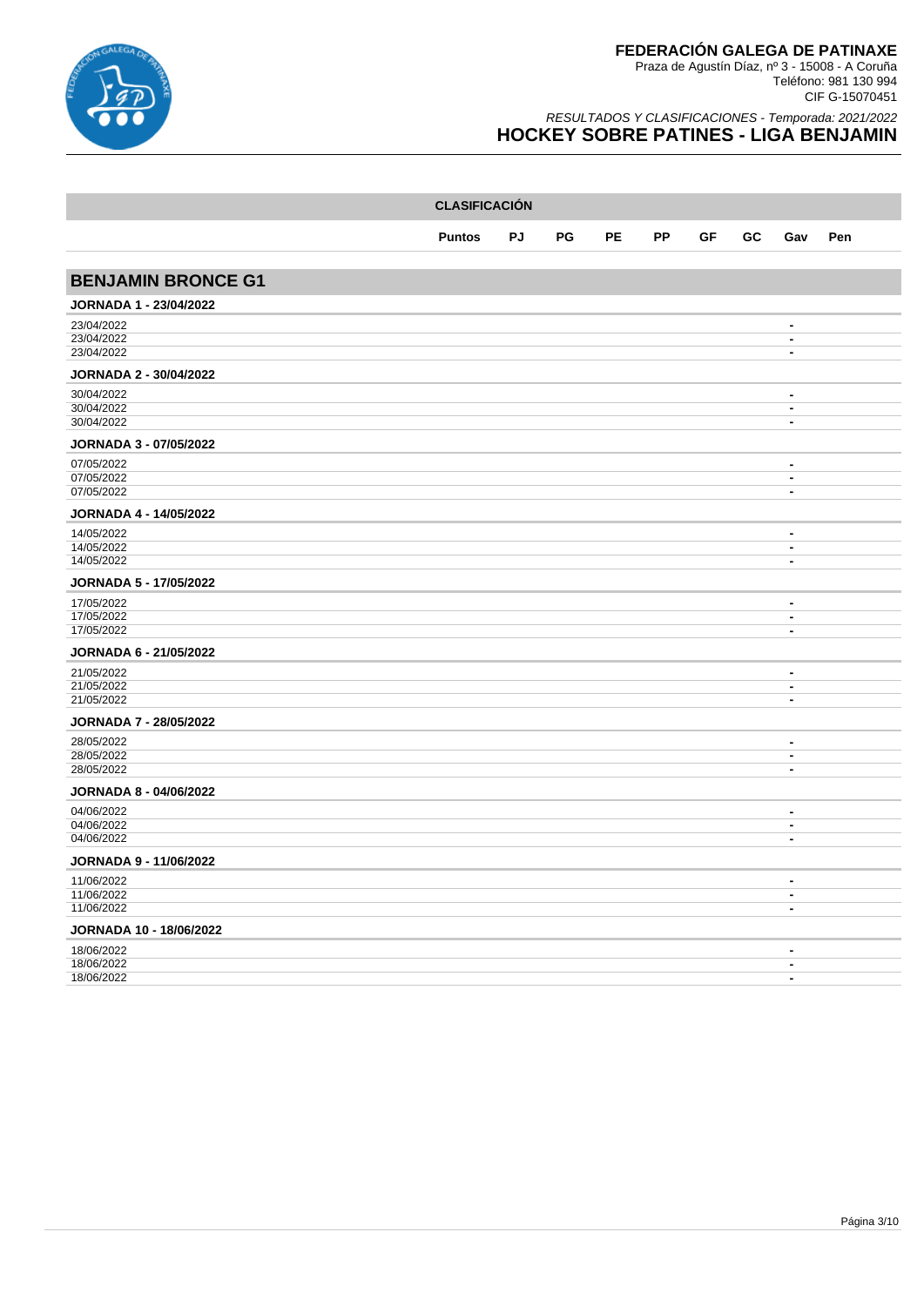

|                                | <b>CLASIFICACIÓN</b> |    |    |           |           |    |    |                                            |     |  |  |  |
|--------------------------------|----------------------|----|----|-----------|-----------|----|----|--------------------------------------------|-----|--|--|--|
|                                | <b>Puntos</b>        | PJ | PG | <b>PE</b> | <b>PP</b> | GF | GC | Gav                                        | Pen |  |  |  |
|                                |                      |    |    |           |           |    |    |                                            |     |  |  |  |
| <b>BENJAMIN BRONCE G1</b>      |                      |    |    |           |           |    |    |                                            |     |  |  |  |
| <b>JORNADA 1 - 23/04/2022</b>  |                      |    |    |           |           |    |    |                                            |     |  |  |  |
| 23/04/2022                     |                      |    |    |           |           |    |    | $\blacksquare$                             |     |  |  |  |
| 23/04/2022<br>23/04/2022       |                      |    |    |           |           |    |    | $\overline{\phantom{a}}$<br>$\blacksquare$ |     |  |  |  |
| <b>JORNADA 2 - 30/04/2022</b>  |                      |    |    |           |           |    |    |                                            |     |  |  |  |
| 30/04/2022                     |                      |    |    |           |           |    |    | $\blacksquare$                             |     |  |  |  |
| 30/04/2022<br>30/04/2022       |                      |    |    |           |           |    |    | $\blacksquare$<br>$\blacksquare$           |     |  |  |  |
| JORNADA 3 - 07/05/2022         |                      |    |    |           |           |    |    |                                            |     |  |  |  |
| 07/05/2022                     |                      |    |    |           |           |    |    | $\blacksquare$                             |     |  |  |  |
| 07/05/2022<br>07/05/2022       |                      |    |    |           |           |    |    | $\overline{\phantom{a}}$<br>$\blacksquare$ |     |  |  |  |
|                                |                      |    |    |           |           |    |    |                                            |     |  |  |  |
| <b>JORNADA 4 - 14/05/2022</b>  |                      |    |    |           |           |    |    | $\blacksquare$                             |     |  |  |  |
| 14/05/2022<br>14/05/2022       |                      |    |    |           |           |    |    | $\blacksquare$                             |     |  |  |  |
| 14/05/2022                     |                      |    |    |           |           |    |    | $\blacksquare$                             |     |  |  |  |
| <b>JORNADA 5 - 17/05/2022</b>  |                      |    |    |           |           |    |    |                                            |     |  |  |  |
| 17/05/2022                     |                      |    |    |           |           |    |    | $\blacksquare$                             |     |  |  |  |
| 17/05/2022<br>17/05/2022       |                      |    |    |           |           |    |    | $\overline{\phantom{a}}$<br>$\blacksquare$ |     |  |  |  |
| JORNADA 6 - 21/05/2022         |                      |    |    |           |           |    |    |                                            |     |  |  |  |
| 21/05/2022                     |                      |    |    |           |           |    |    | $\blacksquare$                             |     |  |  |  |
| 21/05/2022<br>21/05/2022       |                      |    |    |           |           |    |    | $\blacksquare$<br>$\blacksquare$           |     |  |  |  |
| <b>JORNADA 7 - 28/05/2022</b>  |                      |    |    |           |           |    |    |                                            |     |  |  |  |
| 28/05/2022                     |                      |    |    |           |           |    |    | $\blacksquare$                             |     |  |  |  |
| 28/05/2022                     |                      |    |    |           |           |    |    | $\overline{\phantom{a}}$                   |     |  |  |  |
| 28/05/2022                     |                      |    |    |           |           |    |    | $\blacksquare$                             |     |  |  |  |
| <b>JORNADA 8 - 04/06/2022</b>  |                      |    |    |           |           |    |    |                                            |     |  |  |  |
| 04/06/2022<br>04/06/2022       |                      |    |    |           |           |    |    | $\blacksquare$<br>$\blacksquare$           |     |  |  |  |
| 04/06/2022                     |                      |    |    |           |           |    |    | $\blacksquare$                             |     |  |  |  |
| <b>JORNADA 9 - 11/06/2022</b>  |                      |    |    |           |           |    |    |                                            |     |  |  |  |
| 11/06/2022                     |                      |    |    |           |           |    |    | $\blacksquare$                             |     |  |  |  |
| 11/06/2022                     |                      |    |    |           |           |    |    | $\overline{\phantom{a}}$<br>$\blacksquare$ |     |  |  |  |
| 11/06/2022                     |                      |    |    |           |           |    |    |                                            |     |  |  |  |
| <b>JORNADA 10 - 18/06/2022</b> |                      |    |    |           |           |    |    |                                            |     |  |  |  |
| 18/06/2022<br>18/06/2022       |                      |    |    |           |           |    |    | $\blacksquare$<br>$\blacksquare$           |     |  |  |  |
| 18/06/2022                     |                      |    |    |           |           |    |    | $\blacksquare$                             |     |  |  |  |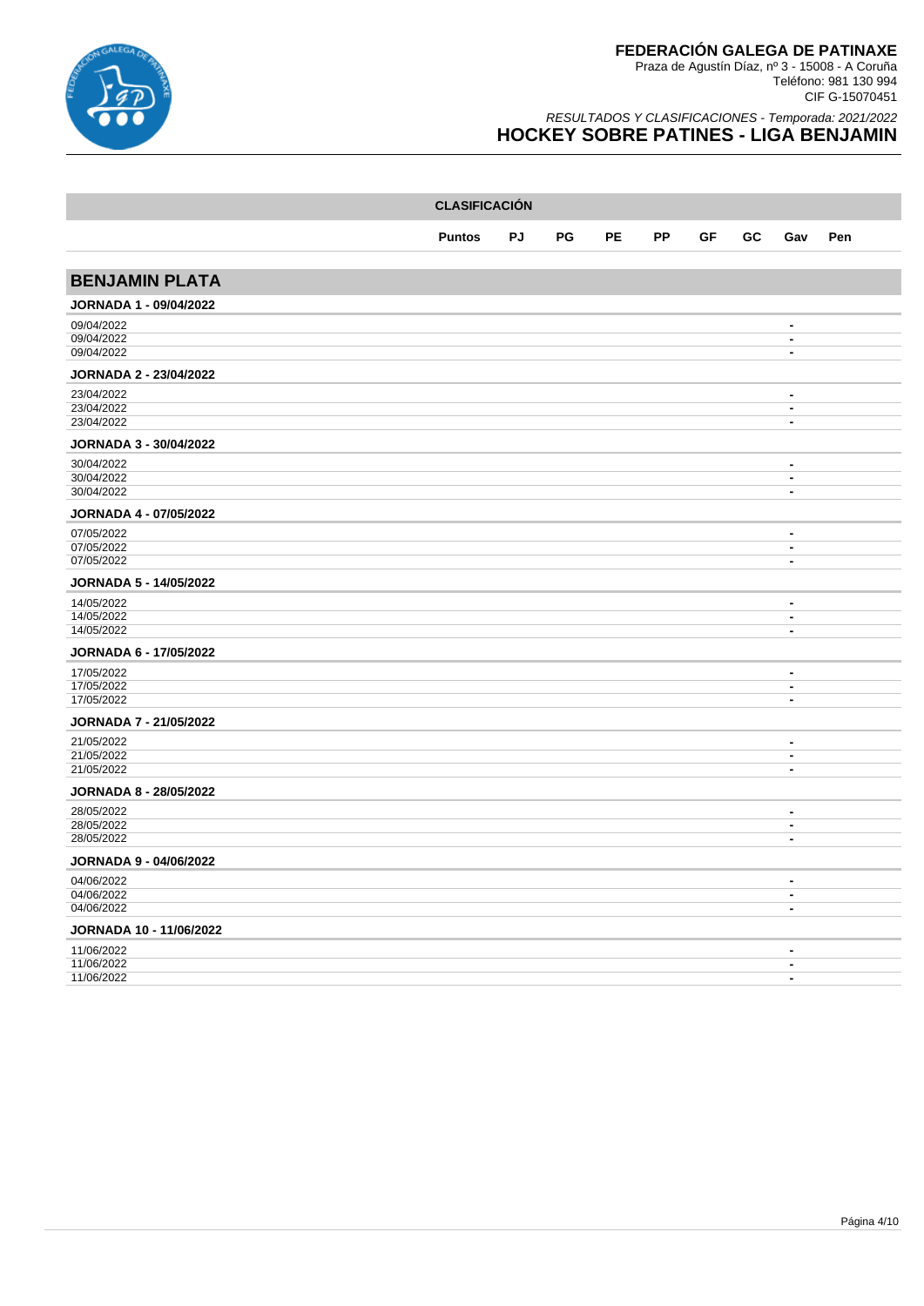

|                               | <b>CLASIFICACIÓN</b> |           |    |           |           |    |    |                                                      |     |  |  |  |
|-------------------------------|----------------------|-----------|----|-----------|-----------|----|----|------------------------------------------------------|-----|--|--|--|
|                               | <b>Puntos</b>        | <b>PJ</b> | PG | <b>PE</b> | <b>PP</b> | GF | GC | Gav                                                  | Pen |  |  |  |
|                               |                      |           |    |           |           |    |    |                                                      |     |  |  |  |
| <b>BENJAMIN PLATA</b>         |                      |           |    |           |           |    |    |                                                      |     |  |  |  |
| <b>JORNADA 1 - 09/04/2022</b> |                      |           |    |           |           |    |    |                                                      |     |  |  |  |
| 09/04/2022                    |                      |           |    |           |           |    |    | $\overline{\phantom{a}}$                             |     |  |  |  |
| 09/04/2022<br>09/04/2022      |                      |           |    |           |           |    |    | $\blacksquare$<br>$\overline{\phantom{a}}$           |     |  |  |  |
| <b>JORNADA 2 - 23/04/2022</b> |                      |           |    |           |           |    |    |                                                      |     |  |  |  |
| 23/04/2022                    |                      |           |    |           |           |    |    | $\blacksquare$                                       |     |  |  |  |
| 23/04/2022                    |                      |           |    |           |           |    |    | $\overline{\phantom{a}}$                             |     |  |  |  |
| 23/04/2022                    |                      |           |    |           |           |    |    | $\overline{\phantom{a}}$                             |     |  |  |  |
| <b>JORNADA 3 - 30/04/2022</b> |                      |           |    |           |           |    |    |                                                      |     |  |  |  |
| 30/04/2022                    |                      |           |    |           |           |    |    | $\blacksquare$                                       |     |  |  |  |
| 30/04/2022<br>30/04/2022      |                      |           |    |           |           |    |    | $\overline{\phantom{a}}$<br>$\blacksquare$           |     |  |  |  |
|                               |                      |           |    |           |           |    |    |                                                      |     |  |  |  |
| <b>JORNADA 4 - 07/05/2022</b> |                      |           |    |           |           |    |    |                                                      |     |  |  |  |
| 07/05/2022                    |                      |           |    |           |           |    |    | $\overline{\phantom{a}}$                             |     |  |  |  |
| 07/05/2022<br>07/05/2022      |                      |           |    |           |           |    |    | $\overline{\phantom{a}}$<br>$\overline{\phantom{a}}$ |     |  |  |  |
|                               |                      |           |    |           |           |    |    |                                                      |     |  |  |  |
| <b>JORNADA 5 - 14/05/2022</b> |                      |           |    |           |           |    |    |                                                      |     |  |  |  |
| 14/05/2022                    |                      |           |    |           |           |    |    | $\blacksquare$                                       |     |  |  |  |
| 14/05/2022<br>14/05/2022      |                      |           |    |           |           |    |    | $\overline{\phantom{a}}$<br>$\blacksquare$           |     |  |  |  |
|                               |                      |           |    |           |           |    |    |                                                      |     |  |  |  |
| JORNADA 6 - 17/05/2022        |                      |           |    |           |           |    |    |                                                      |     |  |  |  |
| 17/05/2022<br>17/05/2022      |                      |           |    |           |           |    |    | $\overline{\phantom{a}}$<br>$\overline{\phantom{a}}$ |     |  |  |  |
| 17/05/2022                    |                      |           |    |           |           |    |    | $\overline{\phantom{a}}$                             |     |  |  |  |
| <b>JORNADA 7 - 21/05/2022</b> |                      |           |    |           |           |    |    |                                                      |     |  |  |  |
| 21/05/2022                    |                      |           |    |           |           |    |    | $\blacksquare$                                       |     |  |  |  |
| 21/05/2022                    |                      |           |    |           |           |    |    | $\overline{\phantom{a}}$                             |     |  |  |  |
| 21/05/2022                    |                      |           |    |           |           |    |    | $\blacksquare$                                       |     |  |  |  |
| <b>JORNADA 8 - 28/05/2022</b> |                      |           |    |           |           |    |    |                                                      |     |  |  |  |
| 28/05/2022                    |                      |           |    |           |           |    |    | $\overline{\phantom{a}}$                             |     |  |  |  |
| 28/05/2022<br>28/05/2022      |                      |           |    |           |           |    |    | $\overline{\phantom{a}}$<br>$\overline{\phantom{a}}$ |     |  |  |  |
|                               |                      |           |    |           |           |    |    |                                                      |     |  |  |  |
| JORNADA 9 - 04/06/2022        |                      |           |    |           |           |    |    |                                                      |     |  |  |  |
| 04/06/2022                    |                      |           |    |           |           |    |    | $\blacksquare$                                       |     |  |  |  |
| 04/06/2022<br>04/06/2022      |                      |           |    |           |           |    |    | $\overline{\phantom{a}}$<br>$\blacksquare$           |     |  |  |  |
|                               |                      |           |    |           |           |    |    |                                                      |     |  |  |  |
| JORNADA 10 - 11/06/2022       |                      |           |    |           |           |    |    |                                                      |     |  |  |  |
| 11/06/2022<br>11/06/2022      |                      |           |    |           |           |    |    | $\blacksquare$<br>$\blacksquare$                     |     |  |  |  |
| 11/06/2022                    |                      |           |    |           |           |    |    | $\blacksquare$                                       |     |  |  |  |
|                               |                      |           |    |           |           |    |    |                                                      |     |  |  |  |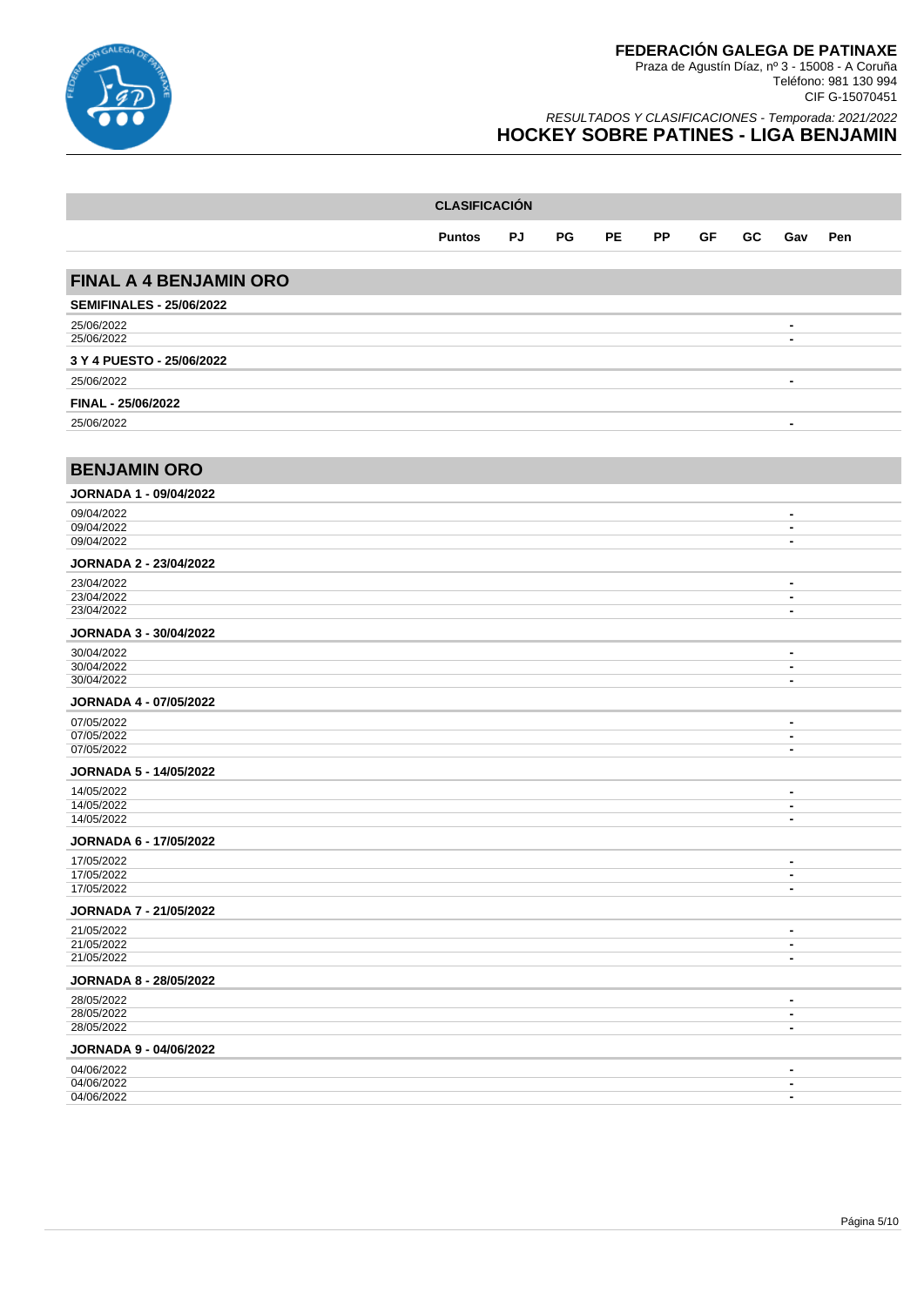

| <b>CLASIFICACIÓN</b>                 |               |    |    |           |           |    |    |                                  |     |  |
|--------------------------------------|---------------|----|----|-----------|-----------|----|----|----------------------------------|-----|--|
|                                      | <b>Puntos</b> | PJ | PG | <b>PE</b> | <b>PP</b> | GF | GC | Gav                              | Pen |  |
| <b>FINAL A 4 BENJAMIN ORO</b>        |               |    |    |           |           |    |    |                                  |     |  |
|                                      |               |    |    |           |           |    |    |                                  |     |  |
| <b>SEMIFINALES - 25/06/2022</b>      |               |    |    |           |           |    |    |                                  |     |  |
| 25/06/2022<br>25/06/2022             |               |    |    |           |           |    |    | $\blacksquare$<br>$\blacksquare$ |     |  |
| 3 Y 4 PUESTO - 25/06/2022            |               |    |    |           |           |    |    |                                  |     |  |
| 25/06/2022                           |               |    |    |           |           |    |    | $\blacksquare$                   |     |  |
| FINAL - 25/06/2022                   |               |    |    |           |           |    |    |                                  |     |  |
| 25/06/2022                           |               |    |    |           |           |    |    | $\blacksquare$                   |     |  |
|                                      |               |    |    |           |           |    |    |                                  |     |  |
| <b>BENJAMIN ORO</b>                  |               |    |    |           |           |    |    |                                  |     |  |
| <b>JORNADA 1 - 09/04/2022</b>        |               |    |    |           |           |    |    |                                  |     |  |
| 09/04/2022                           |               |    |    |           |           |    |    | $\blacksquare$                   |     |  |
| 09/04/2022<br>09/04/2022             |               |    |    |           |           |    |    | $\blacksquare$<br>$\blacksquare$ |     |  |
| <b>JORNADA 2 - 23/04/2022</b>        |               |    |    |           |           |    |    |                                  |     |  |
| 23/04/2022                           |               |    |    |           |           |    |    | $\qquad \qquad \blacksquare$     |     |  |
| 23/04/2022                           |               |    |    |           |           |    |    | $\blacksquare$                   |     |  |
| 23/04/2022                           |               |    |    |           |           |    |    | $\blacksquare$                   |     |  |
| JORNADA 3 - 30/04/2022<br>30/04/2022 |               |    |    |           |           |    |    |                                  |     |  |
| 30/04/2022                           |               |    |    |           |           |    |    | $\blacksquare$<br>$\blacksquare$ |     |  |
| 30/04/2022                           |               |    |    |           |           |    |    | $\blacksquare$                   |     |  |
| JORNADA 4 - 07/05/2022               |               |    |    |           |           |    |    |                                  |     |  |
| 07/05/2022<br>07/05/2022             |               |    |    |           |           |    |    | $\blacksquare$                   |     |  |
| 07/05/2022                           |               |    |    |           |           |    |    | $\blacksquare$<br>$\blacksquare$ |     |  |
| <b>JORNADA 5 - 14/05/2022</b>        |               |    |    |           |           |    |    |                                  |     |  |
| 14/05/2022                           |               |    |    |           |           |    |    | $\blacksquare$                   |     |  |
| 14/05/2022<br>14/05/2022             |               |    |    |           |           |    |    | $\blacksquare$<br>$\blacksquare$ |     |  |
| JORNADA 6 - 17/05/2022               |               |    |    |           |           |    |    |                                  |     |  |
| 17/05/2022                           |               |    |    |           |           |    |    | $\blacksquare$                   |     |  |
| 17/05/2022<br>17/05/2022             |               |    |    |           |           |    |    | $\blacksquare$                   |     |  |
| <b>JORNADA 7 - 21/05/2022</b>        |               |    |    |           |           |    |    |                                  |     |  |
| 21/05/2022                           |               |    |    |           |           |    |    | $\blacksquare$                   |     |  |
| 21/05/2022                           |               |    |    |           |           |    |    | $\blacksquare$                   |     |  |
| 21/05/2022                           |               |    |    |           |           |    |    | $\blacksquare$                   |     |  |
| JORNADA 8 - 28/05/2022               |               |    |    |           |           |    |    |                                  |     |  |
| 28/05/2022<br>28/05/2022             |               |    |    |           |           |    |    | $\blacksquare$<br>$\blacksquare$ |     |  |
| 28/05/2022                           |               |    |    |           |           |    |    | $\blacksquare$                   |     |  |
| JORNADA 9 - 04/06/2022               |               |    |    |           |           |    |    |                                  |     |  |
| 04/06/2022                           |               |    |    |           |           |    |    | $\blacksquare$                   |     |  |
| 04/06/2022<br>04/06/2022             |               |    |    |           |           |    |    | $\blacksquare$<br>$\blacksquare$ |     |  |
|                                      |               |    |    |           |           |    |    |                                  |     |  |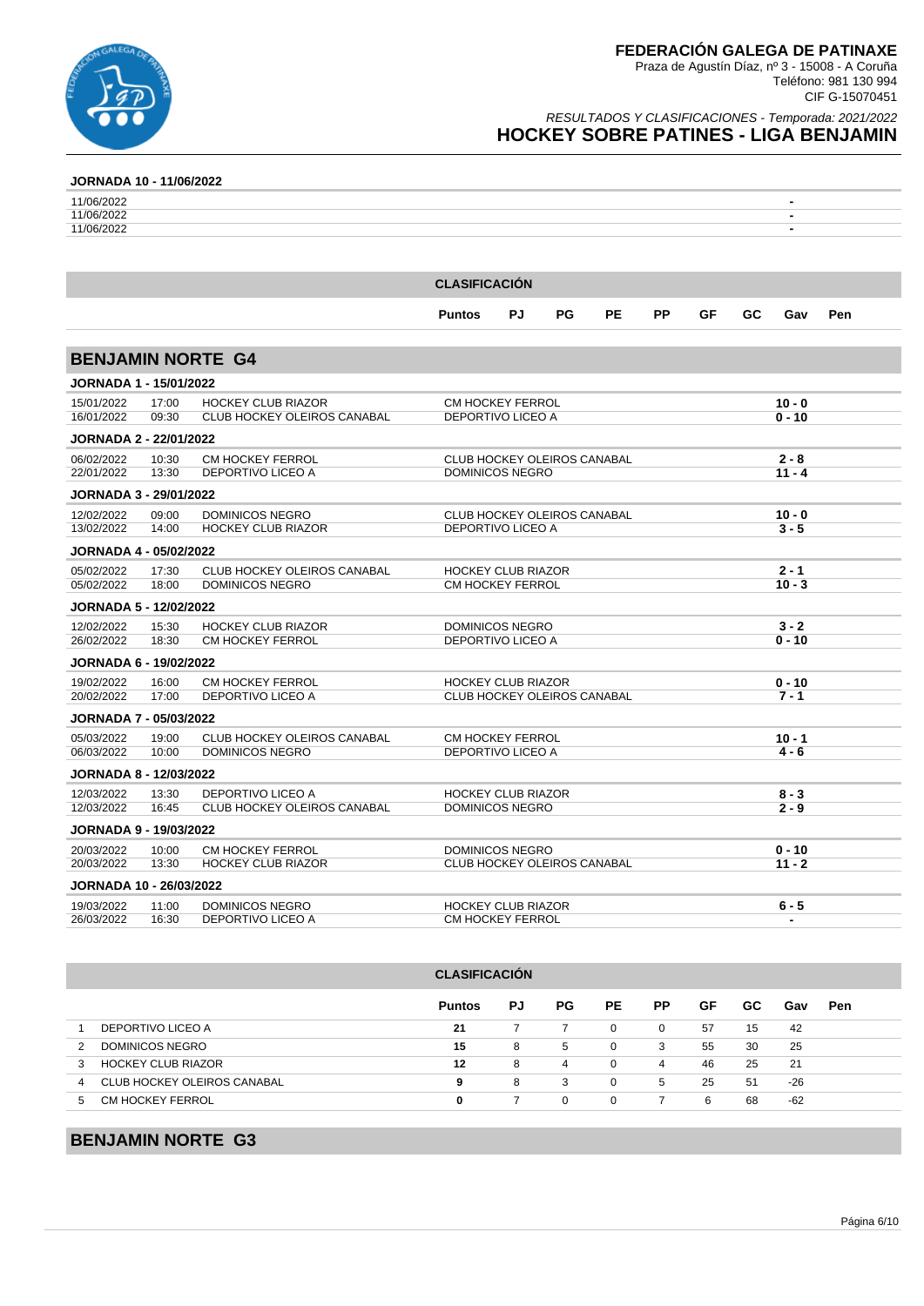

### RESULTADOS Y CLASIFICACIONES - Temporada: 2021/2022 **HOCKEY SOBRE PATINES - LIGA BENJAMIN**

### **JORNADA 10 - 11/06/2022**

| 11/06/2022 |                      | ۰ |
|------------|----------------------|---|
| 11/06/2022 |                      | - |
| 11/06/2022 |                      | ٠ |
|            |                      |   |
|            |                      |   |
|            |                      |   |
|            | <b>CLASIFICACIÓN</b> |   |

|                                |       |                                    | <b>Puntos</b>                      | PJ | PG | <b>PE</b> | <b>PP</b> | GF | <b>GC</b> | Gav      | Pen |
|--------------------------------|-------|------------------------------------|------------------------------------|----|----|-----------|-----------|----|-----------|----------|-----|
|                                |       |                                    |                                    |    |    |           |           |    |           |          |     |
| <b>BENJAMIN NORTE G4</b>       |       |                                    |                                    |    |    |           |           |    |           |          |     |
| <b>JORNADA 1 - 15/01/2022</b>  |       |                                    |                                    |    |    |           |           |    |           |          |     |
| 15/01/2022                     | 17:00 | <b>HOCKEY CLUB RIAZOR</b>          | <b>CM HOCKEY FERROL</b>            |    |    |           |           |    |           | $10 - 0$ |     |
| 16/01/2022                     | 09:30 | <b>CLUB HOCKEY OLEIROS CANABAL</b> | DEPORTIVO LICEO A                  |    |    |           |           |    |           | $0 - 10$ |     |
| <b>JORNADA 2 - 22/01/2022</b>  |       |                                    |                                    |    |    |           |           |    |           |          |     |
| 06/02/2022                     | 10:30 | <b>CM HOCKEY FERROL</b>            | <b>CLUB HOCKEY OLEIROS CANABAL</b> |    |    |           |           |    |           | $2 - 8$  |     |
| 22/01/2022                     | 13:30 | DEPORTIVO LICEO A                  | <b>DOMINICOS NEGRO</b>             |    |    |           |           |    |           | $11 - 4$ |     |
| <b>JORNADA 3 - 29/01/2022</b>  |       |                                    |                                    |    |    |           |           |    |           |          |     |
| 12/02/2022                     | 09:00 | <b>DOMINICOS NEGRO</b>             | <b>CLUB HOCKEY OLEIROS CANABAL</b> |    |    |           |           |    |           | $10 - 0$ |     |
| 13/02/2022                     | 14:00 | <b>HOCKEY CLUB RIAZOR</b>          | <b>DEPORTIVO LICEO A</b>           |    |    |           |           |    |           | $3 - 5$  |     |
| <b>JORNADA 4 - 05/02/2022</b>  |       |                                    |                                    |    |    |           |           |    |           |          |     |
| 05/02/2022                     | 17:30 | <b>CLUB HOCKEY OLEIROS CANABAL</b> | <b>HOCKEY CLUB RIAZOR</b>          |    |    |           |           |    |           | $2 - 1$  |     |
| 05/02/2022                     | 18:00 | <b>DOMINICOS NEGRO</b>             | CM HOCKEY FERROL                   |    |    |           |           |    |           | $10 - 3$ |     |
| <b>JORNADA 5 - 12/02/2022</b>  |       |                                    |                                    |    |    |           |           |    |           |          |     |
| 12/02/2022                     | 15:30 | <b>HOCKEY CLUB RIAZOR</b>          | <b>DOMINICOS NEGRO</b>             |    |    |           |           |    |           | $3 - 2$  |     |
| 26/02/2022                     | 18:30 | <b>CM HOCKEY FERROL</b>            | <b>DEPORTIVO LICEO A</b>           |    |    |           |           |    |           | $0 - 10$ |     |
| <b>JORNADA 6 - 19/02/2022</b>  |       |                                    |                                    |    |    |           |           |    |           |          |     |
| 19/02/2022                     | 16:00 | <b>CM HOCKEY FERROL</b>            | <b>HOCKEY CLUB RIAZOR</b>          |    |    |           |           |    |           | $0 - 10$ |     |
| 20/02/2022                     | 17:00 | <b>DEPORTIVO LICEO A</b>           | <b>CLUB HOCKEY OLEIROS CANABAL</b> |    |    |           |           |    |           | $7 - 1$  |     |
| <b>JORNADA 7 - 05/03/2022</b>  |       |                                    |                                    |    |    |           |           |    |           |          |     |
| 05/03/2022                     | 19:00 | CLUB HOCKEY OLEIROS CANABAL        | CM HOCKEY FERROL                   |    |    |           |           |    |           | $10 - 1$ |     |
| 06/03/2022                     | 10:00 | <b>DOMINICOS NEGRO</b>             | <b>DEPORTIVO LICEO A</b>           |    |    |           |           |    |           | 4 - 6    |     |
| <b>JORNADA 8 - 12/03/2022</b>  |       |                                    |                                    |    |    |           |           |    |           |          |     |
| 12/03/2022                     | 13:30 | <b>DEPORTIVO LICEO A</b>           | <b>HOCKEY CLUB RIAZOR</b>          |    |    |           |           |    |           | $8 - 3$  |     |
| 12/03/2022                     | 16:45 | <b>CLUB HOCKEY OLEIROS CANABAL</b> | <b>DOMINICOS NEGRO</b>             |    |    |           |           |    |           | $2 - 9$  |     |
| <b>JORNADA 9 - 19/03/2022</b>  |       |                                    |                                    |    |    |           |           |    |           |          |     |
| 20/03/2022                     | 10:00 | <b>CM HOCKEY FERROL</b>            | <b>DOMINICOS NEGRO</b>             |    |    |           |           |    |           | $0 - 10$ |     |
| 20/03/2022                     | 13:30 | <b>HOCKEY CLUB RIAZOR</b>          | CLUB HOCKEY OLEIROS CANABAL        |    |    |           |           |    |           | $11 - 2$ |     |
| <b>JORNADA 10 - 26/03/2022</b> |       |                                    |                                    |    |    |           |           |    |           |          |     |
| 19/03/2022                     | 11:00 | <b>DOMINICOS NEGRO</b>             | <b>HOCKEY CLUB RIAZOR</b>          |    |    |           |           |    |           | 6 - 5    |     |
| 26/03/2022                     | 16:30 | <b>DEPORTIVO LICEO A</b>           | <b>CM HOCKEY FERROL</b>            |    |    |           |           |    |           |          |     |

|                             | <b>Puntos</b> | PJ | PG.                  | PE.      | <b>PP</b> | GF | GC. | Gav   | <b>Pen</b> |  |
|-----------------------------|---------------|----|----------------------|----------|-----------|----|-----|-------|------------|--|
| DEPORTIVO LICEO A           | 21            |    |                      | $\Omega$ | 0         | 57 | 15  | 42    |            |  |
| DOMINICOS NEGRO             | 15            | 8  | 5                    | 0        | 3         | 55 | 30  | 25    |            |  |
| <b>HOCKEY CLUB RIAZOR</b>   | 12            | 8  | 4                    | 0        | 4         | 46 | 25  | 21    |            |  |
| CLUB HOCKEY OLEIROS CANABAL | 9             | 8  | 3                    | 0        | 5         | 25 | 51  | $-26$ |            |  |
| CM HOCKEY FERROL            | 0             |    | $\Omega$             | $\Omega$ |           | 6  | 68  | -62   |            |  |
|                             |               |    | <b>ULASIFIUAUIUN</b> |          |           |    |     |       |            |  |

**CLASIFICACIÓN**

### **BENJAMIN NORTE G3**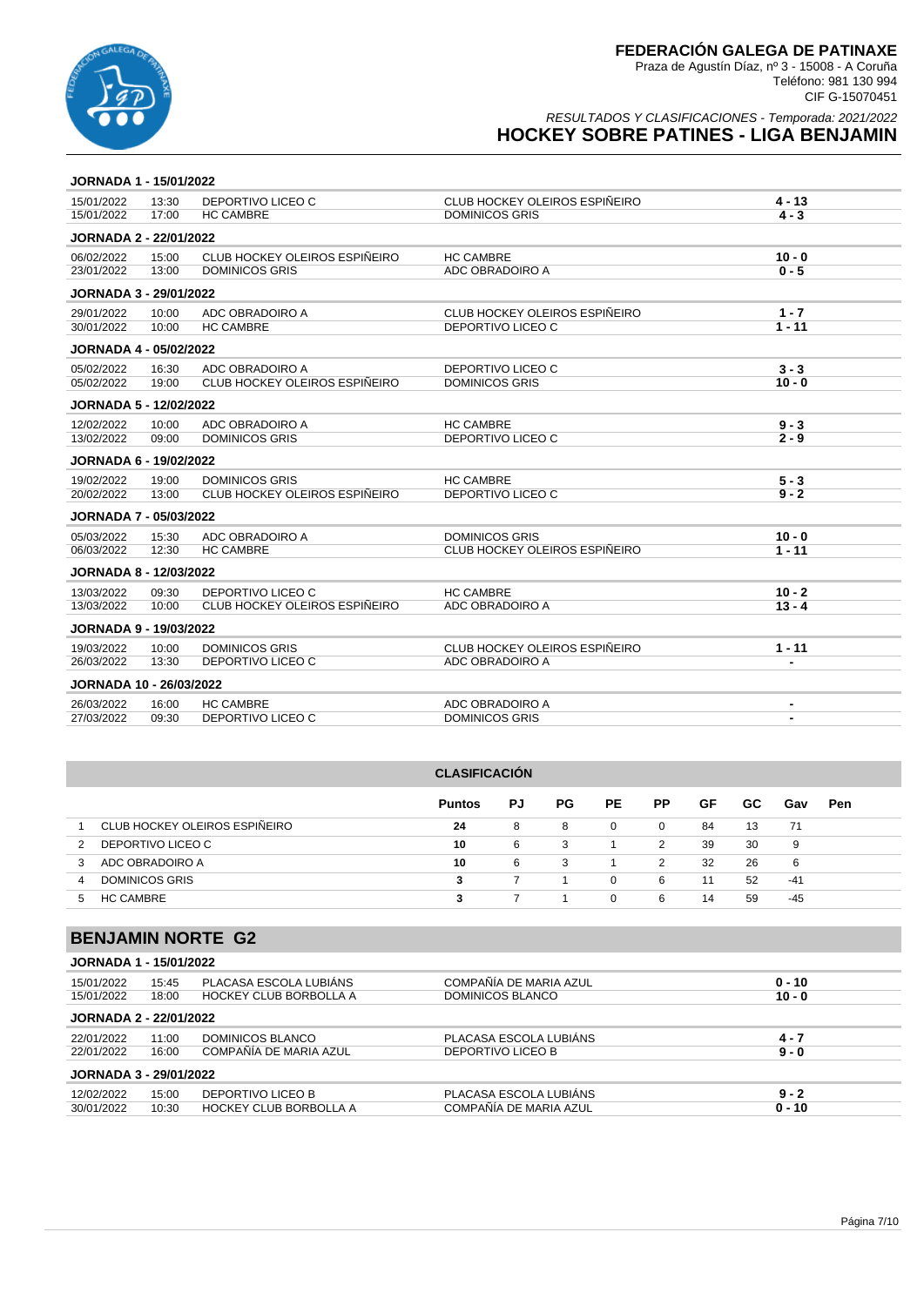

RESULTADOS Y CLASIFICACIONES - Temporada: 2021/2022 **HOCKEY SOBRE PATINES - LIGA BENJAMIN**

#### **JORNADA 1 - 15/01/2022**

| 15/01/2022                     | 13:30 | DEPORTIVO LICEO C             | CLUB HOCKEY OLEIROS ESPIÑEIRO | $4 - 13$       |
|--------------------------------|-------|-------------------------------|-------------------------------|----------------|
| 15/01/2022                     | 17:00 | <b>HC CAMBRE</b>              | <b>DOMINICOS GRIS</b>         | $4 - 3$        |
| <b>JORNADA 2 - 22/01/2022</b>  |       |                               |                               |                |
| 06/02/2022                     | 15:00 | CLUB HOCKEY OLEIROS ESPIÑEIRO | <b>HC CAMBRE</b>              | $10 - 0$       |
| 23/01/2022                     | 13:00 | <b>DOMINICOS GRIS</b>         | ADC OBRADOIRO A               | $0 - 5$        |
| <b>JORNADA 3 - 29/01/2022</b>  |       |                               |                               |                |
| 29/01/2022                     | 10:00 | ADC OBRADOIRO A               | CLUB HOCKEY OLEIROS ESPIÑEIRO | $1 - 7$        |
| 30/01/2022                     | 10:00 | <b>HC CAMBRE</b>              | DEPORTIVO LICEO C             | $1 - 11$       |
| <b>JORNADA 4 - 05/02/2022</b>  |       |                               |                               |                |
| 05/02/2022                     | 16:30 | ADC OBRADOIRO A               | DEPORTIVO LICEO C             | $3 - 3$        |
| 05/02/2022                     | 19:00 | CLUB HOCKEY OLEIROS ESPIÑEIRO | <b>DOMINICOS GRIS</b>         | $10 - 0$       |
| <b>JORNADA 5 - 12/02/2022</b>  |       |                               |                               |                |
| 12/02/2022                     | 10:00 | ADC OBRADOIRO A               | <b>HC CAMBRE</b>              | $9 - 3$        |
| 13/02/2022                     | 09:00 | <b>DOMINICOS GRIS</b>         | DEPORTIVO LICEO C             | $2 - 9$        |
| <b>JORNADA 6 - 19/02/2022</b>  |       |                               |                               |                |
| 19/02/2022                     | 19:00 | <b>DOMINICOS GRIS</b>         | <b>HC CAMBRE</b>              | $5 - 3$        |
| 20/02/2022                     | 13:00 | CLUB HOCKEY OLEIROS ESPIÑEIRO | DEPORTIVO LICEO C             | $9 - 2$        |
| <b>JORNADA 7 - 05/03/2022</b>  |       |                               |                               |                |
| 05/03/2022                     | 15:30 | ADC OBRADOIRO A               | <b>DOMINICOS GRIS</b>         | $10 - 0$       |
| 06/03/2022                     | 12:30 | <b>HC CAMBRE</b>              | CLUB HOCKEY OLEIROS ESPIÑEIRO | $1 - 11$       |
| <b>JORNADA 8 - 12/03/2022</b>  |       |                               |                               |                |
| 13/03/2022                     | 09:30 | DEPORTIVO LICEO C             | <b>HC CAMBRE</b>              | $10 - 2$       |
| 13/03/2022                     | 10:00 | CLUB HOCKEY OLEIROS ESPIÑEIRO | ADC OBRADOIRO A               | $13 - 4$       |
| <b>JORNADA 9 - 19/03/2022</b>  |       |                               |                               |                |
| 19/03/2022                     | 10:00 | <b>DOMINICOS GRIS</b>         | CLUB HOCKEY OLEIROS ESPIÑEIRO | $1 - 11$       |
| 26/03/2022                     | 13:30 | DEPORTIVO LICEO C             | ADC OBRADOIRO A               | $\blacksquare$ |
| <b>JORNADA 10 - 26/03/2022</b> |       |                               |                               |                |
| 26/03/2022                     | 16:00 | <b>HC CAMBRE</b>              | ADC OBRADOIRO A               | -              |
| 27/03/2022                     | 09:30 | DEPORTIVO LICEO C             | <b>DOMINICOS GRIS</b>         | $\blacksquare$ |
|                                |       |                               |                               |                |

|   | <b>CLASIFICACIÓN</b>          |               |     |     |          |          |    |     |       |            |  |  |
|---|-------------------------------|---------------|-----|-----|----------|----------|----|-----|-------|------------|--|--|
|   |                               | <b>Puntos</b> | PJ. | PG. | PE.      | PP.      | GF | GC. | Gav   | <b>Pen</b> |  |  |
|   | CLUB HOCKEY OLEIROS ESPIÑEIRO | 24            | 8   | 8   | $\Omega$ | $\Omega$ | 84 | 13  | 71    |            |  |  |
|   | DEPORTIVO LICEO C             | 10            | 6   | 3   |          | 2        | 39 | 30  | 9     |            |  |  |
| 3 | ADC OBRADOIRO A               | 10            | 6   | 3   |          | 2        | 32 | 26  | 6     |            |  |  |
| 4 | <b>DOMINICOS GRIS</b>         | 3             |     |     | 0        | 6        | 11 | 52  | $-41$ |            |  |  |
| 5 | <b>HC CAMBRE</b>              | 3             |     |     | $\Omega$ | 6        | 14 | 59  | -45   |            |  |  |

# **BENJAMIN NORTE G2**

| <b>JORNADA 1 - 15/01/2022</b> |       |                               |                        |          |  |  |  |  |
|-------------------------------|-------|-------------------------------|------------------------|----------|--|--|--|--|
| 15/01/2022                    | 15:45 | PLACASA ESCOLA LUBIÁNS        | COMPAÑÍA DE MARIA AZUL | $0 - 10$ |  |  |  |  |
| 15/01/2022                    | 18:00 | <b>HOCKEY CLUB BORBOLLA A</b> | DOMINICOS BLANCO       | $10 - 0$ |  |  |  |  |
| <b>JORNADA 2 - 22/01/2022</b> |       |                               |                        |          |  |  |  |  |
| 22/01/2022                    | 11:00 | DOMINICOS BLANCO              | PLACASA ESCOLA LUBIÁNS | $4 - 7$  |  |  |  |  |
| 22/01/2022                    | 16:00 | COMPAÑÍA DE MARIA AZUL        | DEPORTIVO LICEO B      | $9 - 0$  |  |  |  |  |
| <b>JORNADA 3 - 29/01/2022</b> |       |                               |                        |          |  |  |  |  |
| 12/02/2022                    | 15:00 | DEPORTIVO LICEO B             | PLACASA ESCOLA LUBIÁNS | $9 - 2$  |  |  |  |  |
| 30/01/2022                    | 10:30 | <b>HOCKEY CLUB BORBOLLA A</b> | COMPAÑÍA DE MARIA AZUL | $0 - 10$ |  |  |  |  |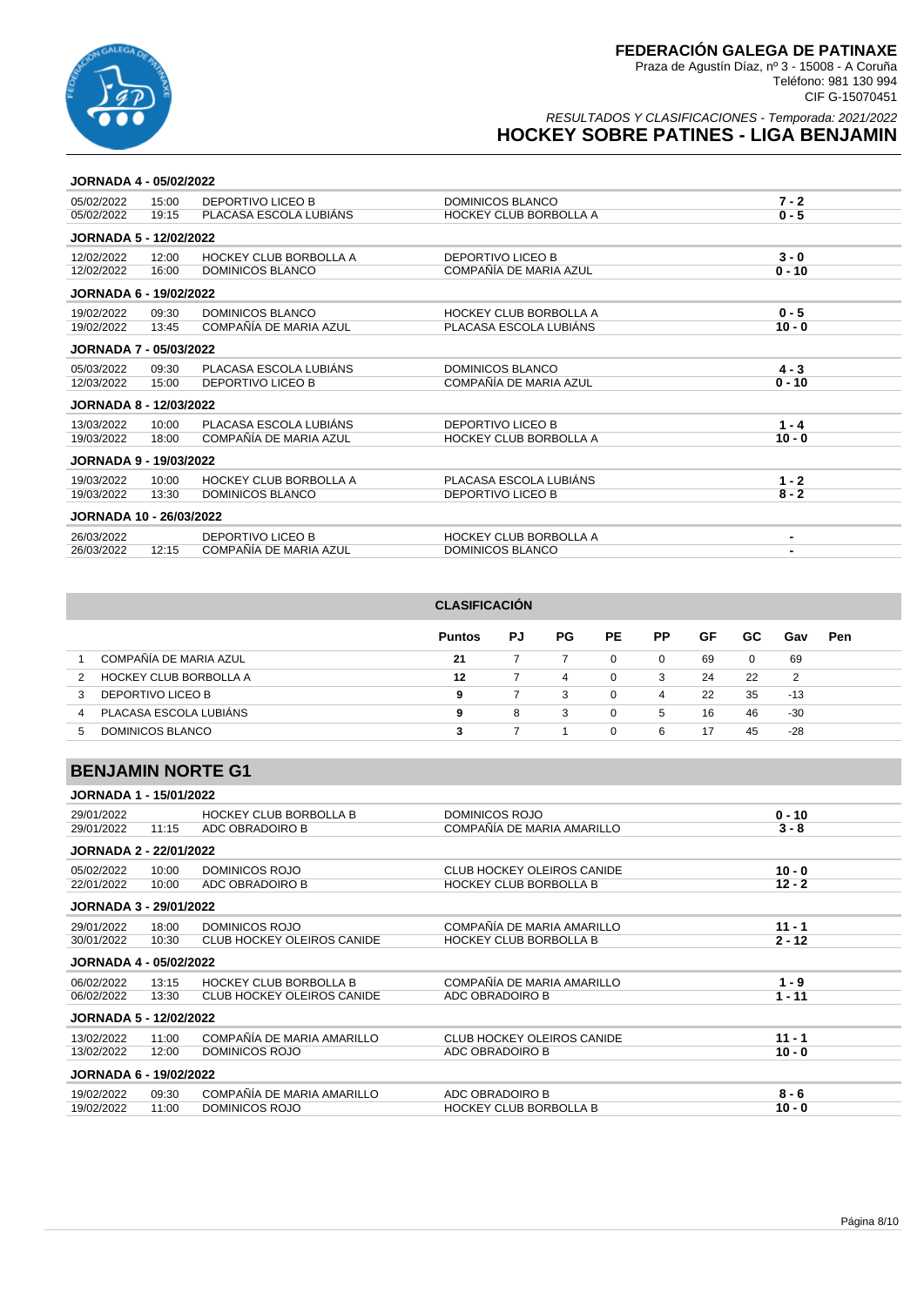

### RESULTADOS Y CLASIFICACIONES - Temporada: 2021/2022 **HOCKEY SOBRE PATINES - LIGA BENJAMIN**

#### **JORNADA 4 - 05/02/2022**

| 05/02/2022                     | 15:00 | DEPORTIVO LICEO B             | DOMINICOS BLANCO              | $7 - 2$  |
|--------------------------------|-------|-------------------------------|-------------------------------|----------|
| 05/02/2022                     | 19:15 | PLACASA ESCOLA LUBIÁNS        | <b>HOCKEY CLUB BORBOLLA A</b> | $0 - 5$  |
| <b>JORNADA 5 - 12/02/2022</b>  |       |                               |                               |          |
| 12/02/2022                     | 12:00 | <b>HOCKEY CLUB BORBOLLA A</b> | DEPORTIVO LICEO B             | $3 - 0$  |
| 12/02/2022                     | 16:00 | DOMINICOS BLANCO              | COMPAÑÍA DE MARIA AZUL        | $0 - 10$ |
| <b>JORNADA 6 - 19/02/2022</b>  |       |                               |                               |          |
| 19/02/2022                     | 09:30 | <b>DOMINICOS BLANCO</b>       | <b>HOCKEY CLUB BORBOLLA A</b> | $0 - 5$  |
| 19/02/2022                     | 13:45 | COMPAÑÍA DE MARIA AZUL        | PLACASA ESCOLA LUBIÁNS        | $10 - 0$ |
| <b>JORNADA 7 - 05/03/2022</b>  |       |                               |                               |          |
| 05/03/2022                     | 09:30 | PLACASA ESCOLA LUBIÁNS        | <b>DOMINICOS BLANCO</b>       | $4 - 3$  |
| 12/03/2022                     | 15:00 | DEPORTIVO LICEO B             | COMPAÑÍA DE MARIA AZUL        | $0 - 10$ |
| <b>JORNADA 8 - 12/03/2022</b>  |       |                               |                               |          |
| 13/03/2022                     | 10:00 | PLACASA ESCOLA LUBIÁNS        | DEPORTIVO LICEO B             | $1 - 4$  |
| 19/03/2022                     | 18:00 | COMPAÑÍA DE MARIA AZUL        | <b>HOCKEY CLUB BORBOLLA A</b> | $10 - 0$ |
| <b>JORNADA 9 - 19/03/2022</b>  |       |                               |                               |          |
| 19/03/2022                     | 10:00 | <b>HOCKEY CLUB BORBOLLA A</b> | PLACASA ESCOLA LUBIÁNS        | $1 - 2$  |
| 19/03/2022                     | 13:30 | DOMINICOS BLANCO              | DEPORTIVO LICEO B             | $8 - 2$  |
| <b>JORNADA 10 - 26/03/2022</b> |       |                               |                               |          |
| 26/03/2022                     |       | DEPORTIVO LICEO B             | <b>HOCKEY CLUB BORBOLLA A</b> | -        |
| 26/03/2022                     | 12:15 | COMPAÑÍA DE MARIA AZUL        | DOMINICOS BLANCO              |          |
|                                |       |                               |                               |          |

|               |                        | <b>CLASIFICACIÓN</b> |    |     |          |          |    |              |                |            |  |
|---------------|------------------------|----------------------|----|-----|----------|----------|----|--------------|----------------|------------|--|
|               |                        | <b>Puntos</b>        | PJ | PG. | PE.      | РP       | GF | GC.          | Gav            | <b>Pen</b> |  |
|               | COMPAÑÍA DE MARIA AZUL | 21                   |    |     | 0        | $\Omega$ | 69 | $\mathbf{0}$ | 69             |            |  |
| $\mathcal{P}$ | HOCKEY CLUB BORBOLLA A | 12                   |    | 4   | 0        | 3        | 24 | 22           | $\overline{2}$ |            |  |
| 3             | DEPORTIVO LICEO B      | 9                    |    | 3   | 0        | 4        | 22 | 35           | -13            |            |  |
| 4             | PLACASA ESCOLA LUBIÁNS | 9                    | 8  | 3   | $\Omega$ | 5        | 16 | 46           | -30            |            |  |
| $\mathbf{b}$  | DOMINICOS BLANCO       |                      |    |     | $\Omega$ | 6        | 17 | 45           | -28            |            |  |

### **BENJAMIN NORTE G1**

| <b>JORNADA 1 - 15/01/2022</b> |       |                                   |                                   |          |
|-------------------------------|-------|-----------------------------------|-----------------------------------|----------|
| 29/01/2022                    |       | <b>HOCKEY CLUB BORBOLLA B</b>     | <b>DOMINICOS ROJO</b>             | $0 - 10$ |
| 29/01/2022                    | 11:15 | ADC OBRADOIRO B                   | COMPAÑÍA DE MARIA AMARILLO        | $3 - 8$  |
| <b>JORNADA 2 - 22/01/2022</b> |       |                                   |                                   |          |
| 05/02/2022                    | 10:00 | <b>DOMINICOS ROJO</b>             | <b>CLUB HOCKEY OLEIROS CANIDE</b> | $10 - 0$ |
| 22/01/2022                    | 10:00 | ADC OBRADOIRO B                   | <b>HOCKEY CLUB BORBOLLA B</b>     | $12 - 2$ |
| <b>JORNADA 3 - 29/01/2022</b> |       |                                   |                                   |          |
| 29/01/2022                    | 18:00 | DOMINICOS ROJO                    | COMPAÑÍA DE MARIA AMARILLO        | $11 - 1$ |
| 30/01/2022                    | 10:30 | <b>CLUB HOCKEY OLEIROS CANIDE</b> | <b>HOCKEY CLUB BORBOLLA B</b>     | $2 - 12$ |
| <b>JORNADA 4 - 05/02/2022</b> |       |                                   |                                   |          |
| 06/02/2022                    | 13:15 | <b>HOCKEY CLUB BORBOLLA B</b>     | COMPAÑÍA DE MARIA AMARILLO        | $1 - 9$  |
| 06/02/2022                    | 13:30 | <b>CLUB HOCKEY OLEIROS CANIDE</b> | ADC OBRADOIRO B                   | $1 - 11$ |
| <b>JORNADA 5 - 12/02/2022</b> |       |                                   |                                   |          |
| 13/02/2022                    | 11:00 | COMPAÑÍA DE MARIA AMARILLO        | <b>CLUB HOCKEY OLEIROS CANIDE</b> | $11 - 1$ |
| 13/02/2022                    | 12:00 | DOMINICOS ROJO                    | ADC OBRADOIRO B                   | $10 - 0$ |
| <b>JORNADA 6 - 19/02/2022</b> |       |                                   |                                   |          |
| 19/02/2022                    | 09:30 | COMPAÑÍA DE MARIA AMARILLO        | ADC OBRADOIRO B                   | $8 - 6$  |
| 19/02/2022                    | 11:00 | <b>DOMINICOS ROJO</b>             | HOCKEY CLUB BORBOLLA B            | $10 - 0$ |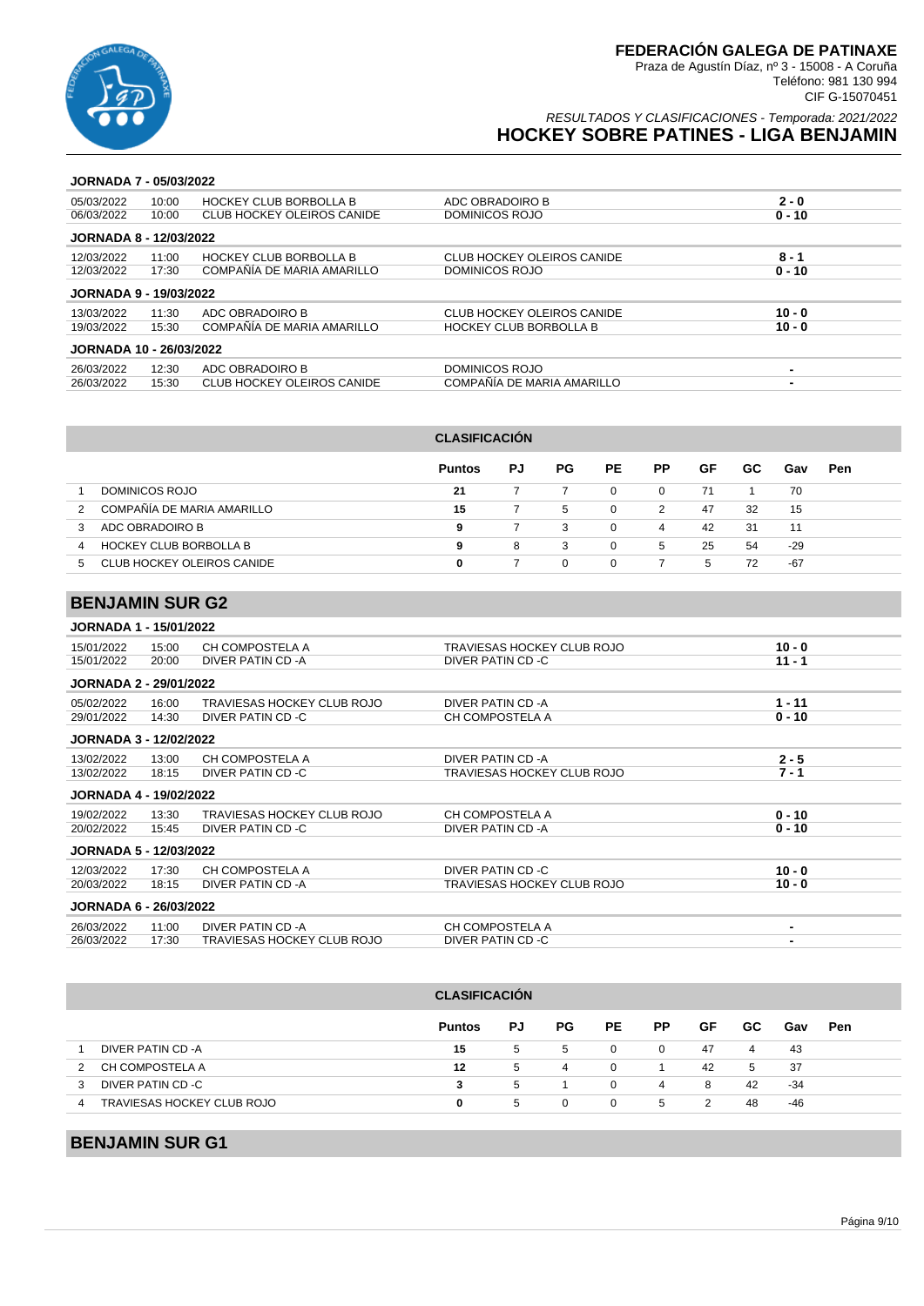

### RESULTADOS Y CLASIFICACIONES - Temporada: 2021/2022 **HOCKEY SOBRE PATINES - LIGA BENJAMIN**

#### **JORNADA 7 - 05/03/2022**

| 05/03/2022                     | 10:00 | <b>HOCKEY CLUB BORBOLLA B</b> | ADC OBRADOIRO B                   | $2 - 0$  |
|--------------------------------|-------|-------------------------------|-----------------------------------|----------|
| 06/03/2022                     | 10:00 | CLUB HOCKEY OLEIROS CANIDE    | DOMINICOS ROJO                    | $0 - 10$ |
| <b>JORNADA 8 - 12/03/2022</b>  |       |                               |                                   |          |
| 12/03/2022                     | 11:00 | <b>HOCKEY CLUB BORBOLLA B</b> | <b>CLUB HOCKEY OLEIROS CANIDE</b> | 8 - 1    |
| 12/03/2022                     | 17:30 | COMPAÑÍA DE MARIA AMARILLO    | DOMINICOS ROJO                    | $0 - 10$ |
| <b>JORNADA 9 - 19/03/2022</b>  |       |                               |                                   |          |
| 13/03/2022                     | 11:30 | ADC OBRADOIRO B               | CLUB HOCKEY OLEIROS CANIDE        | $10 - 0$ |
| 19/03/2022                     | 15:30 | COMPAÑÍA DE MARIA AMARILLO    | <b>HOCKEY CLUB BORBOLLA B</b>     | $10 - 0$ |
| <b>JORNADA 10 - 26/03/2022</b> |       |                               |                                   |          |
| 26/03/2022                     | 12:30 | ADC OBRADOIRO B               | DOMINICOS ROJO                    |          |
| 26/03/2022                     | 15:30 | CLUB HOCKEY OLEIROS CANIDE    | COMPAÑÍA DE MARIA AMARILLO        |          |
|                                |       |                               |                                   |          |

|               |                            | <b>CLASIFICACIÓN</b> |     |          |          |           |    |     |     |     |  |  |
|---------------|----------------------------|----------------------|-----|----------|----------|-----------|----|-----|-----|-----|--|--|
|               |                            | <b>Puntos</b>        | PJ. | PG.      | PE.      | <b>PP</b> | GF | GC. | Gav | Pen |  |  |
|               | DOMINICOS ROJO             | 21                   | 7   |          | $\Omega$ | $\Omega$  | 71 |     | 70  |     |  |  |
| $\mathcal{P}$ | COMPAÑÍA DE MARIA AMARILLO | 15                   |     | 5        | $\Omega$ | 2         | 47 | 32  | 15  |     |  |  |
| 3             | ADC OBRADOIRO B            | 9                    | 7   | 3        | $\Omega$ | 4         | 42 | 31  | 11  |     |  |  |
| 4             | HOCKEY CLUB BORBOLLA B     | 9                    | 8   | 3        | 0        | 5         | 25 | 54  | -29 |     |  |  |
|               | CLUB HOCKEY OLEIROS CANIDE | 0                    |     | $\Omega$ | 0        |           | 5  | 72  | -67 |     |  |  |

# **BENJAMIN SUR G2**

| <b>JORNADA 1 - 15/01/2022</b> |       |                            |                            |                |
|-------------------------------|-------|----------------------------|----------------------------|----------------|
| 15/01/2022                    | 15:00 | CH COMPOSTELA A            | TRAVIESAS HOCKEY CLUB ROJO | $10 - 0$       |
| 15/01/2022                    | 20:00 | DIVER PATIN CD - A         | DIVER PATIN CD -C          | $11 - 1$       |
| <b>JORNADA 2 - 29/01/2022</b> |       |                            |                            |                |
| 05/02/2022                    | 16:00 | TRAVIESAS HOCKEY CLUB ROJO | DIVER PATIN CD -A          | $1 - 11$       |
| 29/01/2022                    | 14:30 | DIVER PATIN CD -C          | CH COMPOSTELA A            | $0 - 10$       |
| <b>JORNADA 3 - 12/02/2022</b> |       |                            |                            |                |
| 13/02/2022                    | 13:00 | CH COMPOSTELA A            | DIVER PATIN CD -A          | $2 - 5$        |
| 13/02/2022                    | 18:15 | DIVER PATIN CD -C          | TRAVIESAS HOCKEY CLUB ROJO | $7 - 1$        |
| <b>JORNADA 4 - 19/02/2022</b> |       |                            |                            |                |
| 19/02/2022                    | 13:30 | TRAVIESAS HOCKEY CLUB ROJO | CH COMPOSTELA A            | $0 - 10$       |
| 20/02/2022                    | 15:45 | DIVER PATIN CD -C          | DIVER PATIN CD -A          | $0 - 10$       |
| <b>JORNADA 5 - 12/03/2022</b> |       |                            |                            |                |
| 12/03/2022                    | 17:30 | CH COMPOSTELA A            | DIVER PATIN CD -C          | $10 - 0$       |
| 20/03/2022                    | 18:15 | DIVER PATIN CD -A          | TRAVIESAS HOCKEY CLUB ROJO | $10 - 0$       |
| <b>JORNADA 6 - 26/03/2022</b> |       |                            |                            |                |
| 26/03/2022                    | 11:00 | DIVER PATIN CD -A          | CH COMPOSTELA A            | $\blacksquare$ |
| 26/03/2022                    | 17:30 | TRAVIESAS HOCKEY CLUB ROJO | DIVER PATIN CD -C          |                |

| <b>CLASIFICACIÓN</b>            |               |    |     |          |           |    |     |     |     |  |  |  |
|---------------------------------|---------------|----|-----|----------|-----------|----|-----|-----|-----|--|--|--|
|                                 | <b>Puntos</b> | PJ | PG. | PE.      | <b>PP</b> | GF | GC. | Gav | Pen |  |  |  |
| DIVER PATIN CD -A               | 15            | 5  | 5   | 0        | $\Omega$  | 47 | 4   | 43  |     |  |  |  |
| CH COMPOSTELA A<br>2            | 12            | 5  | 4   | $\Omega$ |           | 42 | 5   | -37 |     |  |  |  |
| DIVER PATIN CD -C<br>3          | 3             | 5  |     | 0        | 4         | 8  | 42  | -34 |     |  |  |  |
| TRAVIESAS HOCKEY CLUB ROJO<br>4 | 0             | 5  | 0   | 0        | 5         | 2  | 48  | -46 |     |  |  |  |

# **BENJAMIN SUR G1**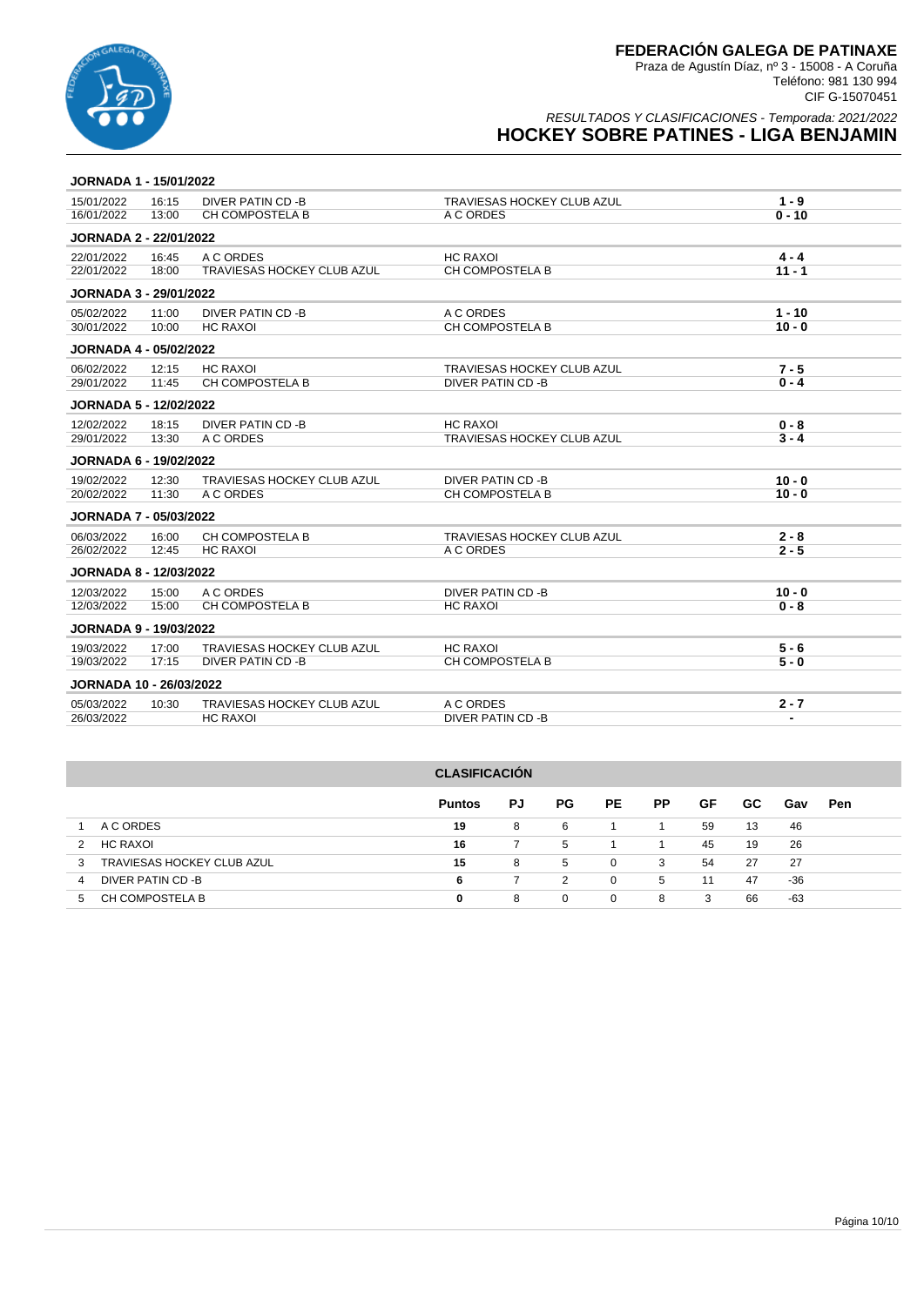

| <b>JORNADA 1 - 15/01/2022</b>  |       |                                   |                            |                |
|--------------------------------|-------|-----------------------------------|----------------------------|----------------|
| 15/01/2022                     | 16:15 | DIVER PATIN CD -B                 | TRAVIESAS HOCKEY CLUB AZUL | $1 - 9$        |
| 16/01/2022                     | 13:00 | CH COMPOSTELA B                   | A C ORDES                  | $0 - 10$       |
| <b>JORNADA 2 - 22/01/2022</b>  |       |                                   |                            |                |
| 22/01/2022                     | 16:45 | A C ORDES                         | <b>HC RAXOI</b>            | $4 - 4$        |
| 22/01/2022                     | 18:00 | TRAVIESAS HOCKEY CLUB AZUL        | CH COMPOSTELA B            | $11 - 1$       |
| <b>JORNADA 3 - 29/01/2022</b>  |       |                                   |                            |                |
| 05/02/2022                     | 11:00 | DIVER PATIN CD -B                 | A C ORDES                  | $1 - 10$       |
| 30/01/2022                     | 10:00 | <b>HC RAXOI</b>                   | CH COMPOSTELA B            | $10 - 0$       |
| <b>JORNADA 4 - 05/02/2022</b>  |       |                                   |                            |                |
| 06/02/2022                     | 12:15 | <b>HC RAXOI</b>                   | TRAVIESAS HOCKEY CLUB AZUL | $7 - 5$        |
| 29/01/2022                     | 11:45 | CH COMPOSTELA B                   | DIVER PATIN CD -B          | $0 - 4$        |
| <b>JORNADA 5 - 12/02/2022</b>  |       |                                   |                            |                |
| 12/02/2022                     | 18:15 | DIVER PATIN CD -B                 | <b>HC RAXOI</b>            | $0 - 8$        |
| 29/01/2022                     | 13:30 | A C ORDES                         | TRAVIESAS HOCKEY CLUB AZUL | $3 - 4$        |
| <b>JORNADA 6 - 19/02/2022</b>  |       |                                   |                            |                |
| 19/02/2022                     | 12:30 | <b>TRAVIESAS HOCKEY CLUB AZUL</b> | DIVER PATIN CD -B          | $10 - 0$       |
| 20/02/2022                     | 11:30 | A C ORDES                         | CH COMPOSTELA B            | $10 - 0$       |
| <b>JORNADA 7 - 05/03/2022</b>  |       |                                   |                            |                |
| 06/03/2022                     | 16:00 | <b>CH COMPOSTELA B</b>            | TRAVIESAS HOCKEY CLUB AZUL | $2 - 8$        |
| 26/02/2022                     | 12:45 | <b>HC RAXOI</b>                   | A C ORDES                  | $2 - 5$        |
| <b>JORNADA 8 - 12/03/2022</b>  |       |                                   |                            |                |
| 12/03/2022                     | 15:00 | A C ORDES                         | DIVER PATIN CD -B          | $10 - 0$       |
| 12/03/2022                     | 15:00 | CH COMPOSTELA B                   | <b>HC RAXOI</b>            | $0 - 8$        |
| <b>JORNADA 9 - 19/03/2022</b>  |       |                                   |                            |                |
| 19/03/2022                     | 17:00 | TRAVIESAS HOCKEY CLUB AZUL        | <b>HC RAXOI</b>            | $5 - 6$        |
| 19/03/2022                     | 17:15 | DIVER PATIN CD -B                 | <b>CH COMPOSTELA B</b>     | $5 - 0$        |
| <b>JORNADA 10 - 26/03/2022</b> |       |                                   |                            |                |
| 05/03/2022                     | 10:30 | TRAVIESAS HOCKEY CLUB AZUL        | A C ORDES                  | $2 - 7$        |
| 26/03/2022                     |       | <b>HC RAXOI</b>                   | <b>DIVER PATIN CD -B</b>   | $\blacksquare$ |

| <b>CLASIFICACIÓN</b>            |               |    |     |          |           |    |     |     |     |
|---------------------------------|---------------|----|-----|----------|-----------|----|-----|-----|-----|
|                                 | <b>Puntos</b> | PJ | PG. | PE.      | <b>PP</b> | GF | GC. | Gav | Pen |
| A C ORDES                       | 19            | 8  | 6   |          |           | 59 | 13  | 46  |     |
| HC RAXOI<br>2                   | 16            | 7  | 5   |          |           | 45 | 19  | 26  |     |
| TRAVIESAS HOCKEY CLUB AZUL<br>3 | 15            | 8  | 5   | $\Omega$ | 3         | 54 | 27  | 27  |     |
| DIVER PATIN CD -B<br>4          | 6             | 7  | 2   | 0        | 5         | 11 | 47  | -36 |     |
| CH COMPOSTELA B<br>5            | 0             | 8  | 0   | 0        | 8         | 3  | 66  | -63 |     |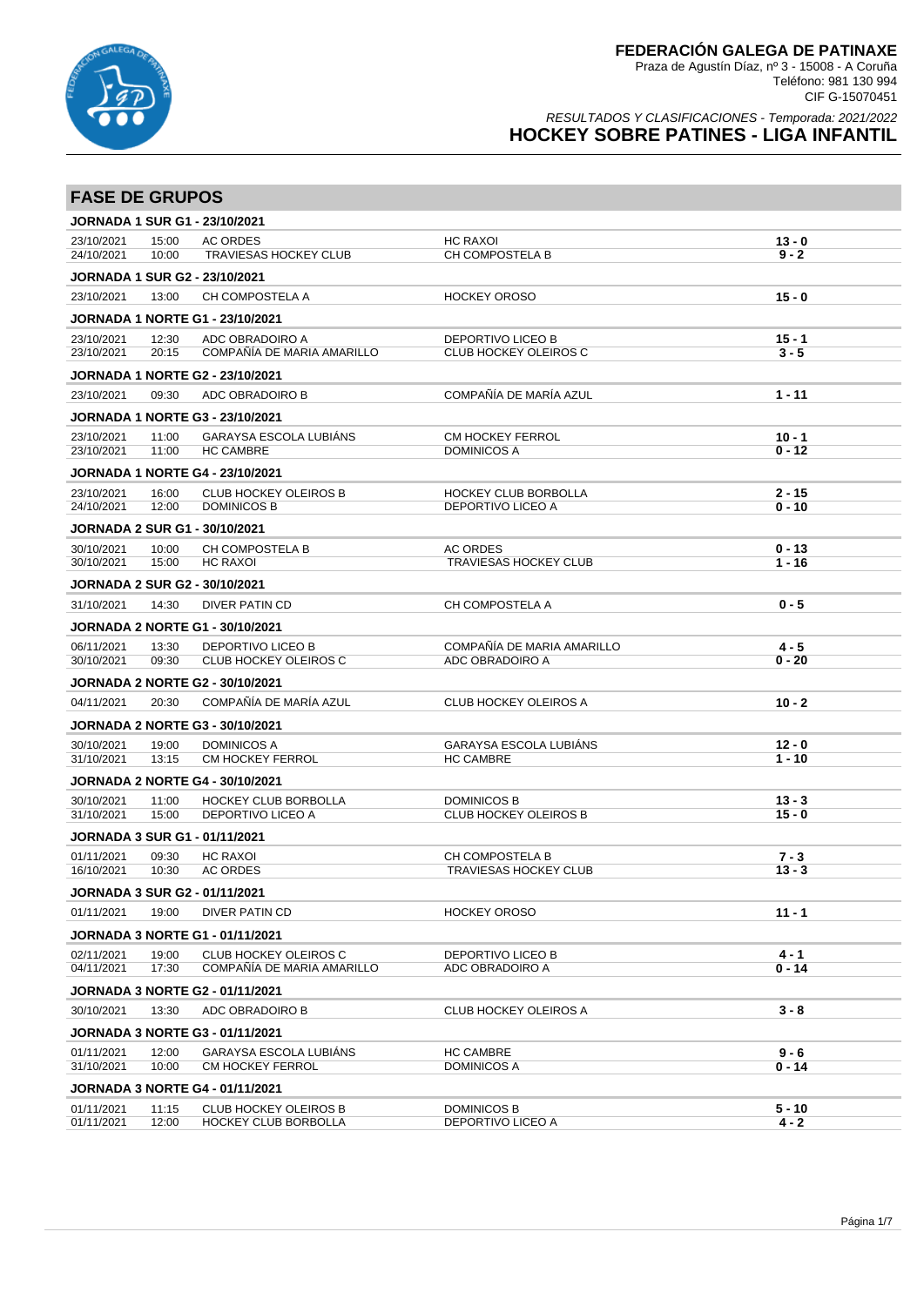

| <b>FASE DE GRUPOS</b>                |                |                                                                        |                                                          |                      |
|--------------------------------------|----------------|------------------------------------------------------------------------|----------------------------------------------------------|----------------------|
| <b>JORNADA 1 SUR G1 - 23/10/2021</b> |                |                                                                        |                                                          |                      |
| 23/10/2021                           | 15:00          | <b>AC ORDES</b>                                                        | <b>HC RAXOI</b>                                          | $13 - 0$             |
| 24/10/2021                           | 10:00          | <b>TRAVIESAS HOCKEY CLUB</b>                                           | <b>CH COMPOSTELA B</b>                                   | $9 - 2$              |
| <b>JORNADA 1 SUR G2 - 23/10/2021</b> |                |                                                                        |                                                          |                      |
| 23/10/2021                           | 13:00          | CH COMPOSTELA A                                                        | <b>HOCKEY OROSO</b>                                      | $15 - 0$             |
|                                      |                | <b>JORNADA 1 NORTE G1 - 23/10/2021</b>                                 |                                                          |                      |
| 23/10/2021<br>23/10/2021             | 12:30<br>20:15 | ADC OBRADOIRO A<br>COMPAÑÍA DE MARIA AMARILLO                          | <b>DEPORTIVO LICEO B</b><br><b>CLUB HOCKEY OLEIROS C</b> | $15 - 1$<br>$3 - 5$  |
|                                      |                |                                                                        |                                                          |                      |
|                                      |                | <b>JORNADA 1 NORTE G2 - 23/10/2021</b>                                 |                                                          |                      |
| 23/10/2021                           | 09:30          | ADC OBRADOIRO B                                                        | COMPAÑÍA DE MARÍA AZUL                                   | $1 - 11$             |
|                                      |                | <b>JORNADA 1 NORTE G3 - 23/10/2021</b>                                 |                                                          |                      |
| 23/10/2021<br>23/10/2021             | 11:00<br>11:00 | GARAYSA ESCOLA LUBIANS<br><b>HC CAMBRE</b>                             | <b>CM HOCKEY FERROL</b><br><b>DOMINICOS A</b>            | $10 - 1$<br>$0 - 12$ |
|                                      |                |                                                                        |                                                          |                      |
| 23/10/2021                           | 16:00          | <b>JORNADA 1 NORTE G4 - 23/10/2021</b><br><b>CLUB HOCKEY OLEIROS B</b> | <b>HOCKEY CLUB BORBOLLA</b>                              | 2 - 15               |
| 24/10/2021                           | 12:00          | <b>DOMINICOS B</b>                                                     | DEPORTIVO LICEO A                                        | $0 - 10$             |
| <b>JORNADA 2 SUR G1 - 30/10/2021</b> |                |                                                                        |                                                          |                      |
| 30/10/2021                           | 10:00          | CH COMPOSTELA B                                                        | <b>AC ORDES</b>                                          | $0 - 13$             |
| 30/10/2021                           | 15:00          | <b>HC RAXOI</b>                                                        | <b>TRAVIESAS HOCKEY CLUB</b>                             | 1 - 16               |
| <b>JORNADA 2 SUR G2 - 30/10/2021</b> |                |                                                                        |                                                          |                      |
| 31/10/2021                           | 14:30          | <b>DIVER PATIN CD</b>                                                  | CH COMPOSTELA A                                          | $0 - 5$              |
|                                      |                | <b>JORNADA 2 NORTE G1 - 30/10/2021</b>                                 |                                                          |                      |
| 06/11/2021                           | 13:30          | <b>DEPORTIVO LICEO B</b>                                               | COMPAÑÍA DE MARIA AMARILLO                               | $4 - 5$              |
| 30/10/2021                           | 09:30          | CLUB HOCKEY OLEIROS C                                                  | ADC OBRADOIRO A                                          | $0 - 20$             |
|                                      |                | <b>JORNADA 2 NORTE G2 - 30/10/2021</b>                                 |                                                          |                      |
| 04/11/2021                           | 20:30          | COMPAÑÍA DE MARÍA AZUL                                                 | <b>CLUB HOCKEY OLEIROS A</b>                             | $10 - 2$             |
|                                      |                | <b>JORNADA 2 NORTE G3 - 30/10/2021</b>                                 |                                                          |                      |
| 30/10/2021                           | 19:00          | <b>DOMINICOS A</b>                                                     | <b>GARAYSA ESCOLA LUBIÁNS</b>                            | $12 - 0$             |
| 31/10/2021                           | 13:15          | <b>CM HOCKEY FERROL</b>                                                | <b>HC CAMBRE</b>                                         | $1 - 10$             |
|                                      |                | <b>JORNADA 2 NORTE G4 - 30/10/2021</b>                                 |                                                          |                      |
| 30/10/2021<br>31/10/2021             | 11:00<br>15:00 | HOCKEY CLUB BORBOLLA<br><b>DEPORTIVO LICEO A</b>                       | <b>DOMINICOS B</b><br><b>CLUB HOCKEY OLEIROS B</b>       | $13 - 3$<br>$15 - 0$ |
|                                      |                |                                                                        |                                                          |                      |
| <b>JORNADA 3 SUR G1 - 01/11/2021</b> |                |                                                                        |                                                          |                      |
| 01/11/2021<br>16/10/2021             | 09:30<br>10:30 | <b>HC RAXOI</b><br><b>AC ORDES</b>                                     | <b>CH COMPOSTELA B</b><br><b>TRAVIESAS HOCKEY CLUB</b>   | $7 - 3$<br>$13 - 3$  |
| <b>JORNADA 3 SUR G2 - 01/11/2021</b> |                |                                                                        |                                                          |                      |
| 01/11/2021                           | 19:00          | <b>DIVER PATIN CD</b>                                                  | <b>HOCKEY OROSO</b>                                      | $11 - 1$             |
|                                      |                | JORNADA 3 NORTE G1 - 01/11/2021                                        |                                                          |                      |
| 02/11/2021                           | 19:00          | CLUB HOCKEY OLEIROS C                                                  | DEPORTIVO LICEO B                                        | 4 - 1                |
| 04/11/2021                           | 17:30          | COMPAÑÍA DE MARIA AMARILLO                                             | ADC OBRADOIRO A                                          | $0 - 14$             |
|                                      |                | <b>JORNADA 3 NORTE G2 - 01/11/2021</b>                                 |                                                          |                      |
| 30/10/2021                           | 13:30          | ADC OBRADOIRO B                                                        | <b>CLUB HOCKEY OLEIROS A</b>                             | $3 - 8$              |
|                                      |                | <b>JORNADA 3 NORTE G3 - 01/11/2021</b>                                 |                                                          |                      |
| 01/11/2021                           | 12:00          | GARAYSA ESCOLA LUBIÁNS                                                 | <b>HC CAMBRE</b>                                         | $9 - 6$              |
| 31/10/2021                           | 10:00          | CM HOCKEY FERROL                                                       | DOMINICOS A                                              | 0 - 14               |
|                                      |                | <b>JORNADA 3 NORTE G4 - 01/11/2021</b>                                 |                                                          |                      |
| 01/11/2021                           | 11:15          | <b>CLUB HOCKEY OLEIROS B</b>                                           | <b>DOMINICOS B</b>                                       | 5 - 10               |
| 01/11/2021                           | 12:00          | <b>HOCKEY CLUB BORBOLLA</b>                                            | DEPORTIVO LICEO A                                        | $4 - 2$              |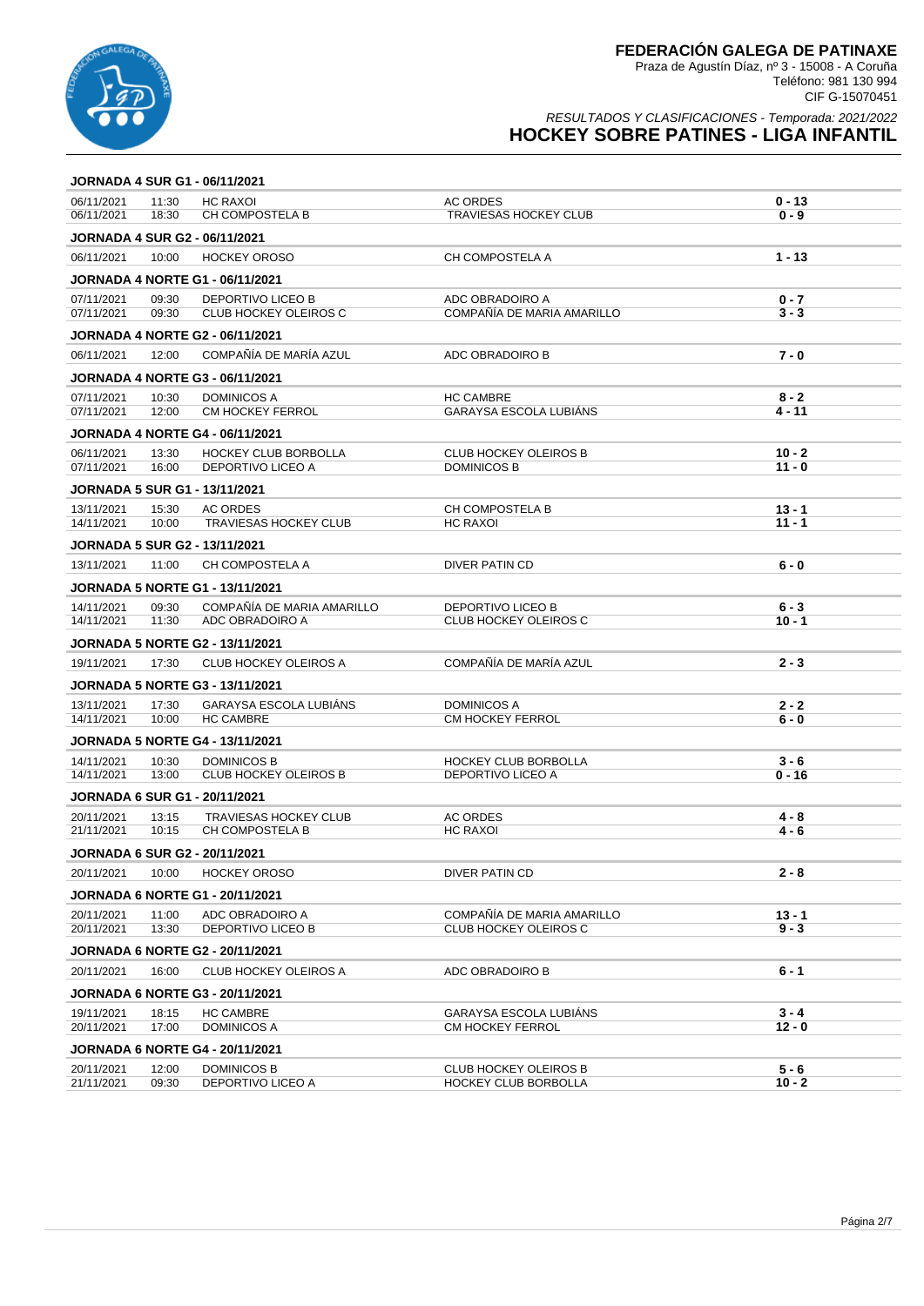

|                                      | <b>JORNADA 4 SUR G1 - 06/11/2021</b> |                                                              |                                                     |                      |
|--------------------------------------|--------------------------------------|--------------------------------------------------------------|-----------------------------------------------------|----------------------|
| 06/11/2021<br>06/11/2021             | 11:30<br>18:30                       | <b>HC RAXOI</b><br>CH COMPOSTELA B                           | <b>AC ORDES</b><br><b>TRAVIESAS HOCKEY CLUB</b>     | $0 - 13$<br>$0 - 9$  |
| <b>JORNADA 4 SUR G2 - 06/11/2021</b> |                                      |                                                              |                                                     |                      |
| 06/11/2021                           | 10:00                                | <b>HOCKEY OROSO</b>                                          | CH COMPOSTELA A                                     | $1 - 13$             |
|                                      |                                      | <b>JORNADA 4 NORTE G1 - 06/11/2021</b>                       |                                                     |                      |
| 07/11/2021                           | 09:30                                | <b>DEPORTIVO LICEO B</b>                                     | ADC OBRADOIRO A                                     | $0 - 7$              |
| 07/11/2021                           | 09:30                                | <b>CLUB HOCKEY OLEIROS C</b>                                 | COMPAÑÍA DE MARIA AMARILLO                          | $3 - 3$              |
|                                      |                                      | <b>JORNADA 4 NORTE G2 - 06/11/2021</b>                       |                                                     |                      |
| 06/11/2021                           | 12:00                                | COMPAÑÍA DE MARÍA AZUL                                       | ADC OBRADOIRO B                                     | $7 - 0$              |
|                                      |                                      | <b>JORNADA 4 NORTE G3 - 06/11/2021</b>                       |                                                     |                      |
| 07/11/2021<br>07/11/2021             | 10:30<br>12:00                       | <b>DOMINICOS A</b><br><b>CM HOCKEY FERROL</b>                | <b>HC CAMBRE</b><br><b>GARAYSA ESCOLA LUBIÀNS</b>   | $8 - 2$<br>$4 - 11$  |
|                                      |                                      | <b>JORNADA 4 NORTE G4 - 06/11/2021</b>                       |                                                     |                      |
| 06/11/2021                           | 13:30                                | <b>HOCKEY CLUB BORBOLLA</b>                                  | <b>CLUB HOCKEY OLEIROS B</b>                        | $10 - 2$             |
| 07/11/2021                           | 16:00                                | DEPORTIVO LICEO A                                            | <b>DOMINICOS B</b>                                  | $11 - 0$             |
| <b>JORNADA 5 SUR G1 - 13/11/2021</b> |                                      |                                                              |                                                     |                      |
| 13/11/2021<br>14/11/2021             | 15:30<br>10:00                       | <b>AC ORDES</b><br><b>TRAVIESAS HOCKEY CLUB</b>              | <b>CH COMPOSTELA B</b><br><b>HC RAXOI</b>           | $13 - 1$<br>$11 - 1$ |
| <b>JORNADA 5 SUR G2 - 13/11/2021</b> |                                      |                                                              |                                                     |                      |
| 13/11/2021                           | 11:00                                | CH COMPOSTELA A                                              | DIVER PATIN CD                                      | 6 - 0                |
|                                      |                                      | <b>JORNADA 5 NORTE G1 - 13/11/2021</b>                       |                                                     |                      |
| 14/11/2021                           | 09:30                                | COMPAÑÍA DE MARIA AMARILLO                                   | <b>DEPORTIVO LICEO B</b>                            | $6 - 3$              |
| 14/11/2021                           | 11:30                                | ADC OBRADOIRO A                                              | <b>CLUB HOCKEY OLEIROS C</b>                        | $10 - 1$             |
|                                      |                                      | <b>JORNADA 5 NORTE G2 - 13/11/2021</b>                       |                                                     |                      |
|                                      |                                      |                                                              |                                                     |                      |
| 19/11/2021                           | 17:30                                | <b>CLUB HOCKEY OLEIROS A</b>                                 | COMPAÑÍA DE MARÍA AZUL                              | $2 - 3$              |
|                                      |                                      | <b>JORNADA 5 NORTE G3 - 13/11/2021</b>                       |                                                     |                      |
| 13/11/2021                           | 17:30                                | GARAYSA ESCOLA LUBIÁNS                                       | <b>DOMINICOS A</b>                                  | $2 - 2$              |
| 14/11/2021                           | 10:00                                | <b>HC CAMBRE</b>                                             | CM HOCKEY FERROL                                    | $6 - 0$              |
|                                      |                                      | <b>JORNADA 5 NORTE G4 - 13/11/2021</b>                       |                                                     |                      |
| 14/11/2021<br>14/11/2021             | 10:30<br>13:00                       | DOMINICOS B<br><b>CLUB HOCKEY OLEIROS B</b>                  | <b>HOCKEY CLUB BORBOLLA</b><br>DEPORTIVO LICEO A    | $3 - 6$<br>$0 - 16$  |
| <b>JORNADA 6 SUR G1 - 20/11/2021</b> |                                      |                                                              |                                                     |                      |
| 20/11/2021                           | 13:15                                | <b>TRAVIESAS HOCKEY CLUB</b>                                 | <b>AC ORDES</b>                                     | 4 - 8                |
| 21/11/2021                           | 10:15                                | CH COMPOSTELA B                                              | <b>HC RAXOI</b>                                     | $4 - 6$              |
| <b>JORNADA 6 SUR G2 - 20/11/2021</b> |                                      |                                                              |                                                     |                      |
| 20/11/2021                           | 10:00                                | <b>HOCKEY OROSO</b>                                          | DIVER PATIN CD                                      | 2 - 8                |
|                                      |                                      | <b>JORNADA 6 NORTE G1 - 20/11/2021</b>                       |                                                     |                      |
| 20/11/2021<br>20/11/2021             | 11:00<br>13:30                       | ADC OBRADOIRO A<br><b>DEPORTIVO LICEO B</b>                  | COMPAÑÍA DE MARIA AMARILLO<br>CLUB HOCKEY OLEIROS C | $13 - 1$<br>$9 - 3$  |
|                                      |                                      | <b>JORNADA 6 NORTE G2 - 20/11/2021</b>                       |                                                     |                      |
| 20/11/2021                           | 16:00                                | <b>CLUB HOCKEY OLEIROS A</b>                                 | ADC OBRADOIRO B                                     | $6 - 1$              |
|                                      |                                      | <b>JORNADA 6 NORTE G3 - 20/11/2021</b>                       |                                                     |                      |
| 19/11/2021                           | 18:15                                | <b>HC CAMBRE</b>                                             | <b>GARAYSA ESCOLA LUBIANS</b>                       | $3 - 4$              |
| 20/11/2021                           | 17:00                                | <b>DOMINICOS A</b>                                           | CM HOCKEY FERROL                                    | $12 - 0$             |
| 20/11/2021                           | 12:00                                | <b>JORNADA 6 NORTE G4 - 20/11/2021</b><br><b>DOMINICOS B</b> | <b>CLUB HOCKEY OLEIROS B</b>                        | $5 - 6$              |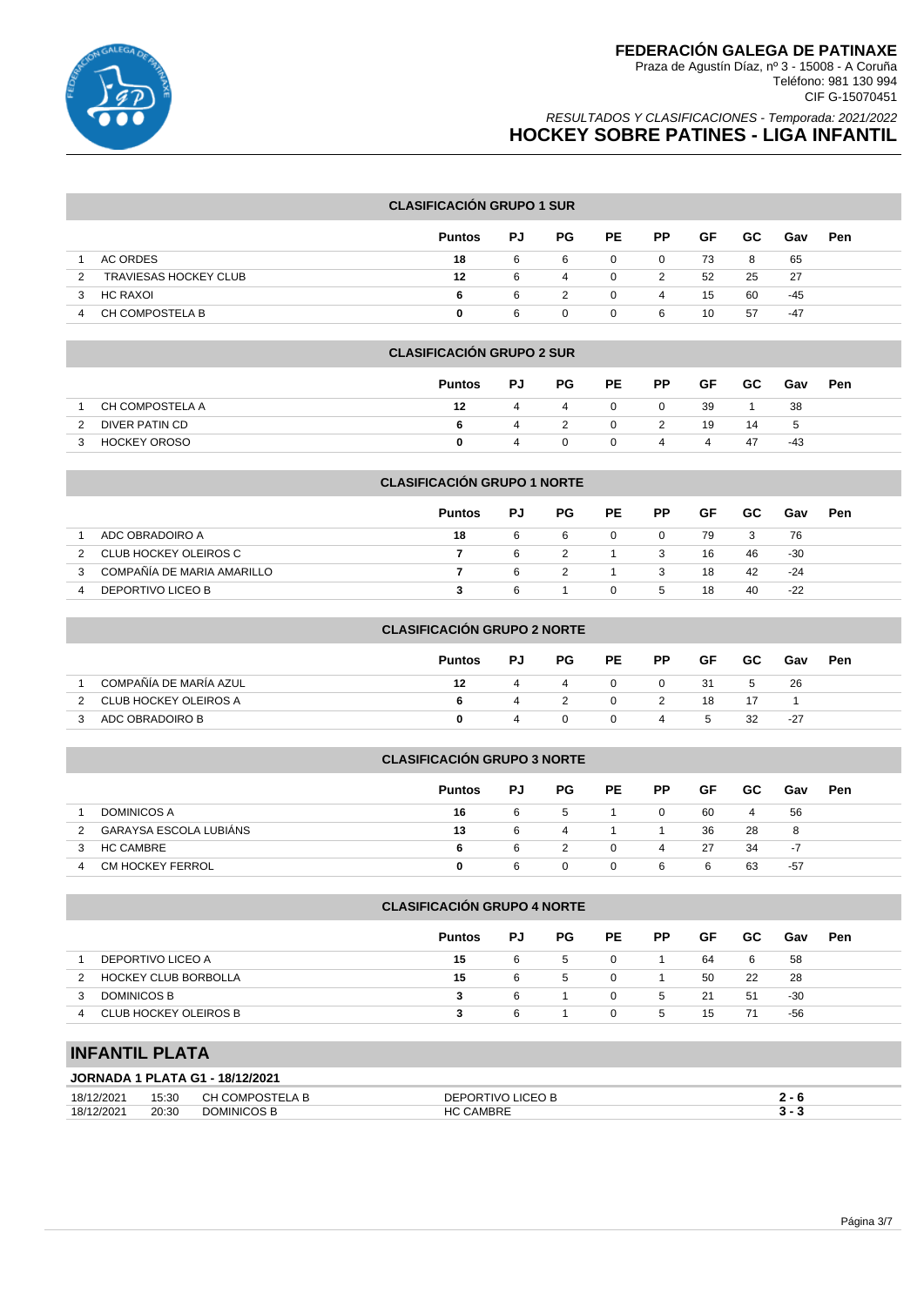

### RESULTADOS Y CLASIFICACIONES - Temporada: 2021/2022 **HOCKEY SOBRE PATINES - LIGA INFANTIL**

#### **CLASIFICACIÓN GRUPO 1 SUR**

|                            | <b>Puntos</b> | PJ | PG. | PE.      | <b>PP</b> | GF | GC. | Gav | <b>Pen</b> |
|----------------------------|---------------|----|-----|----------|-----------|----|-----|-----|------------|
| AC ORDES                   | 18            | 6  | 6   | 0        | 0         | 73 | 8   | 65  |            |
| TRAVIESAS HOCKEY CLUB<br>2 | 12            | 6  | 4   | 0        | 2         | 52 | 25  | 27  |            |
| HC RAXOI<br>3              | 6             | 6  |     | $\Omega$ | 4         | 15 | 60  | -45 |            |
| CH COMPOSTELA B            | 0             | 6  |     | 0        | -6        | 10 | 57  | -47 |            |

#### **CLASIFICACIÓN GRUPO 2 SUR**

|                 | <b>Puntos</b> | PJ.            | PG | PE           | PP.      | GF   | <b>GC</b> | Gav | <b>Pen</b> |
|-----------------|---------------|----------------|----|--------------|----------|------|-----------|-----|------------|
| CH COMPOSTELA A | 12            | 4              | -4 | 0            | <b>O</b> | - 39 |           | 38  |            |
| DIVER PATIN CD  |               | 4              |    | $\mathbf{0}$ | 2        | 19   | 14        | -5  |            |
| HOCKEY OROSO    |               | $\overline{a}$ |    | $\Omega$     | 4        | 4    | -47       | -43 |            |

#### **CLASIFICACIÓN GRUPO 1 NORTE**

|                            | <b>Puntos</b> | PJ | PG. | <b>PE</b> | PP           | GF. | GC. | Gav   | Pen |
|----------------------------|---------------|----|-----|-----------|--------------|-----|-----|-------|-----|
| ADC OBRADOIRO A            | 18            | -6 | -6  | $\Omega$  | $\Omega$     | 79  | - 3 | 76    |     |
| CLUB HOCKEY OLEIROS C      |               | -6 |     |           | - 3          | 16  | 46  | -30   |     |
| COMPAÑÍA DE MARIA AMARILLO |               | 6  |     |           | 3            | 18  | 42  | -24   |     |
| DEPORTIVO LICEO B          |               |    |     | 0         | $\mathbf{b}$ | 18  | 40  | $-22$ |     |

### **CLASIFICACIÓN GRUPO 2 NORTE**

|                         | <b>Puntos</b> | PJ | PG. | PE       | <b>PP</b> | GF    | GC.  | Gav | Pen |
|-------------------------|---------------|----|-----|----------|-----------|-------|------|-----|-----|
| COMPAÑÍA DE MARÍA AZUL  | 12            | 4  | 4   | $\Omega$ | -0        | -31   | 5    | -26 |     |
| 2 CLUB HOCKEY OLEIROS A | 6.            |    |     | $\Omega$ | 2         | 18    | - 17 |     |     |
| ADC OBRADOIRO B         |               | 4  |     | $\Omega$ | 4         | $5 -$ | 32   | -27 |     |

# **CLASIFICACIÓN GRUPO 3 NORTE Puntos PJ PG PE PP GF GC Gav Pen** 1 DOMINICOS A **16** 6 5 1 0 60 4 56 2 GARAYSA ESCOLA LUBIÁNS **13** 6 4 1 1 36 28 8 3 HC CAMBRE **6** 6 2 0 4 27 34 -7 4 CM HOCKEY FERROL **0** 6 0 0 6 6 63 -57

#### **CLASIFICACIÓN GRUPO 4 NORTE**

|                             | <b>Puntos</b> | PJ  | PG | PE       | <b>PP</b> | GF. | GC. | Gav | Pen |
|-----------------------------|---------------|-----|----|----------|-----------|-----|-----|-----|-----|
| DEPORTIVO LICEO A           | 15            | -6  | 5  | $\Omega$ |           | 64  | 6   | 58  |     |
| <b>HOCKEY CLUB BORBOLLA</b> | 15            | -6  | 5  | $\Omega$ |           | 50  | 22  | -28 |     |
| DOMINICOS B                 |               | - 6 |    | $\Omega$ | 5         | 21  | 51  | -30 |     |
| CLUB HOCKEY OLEIROS B<br>4  |               | -6  |    | $\Omega$ | 5         | 15  | 71  | -56 |     |

## **INFANTIL PLATA**

### **JORNADA 1 PLATA G1 - 18/12/2021**

| 2/202<br>18/1               | 15.30<br>יט.טי<br>. | -<br>$111 -$ | 10 <sup>r</sup><br>ЭF<br>$\cdots$ |  |
|-----------------------------|---------------------|--------------|-----------------------------------|--|
| 12/202 <sup>.</sup><br>18/1 | 20:30<br>.          | MMINIF       |                                   |  |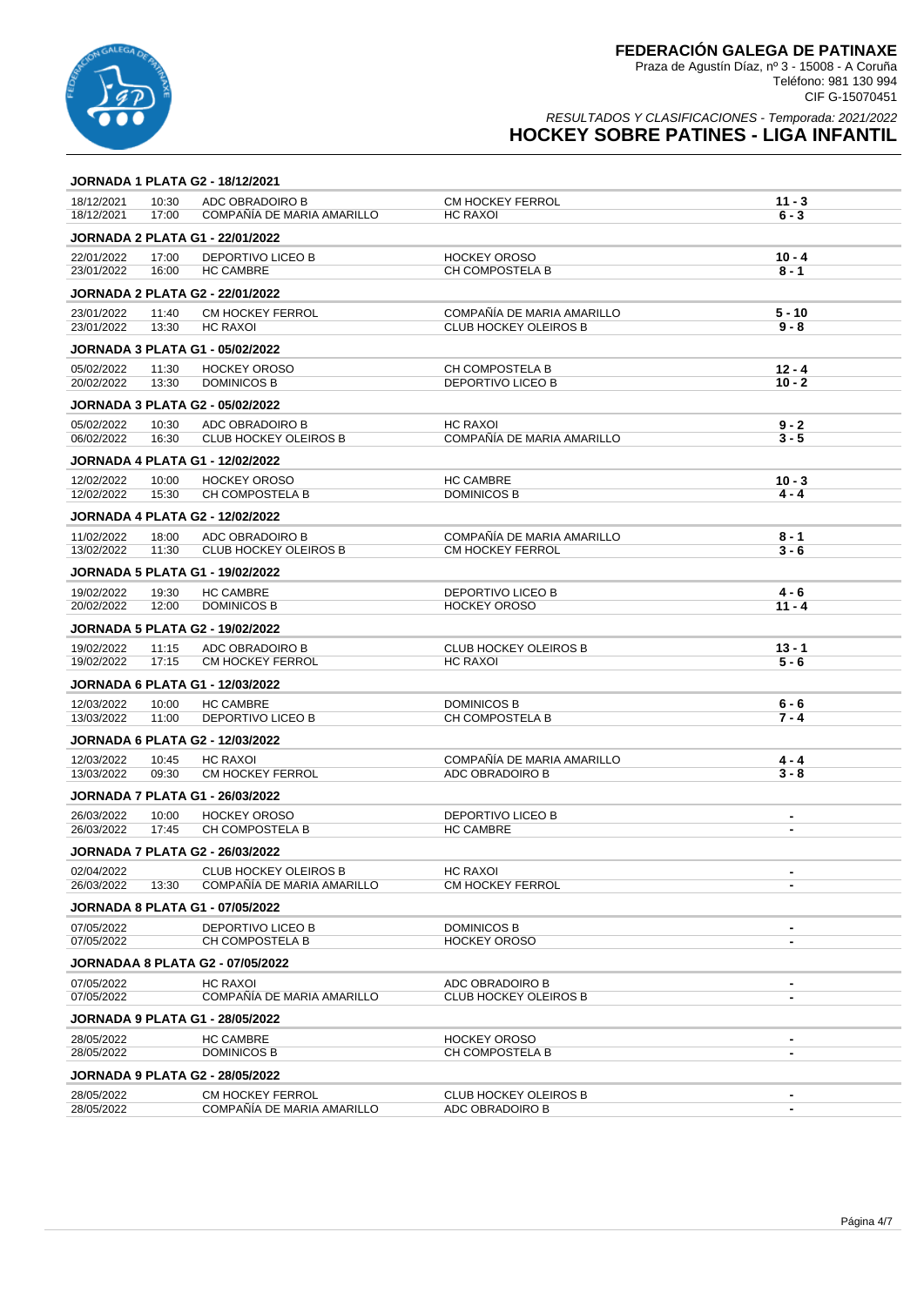

|                          |                | JORNADA 1 PLATA G2 - 18/12/2021                       |                                                 |                                            |
|--------------------------|----------------|-------------------------------------------------------|-------------------------------------------------|--------------------------------------------|
| 18/12/2021<br>18/12/2021 | 10:30<br>17:00 | ADC OBRADOIRO B<br>COMPAÑÍA DE MARIA AMARILLO         | <b>CM HOCKEY FERROL</b><br><b>HC RAXOI</b>      | $11 - 3$<br>$6 - 3$                        |
|                          |                | <b>JORNADA 2 PLATA G1 - 22/01/2022</b>                |                                                 |                                            |
| 22/01/2022<br>23/01/2022 | 17:00<br>16:00 | <b>DEPORTIVO LICEO B</b><br><b>HC CAMBRE</b>          | <b>HOCKEY OROSO</b><br><b>CH COMPOSTELA B</b>   | $10 - 4$<br>$8 - 1$                        |
|                          |                | <b>JORNADA 2 PLATA G2 - 22/01/2022</b>                |                                                 |                                            |
| 23/01/2022               | 11:40          | <b>CM HOCKEY FERROL</b>                               | COMPAÑÍA DE MARIA AMARILLO                      | $5 - 10$                                   |
| 23/01/2022               | 13:30          | <b>HC RAXOI</b>                                       | <b>CLUB HOCKEY OLEIROS B</b>                    | $9 - 8$                                    |
|                          |                | <b>JORNADA 3 PLATA G1 - 05/02/2022</b>                |                                                 |                                            |
| 05/02/2022               | 11:30          | <b>HOCKEY OROSO</b>                                   | <b>CH COMPOSTELA B</b>                          | $12 - 4$                                   |
| 20/02/2022               | 13:30          | <b>DOMINICOS B</b>                                    | DEPORTIVO LICEO B                               | $10 - 2$                                   |
|                          |                | <b>JORNADA 3 PLATA G2 - 05/02/2022</b>                |                                                 |                                            |
| 05/02/2022               | 10:30          | ADC OBRADOIRO B                                       | HC RAXOI                                        | $9 - 2$                                    |
| 06/02/2022               | 16:30          | <b>CLUB HOCKEY OLEIROS B</b>                          | COMPAÑÍA DE MARIA AMARILLO                      | $3 - 5$                                    |
|                          |                | <b>JORNADA 4 PLATA G1 - 12/02/2022</b>                |                                                 |                                            |
| 12/02/2022<br>12/02/2022 | 10:00<br>15:30 | <b>HOCKEY OROSO</b><br>CH COMPOSTELA B                | <b>HC CAMBRE</b><br><b>DOMINICOS B</b>          | $10 - 3$<br>$4 - 4$                        |
|                          |                |                                                       |                                                 |                                            |
|                          |                | <b>JORNADA 4 PLATA G2 - 12/02/2022</b>                |                                                 |                                            |
| 11/02/2022<br>13/02/2022 | 18:00<br>11:30 | ADC OBRADOIRO B<br><b>CLUB HOCKEY OLEIROS B</b>       | COMPAÑÍA DE MARIA AMARILLO<br>CM HOCKEY FERROL  | $8 - 1$<br>$3 - 6$                         |
|                          |                |                                                       |                                                 |                                            |
|                          |                | <b>JORNADA 5 PLATA G1 - 19/02/2022</b>                |                                                 |                                            |
| 19/02/2022<br>20/02/2022 | 19:30<br>12:00 | <b>HC CAMBRE</b><br><b>DOMINICOS B</b>                | <b>DEPORTIVO LICEO B</b><br><b>HOCKEY OROSO</b> | 4 - 6<br>$11 - 4$                          |
|                          |                | <b>JORNADA 5 PLATA G2 - 19/02/2022</b>                |                                                 |                                            |
|                          |                |                                                       |                                                 |                                            |
| 19/02/2022<br>19/02/2022 | 11:15<br>17:15 | ADC OBRADOIRO B<br><b>CM HOCKEY FERROL</b>            | <b>CLUB HOCKEY OLEIROS B</b><br><b>HC RAXOI</b> | $13 - 1$<br>$5 - 6$                        |
|                          |                | <b>JORNADA 6 PLATA G1 - 12/03/2022</b>                |                                                 |                                            |
| 12/03/2022               | 10:00          | <b>HC CAMBRE</b>                                      | DOMINICOS B                                     | $6 - 6$                                    |
| 13/03/2022               | 11:00          | DEPORTIVO LICEO B                                     | CH COMPOSTELA B                                 | 7 - 4                                      |
|                          |                | <b>JORNADA 6 PLATA G2 - 12/03/2022</b>                |                                                 |                                            |
| 12/03/2022               | 10:45          | <b>HC RAXOI</b>                                       | COMPAÑÍA DE MARIA AMARILLO                      | $4 - 4$                                    |
| 13/03/2022               | 09:30          | <b>CM HOCKEY FERROL</b>                               | ADC OBRADOIRO B                                 | $3 - 8$                                    |
|                          |                | <b>JORNADA 7 PLATA G1 - 26/03/2022</b>                |                                                 |                                            |
| 26/03/2022               | 10:00          | <b>HOCKEY OROSO</b>                                   | DEPORTIVO LICEO B                               | $\blacksquare$                             |
| 26/03/2022               | 17:45          | CH COMPOSTELA B                                       | <b>HC CAMBRE</b>                                | $\blacksquare$                             |
|                          |                | <b>JORNADA 7 PLATA G2 - 26/03/2022</b>                |                                                 |                                            |
| 02/04/2022               |                | <b>CLUB HOCKEY OLEIROS B</b>                          | HC RAXOI                                        |                                            |
| 26/03/2022               | 13:30          | COMPAÑÍA DE MARIA AMARILLO                            | CM HOCKEY FERROL                                |                                            |
|                          |                | <b>JORNADA 8 PLATA G1 - 07/05/2022</b>                |                                                 |                                            |
| 07/05/2022               |                | <b>DEPORTIVO LICEO B</b>                              | DOMINICOS B                                     | $\blacksquare$                             |
| 07/05/2022               |                | CH COMPOSTELA B                                       | <b>HOCKEY OROSO</b>                             | $\blacksquare$                             |
|                          |                | <b>JORNADAA 8 PLATA G2 - 07/05/2022</b>               |                                                 |                                            |
| 07/05/2022<br>07/05/2022 |                | HC RAXOI<br>COMPAÑÍA DE MARIA AMARILLO                | ADC OBRADOIRO B<br><b>CLUB HOCKEY OLEIROS B</b> | $\blacksquare$<br>$\overline{\phantom{a}}$ |
|                          |                |                                                       |                                                 |                                            |
|                          |                | JORNADA 9 PLATA G1 - 28/05/2022                       |                                                 |                                            |
| 28/05/2022<br>28/05/2022 |                | <b>HC CAMBRE</b><br>DOMINICOS B                       | <b>HOCKEY OROSO</b><br>CH COMPOSTELA B          | $\blacksquare$<br>$\overline{\phantom{a}}$ |
|                          |                |                                                       |                                                 |                                            |
|                          |                | JORNADA 9 PLATA G2 - 28/05/2022                       |                                                 |                                            |
| 28/05/2022<br>28/05/2022 |                | <b>CM HOCKEY FERROL</b><br>COMPAÑÍA DE MARIA AMARILLO | CLUB HOCKEY OLEIROS B<br>ADC OBRADOIRO B        | $\blacksquare$                             |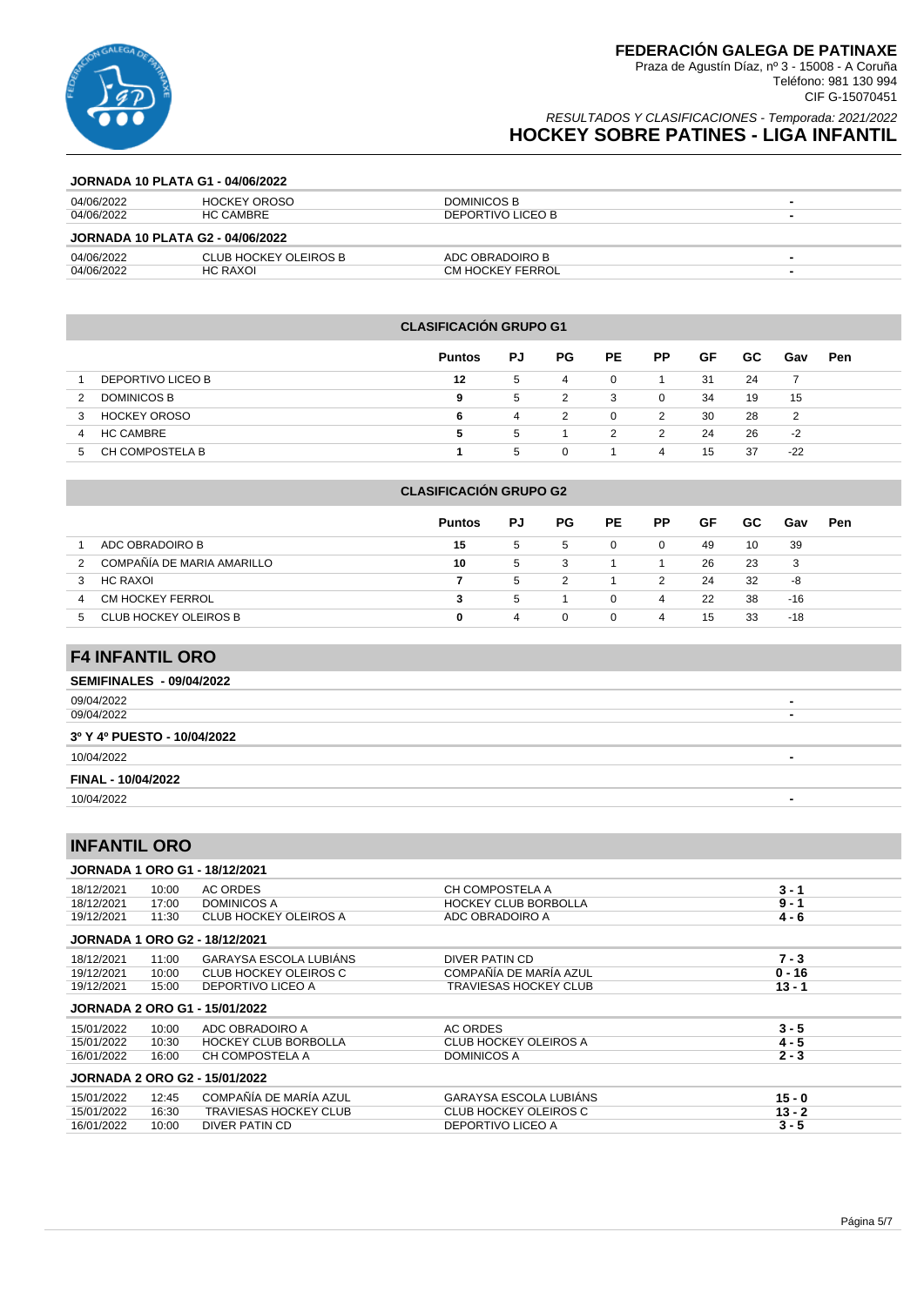

### RESULTADOS Y CLASIFICACIONES - Temporada: 2021/2022 **HOCKEY SOBRE PATINES - LIGA INFANTIL**

#### **JORNADA 10 PLATA G1 - 04/06/2022**

| 04/06/2022                              | HOCKEY OROSO          | DOMINICOS B       |  |  |  |  |  |  |
|-----------------------------------------|-----------------------|-------------------|--|--|--|--|--|--|
| 04/06/2022                              | <b>HC CAMBRE</b>      | DEPORTIVO LICEO B |  |  |  |  |  |  |
| <b>JORNADA 10 PLATA G2 - 04/06/2022</b> |                       |                   |  |  |  |  |  |  |
| 04/06/2022                              | CLUB HOCKEY OLEIROS B | ADC OBRADOIRO B   |  |  |  |  |  |  |
| 04/06/2022                              | HC RAXOI              | CM HOCKEY FERROL  |  |  |  |  |  |  |

#### **CLASIFICACIÓN GRUPO G1**

|                          | <b>Puntos</b> | PJ | PG. | PE. | <b>PP</b> | GF  | GC. | Gav   | Pen |
|--------------------------|---------------|----|-----|-----|-----------|-----|-----|-------|-----|
| DEPORTIVO LICEO B        | 12            | 5  | 4   | 0   |           | -31 | 24  |       |     |
| <b>DOMINICOS B</b><br>2  | 9             | 5  |     | 3   | 0         | 34  | 19  | 15    |     |
| <b>HOCKEY OROSO</b><br>3 | 6             | 4  | 2   | 0   | 2         | 30  | 28  | 2     |     |
| <b>HC CAMBRE</b><br>4    | 5             | -5 |     | 2   | 2         | 24  | 26  | $-2$  |     |
| CH COMPOSTELA B<br>5     |               | 5  | 0   |     | 4         | 15  | 37  | $-22$ |     |

#### **CLASIFICACIÓN GRUPO G2**

|                                 | <b>Puntos</b> | PJ | PG.      | <b>PE</b> | <b>PP</b> | GF | GC. | Gav   | <b>Pen</b> |
|---------------------------------|---------------|----|----------|-----------|-----------|----|-----|-------|------------|
| ADC OBRADOIRO B                 | 15            | 5  | 5        | 0         | $\Omega$  | 49 | 10  | 39    |            |
| COMPAÑÍA DE MARIA AMARILLO<br>2 | 10            | 5  | 3        |           |           | 26 | -23 | 3     |            |
| HC RAXOI<br>3                   |               | 5  |          |           | 2         | 24 | -32 | -8    |            |
| CM HOCKEY FERROL<br>4           | 3             | 5  |          | 0         | 4         | 22 | 38  | -16   |            |
| CLUB HOCKEY OLEIROS B<br>h      | 0             | 4  | $\Omega$ | 0         | 4         | 15 | 33  | $-18$ |            |

# **F4 INFANTIL ORO**

| <b>SEMIFINALES - 09/04/2022</b> |                          |
|---------------------------------|--------------------------|
| 09/04/2022                      | $\blacksquare$           |
| 09/04/2022                      | -                        |
| 3º Y 4º PUESTO - 10/04/2022     |                          |
| 10/04/2022                      | $\overline{\phantom{0}}$ |
| FINAL - 10/04/2022              |                          |
| 10/04/2022                      | -                        |

# **INFANTIL ORO**

|            |       | <b>JORNADA 1 ORO G1 - 18/12/2021</b> |                               |          |
|------------|-------|--------------------------------------|-------------------------------|----------|
| 18/12/2021 | 10:00 | <b>AC ORDES</b>                      | CH COMPOSTELA A               | 3 - 1    |
| 18/12/2021 | 17:00 | <b>DOMINICOS A</b>                   | <b>HOCKEY CLUB BORBOLLA</b>   | $9 - 1$  |
| 19/12/2021 | 11:30 | <b>CLUB HOCKEY OLEIROS A</b>         | ADC OBRADOIRO A               | $4 - 6$  |
|            |       | <b>JORNADA 1 ORO G2 - 18/12/2021</b> |                               |          |
| 18/12/2021 | 11:00 | GARAYSA ESCOLA LUBIÁNS               | DIVER PATIN CD                | $7 - 3$  |
| 19/12/2021 | 10:00 | CLUB HOCKEY OLEIROS C                | COMPAÑÍA DE MARÍA AZUL        | $0 - 16$ |
| 19/12/2021 | 15:00 | DEPORTIVO LICEO A                    | TRAVIESAS HOCKEY CLUB         | $13 - 1$ |
|            |       |                                      |                               |          |
|            |       | <b>JORNADA 2 ORO G1 - 15/01/2022</b> |                               |          |
| 15/01/2022 | 10:00 | ADC OBRADOIRO A                      | AC ORDES                      | $3 - 5$  |
| 15/01/2022 | 10:30 | <b>HOCKEY CLUB BORBOLLA</b>          | <b>CLUB HOCKEY OLEIROS A</b>  | $4 - 5$  |
| 16/01/2022 | 16:00 | CH COMPOSTELA A                      | <b>DOMINICOS A</b>            | $2 - 3$  |
|            |       | <b>JORNADA 2 ORO G2 - 15/01/2022</b> |                               |          |
| 15/01/2022 | 12:45 | COMPAÑÍA DE MARÍA AZUL               | <b>GARAYSA ESCOLA LUBIÁNS</b> | $15 - 0$ |
| 15/01/2022 | 16:30 | <b>TRAVIESAS HOCKEY CLUB</b>         | CLUB HOCKEY OLEIROS C         | $13 - 2$ |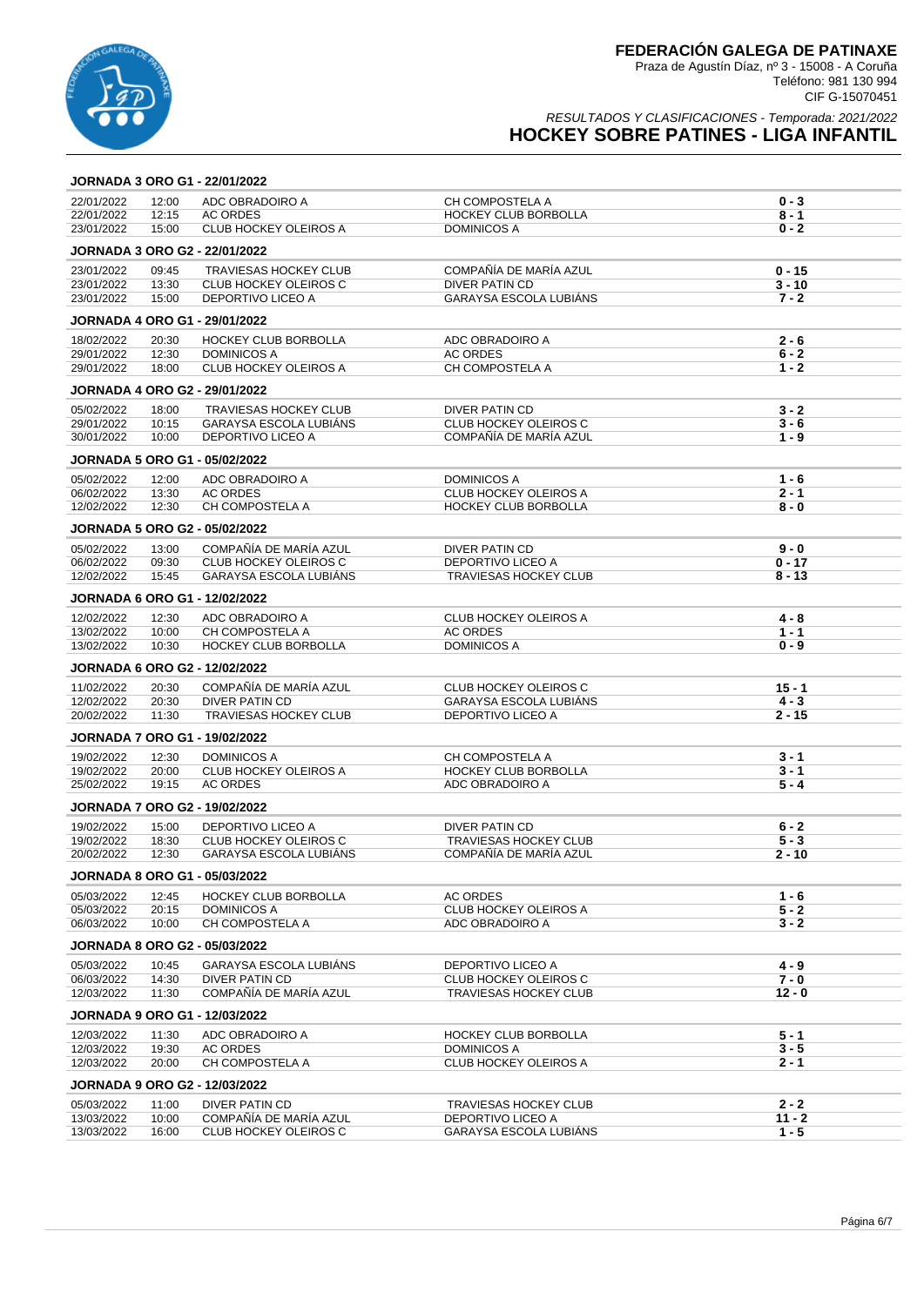

#### RESULTADOS Y CLASIFICACIONES - Temporada: 2021/2022 **HOCKEY SOBRE PATINES - LIGA INFANTIL**

### **JORNADA 3 ORO G1 - 22/01/2022** 22/01/2022 12:00 ADC OBRADOIRO A CH COMPOSTELA A **0 - 3** 22/01/2022 12:15 AC ORDES HOCKEY CLUB BORBOLLA **8 - 1 CLUB HOCKEY OLEIROS A JORNADA 3 ORO G2 - 22/01/2022** 23/01/2022 09:45 TRAVIESAS HOCKEY CLUB COMPAÑÍA DE MARÍA AZUL **0 - 15** 23/01/2022 13:30 CLUB HOCKEY OLEIROS C DIVER PATIN CD **3 - 10** 23/01/2022 15:00 DEPORTIVO LICEO A GARAYSA ESCOLA LUBIÁNS **7 - 2 JORNADA 4 ORO G1 - 29/01/2022** 18/02/2022 20:30 HOCKEY CLUB BORBOLLA ADC OBRADOIRO A **2 - 6** 29/01/2022 12:30 DOMINICOS A AC ORDES **6 - 2** 29/01/2022 18:00 CLUB HOCKEY OLEIROS A CH COMPOSTELA A **1 - 2 JORNADA 4 ORO G2 - 29/01/2022** 05/02/2022 18:00 TRAVIESAS HOCKEY CLUB DIVER PATIN CD **3 - 2** 29/01/2022 10:15 GARAYSA ESCOLA LUBIÁNS CLUB HOCKEY OLEIROS C **3 - 6** 30/01/2022 10:00 DEPORTIVO LICEO A COMPAÑÍA DE MARÍA AZUL **1 - 9 JORNADA 5 ORO G1 - 05/02/2022** 05/02/2022 12:00 ADC OBRADOIRO A DOMINICOS A **1 - 6** 06/02/2022 13:30 AC ORDES CLUB HOCKEY OLEIROS A **2 - 1** 12/02/2022 12:30 CH COMPOSTELA A HOCKEY CLUB BORBOLLA **8 - 0 JORNADA 5 ORO G2 - 05/02/2022** 05/02/2022 13:00 COMPAÑÍA DE MARÍA AZUL DIVER PATIN CD **9 - 0** 06/02/2022 09:30 CLUB HOCKEY OLEIROS C DEPORTIVO LICEO A **0 - 17 GARAYSA ESCOLA LUBIÁNS JORNADA 6 ORO G1 - 12/02/2022** 12/02/2022 12:30 ADC OBRADOIRO A CLUB HOCKEY OLEIROS A **4 - 8** CH COMPOSTELA A AC ORDES 1 **- 1**<br>HOCKEY CLUB BORBOLLA DOMINICOS A **0 - 9** 13/02/2022 10:30 HOCKEY CLUB BORBOLLA DOMINICOS A **0 - 9 JORNADA 6 ORO G2 - 12/02/2022** 11/02/2022 20:30 COMPAÑÍA DE MARÍA AZUL CLUB HOCKEY OLEIROS C **15 - 1** 12/02/2022 20:30 DIVER PATIN CD GARAYSA ESCOLA LUBIÁNS **4 - 3 2002 TRAVIESAS HOCKEY CLUB DEPORTIVO LICEO A 2 - 15 JORNADA 7 ORO G1 - 19/02/2022** 19/02/2022 12:30 DOMINICOS A CH COMPOSTELA A **3 - 1** 19/02/2022 20:00 CLUB HOCKEY OLEIROS A HOCKEY CLUB BORBOLLA **3 - 1** ADC OBRADOIRO A 5 - 4 **JORNADA 7 ORO G2 - 19/02/2022** 19/02/2022 15:00 DEPORTIVO LICEO A DIVER PATIN CD **6 - 2** 19/02/2022 18:30 CLUB HOCKEY OLEIROS C TRAVIESAS HOCKEY CLUB **5 - 3 GARAYSA ESCOLA LUBIÁNS JORNADA 8 ORO G1 - 05/03/2022** 05/03/2022 12:45 HOCKEY CLUB BORBOLLA AC ORDES 1999 AC ORDES 1999 1 AC ORDES 1 AC ORDES 1<br>05/03/2022 20:15 DOMINICOS A 6 AC OLUB HOCKEY OLEIROS A 5 A 5 A S 05/03/2022 20:15 DOMINICOS A CLUB HOCKEY OLEIROS A **5 - 2** CH COMPOSTELA A **JORNADA 8 ORO G2 - 05/03/2022** 05/03/2022 10:45 GARAYSA ESCOLA LUBIÁNS DEPORTIVO LICEO A **4 - 9** 06/03/2022 14:30 DIVER PATIN CD CLUB HOCKEY OLEIROS C **7 - 0** 12/03/2022 11:30 COMPAÑÍA DE MARÍA AZUL TRAVIESAS HOCKEY CLUB **12 - 0 JORNADA 9 ORO G1 - 12/03/2022** 12/03/2022 11:30 ADC OBRADOIRO A HOCKEY CLUB BORBOLLA **5 - 1** 12/03/2022 19:30 AC ORDES DOMINICOS A **3 - 5** 12/03/2022 20:00 CH COMPOSTELA A CLUB HOCKEY OLEIROS A **2 - 1 JORNADA 9 ORO G2 - 12/03/2022** 05/03/2022 11:00 DIVER PATIN CD TRAVIESAS HOCKEY CLUB **2 - 2** 13/03/2022 10:00 COMPAÑÍA DE MARÍA AZUL DEPORTIVO LICEO A **11 - 2**

**CLUB HOCKEY OLEIROS C**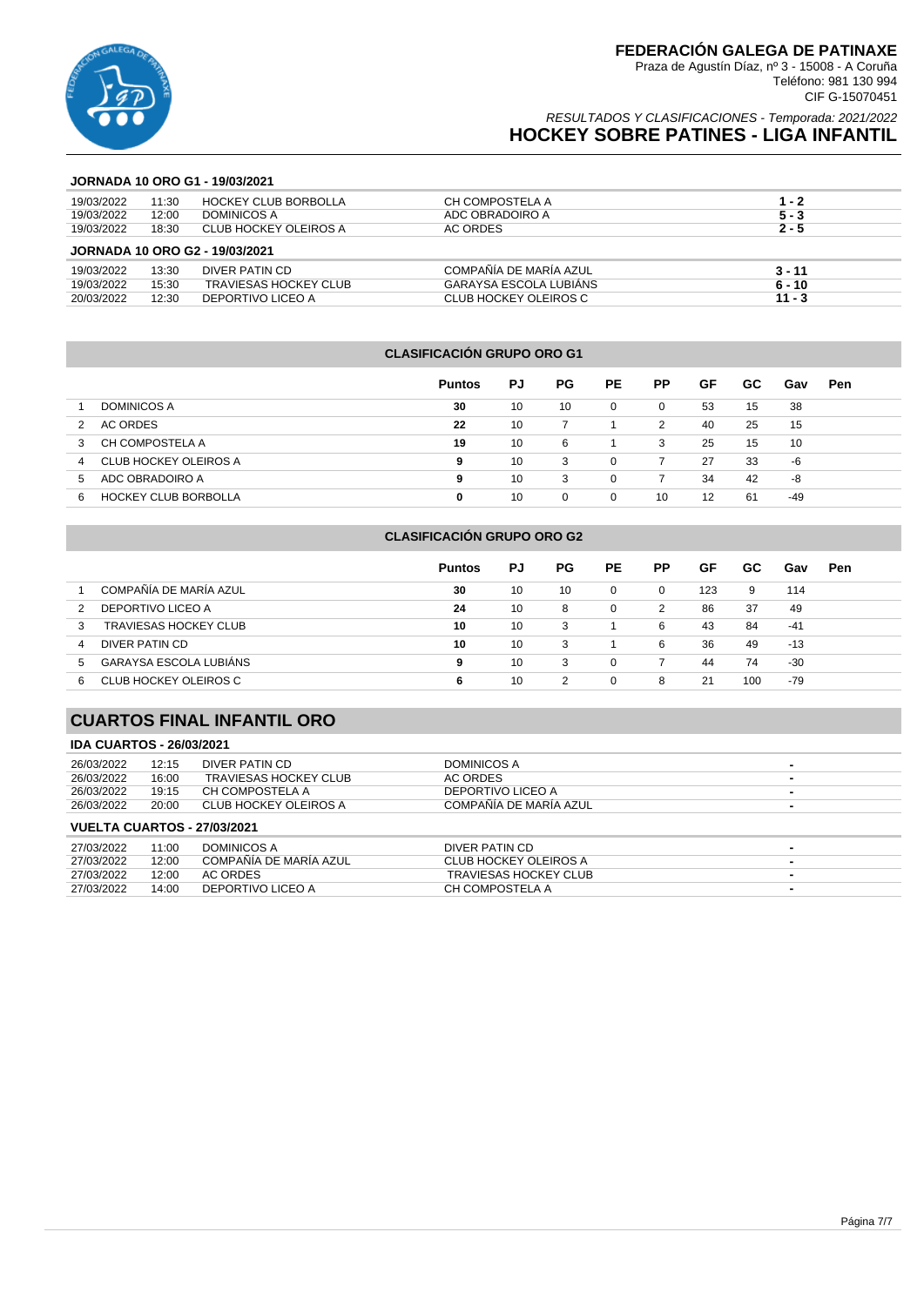

### RESULTADOS Y CLASIFICACIONES - Temporada: 2021/2022 **HOCKEY SOBRE PATINES - LIGA INFANTIL**

#### **JORNADA 10 ORO G1 - 19/03/2021**

| 19/03/2022 | 11:30 | <b>HOCKEY CLUB BORBOLLA</b>           | CH COMPOSTELA A        | $1 - 2$  |
|------------|-------|---------------------------------------|------------------------|----------|
| 19/03/2022 | 12:00 | DOMINICOS A                           | ADC OBRADOIRO A        | $5 - 3$  |
| 19/03/2022 | 18:30 | CLUB HOCKEY OLEIROS A                 | AC ORDES               | $2 - 5$  |
|            |       | <b>JORNADA 10 ORO G2 - 19/03/2021</b> |                        |          |
| 19/03/2022 | 13:30 | DIVER PATIN CD                        | COMPAÑÍA DE MARÍA AZUL | $3 - 11$ |
| 19/03/2022 | 15:30 | <b>TRAVIESAS HOCKEY CLUB</b>          | GARAYSA ESCOLA LUBIANS | $6 - 10$ |
| 20/03/2022 | 12:30 | DEPORTIVO LICEO A                     | CLUB HOCKEY OLEIROS C  | $11 - 3$ |

#### **CLASIFICACIÓN GRUPO ORO G1**

|                                  | <b>Puntos</b> | PJ | <b>PG</b> | <b>PE</b> | <b>PP</b> | GF | GC. | Gav | Pen |
|----------------------------------|---------------|----|-----------|-----------|-----------|----|-----|-----|-----|
| <b>DOMINICOS A</b>               | 30            | 10 | 10        | 0         | 0         | 53 | 15  | 38  |     |
| AC ORDES<br>2                    | 22            | 10 |           |           | 2         | 40 | 25  | 15  |     |
| CH COMPOSTELA A<br>3             | 19            | 10 | 6         |           | 3         | 25 | 15  | 10  |     |
| CLUB HOCKEY OLEIROS A<br>4       | 9             | 10 | 3         | 0         |           | 27 | 33  | -6  |     |
| ADC OBRADOIRO A<br>5             | 9             | 10 | 3         | 0         |           | 34 | 42  | -8  |     |
| <b>HOCKEY CLUB BORBOLLA</b><br>6 | 0             | 10 | 0         | 0         | 10        | 12 | -61 | -49 |     |

|    |                              | <b>Puntos</b> | PJ | PG. | <b>PE</b> | РP       | GF  | GC. | Gav   | Pen |
|----|------------------------------|---------------|----|-----|-----------|----------|-----|-----|-------|-----|
|    | COMPAÑÍA DE MARÍA AZUL       | 30            | 10 | 10  | $\Omega$  | $\Omega$ | 123 | 9   | 114   |     |
| 2  | DEPORTIVO LICEO A            | 24            | 10 | 8   | $\Omega$  | 2        | 86  | 37  | 49    |     |
| 3  | <b>TRAVIESAS HOCKEY CLUB</b> | 10            | 10 | 3   |           | 6        | 43  | 84  | $-41$ |     |
| 4  | DIVER PATIN CD               | 10            | 10 | 3   |           | 6        | 36  | 49  | $-13$ |     |
| 5. | GARAYSA ESCOLA LUBIÁNS       | 9             | 10 | 3   | $\Omega$  |          | 44  | 74  | -30   |     |
| 6  | CLUB HOCKEY OLEIROS C        | 6             | 10 | 2   | $\Omega$  | 8        | 21  | 100 | -79   |     |
|    |                              |               |    |     |           |          |     |     |       |     |

**CLASIFICACIÓN GRUPO ORO G2**

### **CUARTOS FINAL INFANTIL ORO**

#### **IDA CUARTOS - 26/03/2021**

| 26/03/2022                         | 12:15 | DIVER PATIN CD        | DOMINICOS A            |   |  |  |  |  |
|------------------------------------|-------|-----------------------|------------------------|---|--|--|--|--|
| 26/03/2022                         | 16:00 | TRAVIESAS HOCKEY CLUB | AC ORDES               | - |  |  |  |  |
| 26/03/2022                         | 19:15 | CH COMPOSTELA A       | DEPORTIVO LICEO A      |   |  |  |  |  |
| 26/03/2022                         | 20:00 | CLUB HOCKEY OLEIROS A | COMPAÑÍA DE MARÍA AZUL | - |  |  |  |  |
| <b>VUELTA CUARTOS - 27/03/2021</b> |       |                       |                        |   |  |  |  |  |
| 27/03/2022                         | 11.00 | DOMINICOS A           | DIVER PATIN CD         |   |  |  |  |  |

| 27/03/2022 | 11:00 | DOMINICOS A            | DIVER PATIN CD        |  |
|------------|-------|------------------------|-----------------------|--|
| 27/03/2022 | 12:00 | COMPAÑÍA DE MARÍA AZUL | CLUB HOCKEY OLEIROS A |  |
| 27/03/2022 | 12:00 | AC ORDES               | TRAVIESAS HOCKEY CLUB |  |
| 27/03/2022 | 14:00 | DEPORTIVO LICEO A      | CH COMPOSTELA A       |  |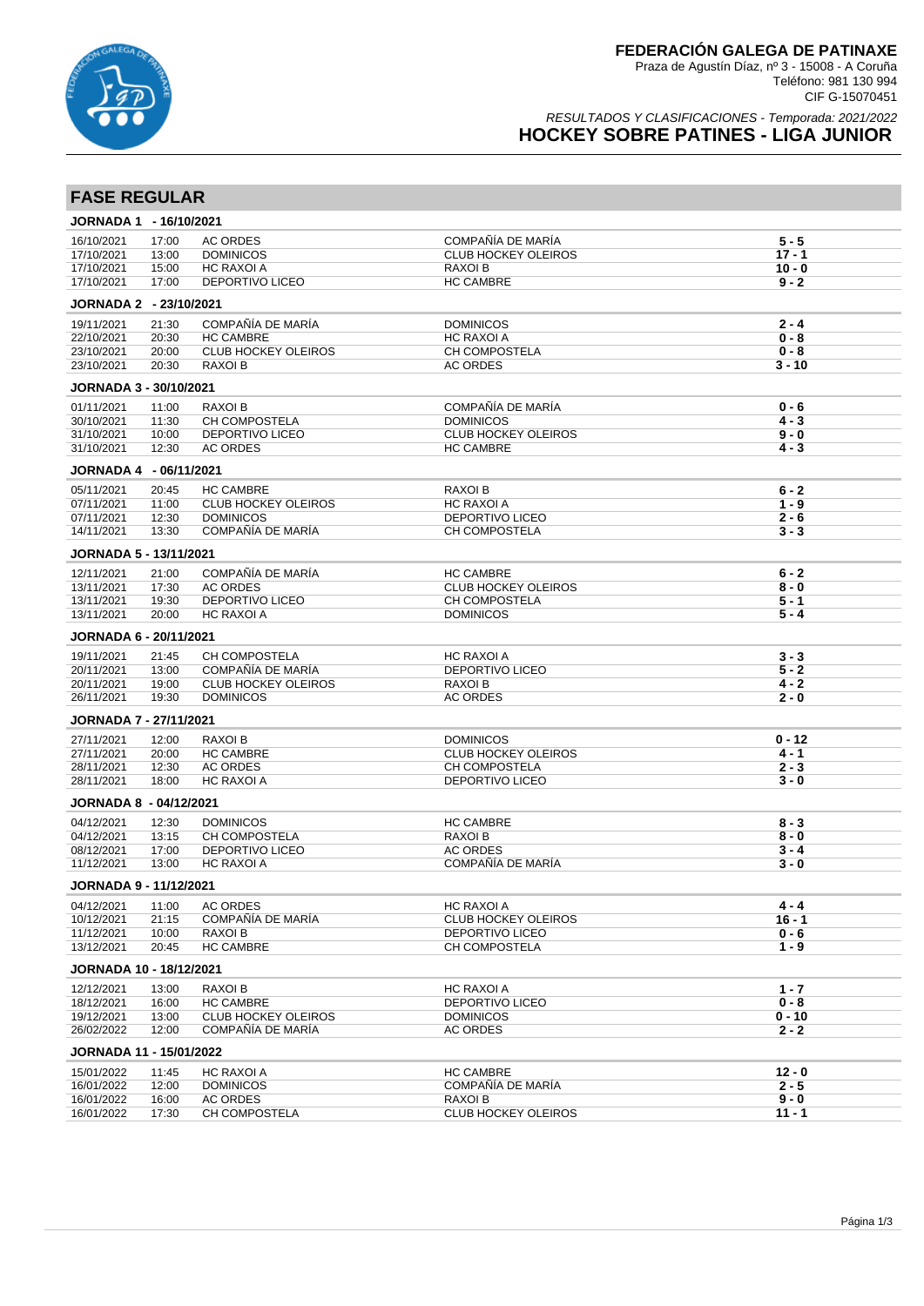

### RESULTADOS Y CLASIFICACIONES - Temporada: 2021/2022 **HOCKEY SOBRE PATINES - LIGA JUNIOR**

# **FASE REGULAR**

| JORNADA 1 - 16/10/2021         |                |                                                 |                                     |          |
|--------------------------------|----------------|-------------------------------------------------|-------------------------------------|----------|
| 16/10/2021                     | 17:00          | <b>AC ORDES</b>                                 | COMPAÑÍA DE MARÍA                   | $5 - 5$  |
| 17/10/2021                     | 13:00          | <b>DOMINICOS</b>                                | <b>CLUB HOCKEY OLEIROS</b>          | $17 - 1$ |
| 17/10/2021                     | 15:00          | <b>HC RAXOI A</b>                               | RAXOI B                             | $10 - 0$ |
| 17/10/2021                     | 17:00          | DEPORTIVO LICEO                                 | <b>HC CAMBRE</b>                    | $9 - 2$  |
| JORNADA 2 - 23/10/2021         |                |                                                 |                                     |          |
| 19/11/2021                     | 21:30          | COMPAÑÍA DE MARÍA                               | <b>DOMINICOS</b>                    | $2 - 4$  |
| 22/10/2021                     | 20:30          | <b>HC CAMBRE</b>                                | HC RAXOI A                          | $0 - 8$  |
| 23/10/2021                     | 20:00          | <b>CLUB HOCKEY OLEIROS</b>                      | CH COMPOSTELA                       | $0 - 8$  |
| 23/10/2021                     | 20:30          | RAXOI B                                         | <b>AC ORDES</b>                     | $3 - 10$ |
| JORNADA 3 - 30/10/2021         |                |                                                 |                                     |          |
| 01/11/2021                     | 11:00          | <b>RAXOI B</b>                                  | COMPAÑÍA DE MARÍA                   | $0 - 6$  |
| 30/10/2021                     | 11:30          | <b>CH COMPOSTELA</b>                            | <b>DOMINICOS</b>                    | $4 - 3$  |
| 31/10/2021                     | 10:00          | DEPORTIVO LICEO                                 | <b>CLUB HOCKEY OLEIROS</b>          | $9 - 0$  |
| 31/10/2021                     | 12:30          | <b>AC ORDES</b>                                 | <b>HC CAMBRE</b>                    | $4 - 3$  |
| JORNADA 4 - 06/11/2021         |                |                                                 |                                     |          |
| 05/11/2021                     | 20:45          | <b>HC CAMBRE</b>                                | RAXOI B                             | $6 - 2$  |
| 07/11/2021                     | 11:00          | <b>CLUB HOCKEY OLEIROS</b>                      | HC RAXOI A                          | $1 - 9$  |
| 07/11/2021                     | 12:30          | <b>DOMINICOS</b>                                | DEPORTIVO LICEO                     | $2 - 6$  |
| 14/11/2021                     | 13:30          | COMPAÑÍA DE MARÍA                               | CH COMPOSTELA                       | $3 - 3$  |
| <b>JORNADA 5 - 13/11/2021</b>  |                |                                                 |                                     |          |
| 12/11/2021                     | 21:00          | COMPAÑÍA DE MARÍA                               | <b>HC CAMBRE</b>                    | $6 - 2$  |
| 13/11/2021                     | 17:30          | <b>AC ORDES</b>                                 | <b>CLUB HOCKEY OLEIROS</b>          | $8 - 0$  |
| 13/11/2021                     | 19:30          | DEPORTIVO LICEO                                 | CH COMPOSTELA                       | $5 - 1$  |
| 13/11/2021                     | 20:00          | <b>HC RAXOI A</b>                               | <b>DOMINICOS</b>                    | $5 - 4$  |
| JORNADA 6 - 20/11/2021         |                |                                                 |                                     |          |
| 19/11/2021                     | 21:45          | CH COMPOSTELA                                   | HC RAXOI A                          | $3 - 3$  |
| 20/11/2021                     | 13:00          | COMPAÑÍA DE MARÍA                               | DEPORTIVO LICEO                     | $5 - 2$  |
| 20/11/2021                     | 19:00          | <b>CLUB HOCKEY OLEIROS</b>                      | <b>RAXOI B</b>                      | $4 - 2$  |
| 26/11/2021                     | 19:30          | <b>DOMINICOS</b>                                | <b>AC ORDES</b>                     | $2 - 0$  |
| <b>JORNADA 7 - 27/11/2021</b>  |                |                                                 |                                     |          |
| 27/11/2021                     | 12:00          | <b>RAXOI B</b>                                  | <b>DOMINICOS</b>                    | $0 - 12$ |
| 27/11/2021                     | 20:00          | <b>HC CAMBRE</b>                                | <b>CLUB HOCKEY OLEIROS</b>          | $4 - 1$  |
| 28/11/2021                     | 12:30          | <b>AC ORDES</b>                                 | CH COMPOSTELA                       | $2 - 3$  |
| 28/11/2021                     | 18:00          | <b>HC RAXOI A</b>                               | DEPORTIVO LICEO                     | $3 - 0$  |
| <b>JORNADA 8 - 04/12/2021</b>  |                |                                                 |                                     |          |
| 04/12/2021                     | 12:30          | <b>DOMINICOS</b>                                | <b>HC CAMBRE</b>                    | $8 - 3$  |
| 04/12/2021                     | 13:15          | CH COMPOSTELA                                   | <b>RAXOI B</b>                      | $8 - 0$  |
| 08/12/2021                     | 17:00          | DEPORTIVO LICEO                                 | <b>AC ORDES</b>                     | $3 - 4$  |
| 11/12/2021                     | 13:00          | <b>HC RAXOI A</b>                               | COMPAÑÍA DE MARÍA                   | $3 - 0$  |
| <b>JORNADA 9 - 11/12/2021</b>  |                |                                                 |                                     |          |
| 04/12/2021                     | 11:00          | <b>AC ORDES</b>                                 | HC RAXOI A                          | 4 - 4    |
| 10/12/2021                     | 21:15          | COMPAÑÍA DE MARÍA                               | <b>CLUB HOCKEY OLEIROS</b>          | $16 - 1$ |
| 11/12/2021                     | 10:00          | RAXOI B                                         | <b>DEPORTIVO LICEO</b>              | $0 - 6$  |
| 13/12/2021                     | 20:45          | <b>HC CAMBRE</b>                                | CH COMPOSTELA                       | $1 - 9$  |
| <b>JORNADA 10 - 18/12/2021</b> |                |                                                 |                                     |          |
| 12/12/2021                     | 13:00          | RAXOI B                                         | HC RAXOI A                          | $1 - 7$  |
| 18/12/2021                     | 16:00          | <b>HC CAMBRE</b>                                | DEPORTIVO LICEO                     | $0 - 8$  |
| 19/12/2021                     | 13:00<br>12:00 | <b>CLUB HOCKEY OLEIROS</b><br>COMPAÑÍA DE MARÍA | <b>DOMINICOS</b><br><b>AC ORDES</b> | $0 - 10$ |
| 26/02/2022                     |                |                                                 |                                     | 2 - 2    |
| JORNADA 11 - 15/01/2022        |                |                                                 |                                     |          |
| 15/01/2022                     | 11:45          | HC RAXOI A                                      | <b>HC CAMBRE</b>                    | $12 - 0$ |
| 16/01/2022                     | 12:00          | <b>DOMINICOS</b>                                | COMPAÑÍA DE MARÍA                   | $2 - 5$  |
| 16/01/2022                     | 16:00          | <b>AC ORDES</b>                                 | RAXOI B                             | $9 - 0$  |
| 16/01/2022                     | 17:30          | CH COMPOSTELA                                   | <b>CLUB HOCKEY OLEIROS</b>          | $11 - 1$ |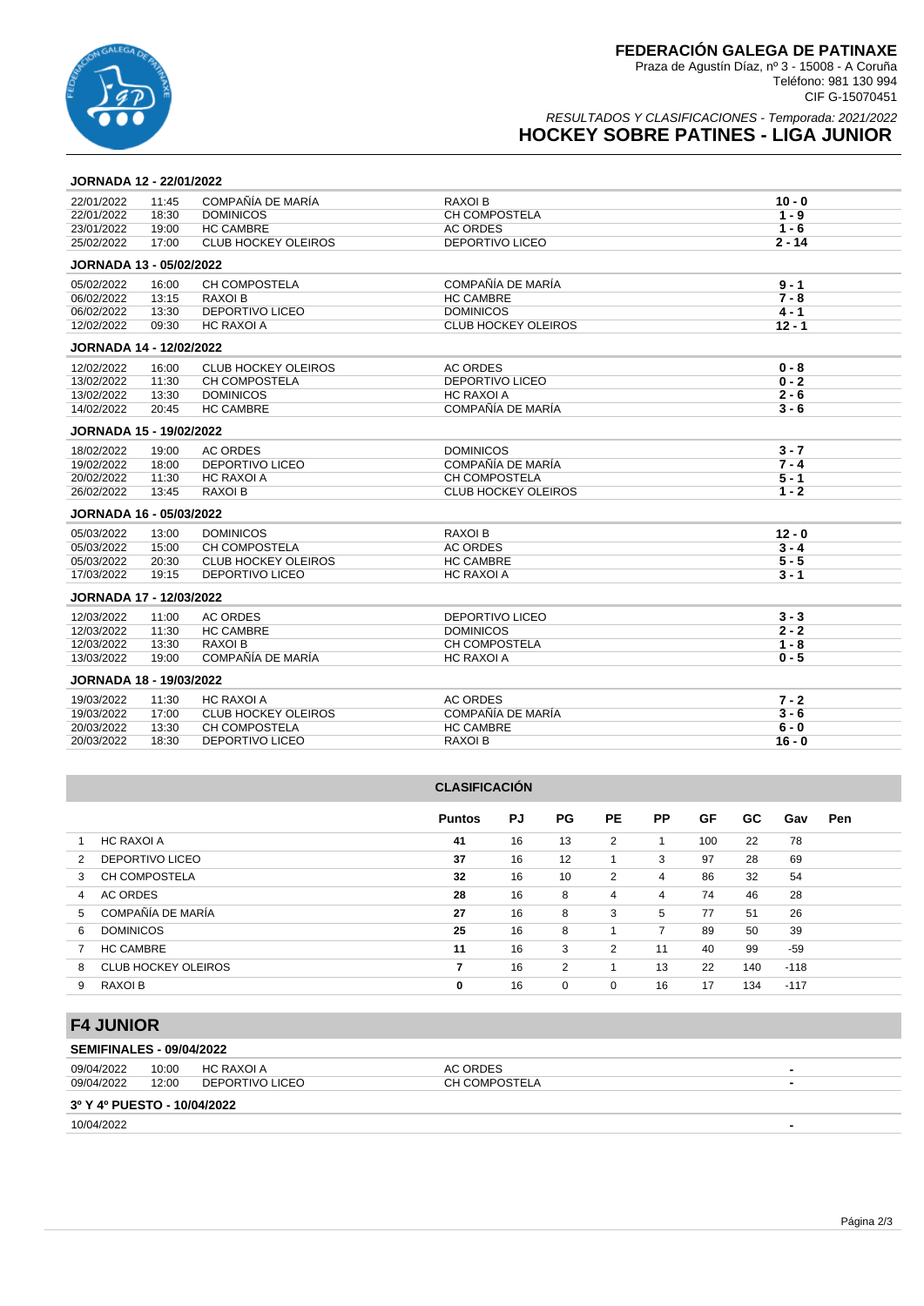

### RESULTADOS Y CLASIFICACIONES - Temporada: 2021/2022 **HOCKEY SOBRE PATINES - LIGA JUNIOR**

#### **JORNADA 12 - 22/01/2022**

| 22/01/2022                     | 11:45 | COMPAÑÍA DE MARÍA          | <b>RAXOI B</b>             | $10 - 0$ |
|--------------------------------|-------|----------------------------|----------------------------|----------|
| 22/01/2022                     | 18:30 | <b>DOMINICOS</b>           | <b>CH COMPOSTELA</b>       | $1 - 9$  |
| 23/01/2022                     | 19:00 | <b>HC CAMBRE</b>           | <b>AC ORDES</b>            | $1 - 6$  |
| 25/02/2022                     | 17:00 | <b>CLUB HOCKEY OLEIROS</b> | <b>DEPORTIVO LICEO</b>     | $2 - 14$ |
| JORNADA 13 - 05/02/2022        |       |                            |                            |          |
| 05/02/2022                     | 16:00 | <b>CH COMPOSTELA</b>       | COMPAÑÍA DE MARÍA          | $9 - 1$  |
| 06/02/2022                     | 13:15 | RAXOI B                    | <b>HC CAMBRE</b>           | $7 - 8$  |
| 06/02/2022                     | 13:30 | <b>DEPORTIVO LICEO</b>     | <b>DOMINICOS</b>           | $4 - 1$  |
| 12/02/2022                     | 09:30 | <b>HC RAXOI A</b>          | <b>CLUB HOCKEY OLEIROS</b> | $12 - 1$ |
| <b>JORNADA 14 - 12/02/2022</b> |       |                            |                            |          |
| 12/02/2022                     | 16:00 | <b>CLUB HOCKEY OLEIROS</b> | <b>AC ORDES</b>            | $0 - 8$  |
| 13/02/2022                     | 11:30 | CH COMPOSTELA              | <b>DEPORTIVO LICEO</b>     | $0 - 2$  |
| 13/02/2022                     | 13:30 | <b>DOMINICOS</b>           | <b>HC RAXOLA</b>           | $2 - 6$  |
| 14/02/2022                     | 20:45 | <b>HC CAMBRE</b>           | COMPAÑÍA DE MARÍA          | $3 - 6$  |
| <b>JORNADA 15 - 19/02/2022</b> |       |                            |                            |          |
| 18/02/2022                     | 19:00 | <b>AC ORDES</b>            | <b>DOMINICOS</b>           | $3 - 7$  |
| 19/02/2022                     | 18:00 | DEPORTIVO LICEO            | COMPAÑÍA DE MARÍA          | $7 - 4$  |
| 20/02/2022                     | 11:30 | <b>HC RAXOI A</b>          | CH COMPOSTELA              | $5 - 1$  |
| 26/02/2022                     | 13:45 | <b>RAXOI B</b>             | <b>CLUB HOCKEY OLEIROS</b> | $1 - 2$  |
| <b>JORNADA 16 - 05/03/2022</b> |       |                            |                            |          |
| 05/03/2022                     | 13:00 | <b>DOMINICOS</b>           | <b>RAXOI B</b>             | $12 - 0$ |
| 05/03/2022                     | 15:00 | <b>CH COMPOSTELA</b>       | <b>AC ORDES</b>            | $3 - 4$  |
| 05/03/2022                     | 20:30 | <b>CLUB HOCKEY OLEIROS</b> | <b>HC CAMBRE</b>           | $5 - 5$  |
| 17/03/2022                     | 19:15 | <b>DEPORTIVO LICEO</b>     | <b>HC RAXOI A</b>          | $3 - 1$  |
| <b>JORNADA 17 - 12/03/2022</b> |       |                            |                            |          |
| 12/03/2022                     | 11:00 | <b>AC ORDES</b>            | <b>DEPORTIVO LICEO</b>     | $3 - 3$  |
| 12/03/2022                     | 11:30 | <b>HC CAMBRE</b>           | <b>DOMINICOS</b>           | $2 - 2$  |
| 12/03/2022                     | 13:30 | <b>RAXOLB</b>              | CH COMPOSTELA              | $1 - 8$  |
| 13/03/2022                     | 19:00 | COMPAÑÍA DE MARÍA          | <b>HC RAXOI A</b>          | $0 - 5$  |
| <b>JORNADA 18 - 19/03/2022</b> |       |                            |                            |          |
| 19/03/2022                     | 11:30 | <b>HC RAXOI A</b>          | <b>AC ORDES</b>            | $7 - 2$  |
| 19/03/2022                     | 17:00 | <b>CLUB HOCKEY OLEIROS</b> | COMPAÑÍA DE MARÍA          | $3 - 6$  |
| 20/03/2022                     | 13:30 | <b>CH COMPOSTELA</b>       | <b>HC CAMBRE</b>           | $6 - 0$  |
| 20/03/2022                     | 18:30 | <b>DEPORTIVO LICEO</b>     | <b>RAXOI B</b>             | $16 - 0$ |
|                                |       |                            |                            |          |

### **CLASIFICACIÓN**

|                                 | <b>Puntos</b> | PJ | PG.               | <b>PE</b> | <b>PP</b> | GF  | GC. | Gav    | Pen |
|---------------------------------|---------------|----|-------------------|-----------|-----------|-----|-----|--------|-----|
| HC RAXOI A                      | 41            | 16 | 13                | 2         |           | 100 | 22  | 78     |     |
| <b>DEPORTIVO LICEO</b><br>2     | 37            | 16 | $12 \overline{ }$ |           | 3         | 97  | 28  | 69     |     |
| CH COMPOSTELA<br>3              | 32            | 16 | 10                | 2         | 4         | 86  | 32  | 54     |     |
| <b>AC ORDES</b><br>4            | 28            | 16 | 8                 | 4         | 4         | 74  | 46  | 28     |     |
| COMPAÑÍA DE MARÍA<br>5          | 27            | 16 | 8                 | 3         | 5         | 77  | 51  | 26     |     |
| <b>DOMINICOS</b><br>6           | 25            | 16 | 8                 |           | 7         | 89  | 50  | 39     |     |
| <b>HC CAMBRE</b>                | 11            | 16 | 3                 | 2         | 11        | 40  | 99  | -59    |     |
| <b>CLUB HOCKEY OLEIROS</b><br>8 |               | 16 | 2                 |           | 13        | 22  | 140 | $-118$ |     |
| RAXOI B<br>9                    | 0             | 16 | 0                 | 0         | 16        | 17  | 134 | $-117$ |     |

# **F4 JUNIOR**

| <b>SEMIFINALES - 09/04/2022</b> |  |
|---------------------------------|--|
|                                 |  |

| 09/04/2022                  | 10:00 | HC RAXOI A             | AC ORDES      |  |
|-----------------------------|-------|------------------------|---------------|--|
| 09/04/2022                  | 12:00 | <b>DEPORTIVO LICEO</b> | CH COMPOSTELA |  |
| 3º Y 4º PUESTO - 10/04/2022 |       |                        |               |  |

10/04/2022 **-**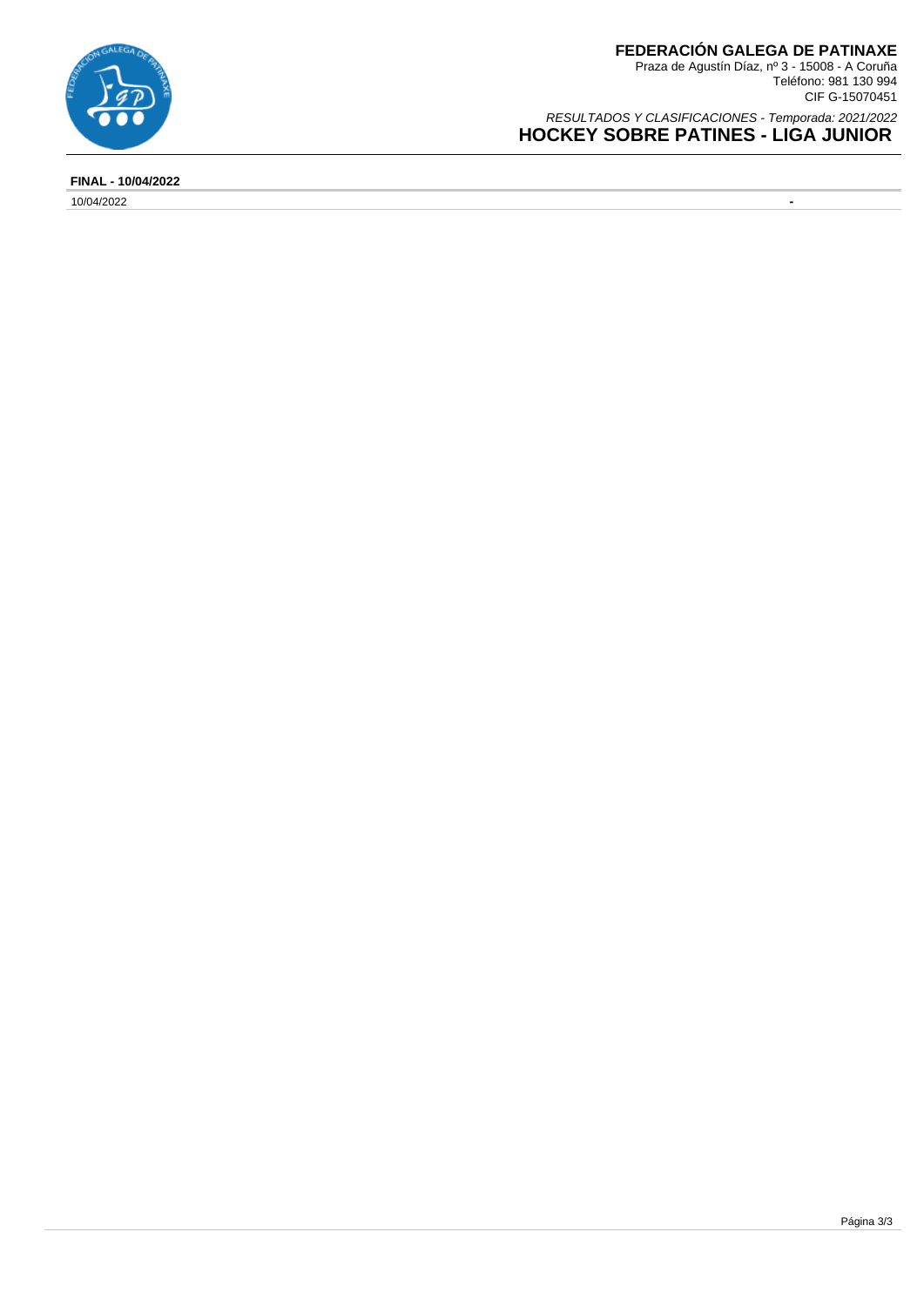

**FEDERACIÓN GALEGA DE PATINAXE** Praza de Agustín Díaz, nº 3 - 15008 - A Coruña Teléfono: 981 130 994 CIF G-15070451

RESULTADOS Y CLASIFICACIONES - Temporada: 2021/2022 **HOCKEY SOBRE PATINES - LIGA JUNIOR** 

**FINAL - 10/04/2022**

10/04/2022 **-**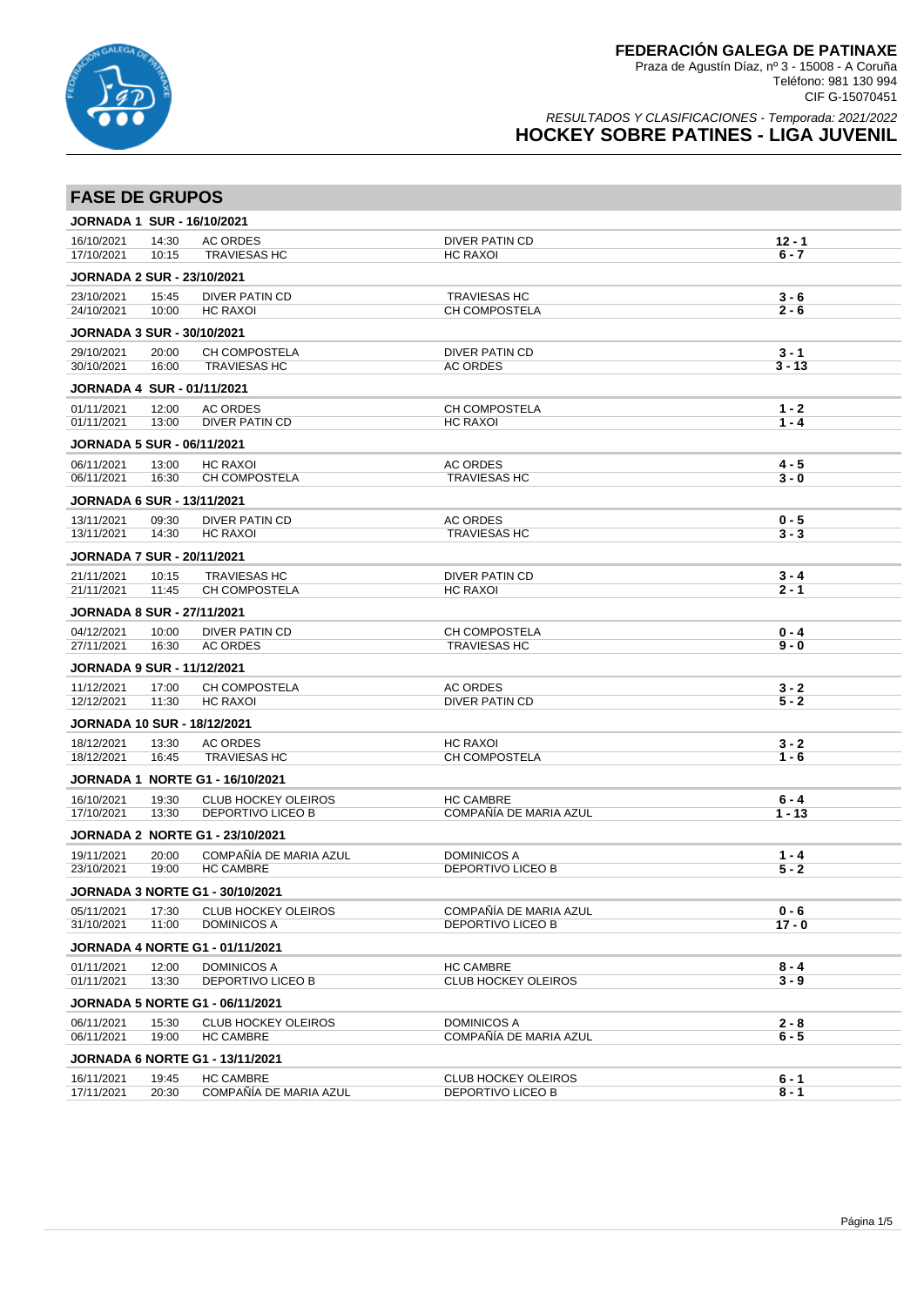

| <b>FASE DE GRUPOS</b>                           |                |                                                |                                                |                     |
|-------------------------------------------------|----------------|------------------------------------------------|------------------------------------------------|---------------------|
| <b>JORNADA 1 SUR - 16/10/2021</b>               |                |                                                |                                                |                     |
| 16/10/2021                                      | 14:30          | <b>AC ORDES</b>                                | DIVER PATIN CD                                 | $12 - 1$            |
| 17/10/2021                                      | 10:15          | <b>TRAVIESAS HC</b>                            | <b>HC RAXOI</b>                                | $6 - 7$             |
| <b>JORNADA 2 SUR - 23/10/2021</b>               |                |                                                |                                                |                     |
| 23/10/2021<br>24/10/2021                        | 15:45<br>10:00 | <b>DIVER PATIN CD</b><br><b>HC RAXOI</b>       | <b>TRAVIESAS HC</b><br>CH COMPOSTELA           | $3 - 6$<br>$2 - 6$  |
|                                                 |                |                                                |                                                |                     |
| <b>JORNADA 3 SUR - 30/10/2021</b>               |                |                                                |                                                |                     |
| 29/10/2021<br>30/10/2021                        | 20:00<br>16:00 | CH COMPOSTELA<br><b>TRAVIESAS HC</b>           | <b>DIVER PATIN CD</b><br><b>AC ORDES</b>       | $3 - 1$<br>$3 - 13$ |
| <b>JORNADA 4 SUR - 01/11/2021</b>               |                |                                                |                                                |                     |
| 01/11/2021                                      | 12:00          | <b>AC ORDES</b>                                | CH COMPOSTELA                                  | $1 - 2$             |
| 01/11/2021                                      | 13:00          | <b>DIVER PATIN CD</b>                          | <b>HC RAXOI</b>                                | $1 - 4$             |
| <b>JORNADA 5 SUR - 06/11/2021</b>               |                |                                                |                                                |                     |
| 06/11/2021<br>06/11/2021                        | 13:00<br>16:30 | <b>HC RAXOI</b><br><b>CH COMPOSTELA</b>        | <b>AC ORDES</b><br><b>TRAVIESAS HC</b>         | $4 - 5$<br>$3 - 0$  |
|                                                 |                |                                                |                                                |                     |
| <b>JORNADA 6 SUR - 13/11/2021</b><br>13/11/2021 | 09:30          | <b>DIVER PATIN CD</b>                          | <b>AC ORDES</b>                                | $0 - 5$             |
| 13/11/2021                                      | 14:30          | <b>HC RAXOI</b>                                | <b>TRAVIESAS HC</b>                            | $3 - 3$             |
| <b>JORNADA 7 SUR - 20/11/2021</b>               |                |                                                |                                                |                     |
| 21/11/2021                                      | 10:15          | <b>TRAVIESAS HC</b>                            | <b>DIVER PATIN CD</b>                          | $3 - 4$             |
| 21/11/2021                                      | 11:45          | <b>CH COMPOSTELA</b>                           | <b>HC RAXOI</b>                                | $2 - 1$             |
| <b>JORNADA 8 SUR - 27/11/2021</b>               |                |                                                |                                                |                     |
| 04/12/2021                                      | 10:00          | <b>DIVER PATIN CD</b>                          | CH COMPOSTELA                                  | $0 - 4$             |
| 27/11/2021                                      | 16:30          | <b>AC ORDES</b>                                | <b>TRAVIESAS HC</b>                            | $9 - 0$             |
| <b>JORNADA 9 SUR - 11/12/2021</b>               |                |                                                |                                                |                     |
| 11/12/2021<br>12/12/2021                        | 17:00<br>11:30 | <b>CH COMPOSTELA</b><br><b>HC RAXOI</b>        | <b>AC ORDES</b><br><b>DIVER PATIN CD</b>       | $3 - 2$<br>$5 - 2$  |
|                                                 |                |                                                |                                                |                     |
| <b>JORNADA 10 SUR - 18/12/2021</b>              |                |                                                |                                                |                     |
| 18/12/2021<br>18/12/2021                        | 13:30<br>16:45 | <b>AC ORDES</b><br><b>TRAVIESAS HC</b>         | <b>HC RAXOI</b><br>CH COMPOSTELA               | $3 - 2$<br>$1 - 6$  |
|                                                 |                | <b>JORNADA 1 NORTE G1 - 16/10/2021</b>         |                                                |                     |
| 16/10/2021                                      | 19:30          | <b>CLUB HOCKEY OLEIROS</b>                     | <b>HC CAMBRE</b>                               | $6 - 4$             |
| 17/10/2021                                      | 13:30          | <b>DEPORTIVO LICEO B</b>                       | COMPAÑÍA DE MARIA AZUL                         | $1 - 13$            |
|                                                 |                | <b>JORNADA 2 NORTE G1 - 23/10/2021</b>         |                                                |                     |
| 19/11/2021                                      | 20:00          | COMPAÑÍA DE MARIA AZUL                         | <b>DOMINICOS A</b>                             | $1 - 4$             |
| 23/10/2021                                      | 19:00          | <b>HC CAMBRE</b>                               | <b>DEPORTIVO LICEO B</b>                       | $5 - 2$             |
|                                                 |                | JORNADA 3 NORTE G1 - 30/10/2021                |                                                |                     |
| 05/11/2021                                      | 17:30          | <b>CLUB HOCKEY OLEIROS</b>                     | COMPAÑÍA DE MARIA AZUL                         | $0 - 6$             |
| 31/10/2021                                      | 11:00          | <b>DOMINICOS A</b>                             | DEPORTIVO LICEO B                              | $17 - 0$            |
|                                                 |                | <b>JORNADA 4 NORTE G1 - 01/11/2021</b>         |                                                |                     |
| 01/11/2021<br>01/11/2021                        | 12:00<br>13:30 | <b>DOMINICOS A</b><br>DEPORTIVO LICEO B        | <b>HC CAMBRE</b><br><b>CLUB HOCKEY OLEIROS</b> | $8 - 4$<br>$3 - 9$  |
|                                                 |                |                                                |                                                |                     |
|                                                 |                | <b>JORNADA 5 NORTE G1 - 06/11/2021</b>         |                                                |                     |
| 06/11/2021<br>06/11/2021                        | 15:30<br>19:00 | <b>CLUB HOCKEY OLEIROS</b><br><b>HC CAMBRE</b> | <b>DOMINICOS A</b><br>COMPAÑÍA DE MARIA AZUL   | $2 - 8$<br>$6 - 5$  |
|                                                 |                | <b>JORNADA 6 NORTE G1 - 13/11/2021</b>         |                                                |                     |
| 16/11/2021                                      | 19:45          | <b>HC CAMBRE</b>                               | <b>CLUB HOCKEY OLEIROS</b>                     | 6 - 1               |
| 17/11/2021                                      | 20:30          | COMPAÑÍA DE MARIA AZUL                         | DEPORTIVO LICEO B                              | $8 - 1$             |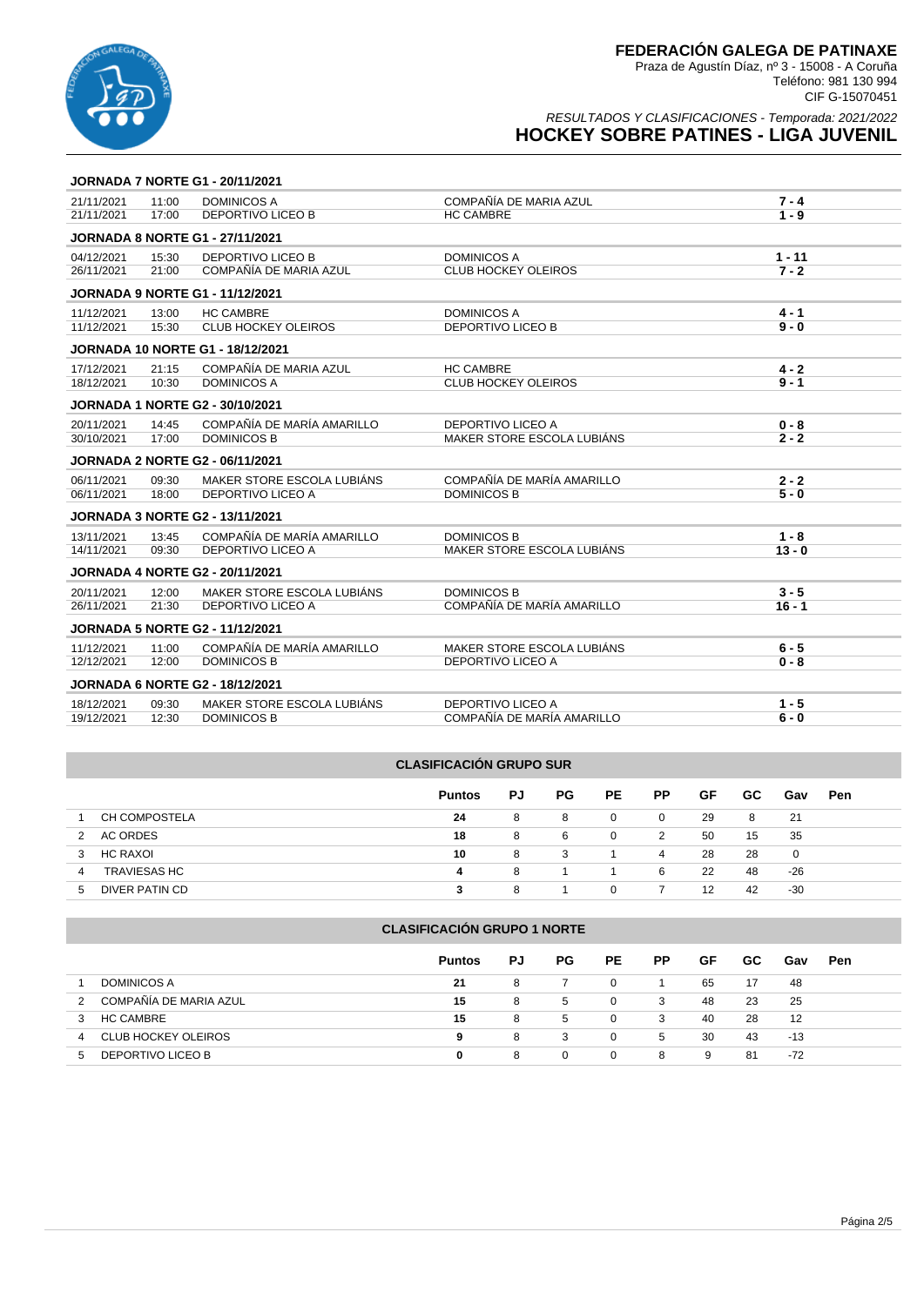

### RESULTADOS Y CLASIFICACIONES - Temporada: 2021/2022 **HOCKEY SOBRE PATINES - LIGA JUVENIL**

|            |       | <b>JORNADA 7 NORTE G1 - 20/11/2021</b>  |                            |          |
|------------|-------|-----------------------------------------|----------------------------|----------|
| 21/11/2021 | 11:00 | <b>DOMINICOS A</b>                      | COMPAÑÍA DE MARIA AZUL     | $7 - 4$  |
| 21/11/2021 | 17:00 | <b>DEPORTIVO LICEO B</b>                | <b>HC CAMBRE</b>           | $1 - 9$  |
|            |       | <b>JORNADA 8 NORTE G1 - 27/11/2021</b>  |                            |          |
| 04/12/2021 | 15:30 | <b>DEPORTIVO LICEO B</b>                | <b>DOMINICOS A</b>         | $1 - 11$ |
| 26/11/2021 | 21:00 | COMPAÑÍA DE MARIA AZUL                  | <b>CLUB HOCKEY OLEIROS</b> | $7 - 2$  |
|            |       | <b>JORNADA 9 NORTE G1 - 11/12/2021</b>  |                            |          |
| 11/12/2021 | 13:00 | <b>HC CAMBRE</b>                        | <b>DOMINICOS A</b>         | $4 - 1$  |
| 11/12/2021 | 15:30 | <b>CLUB HOCKEY OLEIROS</b>              | DEPORTIVO LICEO B          | $9 - 0$  |
|            |       | <b>JORNADA 10 NORTE G1 - 18/12/2021</b> |                            |          |
| 17/12/2021 | 21:15 | COMPAÑÍA DE MARIA AZUL                  | <b>HC CAMBRE</b>           | $4 - 2$  |
| 18/12/2021 | 10:30 | <b>DOMINICOS A</b>                      | <b>CLUB HOCKEY OLEIROS</b> | $9 - 1$  |
|            |       | <b>JORNADA 1 NORTE G2 - 30/10/2021</b>  |                            |          |
| 20/11/2021 | 14:45 | COMPAÑÍA DE MARÍA AMARILLO              | DEPORTIVO LICEO A          | $0 - 8$  |
| 30/10/2021 | 17:00 | <b>DOMINICOS B</b>                      | MAKER STORE ESCOLA LUBIÁNS | $2 - 2$  |
|            |       | <b>JORNADA 2 NORTE G2 - 06/11/2021</b>  |                            |          |
| 06/11/2021 | 09:30 | MAKER STORE ESCOLA LUBIÁNS              | COMPAÑÍA DE MARÍA AMARILLO | $2 - 2$  |
| 06/11/2021 | 18:00 | <b>DEPORTIVO LICEO A</b>                | <b>DOMINICOS B</b>         | $5 - 0$  |
|            |       | <b>JORNADA 3 NORTE G2 - 13/11/2021</b>  |                            |          |
| 13/11/2021 | 13:45 | COMPAÑÍA DE MARÍA AMARILLO              | <b>DOMINICOS B</b>         | $1 - 8$  |
| 14/11/2021 | 09:30 | <b>DEPORTIVO LICEO A</b>                | MAKER STORE ESCOLA LUBIÁNS | $13 - 0$ |
|            |       | <b>JORNADA 4 NORTE G2 - 20/11/2021</b>  |                            |          |
| 20/11/2021 | 12:00 | MAKER STORE ESCOLA LUBIÁNS              | <b>DOMINICOS B</b>         | $3 - 5$  |
| 26/11/2021 | 21:30 | <b>DEPORTIVO LICEO A</b>                | COMPAÑÍA DE MARÍA AMARILLO | $16 - 1$ |
|            |       | <b>JORNADA 5 NORTE G2 - 11/12/2021</b>  |                            |          |
| 11/12/2021 | 11:00 | COMPAÑÍA DE MARÍA AMARILLO              | MAKER STORE ESCOLA LUBIÁNS | $6 - 5$  |
| 12/12/2021 | 12:00 | <b>DOMINICOS B</b>                      | DEPORTIVO LICEO A          | $0 - 8$  |
|            |       | <b>JORNADA 6 NORTE G2 - 18/12/2021</b>  |                            |          |
| 18/12/2021 | 09:30 | MAKER STORE ESCOLA LUBIÁNS              | <b>DEPORTIVO LICEO A</b>   | $1 - 5$  |
| 19/12/2021 | 12:30 | <b>DOMINICOS B</b>                      | COMPAÑÍA DE MARÍA AMARILLO | $6 - 0$  |
|            |       |                                         |                            |          |

### **CLASIFICACIÓN GRUPO SUR**

|                          | <b>Puntos</b> | PJ | <b>PG</b> | <b>PE</b>    | РP | GF | GC. | Gav | <b>Pen</b> |
|--------------------------|---------------|----|-----------|--------------|----|----|-----|-----|------------|
| CH COMPOSTELA            | 24            | 8  | 8         | 0            | 0  | 29 | 8   | 21  |            |
| AC ORDES                 | 18            | 8  | 6         | 0            | 2  | 50 | 15  | 35  |            |
| HC RAXOI<br>3            | 10            | 8  | 3         |              | 4  | 28 | 28  | 0   |            |
| <b>TRAVIESAS HC</b><br>4 | 4             | 8  |           |              | 6  | 22 | 48  | -26 |            |
| DIVER PATIN CD<br>b      |               | я  |           | <sup>n</sup> |    | 12 | 42  | -30 |            |

### **CLASIFICACIÓN GRUPO 1 NORTE**

|                                 | <b>Puntos</b> | PJ | PG.         | <b>PE</b>    | <b>PP</b> | GF | GC. | Gav | Pen |
|---------------------------------|---------------|----|-------------|--------------|-----------|----|-----|-----|-----|
| <b>DOMINICOS A</b>              | 21            | 8  |             | 0            |           | 65 | 17  | 48  |     |
| COMPAÑÍA DE MARIA AZUL<br>2     | 15            | 8  | $\mathbf b$ | 0            | 3         | 48 | 23  | 25  |     |
| <b>HC CAMBRE</b>                | 15            | 8  | $5^{\circ}$ | 0            | 3         | 40 | 28  | 12  |     |
| <b>CLUB HOCKEY OLEIROS</b><br>4 | 9             | 8  | 3           | 0            | 5         | 30 | 43  | -13 |     |
| DEPORTIVO LICEO B<br>5          | 0             | 8  | 0           | $\mathbf{0}$ | 8         | 9  | -81 | -72 |     |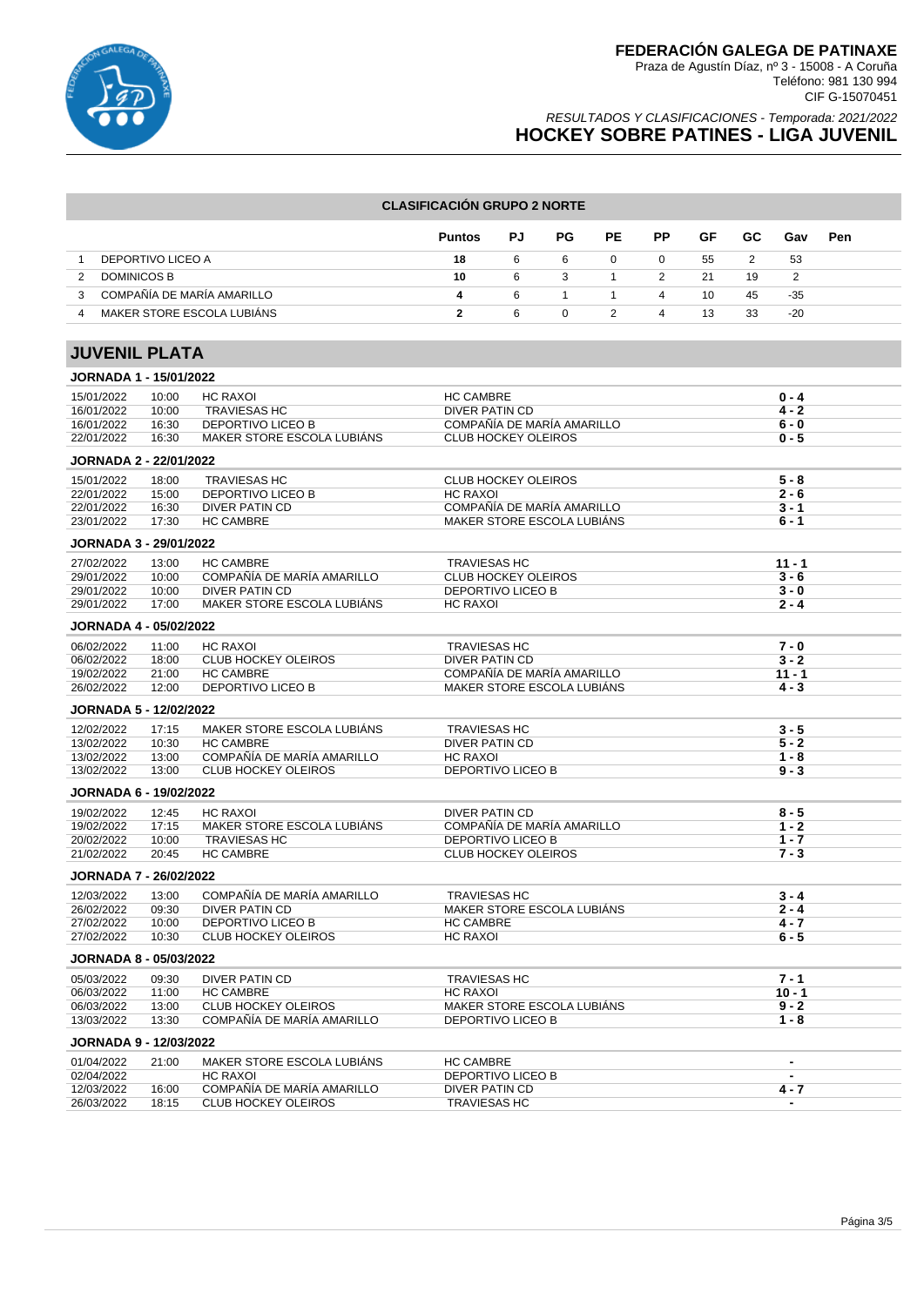

### RESULTADOS Y CLASIFICACIONES - Temporada: 2021/2022 **HOCKEY SOBRE PATINES - LIGA JUVENIL**

#### **CLASIFICACIÓN GRUPO 2 NORTE**

|                                             | <b>Puntos</b> | PJ. | PG. | PE | <b>PP</b> | GF | GC. | Gav   | Pen |
|---------------------------------------------|---------------|-----|-----|----|-----------|----|-----|-------|-----|
| DEPORTIVO LICEO A                           | 18            | 6   |     | 0  | 0         | 55 |     | -53   |     |
| DOMINICOS B                                 | 10            | 6   |     |    |           | 21 | 19  |       |     |
| COMPAÑÍA DE MARÍA AMARILLO<br>$\mathcal{B}$ | 4             | -6  |     |    | 4         | 10 | 45  | -35   |     |
| MAKER STORE ESCOLA LUBIÁNS<br>Δ             |               | 6   |     |    | 4         | 13 | 33  | $-20$ |     |

# **JUVENIL PLATA**

| JORNADA 1 - 15/01/2022        |       |                            |                            |                |
|-------------------------------|-------|----------------------------|----------------------------|----------------|
| 15/01/2022                    | 10:00 | <b>HC RAXOI</b>            | <b>HC CAMBRE</b>           | $0 - 4$        |
| 16/01/2022                    | 10:00 | <b>TRAVIESAS HC</b>        | DIVER PATIN CD             | $4 - 2$        |
| 16/01/2022                    | 16:30 | <b>DEPORTIVO LICEO B</b>   | COMPAÑÍA DE MARÍA AMARILLO | $6 - 0$        |
| 22/01/2022                    | 16:30 | MAKER STORE ESCOLA LUBIÁNS | <b>CLUB HOCKEY OLEIROS</b> | $0 - 5$        |
| JORNADA 2 - 22/01/2022        |       |                            |                            |                |
| 15/01/2022                    | 18:00 | <b>TRAVIESAS HC</b>        | <b>CLUB HOCKEY OLEIROS</b> | $5 - 8$        |
| 22/01/2022                    | 15:00 | <b>DEPORTIVO LICEO B</b>   | <b>HC RAXOI</b>            | $2 - 6$        |
| 22/01/2022                    | 16:30 | DIVER PATIN CD             | COMPAÑÍA DE MARÍA AMARILLO | $3 - 1$        |
| 23/01/2022                    | 17:30 | <b>HC CAMBRE</b>           | MAKER STORE ESCOLA LUBIÁNS | $6 - 1$        |
| JORNADA 3 - 29/01/2022        |       |                            |                            |                |
| 27/02/2022                    | 13:00 | <b>HC CAMBRE</b>           | <b>TRAVIESAS HC</b>        | $11 - 1$       |
| 29/01/2022                    | 10:00 | COMPAÑÍA DE MARÍA AMARILLO | <b>CLUB HOCKEY OLEIROS</b> | $3 - 6$        |
| 29/01/2022                    | 10:00 | <b>DIVER PATIN CD</b>      | <b>DEPORTIVO LICEO B</b>   | $3 - 0$        |
| 29/01/2022                    | 17:00 | MAKER STORE ESCOLA LUBIANS | <b>HC RAXOI</b>            | $2 - 4$        |
| <b>JORNADA 4 - 05/02/2022</b> |       |                            |                            |                |
| 06/02/2022                    | 11:00 | <b>HC RAXOI</b>            | <b>TRAVIESAS HC</b>        | $7 - 0$        |
| 06/02/2022                    | 18:00 | <b>CLUB HOCKEY OLEIROS</b> | <b>DIVER PATIN CD</b>      | $3 - 2$        |
| 19/02/2022                    | 21:00 | <b>HC CAMBRE</b>           | COMPAÑÍA DE MARÍA AMARILLO | $11 - 1$       |
| 26/02/2022                    | 12:00 | DEPORTIVO LICEO B          | MAKER STORE ESCOLA LUBIÁNS | $4 - 3$        |
| <b>JORNADA 5 - 12/02/2022</b> |       |                            |                            |                |
| 12/02/2022                    | 17:15 | MAKER STORE ESCOLA LUBIANS | <b>TRAVIESAS HC</b>        | $3 - 5$        |
| 13/02/2022                    | 10:30 | <b>HC CAMBRE</b>           | <b>DIVER PATIN CD</b>      | $5 - 2$        |
| 13/02/2022                    | 13:00 | COMPAÑÍA DE MARÍA AMARILLO | <b>HC RAXOI</b>            | $1 - 8$        |
| 13/02/2022                    | 13:00 | <b>CLUB HOCKEY OLEIROS</b> | DEPORTIVO LICEO B          | $9 - 3$        |
| <b>JORNADA 6 - 19/02/2022</b> |       |                            |                            |                |
| 19/02/2022                    | 12:45 | <b>HC RAXOI</b>            | <b>DIVER PATIN CD</b>      | $8 - 5$        |
| 19/02/2022                    | 17:15 | MAKER STORE ESCOLA LUBIANS | COMPAÑÍA DE MARÍA AMARILLO | $1 - 2$        |
| 20/02/2022                    | 10:00 | <b>TRAVIESAS HC</b>        | <b>DEPORTIVO LICEO B</b>   | $1 - 7$        |
| 21/02/2022                    | 20:45 | <b>HC CAMBRE</b>           | <b>CLUB HOCKEY OLEIROS</b> | $7 - 3$        |
| <b>JORNADA 7 - 26/02/2022</b> |       |                            |                            |                |
| 12/03/2022                    | 13:00 | COMPAÑÍA DE MARÍA AMARILLO | <b>TRAVIESAS HC</b>        | $3 - 4$        |
| 26/02/2022                    | 09:30 | <b>DIVER PATIN CD</b>      | MAKER STORE ESCOLA LUBIÁNS | $2 - 4$        |
| 27/02/2022                    | 10:00 | DEPORTIVO LICEO B          | <b>HC CAMBRE</b>           | $4 - 7$        |
| 27/02/2022                    | 10:30 | <b>CLUB HOCKEY OLEIROS</b> | <b>HC RAXOI</b>            | $6 - 5$        |
| <b>JORNADA 8 - 05/03/2022</b> |       |                            |                            |                |
| 05/03/2022                    | 09:30 | DIVER PATIN CD             | <b>TRAVIESAS HC</b>        | $7 - 1$        |
| 06/03/2022                    | 11:00 | <b>HC CAMBRE</b>           | <b>HC RAXOI</b>            | $10 - 1$       |
| 06/03/2022                    | 13:00 | <b>CLUB HOCKEY OLEIROS</b> | MAKER STORE ESCOLA LUBIÁNS | $9 - 2$        |
| 13/03/2022                    | 13:30 | COMPAÑÍA DE MARÍA AMARILLO | DEPORTIVO LICEO B          | $1 - 8$        |
| <b>JORNADA 9 - 12/03/2022</b> |       |                            |                            |                |
| 01/04/2022                    | 21:00 | MAKER STORE ESCOLA LUBIÁNS | <b>HC CAMBRE</b>           | $\blacksquare$ |
| 02/04/2022                    |       | <b>HC RAXOL</b>            | <b>DEPORTIVO LICEO B</b>   | $\blacksquare$ |
| 12/03/2022                    | 16:00 | COMPAÑÍA DE MARÍA AMARILLO | DIVER PATIN CD             | $4 - 7$        |
| 26/03/2022                    | 18:15 | <b>CLUB HOCKEY OLEIROS</b> | <b>TRAVIESAS HC</b>        | $\overline{a}$ |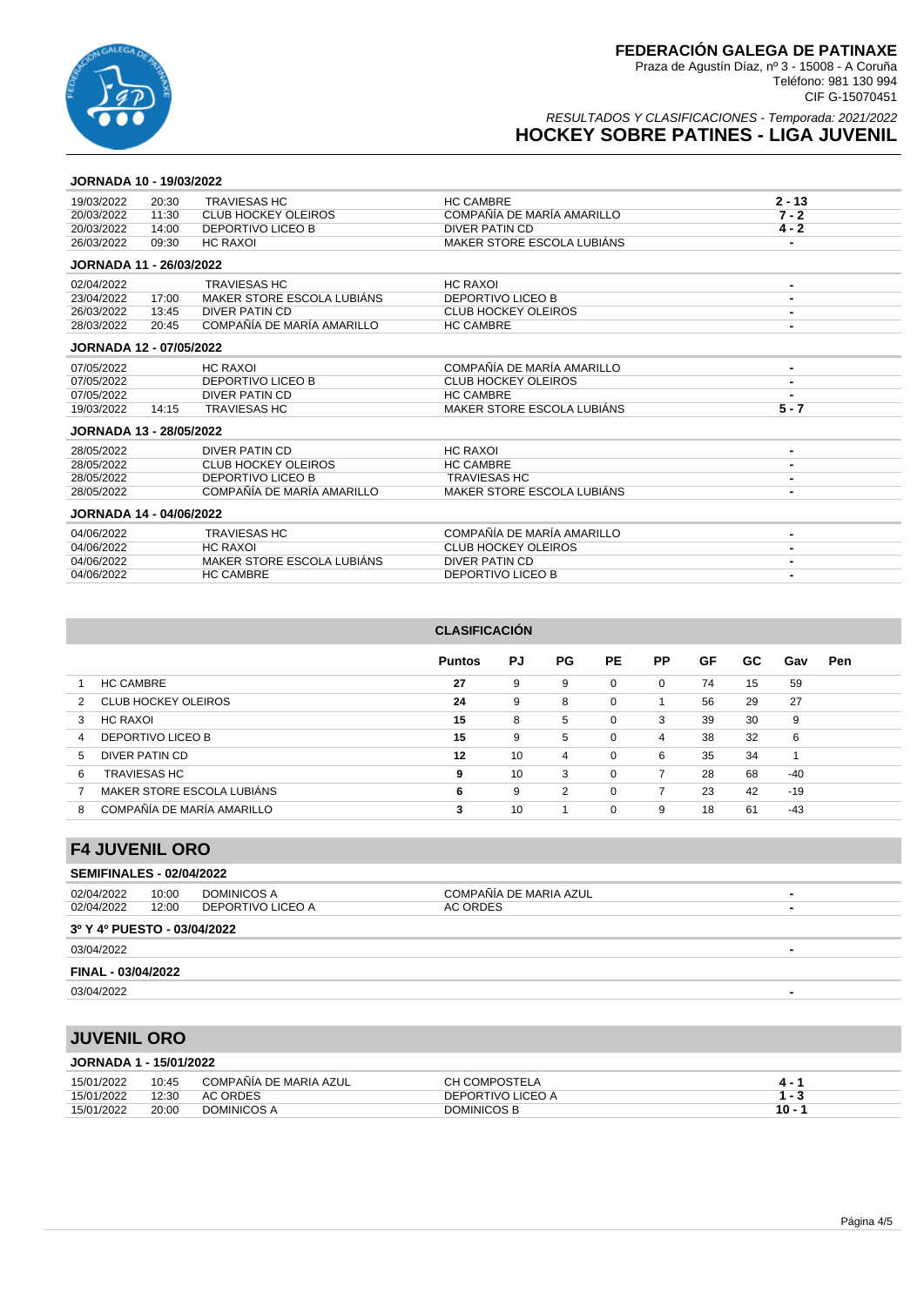

### RESULTADOS Y CLASIFICACIONES - Temporada: 2021/2022 **HOCKEY SOBRE PATINES - LIGA JUVENIL**

### **JORNADA 10 - 19/03/2022**

| 19/03/2022                     | 20:30 | <b>TRAVIESAS HC</b>        | <b>HC CAMBRE</b>           | $2 - 13$       |
|--------------------------------|-------|----------------------------|----------------------------|----------------|
| 20/03/2022                     | 11:30 | <b>CLUB HOCKEY OLEIROS</b> | COMPAÑÍA DE MARÍA AMARILLO | $7 - 2$        |
| 20/03/2022                     | 14:00 | <b>DEPORTIVO LICEO B</b>   | DIVER PATIN CD             | $4 - 2$        |
| 26/03/2022                     | 09:30 | <b>HC RAXOI</b>            | MAKER STORE ESCOLA LUBIÁNS | -              |
| <b>JORNADA 11 - 26/03/2022</b> |       |                            |                            |                |
| 02/04/2022                     |       | <b>TRAVIESAS HC</b>        | <b>HC RAXOI</b>            | $\blacksquare$ |
| 23/04/2022                     | 17:00 | MAKER STORE ESCOLA LUBIÁNS | <b>DEPORTIVO LICEO B</b>   |                |
| 26/03/2022                     | 13:45 | <b>DIVER PATIN CD</b>      | <b>CLUB HOCKEY OLEIROS</b> |                |
| 28/03/2022                     | 20:45 | COMPAÑÍA DE MARÍA AMARILLO | <b>HC CAMBRE</b>           | $\blacksquare$ |
| <b>JORNADA 12 - 07/05/2022</b> |       |                            |                            |                |
| 07/05/2022                     |       | <b>HC RAXOI</b>            | COMPAÑÍA DE MARÍA AMARILLO | $\blacksquare$ |
| 07/05/2022                     |       | <b>DEPORTIVO LICEO B</b>   | <b>CLUB HOCKEY OLEIROS</b> |                |
| 07/05/2022                     |       | <b>DIVER PATIN CD</b>      | <b>HC CAMBRE</b>           |                |
| 19/03/2022                     | 14:15 | <b>TRAVIESAS HC</b>        | MAKER STORE ESCOLA LUBIÁNS | $5 - 7$        |
| <b>JORNADA 13 - 28/05/2022</b> |       |                            |                            |                |
| 28/05/2022                     |       | DIVER PATIN CD             | <b>HC RAXOI</b>            |                |
| 28/05/2022                     |       | <b>CLUB HOCKEY OLEIROS</b> | <b>HC CAMBRE</b>           |                |
| 28/05/2022                     |       | <b>DEPORTIVO LICEO B</b>   | <b>TRAVIESAS HC</b>        |                |
| 28/05/2022                     |       | COMPAÑÍA DE MARÍA AMARILLO | MAKER STORE ESCOLA LUBIÁNS | -              |
| <b>JORNADA 14 - 04/06/2022</b> |       |                            |                            |                |
| 04/06/2022                     |       | <b>TRAVIESAS HC</b>        | COMPAÑÍA DE MARÍA AMARILLO |                |
| 04/06/2022                     |       | <b>HC RAXOI</b>            | <b>CLUB HOCKEY OLEIROS</b> |                |
| 04/06/2022                     |       | MAKER STORE ESCOLA LUBIÁNS | <b>DIVER PATIN CD</b>      |                |
| 04/06/2022                     |       | <b>HC CAMBRE</b>           | <b>DEPORTIVO LICEO B</b>   |                |

### **CLASIFICACIÓN**

|                                 | <b>Puntos</b> | PJ | PG. | <b>PE</b> | <b>PP</b> | GF | GC. | Gav   | <b>Pen</b> |
|---------------------------------|---------------|----|-----|-----------|-----------|----|-----|-------|------------|
| <b>HC CAMBRE</b>                | 27            | 9  | 9   | $\Omega$  | 0         | 74 | 15  | 59    |            |
| CLUB HOCKEY OLEIROS<br>2        | 24            | 9  | 8   | 0         |           | 56 | 29  | 27    |            |
| HC RAXOI<br>3                   | 15            | 8  | 5   | 0         | 3         | 39 | 30  | 9     |            |
| DEPORTIVO LICEO B<br>4          | 15            | 9  | 5   | 0         | 4         | 38 | 32  | 6     |            |
| DIVER PATIN CD<br>5             | 12            | 10 | 4   | 0         | 6         | 35 | 34  |       |            |
| <b>TRAVIESAS HC</b><br>6        | 9             | 10 | 3   | 0         | 7         | 28 | 68  | $-40$ |            |
| MAKER STORE ESCOLA LUBIÁNS      | 6             | 9  | 2   | 0         | 7         | 23 | 42  | $-19$ |            |
| COMPAÑÍA DE MARÍA AMARILLO<br>8 | 3             | 10 |     | 0         | 9         | 18 | 61  | -43   |            |

### **F4 JUVENIL ORO**

### **SEMIFINALES - 02/04/2022**

| 02/04/2022                  | 10:00 | DOMINICOS A       | COMPAÑÍA DE MARIA AZUL | ۰ |
|-----------------------------|-------|-------------------|------------------------|---|
| 02/04/2022                  | 12:00 | DEPORTIVO LICEO A | AC ORDES               | - |
| 3º Y 4º PUESTO - 03/04/2022 |       |                   |                        |   |
| 03/04/2022                  |       |                   |                        |   |
| FINAL - 03/04/2022          |       |                   |                        |   |
| 03/04/2022                  |       |                   |                        | - |

## **JUVENIL ORO**

|  | <b>JORNADA 1 - 15/01/2022</b> |  |  |  |
|--|-------------------------------|--|--|--|
|--|-------------------------------|--|--|--|

| 15/01/2022 | 10:45 | COMPAÑÍA DE MARIA AZUL | <b>CH COMPOSTELA</b> |        |
|------------|-------|------------------------|----------------------|--------|
| 15/01/2022 | 12:30 | AC ORDES               | DEPORTIVO LICEO A    |        |
| 15/01/2022 | 20:00 | DOMINICOS A            | DOMINICOS B          | $10 -$ |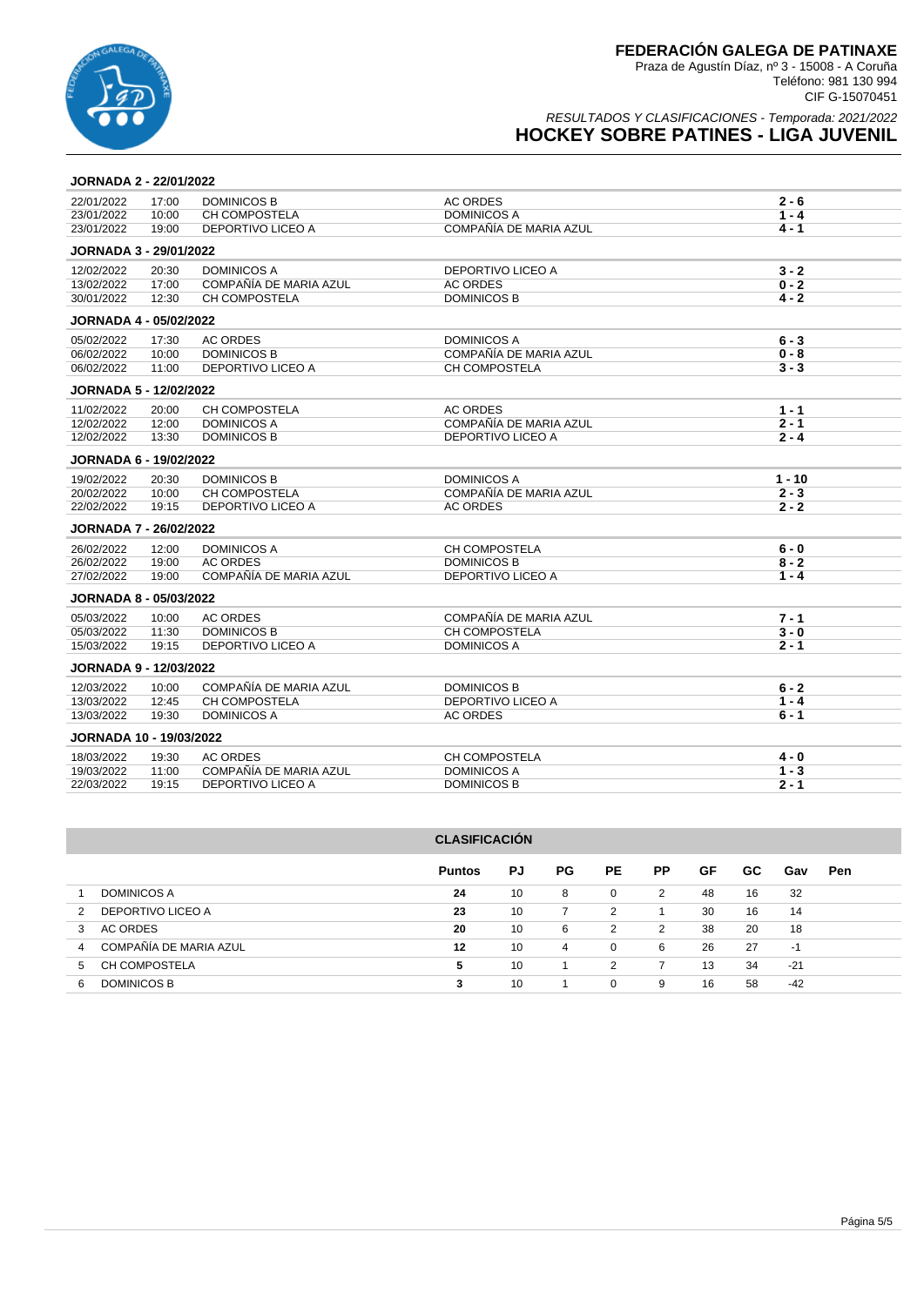

### RESULTADOS Y CLASIFICACIONES - Temporada: 2021/2022 **HOCKEY SOBRE PATINES - LIGA JUVENIL**

### **JORNADA 2 - 22/01/2022**

| 22/01/2022                    | 17:00 | <b>DOMINICOS B</b>       | <b>AC ORDES</b>        | $2 - 6$  |
|-------------------------------|-------|--------------------------|------------------------|----------|
| 23/01/2022                    | 10:00 | <b>CH COMPOSTELA</b>     | DOMINICOS A            | $1 - 4$  |
| 23/01/2022                    | 19:00 | DEPORTIVO LICEO A        | COMPAÑÍA DE MARIA AZUL | $4 - 1$  |
| JORNADA 3 - 29/01/2022        |       |                          |                        |          |
| 12/02/2022                    | 20:30 | <b>DOMINICOS A</b>       | DEPORTIVO LICEO A      | $3 - 2$  |
| 13/02/2022                    | 17:00 | COMPAÑÍA DE MARIA AZUL   | <b>AC ORDES</b>        | $0 - 2$  |
| 30/01/2022                    | 12:30 | CH COMPOSTELA            | <b>DOMINICOS B</b>     | $4 - 2$  |
| <b>JORNADA 4 - 05/02/2022</b> |       |                          |                        |          |
| 05/02/2022                    | 17:30 | <b>AC ORDES</b>          | <b>DOMINICOS A</b>     | $6 - 3$  |
| 06/02/2022                    | 10:00 | <b>DOMINICOS B</b>       | COMPAÑÍA DE MARIA AZUL | $0 - 8$  |
| 06/02/2022                    | 11:00 | <b>DEPORTIVO LICEO A</b> | CH COMPOSTELA          | $3 - 3$  |
| <b>JORNADA 5 - 12/02/2022</b> |       |                          |                        |          |
| 11/02/2022                    | 20:00 | CH COMPOSTELA            | <b>AC ORDES</b>        | $1 - 1$  |
| 12/02/2022                    | 12:00 | <b>DOMINICOS A</b>       | COMPAÑÍA DE MARIA AZUL | $2 - 1$  |
| 12/02/2022                    | 13:30 | <b>DOMINICOS B</b>       | DEPORTIVO LICEO A      | $2 - 4$  |
| <b>JORNADA 6 - 19/02/2022</b> |       |                          |                        |          |
| 19/02/2022                    | 20:30 | <b>DOMINICOS B</b>       | DOMINICOS A            | $1 - 10$ |
| 20/02/2022                    | 10:00 | CH COMPOSTELA            | COMPAÑÍA DE MARIA AZUL | $2 - 3$  |
| 22/02/2022                    | 19:15 | DEPORTIVO LICEO A        | <b>AC ORDES</b>        | $2 - 2$  |
| <b>JORNADA 7 - 26/02/2022</b> |       |                          |                        |          |
| 26/02/2022                    | 12:00 | <b>DOMINICOS A</b>       | CH COMPOSTELA          | $6 - 0$  |
| 26/02/2022                    | 19:00 | <b>AC ORDES</b>          | <b>DOMINICOS B</b>     | $8 - 2$  |
| 27/02/2022                    | 19:00 | COMPAÑÍA DE MARIA AZUL   | DEPORTIVO LICEO A      | $1 - 4$  |
| <b>JORNADA 8 - 05/03/2022</b> |       |                          |                        |          |
| 05/03/2022                    | 10:00 | <b>AC ORDES</b>          | COMPAÑÍA DE MARIA AZUL | 7 - 1    |
| 05/03/2022                    | 11:30 | <b>DOMINICOS B</b>       | <b>CH COMPOSTELA</b>   | $3 - 0$  |
| 15/03/2022                    | 19:15 | <b>DEPORTIVO LICEO A</b> | <b>DOMINICOS A</b>     | $2 - 1$  |
| <b>JORNADA 9 - 12/03/2022</b> |       |                          |                        |          |
| 12/03/2022                    | 10:00 | COMPAÑÍA DE MARIA AZUL   | <b>DOMINICOS B</b>     | $6 - 2$  |
| 13/03/2022                    | 12:45 | <b>CH COMPOSTELA</b>     | DEPORTIVO LICEO A      | $1 - 4$  |
| 13/03/2022                    | 19:30 | <b>DOMINICOS A</b>       | <b>AC ORDES</b>        | $6 - 1$  |
| JORNADA 10 - 19/03/2022       |       |                          |                        |          |
| 18/03/2022                    | 19:30 | <b>AC ORDES</b>          | <b>CH COMPOSTELA</b>   | $4 - 0$  |
| 19/03/2022                    | 11:00 | COMPAÑÍA DE MARIA AZUL   | <b>DOMINICOS A</b>     | $1 - 3$  |
| 22/03/2022                    | 19:15 | DEPORTIVO LICEO A        | <b>DOMINICOS B</b>     | $2 - 1$  |
|                               |       |                          |                        |          |

| <b>CLASIFICACIÓN</b>                     |               |    |                |          |                |    |     |       |            |  |  |
|------------------------------------------|---------------|----|----------------|----------|----------------|----|-----|-------|------------|--|--|
|                                          | <b>Puntos</b> | PJ | PG.            | PE.      | <b>PP</b>      | GF | GC. | Gav   | <b>Pen</b> |  |  |
| <b>DOMINICOS A</b>                       | 24            | 10 | 8              | 0        | 2              | 48 | 16  | 32    |            |  |  |
| DEPORTIVO LICEO A<br>2                   | 23            | 10 | $\overline{7}$ | 2        |                | 30 | 16  | 14    |            |  |  |
| <b>AC ORDES</b><br>3                     | 20            | 10 | 6              | 2        | 2              | 38 | 20  | 18    |            |  |  |
| COMPAÑÍA DE MARIA AZUL<br>$\overline{4}$ | 12            | 10 | $\overline{4}$ | 0        | 6              | 26 | 27  | $-1$  |            |  |  |
| CH COMPOSTELA<br>5                       | 5             | 10 |                | 2        | $\overline{7}$ | 13 | 34  | $-21$ |            |  |  |
| DOMINICOS B<br>6                         | 3             | 10 |                | $\Omega$ | 9              | 16 | 58  | $-42$ |            |  |  |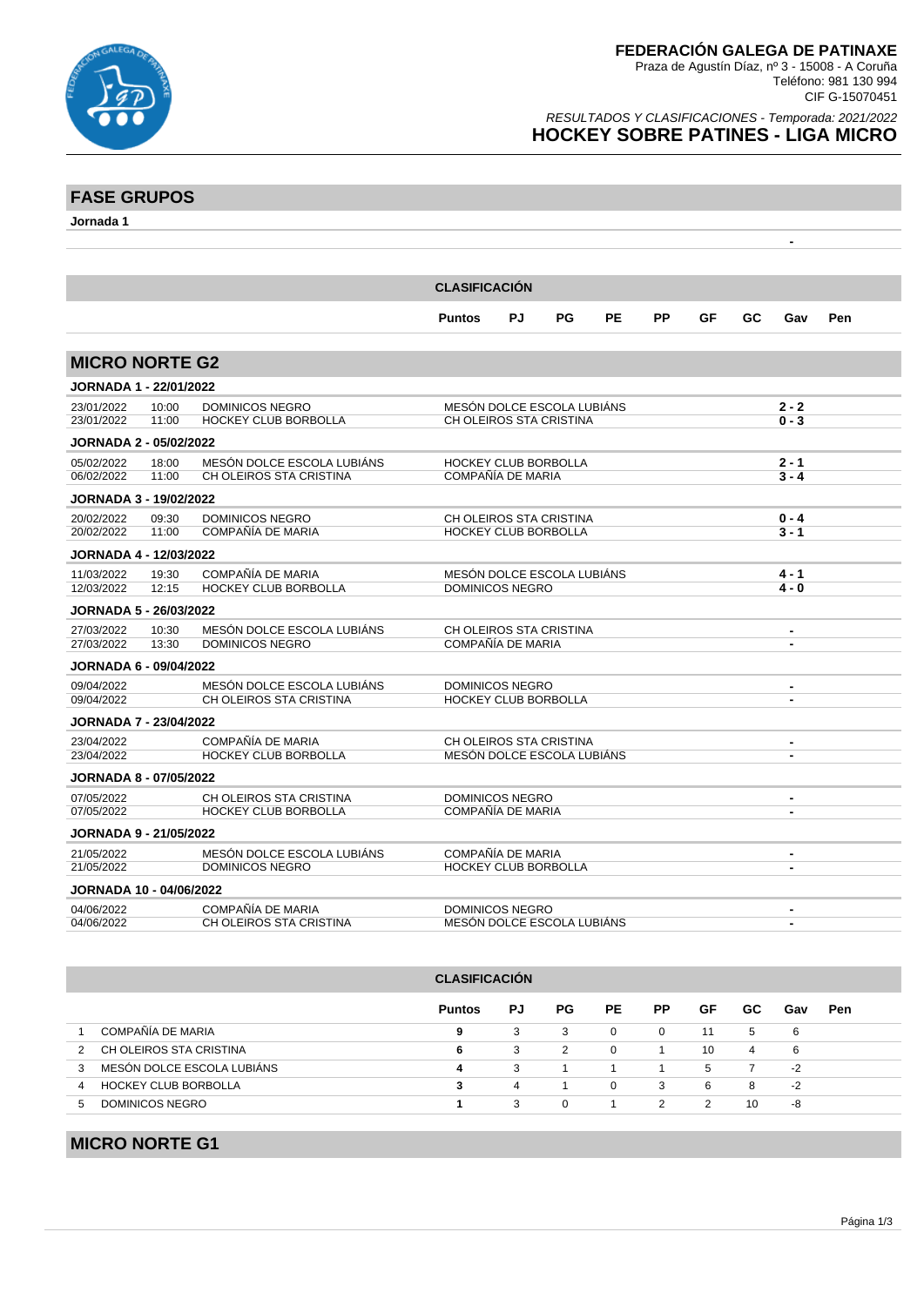

 **-** 

### RESULTADOS Y CLASIFICACIONES - Temporada: 2021/2022 **HOCKEY SOBRE PATINES - LIGA MICRO**

# **FASE GRUPOS**

**Jornada 1**

| <b>CLASIFICACIÓN</b>           |                |                                                        |                                                        |    |    |           |    |    |    |                                  |     |
|--------------------------------|----------------|--------------------------------------------------------|--------------------------------------------------------|----|----|-----------|----|----|----|----------------------------------|-----|
|                                |                |                                                        | <b>Puntos</b>                                          | PJ | PG | <b>PE</b> | PP | GF | GC | Gav                              | Pen |
| <b>MICRO NORTE G2</b>          |                |                                                        |                                                        |    |    |           |    |    |    |                                  |     |
| <b>JORNADA 1 - 22/01/2022</b>  |                |                                                        |                                                        |    |    |           |    |    |    |                                  |     |
| 23/01/2022<br>23/01/2022       | 10:00<br>11:00 | <b>DOMINICOS NEGRO</b><br>HOCKEY CLUB BORBOLLA         | MESÓN DOLCE ESCOLA LUBIÁNS<br>CH OLEIROS STA CRISTINA  |    |    |           |    |    |    | $2 - 2$<br>$0 - 3$               |     |
| <b>JORNADA 2 - 05/02/2022</b>  |                |                                                        |                                                        |    |    |           |    |    |    |                                  |     |
| 05/02/2022<br>06/02/2022       | 18:00<br>11:00 | MESÓN DOLCE ESCOLA LUBIÁNS<br>CH OLEIROS STA CRISTINA  | <b>HOCKEY CLUB BORBOLLA</b><br>COMPAÑÍA DE MARIA       |    |    |           |    |    |    | $2 - 1$<br>$3 - 4$               |     |
| <b>JORNADA 3 - 19/02/2022</b>  |                |                                                        |                                                        |    |    |           |    |    |    |                                  |     |
| 20/02/2022<br>20/02/2022       | 09:30<br>11:00 | <b>DOMINICOS NEGRO</b><br>COMPAÑÍA DE MARIA            | CH OLEIROS STA CRISTINA<br><b>HOCKEY CLUB BORBOLLA</b> |    |    |           |    |    |    | $0 - 4$<br>$3 - 1$               |     |
| JORNADA 4 - 12/03/2022         |                |                                                        |                                                        |    |    |           |    |    |    |                                  |     |
| 11/03/2022<br>12/03/2022       | 19:30<br>12:15 | COMPAÑÍA DE MARIA<br><b>HOCKEY CLUB BORBOLLA</b>       | MESÓN DOLCE ESCOLA LUBIÁNS<br><b>DOMINICOS NEGRO</b>   |    |    |           |    |    |    | 4 - 1<br>$4 - 0$                 |     |
| <b>JORNADA 5 - 26/03/2022</b>  |                |                                                        |                                                        |    |    |           |    |    |    |                                  |     |
| 27/03/2022<br>27/03/2022       | 10:30<br>13:30 | MESÓN DOLCE ESCOLA LUBIÁNS<br><b>DOMINICOS NEGRO</b>   | CH OLEIROS STA CRISTINA<br>COMPAÑÍA DE MARIA           |    |    |           |    |    |    | $\blacksquare$<br>$\blacksquare$ |     |
| <b>JORNADA 6 - 09/04/2022</b>  |                |                                                        |                                                        |    |    |           |    |    |    |                                  |     |
| 09/04/2022<br>09/04/2022       |                | MESÓN DOLCE ESCOLA LUBIÁNS<br>CH OLEIROS STA CRISTINA  | <b>DOMINICOS NEGRO</b><br><b>HOCKEY CLUB BORBOLLA</b>  |    |    |           |    |    |    | $\blacksquare$                   |     |
| <b>JORNADA 7 - 23/04/2022</b>  |                |                                                        |                                                        |    |    |           |    |    |    |                                  |     |
| 23/04/2022<br>23/04/2022       |                | COMPAÑÍA DE MARIA<br>HOCKEY CLUB BORBOLLA              | CH OLEIROS STA CRISTINA<br>MESÓN DOLCE ESCOLA LUBIÁNS  |    |    |           |    |    |    | $\blacksquare$                   |     |
| <b>JORNADA 8 - 07/05/2022</b>  |                |                                                        |                                                        |    |    |           |    |    |    |                                  |     |
| 07/05/2022<br>07/05/2022       |                | CH OLEIROS STA CRISTINA<br><b>HOCKEY CLUB BORBOLLA</b> | <b>DOMINICOS NEGRO</b><br>COMPAÑÍA DE MARIA            |    |    |           |    |    |    | $\blacksquare$<br>$\blacksquare$ |     |
| <b>JORNADA 9 - 21/05/2022</b>  |                |                                                        |                                                        |    |    |           |    |    |    |                                  |     |
| 21/05/2022<br>21/05/2022       |                | MESÓN DOLCE ESCOLA LUBIÁNS<br><b>DOMINICOS NEGRO</b>   | COMPAÑÍA DE MARIA<br><b>HOCKEY CLUB BORBOLLA</b>       |    |    |           |    |    |    | $\blacksquare$<br>$\blacksquare$ |     |
| <b>JORNADA 10 - 04/06/2022</b> |                |                                                        |                                                        |    |    |           |    |    |    |                                  |     |
| 04/06/2022<br>04/06/2022       |                | COMPAÑÍA DE MARIA<br>CH OLEIROS STA CRISTINA           | <b>DOMINICOS NEGRO</b><br>MESÓN DOLCE ESCOLA LUBIÁNS   |    |    |           |    |    |    | $\blacksquare$<br>$\blacksquare$ |     |

# **CLASIFICACIÓN**

|                             | <b>Puntos</b> | PJ | PG. | PE       | PP.      | GF | GC. | Gav | Pen |
|-----------------------------|---------------|----|-----|----------|----------|----|-----|-----|-----|
| COMPAÑÍA DE MARIA           | 9             | 3  | 3   | $\Omega$ | $\Omega$ | 11 | -5  | 6   |     |
| CH OLEIROS STA CRISTINA     | 6.            | 3  | 2   | $\Omega$ |          | 10 | 4   | -6  |     |
| MESÓN DOLCE ESCOLA LUBIÁNS  |               | 3  |     |          |          | 5  |     | -2  |     |
| <b>HOCKEY CLUB BORBOLLA</b> |               | 4  |     | $\Omega$ | 3        | -6 | 8   | -2  |     |
| DOMINICOS NEGRO<br>h        |               | 3  | 0   |          |          |    | 10  | -8  |     |

# **MICRO NORTE G1**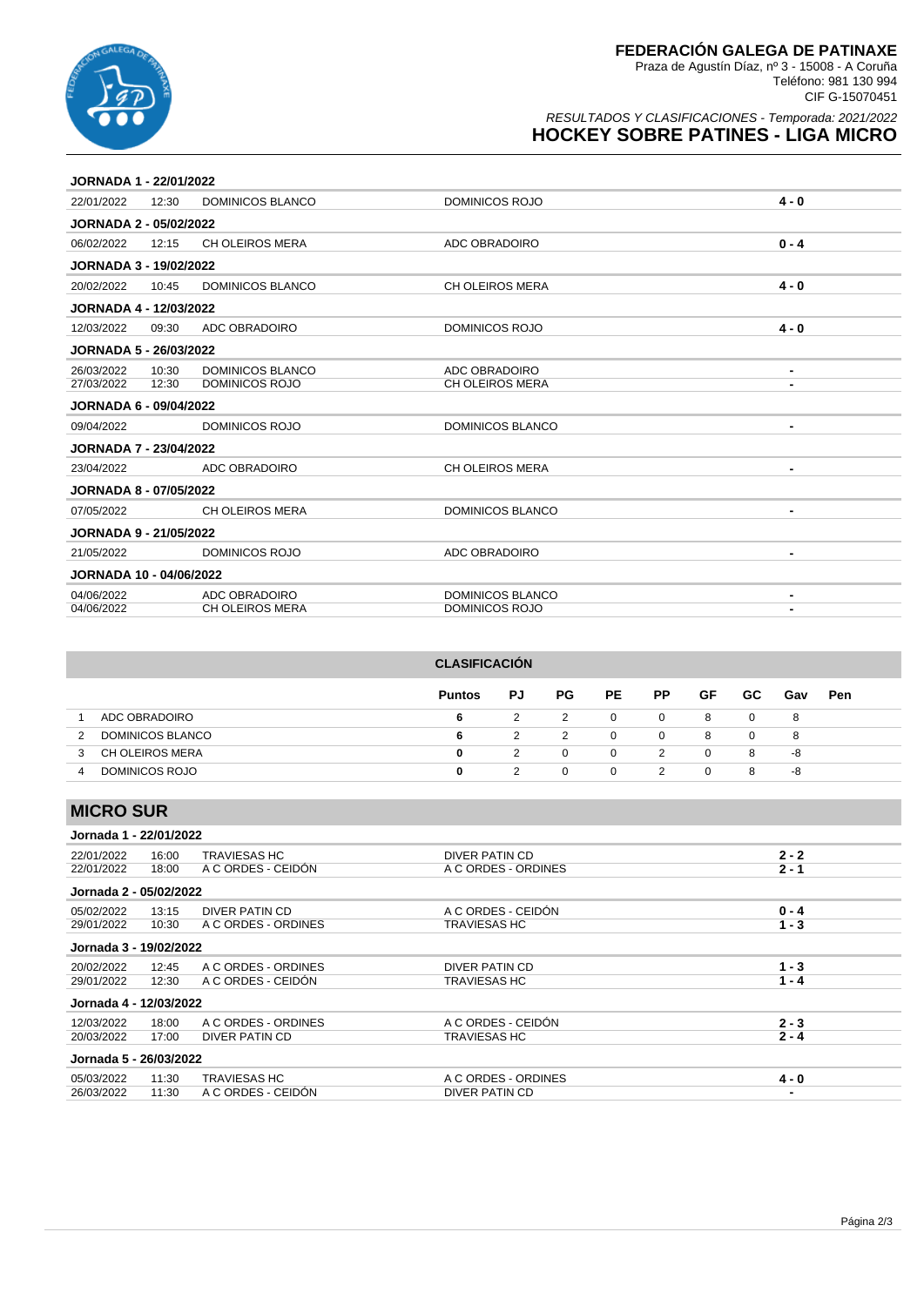

### RESULTADOS Y CLASIFICACIONES - Temporada: 2021/2022 **HOCKEY SOBRE PATINES - LIGA MICRO**

| <b>JORNADA 1 - 22/01/2022</b>  |       |                        |                         |                |
|--------------------------------|-------|------------------------|-------------------------|----------------|
| 22/01/2022                     | 12:30 | DOMINICOS BLANCO       | DOMINICOS ROJO          | $4 - 0$        |
| <b>JORNADA 2 - 05/02/2022</b>  |       |                        |                         |                |
| 06/02/2022                     | 12:15 | <b>CH OLEIROS MERA</b> | ADC OBRADOIRO           | $0 - 4$        |
| <b>JORNADA 3 - 19/02/2022</b>  |       |                        |                         |                |
| 20/02/2022                     | 10:45 | DOMINICOS BLANCO       | <b>CH OLEIROS MERA</b>  | $4 - 0$        |
| <b>JORNADA 4 - 12/03/2022</b>  |       |                        |                         |                |
| 12/03/2022                     | 09:30 | ADC OBRADOIRO          | <b>DOMINICOS ROJO</b>   | $4 - 0$        |
| <b>JORNADA 5 - 26/03/2022</b>  |       |                        |                         |                |
| 26/03/2022                     | 10:30 | DOMINICOS BLANCO       | ADC OBRADOIRO           |                |
| 27/03/2022                     | 12:30 | DOMINICOS ROJO         | <b>CH OLEIROS MERA</b>  |                |
| <b>JORNADA 6 - 09/04/2022</b>  |       |                        |                         |                |
| 09/04/2022                     |       | DOMINICOS ROJO         | <b>DOMINICOS BLANCO</b> | $\blacksquare$ |
| <b>JORNADA 7 - 23/04/2022</b>  |       |                        |                         |                |
| 23/04/2022                     |       | ADC OBRADOIRO          | CH OLEIROS MERA         |                |
| <b>JORNADA 8 - 07/05/2022</b>  |       |                        |                         |                |
| 07/05/2022                     |       | CH OLEIROS MERA        | DOMINICOS BLANCO        | $\blacksquare$ |
| <b>JORNADA 9 - 21/05/2022</b>  |       |                        |                         |                |
| 21/05/2022                     |       | <b>DOMINICOS ROJO</b>  | ADC OBRADOIRO           | $\blacksquare$ |
| <b>JORNADA 10 - 04/06/2022</b> |       |                        |                         |                |
| 04/06/2022                     |       | ADC OBRADOIRO          | <b>DOMINICOS BLANCO</b> |                |
| 04/06/2022                     |       | <b>CH OLEIROS MERA</b> | DOMINICOS ROJO          |                |

|   |                        | <b>CLASIFICACIÓN</b> |    |          |              |                |          |     |     |            |
|---|------------------------|----------------------|----|----------|--------------|----------------|----------|-----|-----|------------|
|   |                        | <b>Puntos</b>        | PJ | PG.      | PE           | <b>PP</b>      | GF       | GC. | Gav | <b>Pen</b> |
|   | ADC OBRADOIRO          | 6                    | 2  | 2        | $\mathbf{0}$ | $\overline{0}$ | 8        | 0   | 8   |            |
| 2 | DOMINICOS BLANCO       | 6                    | 2  | 2        | $\Omega$     | $\mathbf{0}$   | 8        | 0   | 8   |            |
| 3 | <b>CH OLEIROS MERA</b> | 0                    | 2  | $\Omega$ | $\Omega$     | 2              | $\Omega$ | 8   | -8  |            |
| 4 | DOMINICOS ROJO         | 0                    | 2  | 0        | $\Omega$     | 2              | $\Omega$ | -8  | -8  |            |

# **MICRO SUR**

### **Jornada 1 - 22/01/2022**

| 22/01/2022             | 16:00 | <b>TRAVIESAS HC</b> | DIVER PATIN CD      | $2 - 2$ |
|------------------------|-------|---------------------|---------------------|---------|
| 22/01/2022             | 18:00 | A C ORDES - CEIDÓN  | A C ORDES - ORDINES | $2 - 1$ |
| Jornada 2 - 05/02/2022 |       |                     |                     |         |
| 05/02/2022             | 13:15 | DIVER PATIN CD      | A C ORDES - CEIDÓN  | $0 - 4$ |
| 29/01/2022             | 10:30 | A C ORDES - ORDINES | TRAVIESAS HC        | $1 - 3$ |
| Jornada 3 - 19/02/2022 |       |                     |                     |         |
| 20/02/2022             | 12:45 | A C ORDES - ORDINES | DIVER PATIN CD      | $1 - 3$ |
| 29/01/2022             | 12:30 | A C ORDES - CEIDÓN  | <b>TRAVIESAS HC</b> | $1 - 4$ |
| Jornada 4 - 12/03/2022 |       |                     |                     |         |
| 12/03/2022             | 18:00 | A C ORDES - ORDINES | A C ORDES - CEIDÓN  | $2 - 3$ |
| 20/03/2022             | 17:00 | DIVER PATIN CD      | <b>TRAVIESAS HC</b> | $2 - 4$ |
| Jornada 5 - 26/03/2022 |       |                     |                     |         |
| 05/03/2022             | 11:30 | TRAVIESAS HC        | A C ORDES - ORDINES | $4 - 0$ |
| 26/03/2022             | 11:30 | A C ORDES - CEIDÓN  | DIVER PATIN CD      |         |
|                        |       |                     |                     |         |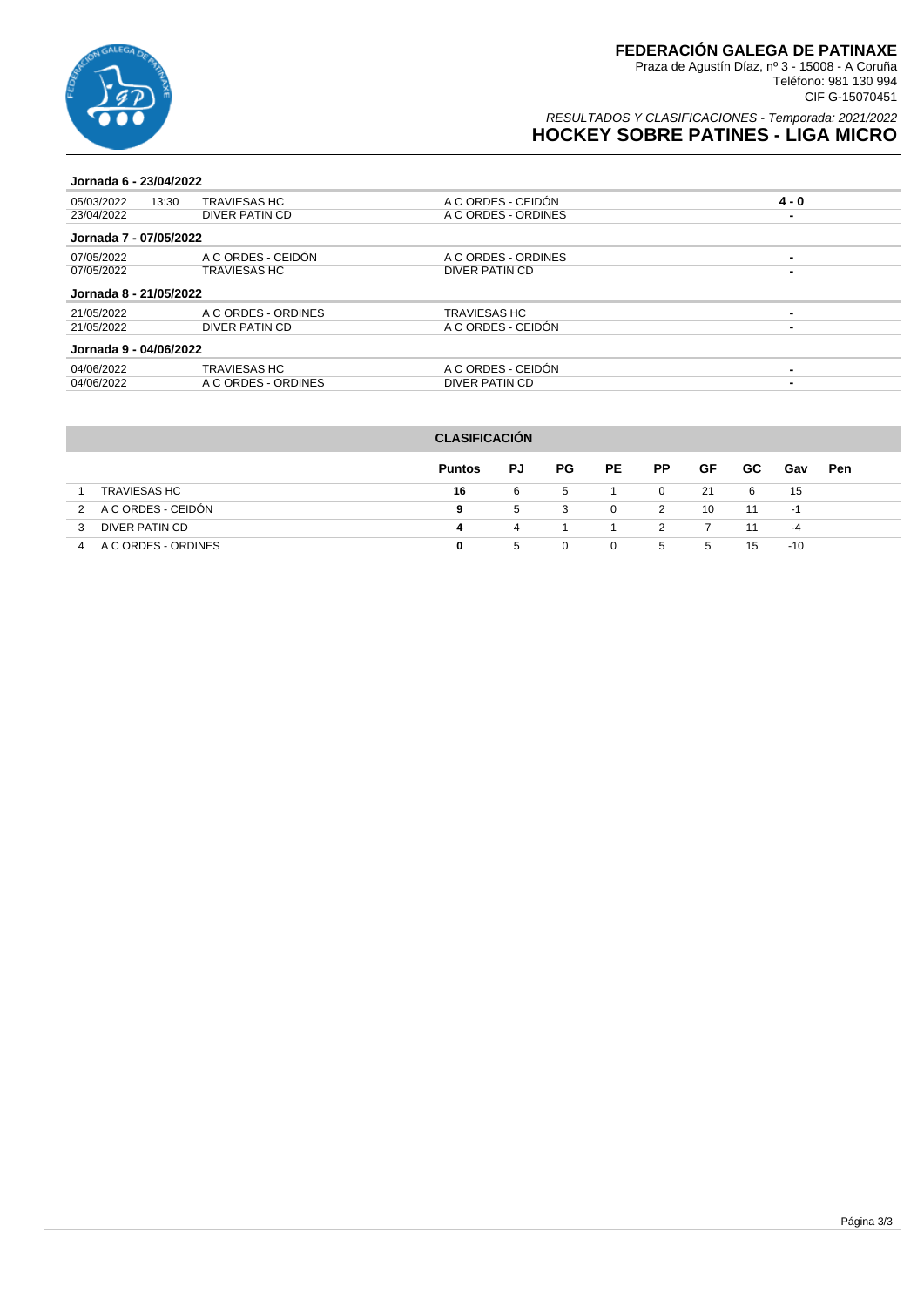

### RESULTADOS Y CLASIFICACIONES - Temporada: 2021/2022 **HOCKEY SOBRE PATINES - LIGA MICRO**

#### **Jornada 6 - 23/04/2022**

| 05/03/2022             | <b>TRAVIESAS HC</b><br>13:30 | A C ORDES - CEIDÓN  | $4 - 0$ |
|------------------------|------------------------------|---------------------|---------|
| 23/04/2022             | DIVER PATIN CD               | A C ORDES - ORDINES |         |
| Jornada 7 - 07/05/2022 |                              |                     |         |
| 07/05/2022             | A C ORDES - CEIDÓN           | A C ORDES - ORDINES |         |
| 07/05/2022             | TRAVIESAS HC                 | DIVER PATIN CD      | -       |
| Jornada 8 - 21/05/2022 |                              |                     |         |
| 21/05/2022             | A C ORDES - ORDINES          | <b>TRAVIESAS HC</b> |         |
| 21/05/2022             | DIVER PATIN CD               | A C ORDES - CEIDÓN  | -       |
| Jornada 9 - 04/06/2022 |                              |                     |         |
| 04/06/2022             | TRAVIESAS HC                 | A C ORDES - CEIDÓN  |         |
| 04/06/2022             | A C ORDES - ORDINES          | DIVER PATIN CD      |         |
|                        |                              |                     |         |

| <b>CLASIFICACIÓN</b> |                     |               |    |     |              |                |    |     |       |            |  |
|----------------------|---------------------|---------------|----|-----|--------------|----------------|----|-----|-------|------------|--|
|                      |                     | <b>Puntos</b> | PJ | PG. | PE           | <b>PP</b>      | GF | GC. | Gav   | <b>Pen</b> |  |
| <b>TRAVIESAS HC</b>  |                     | 16            | 6  | 5   |              | $\overline{0}$ | 21 | 6   | 15    |            |  |
| $\mathcal{P}$        | A C ORDES - CEIDÓN  | 9             | 5  | 3   | $\Omega$     | 2              | 10 | 11  | -1    |            |  |
| 3                    | DIVER PATIN CD      | 4             | 4  |     |              | $\mathcal{L}$  |    | 11  | $-4$  |            |  |
| 4                    | A C ORDES - ORDINES | 0             | 5  | 0   | $\mathbf{0}$ | 5              | 5  | 15  | $-10$ |            |  |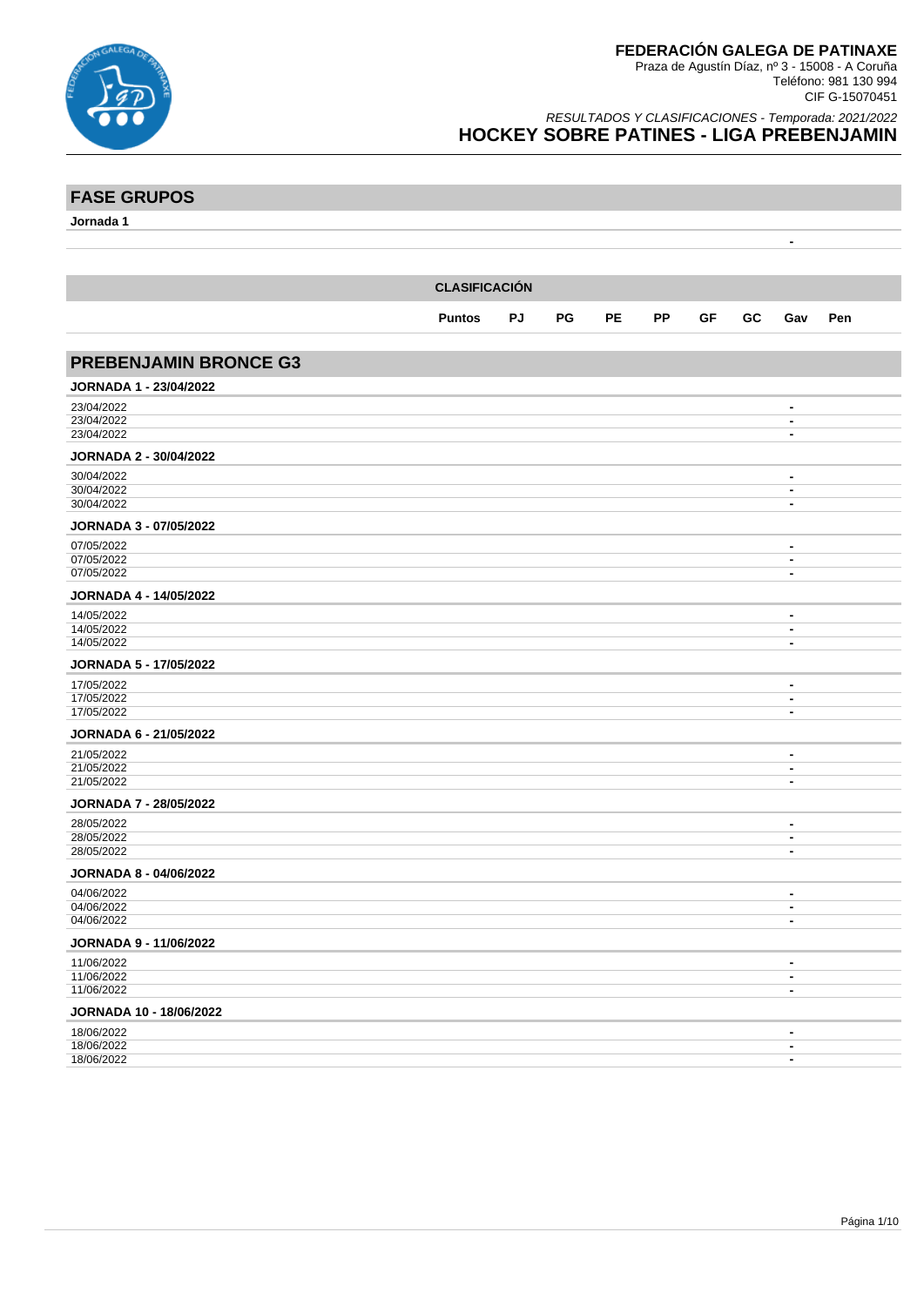

**FASE GRUPOS**

Praza de Agustín Díaz, nº 3 - 15008 - A Coruña Teléfono: 981 130 994 CIF G-15070451

| <b>FASE GRUPOS</b>            |                      |    |    |           |           |    |    |                                  |     |
|-------------------------------|----------------------|----|----|-----------|-----------|----|----|----------------------------------|-----|
| Jornada 1                     |                      |    |    |           |           |    |    |                                  |     |
|                               |                      |    |    |           |           |    |    | $\blacksquare$                   |     |
|                               |                      |    |    |           |           |    |    |                                  |     |
|                               |                      |    |    |           |           |    |    |                                  |     |
|                               | <b>CLASIFICACIÓN</b> |    |    |           |           |    |    |                                  |     |
|                               |                      |    | PG | <b>PE</b> | <b>PP</b> |    | GC |                                  |     |
|                               | <b>Puntos</b>        | PJ |    |           |           | GF |    | Gav                              | Pen |
|                               |                      |    |    |           |           |    |    |                                  |     |
| <b>PREBENJAMIN BRONCE G3</b>  |                      |    |    |           |           |    |    |                                  |     |
| JORNADA 1 - 23/04/2022        |                      |    |    |           |           |    |    |                                  |     |
| 23/04/2022                    |                      |    |    |           |           |    |    | $\blacksquare$                   |     |
| 23/04/2022                    |                      |    |    |           |           |    |    | $\blacksquare$                   |     |
| 23/04/2022                    |                      |    |    |           |           |    |    | $\blacksquare$                   |     |
| <b>JORNADA 2 - 30/04/2022</b> |                      |    |    |           |           |    |    |                                  |     |
| 30/04/2022                    |                      |    |    |           |           |    |    | $\blacksquare$                   |     |
| 30/04/2022                    |                      |    |    |           |           |    |    | $\blacksquare$                   |     |
| 30/04/2022                    |                      |    |    |           |           |    |    | $\blacksquare$                   |     |
| JORNADA 3 - 07/05/2022        |                      |    |    |           |           |    |    |                                  |     |
| 07/05/2022                    |                      |    |    |           |           |    |    | $\qquad \qquad \blacksquare$     |     |
| 07/05/2022                    |                      |    |    |           |           |    |    | $\blacksquare$                   |     |
| 07/05/2022                    |                      |    |    |           |           |    |    | $\blacksquare$                   |     |
| <b>JORNADA 4 - 14/05/2022</b> |                      |    |    |           |           |    |    |                                  |     |
| 14/05/2022                    |                      |    |    |           |           |    |    | $\blacksquare$                   |     |
| 14/05/2022<br>14/05/2022      |                      |    |    |           |           |    |    | $\blacksquare$<br>$\blacksquare$ |     |
|                               |                      |    |    |           |           |    |    |                                  |     |
| JORNADA 5 - 17/05/2022        |                      |    |    |           |           |    |    |                                  |     |
| 17/05/2022<br>17/05/2022      |                      |    |    |           |           |    |    | $\blacksquare$<br>$\blacksquare$ |     |
| 17/05/2022                    |                      |    |    |           |           |    |    | $\blacksquare$                   |     |
| <b>JORNADA 6 - 21/05/2022</b> |                      |    |    |           |           |    |    |                                  |     |
|                               |                      |    |    |           |           |    |    |                                  |     |
| 21/05/2022<br>21/05/2022      |                      |    |    |           |           |    |    | $\blacksquare$<br>$\blacksquare$ |     |
| 21/05/2022                    |                      |    |    |           |           |    |    | $\blacksquare$                   |     |
| <b>JORNADA 7 - 28/05/2022</b> |                      |    |    |           |           |    |    |                                  |     |
| 28/05/2022                    |                      |    |    |           |           |    |    | $\blacksquare$                   |     |
| 28/05/2022                    |                      |    |    |           |           |    |    | $\blacksquare$                   |     |
| 28/05/2022                    |                      |    |    |           |           |    |    | $\blacksquare$                   |     |
| <b>JORNADA 8 - 04/06/2022</b> |                      |    |    |           |           |    |    |                                  |     |
| 04/06/2022                    |                      |    |    |           |           |    |    | $\blacksquare$                   |     |
| 04/06/2022                    |                      |    |    |           |           |    |    | $\blacksquare$                   |     |
| 04/06/2022                    |                      |    |    |           |           |    |    | $\blacksquare$                   |     |
| <b>JORNADA 9 - 11/06/2022</b> |                      |    |    |           |           |    |    |                                  |     |
| 11/06/2022                    |                      |    |    |           |           |    |    | $\blacksquare$                   |     |
| 11/06/2022                    |                      |    |    |           |           |    |    | $\blacksquare$                   |     |
| 11/06/2022                    |                      |    |    |           |           |    |    | $\blacksquare$                   |     |
| JORNADA 10 - 18/06/2022       |                      |    |    |           |           |    |    |                                  |     |
| 18/06/2022                    |                      |    |    |           |           |    |    | $\qquad \qquad \blacksquare$     |     |
| 18/06/2022<br>18/06/2022      |                      |    |    |           |           |    |    | $\blacksquare$<br>$\blacksquare$ |     |
|                               |                      |    |    |           |           |    |    |                                  |     |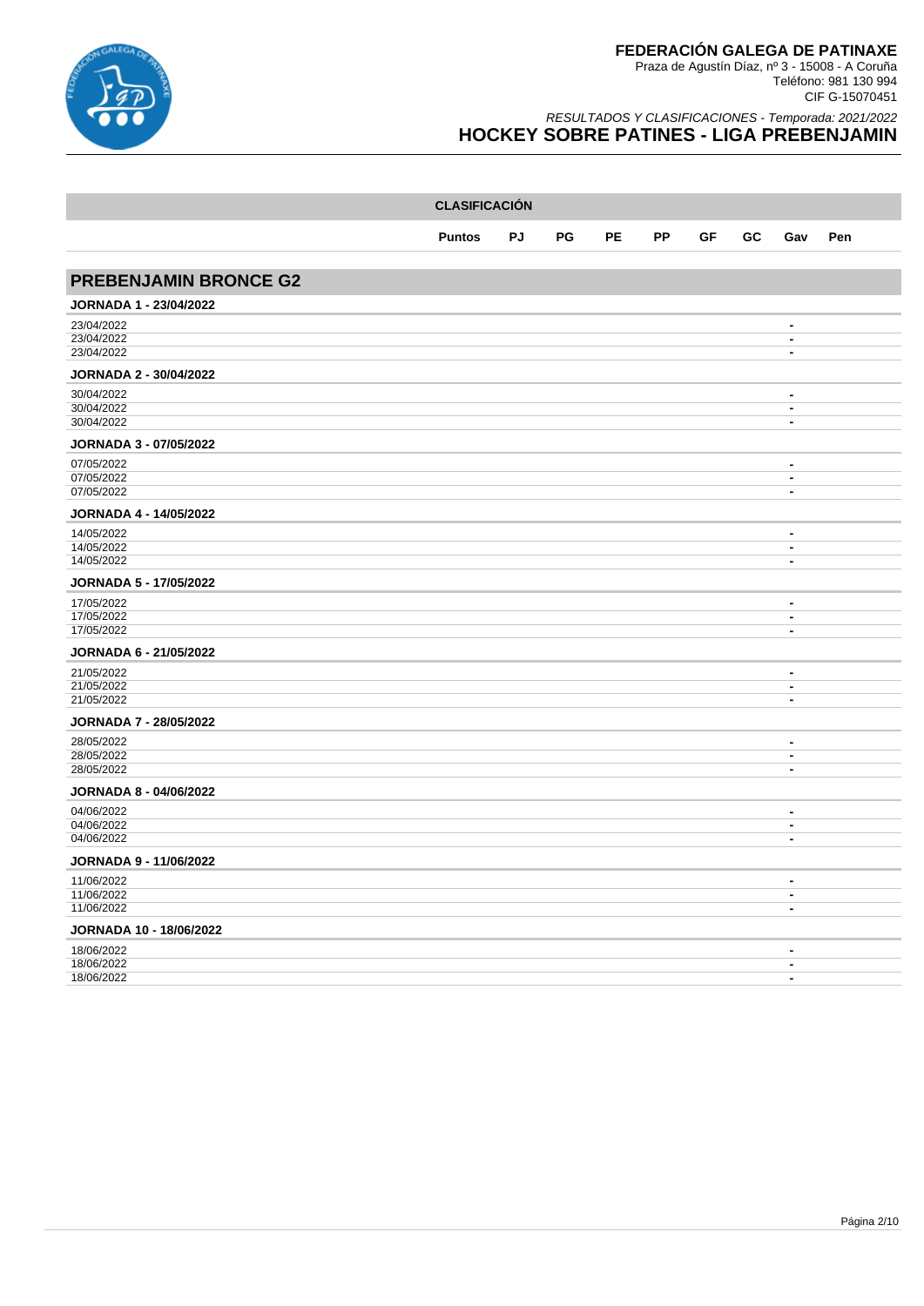

|                                | <b>CLASIFICACIÓN</b> |           |    |           |           |    |    |                                            |     |  |  |
|--------------------------------|----------------------|-----------|----|-----------|-----------|----|----|--------------------------------------------|-----|--|--|
|                                | <b>Puntos</b>        | <b>PJ</b> | PG | <b>PE</b> | <b>PP</b> | GF | GC | Gav                                        | Pen |  |  |
|                                |                      |           |    |           |           |    |    |                                            |     |  |  |
| <b>PREBENJAMIN BRONCE G2</b>   |                      |           |    |           |           |    |    |                                            |     |  |  |
| <b>JORNADA 1 - 23/04/2022</b>  |                      |           |    |           |           |    |    |                                            |     |  |  |
| 23/04/2022                     |                      |           |    |           |           |    |    | $\blacksquare$                             |     |  |  |
| 23/04/2022<br>23/04/2022       |                      |           |    |           |           |    |    | $\overline{\phantom{a}}$<br>$\blacksquare$ |     |  |  |
| <b>JORNADA 2 - 30/04/2022</b>  |                      |           |    |           |           |    |    |                                            |     |  |  |
| 30/04/2022                     |                      |           |    |           |           |    |    | $\blacksquare$                             |     |  |  |
| 30/04/2022                     |                      |           |    |           |           |    |    | $\blacksquare$                             |     |  |  |
| 30/04/2022                     |                      |           |    |           |           |    |    | $\blacksquare$                             |     |  |  |
| JORNADA 3 - 07/05/2022         |                      |           |    |           |           |    |    |                                            |     |  |  |
| 07/05/2022                     |                      |           |    |           |           |    |    | $\blacksquare$                             |     |  |  |
| 07/05/2022<br>07/05/2022       |                      |           |    |           |           |    |    | $\blacksquare$<br>$\blacksquare$           |     |  |  |
| <b>JORNADA 4 - 14/05/2022</b>  |                      |           |    |           |           |    |    |                                            |     |  |  |
|                                |                      |           |    |           |           |    |    |                                            |     |  |  |
| 14/05/2022<br>14/05/2022       |                      |           |    |           |           |    |    | $\blacksquare$<br>$\blacksquare$           |     |  |  |
| 14/05/2022                     |                      |           |    |           |           |    |    | $\blacksquare$                             |     |  |  |
| <b>JORNADA 5 - 17/05/2022</b>  |                      |           |    |           |           |    |    |                                            |     |  |  |
| 17/05/2022                     |                      |           |    |           |           |    |    | $\blacksquare$                             |     |  |  |
| 17/05/2022<br>17/05/2022       |                      |           |    |           |           |    |    | $\overline{\phantom{a}}$<br>$\blacksquare$ |     |  |  |
|                                |                      |           |    |           |           |    |    |                                            |     |  |  |
| <b>JORNADA 6 - 21/05/2022</b>  |                      |           |    |           |           |    |    |                                            |     |  |  |
| 21/05/2022<br>21/05/2022       |                      |           |    |           |           |    |    | $\blacksquare$<br>$\blacksquare$           |     |  |  |
| 21/05/2022                     |                      |           |    |           |           |    |    | $\blacksquare$                             |     |  |  |
| <b>JORNADA 7 - 28/05/2022</b>  |                      |           |    |           |           |    |    |                                            |     |  |  |
| 28/05/2022                     |                      |           |    |           |           |    |    | $\blacksquare$                             |     |  |  |
| 28/05/2022                     |                      |           |    |           |           |    |    | $\blacksquare$                             |     |  |  |
| 28/05/2022                     |                      |           |    |           |           |    |    | $\blacksquare$                             |     |  |  |
| <b>JORNADA 8 - 04/06/2022</b>  |                      |           |    |           |           |    |    |                                            |     |  |  |
| 04/06/2022                     |                      |           |    |           |           |    |    | $\blacksquare$                             |     |  |  |
| 04/06/2022<br>04/06/2022       |                      |           |    |           |           |    |    | $\blacksquare$<br>$\blacksquare$           |     |  |  |
| <b>JORNADA 9 - 11/06/2022</b>  |                      |           |    |           |           |    |    |                                            |     |  |  |
| 11/06/2022                     |                      |           |    |           |           |    |    | $\blacksquare$                             |     |  |  |
| 11/06/2022                     |                      |           |    |           |           |    |    | $\overline{\phantom{a}}$                   |     |  |  |
| 11/06/2022                     |                      |           |    |           |           |    |    | $\overline{\phantom{a}}$                   |     |  |  |
| <b>JORNADA 10 - 18/06/2022</b> |                      |           |    |           |           |    |    |                                            |     |  |  |
| 18/06/2022                     |                      |           |    |           |           |    |    | $\blacksquare$                             |     |  |  |
| 18/06/2022                     |                      |           |    |           |           |    |    | $\overline{\phantom{a}}$                   |     |  |  |
| 18/06/2022                     |                      |           |    |           |           |    |    | $\overline{\phantom{a}}$                   |     |  |  |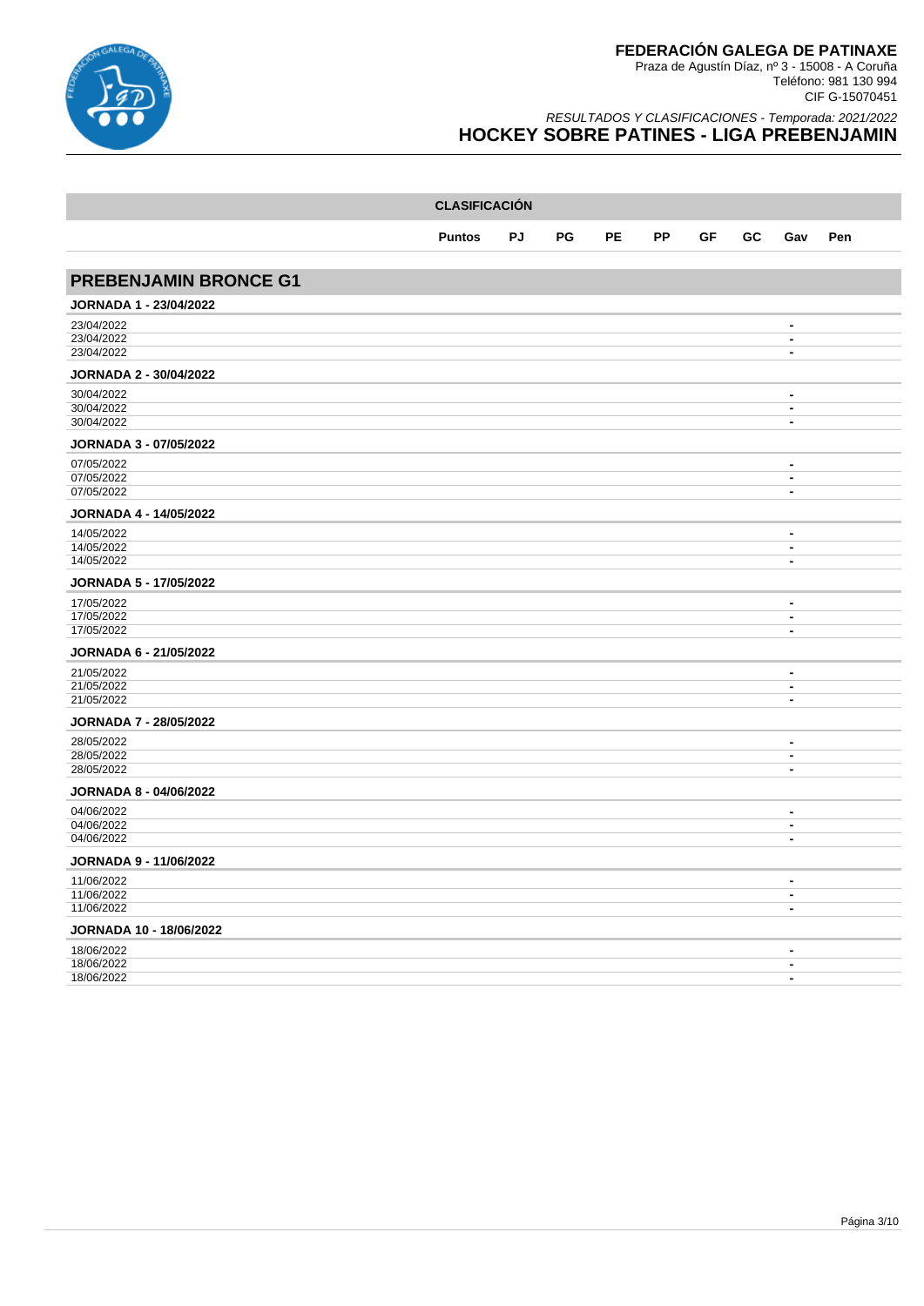

|                                | <b>CLASIFICACIÓN</b> |    |    |           |           |    |    |                                                      |     |
|--------------------------------|----------------------|----|----|-----------|-----------|----|----|------------------------------------------------------|-----|
|                                | <b>Puntos</b>        | PJ | PG | <b>PE</b> | <b>PP</b> | GF | GC | Gav                                                  | Pen |
|                                |                      |    |    |           |           |    |    |                                                      |     |
| <b>PREBENJAMIN BRONCE G1</b>   |                      |    |    |           |           |    |    |                                                      |     |
| <b>JORNADA 1 - 23/04/2022</b>  |                      |    |    |           |           |    |    |                                                      |     |
| 23/04/2022                     |                      |    |    |           |           |    |    | $\overline{\phantom{a}}$                             |     |
| 23/04/2022<br>23/04/2022       |                      |    |    |           |           |    |    | $\overline{\phantom{a}}$<br>$\overline{\phantom{a}}$ |     |
| <b>JORNADA 2 - 30/04/2022</b>  |                      |    |    |           |           |    |    |                                                      |     |
| 30/04/2022                     |                      |    |    |           |           |    |    | $\blacksquare$                                       |     |
| 30/04/2022<br>30/04/2022       |                      |    |    |           |           |    |    | $\overline{\phantom{a}}$<br>$\blacksquare$           |     |
| <b>JORNADA 3 - 07/05/2022</b>  |                      |    |    |           |           |    |    |                                                      |     |
| 07/05/2022                     |                      |    |    |           |           |    |    | $\blacksquare$                                       |     |
| 07/05/2022<br>07/05/2022       |                      |    |    |           |           |    |    | $\blacksquare$<br>$\blacksquare$                     |     |
| <b>JORNADA 4 - 14/05/2022</b>  |                      |    |    |           |           |    |    |                                                      |     |
| 14/05/2022                     |                      |    |    |           |           |    |    | $\blacksquare$                                       |     |
| 14/05/2022                     |                      |    |    |           |           |    |    | $\overline{\phantom{a}}$                             |     |
| 14/05/2022                     |                      |    |    |           |           |    |    | $\blacksquare$                                       |     |
| <b>JORNADA 5 - 17/05/2022</b>  |                      |    |    |           |           |    |    |                                                      |     |
| 17/05/2022                     |                      |    |    |           |           |    |    | $\overline{\phantom{a}}$                             |     |
| 17/05/2022<br>17/05/2022       |                      |    |    |           |           |    |    | $\blacksquare$<br>$\blacksquare$                     |     |
| <b>JORNADA 6 - 21/05/2022</b>  |                      |    |    |           |           |    |    |                                                      |     |
| 21/05/2022                     |                      |    |    |           |           |    |    | $\overline{\phantom{a}}$                             |     |
| 21/05/2022<br>21/05/2022       |                      |    |    |           |           |    |    | $\overline{\phantom{a}}$<br>$\blacksquare$           |     |
| <b>JORNADA 7 - 28/05/2022</b>  |                      |    |    |           |           |    |    |                                                      |     |
| 28/05/2022                     |                      |    |    |           |           |    |    | $\blacksquare$                                       |     |
| 28/05/2022                     |                      |    |    |           |           |    |    | $\blacksquare$                                       |     |
| 28/05/2022                     |                      |    |    |           |           |    |    | $\blacksquare$                                       |     |
| <b>JORNADA 8 - 04/06/2022</b>  |                      |    |    |           |           |    |    |                                                      |     |
| 04/06/2022                     |                      |    |    |           |           |    |    | $\blacksquare$                                       |     |
| 04/06/2022<br>04/06/2022       |                      |    |    |           |           |    |    | $\blacksquare$<br>$\blacksquare$                     |     |
| <b>JORNADA 9 - 11/06/2022</b>  |                      |    |    |           |           |    |    |                                                      |     |
| 11/06/2022                     |                      |    |    |           |           |    |    | $\blacksquare$                                       |     |
| 11/06/2022                     |                      |    |    |           |           |    |    | $\blacksquare$                                       |     |
| 11/06/2022                     |                      |    |    |           |           |    |    | $\blacksquare$                                       |     |
| <b>JORNADA 10 - 18/06/2022</b> |                      |    |    |           |           |    |    |                                                      |     |
| 18/06/2022<br>18/06/2022       |                      |    |    |           |           |    |    | $\blacksquare$<br>$\blacksquare$                     |     |
| 18/06/2022                     |                      |    |    |           |           |    |    | $\blacksquare$                                       |     |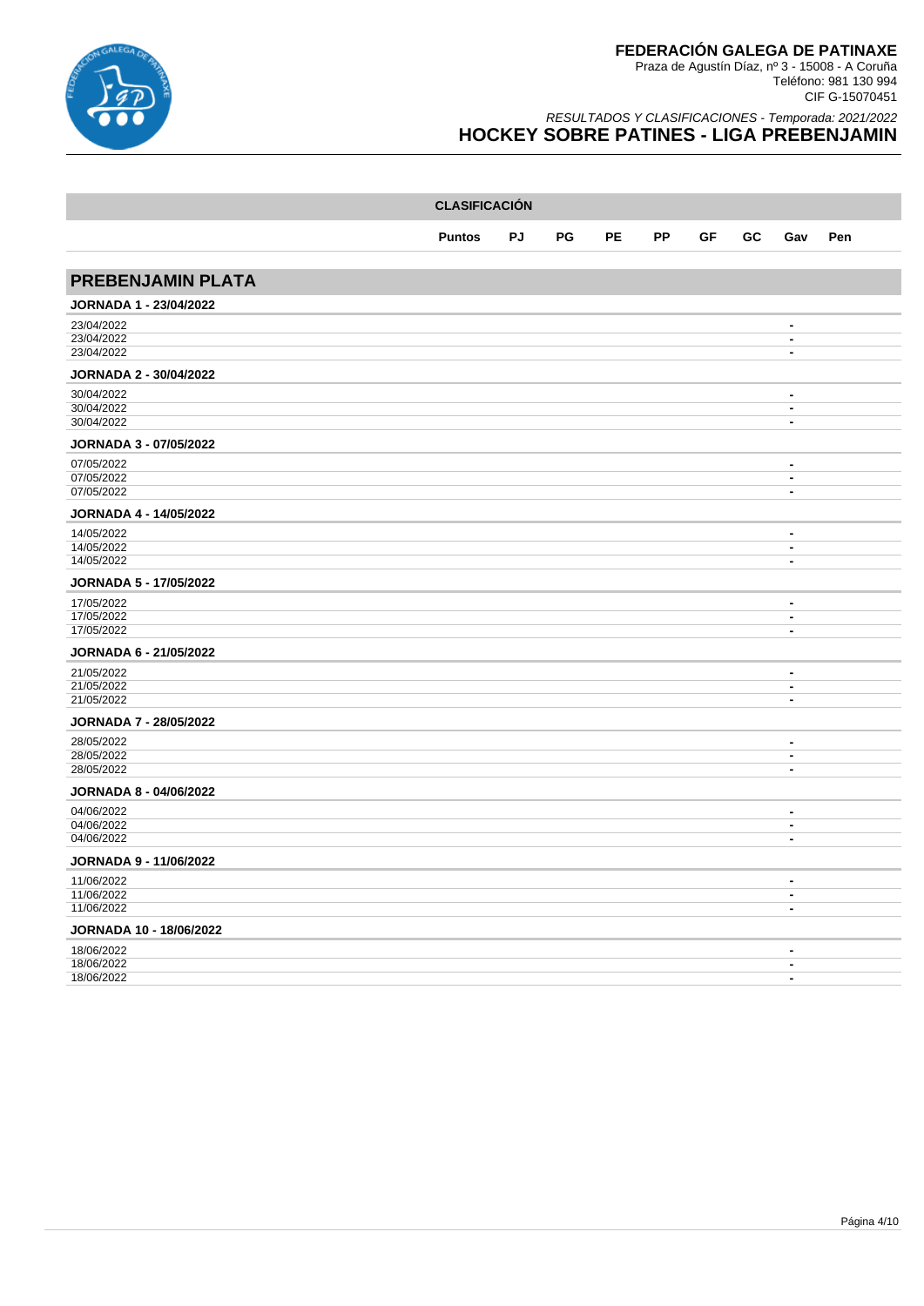

|                                | <b>CLASIFICACIÓN</b> |    |    |           |           |    |    |                                  |     |
|--------------------------------|----------------------|----|----|-----------|-----------|----|----|----------------------------------|-----|
|                                | <b>Puntos</b>        | PJ | PG | <b>PE</b> | <b>PP</b> | GF | GC | Gav                              | Pen |
|                                |                      |    |    |           |           |    |    |                                  |     |
| <b>PREBENJAMIN PLATA</b>       |                      |    |    |           |           |    |    |                                  |     |
| <b>JORNADA 1 - 23/04/2022</b>  |                      |    |    |           |           |    |    |                                  |     |
| 23/04/2022                     |                      |    |    |           |           |    |    | $\blacksquare$                   |     |
| 23/04/2022<br>23/04/2022       |                      |    |    |           |           |    |    | $\blacksquare$<br>$\blacksquare$ |     |
| <b>JORNADA 2 - 30/04/2022</b>  |                      |    |    |           |           |    |    |                                  |     |
| 30/04/2022                     |                      |    |    |           |           |    |    | $\overline{\phantom{a}}$         |     |
| 30/04/2022<br>30/04/2022       |                      |    |    |           |           |    |    | $\blacksquare$<br>$\blacksquare$ |     |
| <b>JORNADA 3 - 07/05/2022</b>  |                      |    |    |           |           |    |    |                                  |     |
| 07/05/2022                     |                      |    |    |           |           |    |    | $\blacksquare$                   |     |
| 07/05/2022                     |                      |    |    |           |           |    |    | $\blacksquare$                   |     |
| 07/05/2022                     |                      |    |    |           |           |    |    | $\blacksquare$                   |     |
| <b>JORNADA 4 - 14/05/2022</b>  |                      |    |    |           |           |    |    |                                  |     |
| 14/05/2022                     |                      |    |    |           |           |    |    | $\overline{\phantom{a}}$         |     |
| 14/05/2022<br>14/05/2022       |                      |    |    |           |           |    |    | $\blacksquare$<br>$\blacksquare$ |     |
| <b>JORNADA 5 - 17/05/2022</b>  |                      |    |    |           |           |    |    |                                  |     |
| 17/05/2022                     |                      |    |    |           |           |    |    | $\blacksquare$                   |     |
| 17/05/2022                     |                      |    |    |           |           |    |    | $\blacksquare$                   |     |
| 17/05/2022                     |                      |    |    |           |           |    |    | $\blacksquare$                   |     |
| JORNADA 6 - 21/05/2022         |                      |    |    |           |           |    |    |                                  |     |
| 21/05/2022<br>21/05/2022       |                      |    |    |           |           |    |    | $\overline{\phantom{a}}$         |     |
| 21/05/2022                     |                      |    |    |           |           |    |    | $\blacksquare$<br>$\blacksquare$ |     |
| <b>JORNADA 7 - 28/05/2022</b>  |                      |    |    |           |           |    |    |                                  |     |
| 28/05/2022                     |                      |    |    |           |           |    |    | $\overline{\phantom{a}}$         |     |
| 28/05/2022                     |                      |    |    |           |           |    |    | $\blacksquare$                   |     |
| 28/05/2022                     |                      |    |    |           |           |    |    | $\blacksquare$                   |     |
| <b>JORNADA 8 - 04/06/2022</b>  |                      |    |    |           |           |    |    |                                  |     |
| 04/06/2022<br>04/06/2022       |                      |    |    |           |           |    |    | $\blacksquare$<br>$\blacksquare$ |     |
| 04/06/2022                     |                      |    |    |           |           |    |    | $\blacksquare$                   |     |
| <b>JORNADA 9 - 11/06/2022</b>  |                      |    |    |           |           |    |    |                                  |     |
| 11/06/2022                     |                      |    |    |           |           |    |    | $\overline{\phantom{a}}$         |     |
| 11/06/2022<br>11/06/2022       |                      |    |    |           |           |    |    | $\blacksquare$<br>$\blacksquare$ |     |
|                                |                      |    |    |           |           |    |    |                                  |     |
| <b>JORNADA 10 - 18/06/2022</b> |                      |    |    |           |           |    |    |                                  |     |
| 18/06/2022<br>18/06/2022       |                      |    |    |           |           |    |    | $\blacksquare$<br>$\blacksquare$ |     |
| 18/06/2022                     |                      |    |    |           |           |    |    | $\blacksquare$                   |     |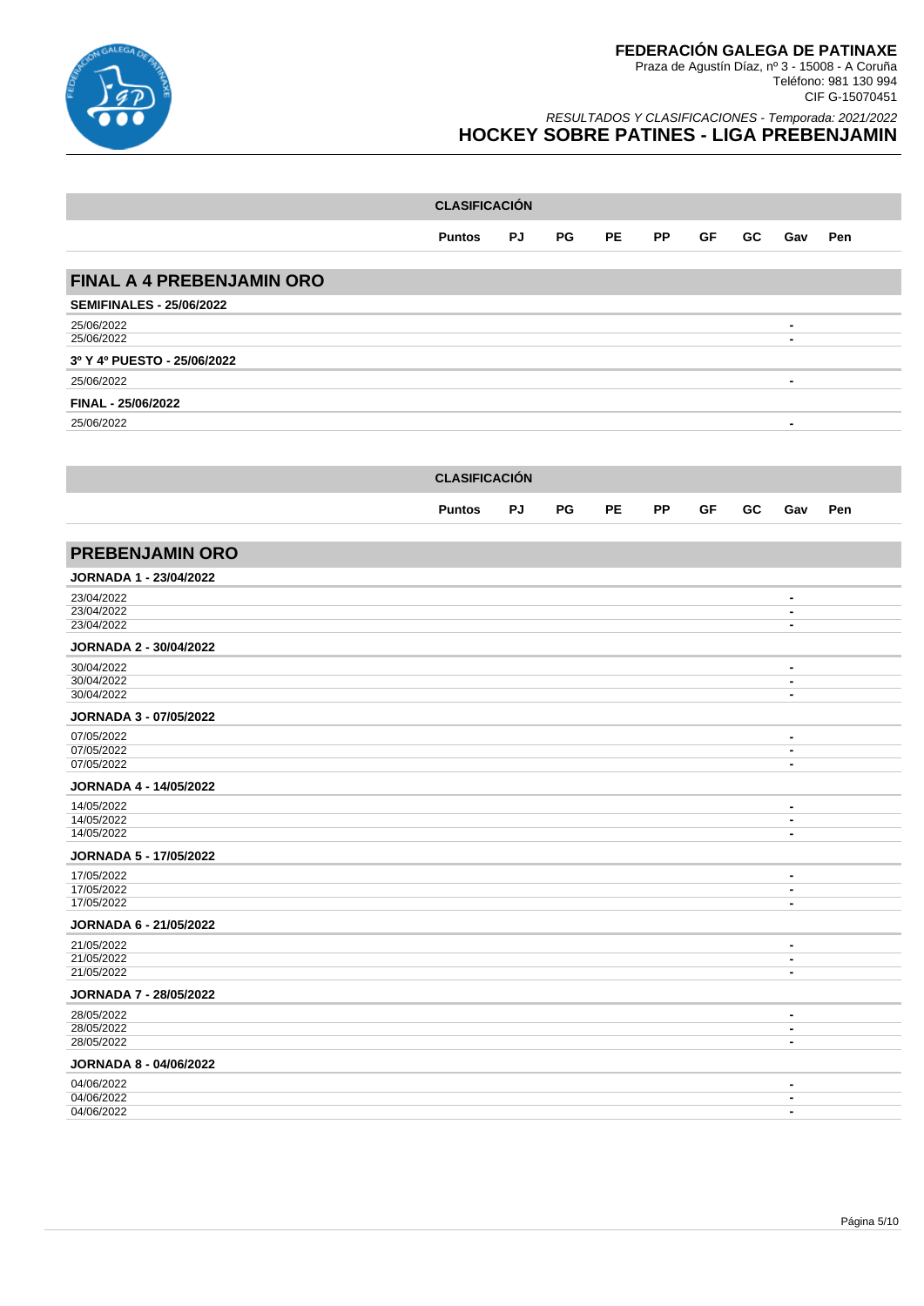

|                                  | <b>CLASIFICACIÓN</b> |    |           |     |           |           |     |                |     |
|----------------------------------|----------------------|----|-----------|-----|-----------|-----------|-----|----------------|-----|
|                                  | Puntos               | PJ | <b>PG</b> | PE. | <b>PP</b> | <b>GF</b> | GC. | Gav            | Pen |
| <b>FINAL A 4 PREBENJAMIN ORO</b> |                      |    |           |     |           |           |     |                |     |
| <b>SEMIFINALES - 25/06/2022</b>  |                      |    |           |     |           |           |     |                |     |
| 25/06/2022                       |                      |    |           |     |           |           |     | $\blacksquare$ |     |
| 25/06/2022                       |                      |    |           |     |           |           |     |                |     |
| 3º Y 4º PUESTO - 25/06/2022      |                      |    |           |     |           |           |     |                |     |
| 25/06/2022                       |                      |    |           |     |           |           |     | $\blacksquare$ |     |
| FINAL - 25/06/2022               |                      |    |           |     |           |           |     |                |     |
| 25/06/2022                       |                      |    |           |     |           |           |     | -              |     |

|                                      | <b>CLASIFICACIÓN</b> |           |    |           |           |           |           |                                  |     |
|--------------------------------------|----------------------|-----------|----|-----------|-----------|-----------|-----------|----------------------------------|-----|
|                                      |                      |           |    |           |           |           |           |                                  |     |
|                                      | <b>Puntos</b>        | <b>PJ</b> | PG | <b>PE</b> | <b>PP</b> | <b>GF</b> | <b>GC</b> | Gav                              | Pen |
|                                      |                      |           |    |           |           |           |           |                                  |     |
| <b>PREBENJAMIN ORO</b>               |                      |           |    |           |           |           |           |                                  |     |
| <b>JORNADA 1 - 23/04/2022</b>        |                      |           |    |           |           |           |           |                                  |     |
| 23/04/2022                           |                      |           |    |           |           |           |           | $\blacksquare$                   |     |
| 23/04/2022<br>23/04/2022             |                      |           |    |           |           |           |           | $\blacksquare$<br>$\blacksquare$ |     |
| JORNADA 2 - 30/04/2022               |                      |           |    |           |           |           |           |                                  |     |
| 30/04/2022                           |                      |           |    |           |           |           |           | $\blacksquare$                   |     |
| 30/04/2022<br>30/04/2022             |                      |           |    |           |           |           |           | $\blacksquare$                   |     |
|                                      |                      |           |    |           |           |           |           | $\blacksquare$                   |     |
| JORNADA 3 - 07/05/2022<br>07/05/2022 |                      |           |    |           |           |           |           |                                  |     |
| 07/05/2022                           |                      |           |    |           |           |           |           | $\blacksquare$<br>$\blacksquare$ |     |
| 07/05/2022                           |                      |           |    |           |           |           |           | $\blacksquare$                   |     |
| <b>JORNADA 4 - 14/05/2022</b>        |                      |           |    |           |           |           |           |                                  |     |
| 14/05/2022                           |                      |           |    |           |           |           |           | $\blacksquare$                   |     |
| 14/05/2022<br>14/05/2022             |                      |           |    |           |           |           |           | $\blacksquare$<br>$\blacksquare$ |     |
| JORNADA 5 - 17/05/2022               |                      |           |    |           |           |           |           |                                  |     |
| 17/05/2022                           |                      |           |    |           |           |           |           | $\blacksquare$                   |     |
| 17/05/2022<br>17/05/2022             |                      |           |    |           |           |           |           | $\blacksquare$<br>$\blacksquare$ |     |
| JORNADA 6 - 21/05/2022               |                      |           |    |           |           |           |           |                                  |     |
| 21/05/2022                           |                      |           |    |           |           |           |           | $\blacksquare$                   |     |
| 21/05/2022                           |                      |           |    |           |           |           |           | $\blacksquare$                   |     |
| 21/05/2022                           |                      |           |    |           |           |           |           | $\blacksquare$                   |     |
| <b>JORNADA 7 - 28/05/2022</b>        |                      |           |    |           |           |           |           |                                  |     |
| 28/05/2022<br>28/05/2022             |                      |           |    |           |           |           |           | $\blacksquare$<br>$\blacksquare$ |     |
| 28/05/2022                           |                      |           |    |           |           |           |           | $\blacksquare$                   |     |
| <b>JORNADA 8 - 04/06/2022</b>        |                      |           |    |           |           |           |           |                                  |     |
| 04/06/2022                           |                      |           |    |           |           |           |           | $\blacksquare$                   |     |
| 04/06/2022<br>04/06/2022             |                      |           |    |           |           |           |           | $\blacksquare$<br>$\blacksquare$ |     |
|                                      |                      |           |    |           |           |           |           |                                  |     |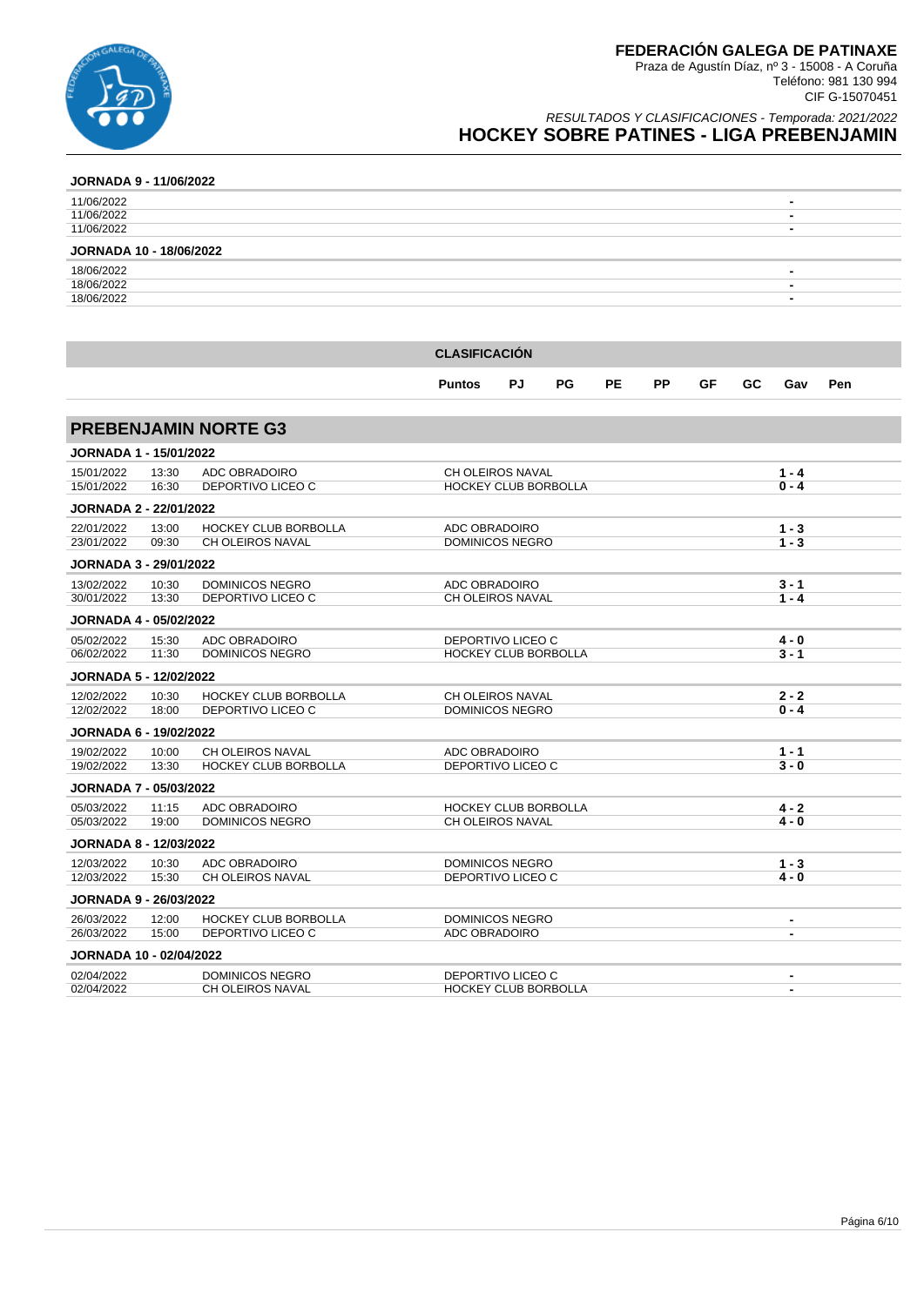

RESULTADOS Y CLASIFICACIONES - Temporada: 2021/2022 **HOCKEY SOBRE PATINES - LIGA PREBENJAMIN**

### **JORNADA 9 - 11/06/2022**

| 11/06/2022                     | $\overline{\phantom{0}}$ |
|--------------------------------|--------------------------|
| 11/06/2022                     | $\overline{\phantom{0}}$ |
| 11/06/2022                     | -                        |
| <b>JORNADA 10 - 18/06/2022</b> |                          |
| 18/06/2022                     | -                        |
|                                |                          |
| 18/06/2022                     | -                        |

|                               |                |                                                  | <b>CLASIFICACION</b>                            |                        |           |     |           |           |         |                    |     |  |  |  |
|-------------------------------|----------------|--------------------------------------------------|-------------------------------------------------|------------------------|-----------|-----|-----------|-----------|---------|--------------------|-----|--|--|--|
|                               |                |                                                  | <b>Puntos</b>                                   | PJ                     | <b>PG</b> | PE. | <b>PP</b> | <b>GF</b> | GC.     | Gav                | Pen |  |  |  |
|                               |                | <b>PREBENJAMIN NORTE G3</b>                      |                                                 |                        |           |     |           |           |         |                    |     |  |  |  |
| <b>JORNADA 1 - 15/01/2022</b> |                |                                                  |                                                 |                        |           |     |           |           |         |                    |     |  |  |  |
| 15/01/2022                    | 13:30          | ADC OBRADOIRO                                    | CH OLEIROS NAVAL<br><b>HOCKEY CLUB BORBOLLA</b> |                        |           |     |           |           | $1 - 4$ |                    |     |  |  |  |
| 15/01/2022                    | 16:30          | DEPORTIVO LICEO C                                |                                                 |                        | $0 - 4$   |     |           |           |         |                    |     |  |  |  |
| <b>JORNADA 2 - 22/01/2022</b> |                |                                                  |                                                 |                        |           |     |           |           |         |                    |     |  |  |  |
| 22/01/2022<br>23/01/2022      | 13:00<br>09:30 | <b>HOCKEY CLUB BORBOLLA</b><br>CH OLEIROS NAVAL  | ADC OBRADOIRO                                   |                        |           |     |           |           |         | $1 - 3$<br>$1 - 3$ |     |  |  |  |
|                               |                |                                                  |                                                 | <b>DOMINICOS NEGRO</b> |           |     |           |           |         |                    |     |  |  |  |
| <b>JORNADA 3 - 29/01/2022</b> |                |                                                  |                                                 |                        |           |     |           |           |         |                    |     |  |  |  |
| 13/02/2022<br>30/01/2022      | 10:30<br>13:30 | <b>DOMINICOS NEGRO</b><br>DEPORTIVO LICEO C      | ADC OBRADOIRO<br>CH OLEIROS NAVAL               |                        |           |     |           |           |         | $3 - 1$<br>$1 - 4$ |     |  |  |  |
| <b>JORNADA 4 - 05/02/2022</b> |                |                                                  |                                                 |                        |           |     |           |           |         |                    |     |  |  |  |
| 05/02/2022                    | 15:30          | ADC OBRADOIRO                                    | DEPORTIVO LICEO C                               |                        |           |     |           |           | 4 - 0   |                    |     |  |  |  |
| 06/02/2022                    | 11:30          | <b>DOMINICOS NEGRO</b>                           | <b>HOCKEY CLUB BORBOLLA</b>                     |                        |           |     |           |           |         | $3 - 1$            |     |  |  |  |
| JORNADA 5 - 12/02/2022        |                |                                                  |                                                 |                        |           |     |           |           |         |                    |     |  |  |  |
| 12/02/2022                    | 10:30          | <b>HOCKEY CLUB BORBOLLA</b>                      | CH OLEIROS NAVAL                                |                        |           |     |           |           |         | $2 - 2$            |     |  |  |  |
| 12/02/2022                    | 18:00          | DEPORTIVO LICEO C                                | <b>DOMINICOS NEGRO</b>                          |                        |           |     |           |           |         | $0 - 4$            |     |  |  |  |
| <b>JORNADA 6 - 19/02/2022</b> |                |                                                  |                                                 |                        |           |     |           |           |         |                    |     |  |  |  |
| 19/02/2022                    | 10:00          | CH OLEIROS NAVAL                                 | ADC OBRADOIRO                                   |                        |           |     |           |           |         | $1 - 1$            |     |  |  |  |
| 19/02/2022                    | 13:30          | <b>HOCKEY CLUB BORBOLLA</b>                      | DEPORTIVO LICEO C                               |                        |           |     |           |           |         | $3 - 0$            |     |  |  |  |
| JORNADA 7 - 05/03/2022        |                |                                                  |                                                 |                        |           |     |           |           |         |                    |     |  |  |  |
| 05/03/2022<br>05/03/2022      | 11:15<br>19:00 | <b>ADC OBRADOIRO</b><br><b>DOMINICOS NEGRO</b>   | <b>HOCKEY CLUB BORBOLLA</b><br>CH OLEIROS NAVAL |                        |           |     |           |           |         | 4 - 2<br>4 - 0     |     |  |  |  |
|                               |                |                                                  |                                                 |                        |           |     |           |           |         |                    |     |  |  |  |
| <b>JORNADA 8 - 12/03/2022</b> |                |                                                  |                                                 |                        |           |     |           |           |         |                    |     |  |  |  |
| 12/03/2022<br>12/03/2022      | 10:30<br>15:30 | ADC OBRADOIRO<br>CH OLEIROS NAVAL                | <b>DOMINICOS NEGRO</b><br>DEPORTIVO LICEO C     |                        |           |     |           |           |         | $1 - 3$<br>4 - 0   |     |  |  |  |
| <b>JORNADA 9 - 26/03/2022</b> |                |                                                  |                                                 |                        |           |     |           |           |         |                    |     |  |  |  |
| 26/03/2022                    |                |                                                  |                                                 | <b>DOMINICOS NEGRO</b> |           |     |           |           |         | $\blacksquare$     |     |  |  |  |
| 26/03/2022                    | 12:00<br>15:00 | <b>HOCKEY CLUB BORBOLLA</b><br>DEPORTIVO LICEO C |                                                 | ADC OBRADOIRO          |           |     |           |           |         | $\blacksquare$     |     |  |  |  |
| JORNADA 10 - 02/04/2022       |                |                                                  |                                                 |                        |           |     |           |           |         |                    |     |  |  |  |
| 02/04/2022                    |                | <b>DOMINICOS NEGRO</b>                           | DEPORTIVO LICEO C                               |                        |           |     |           |           |         | $\blacksquare$     |     |  |  |  |
| 02/04/2022                    |                | CH OLEIROS NAVAL                                 | <b>HOCKEY CLUB BORBOLLA</b>                     |                        |           |     |           |           |         | $\blacksquare$     |     |  |  |  |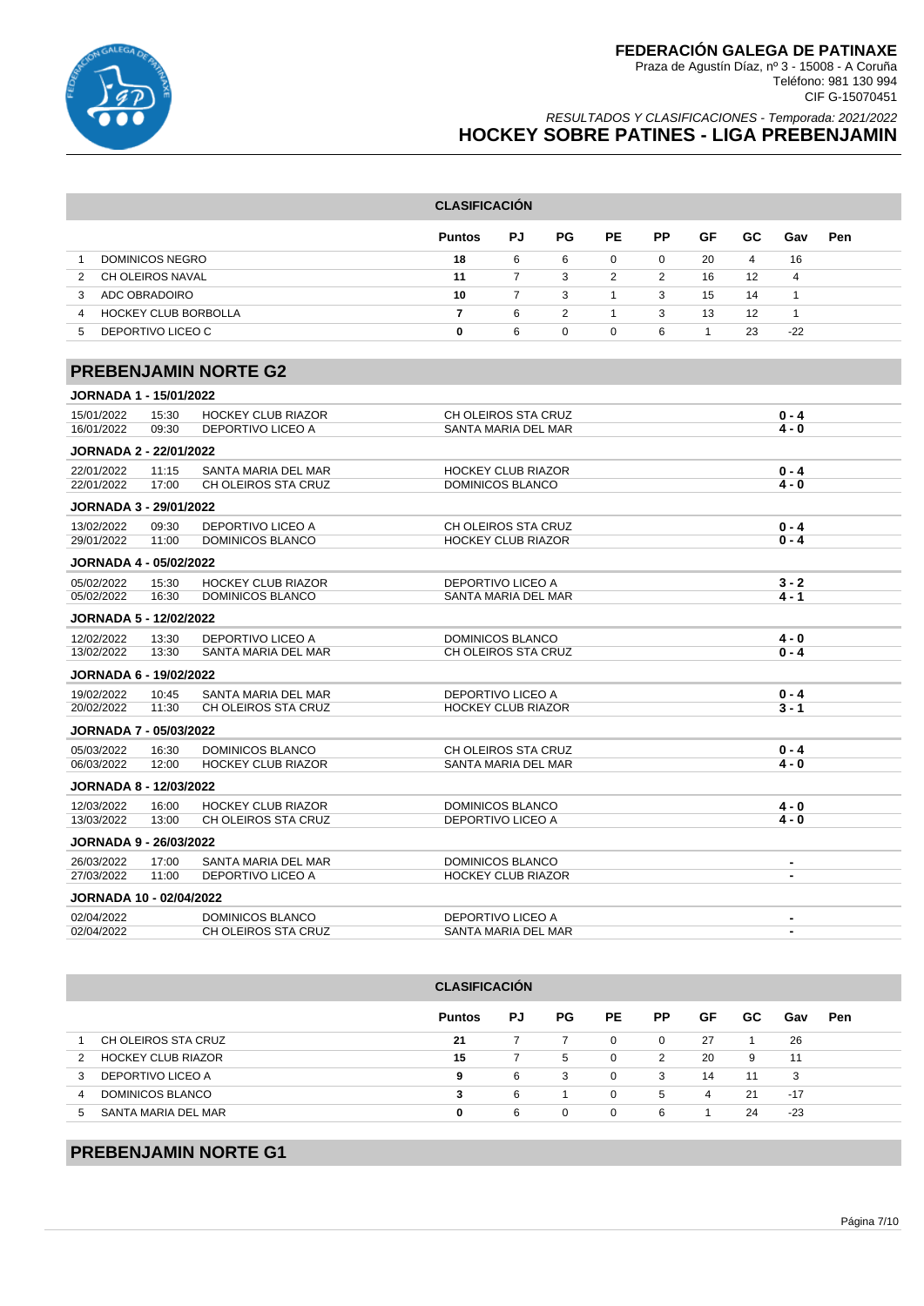

### RESULTADOS Y CLASIFICACIONES - Temporada: 2021/2022 **HOCKEY SOBRE PATINES - LIGA PREBENJAMIN**

|                                |                        |                                                | <b>CLASIFICACIÓN</b>                       |                |                |                |                |              |                |                          |     |  |
|--------------------------------|------------------------|------------------------------------------------|--------------------------------------------|----------------|----------------|----------------|----------------|--------------|----------------|--------------------------|-----|--|
|                                |                        |                                                | <b>Puntos</b>                              | PJ             | PG             | PE             | PP             | GF           | GC             | Gav                      | Pen |  |
| $\mathbf{1}$                   | <b>DOMINICOS NEGRO</b> |                                                | 18                                         | 6              | 6              | $\Omega$       | $\Omega$       | 20           | $\overline{4}$ | 16                       |     |  |
| $\overline{2}$                 | CH OLEIROS NAVAL       |                                                | 11                                         | $\overline{7}$ | 3              | $\overline{2}$ | $\overline{2}$ | 16           | 12             | $\overline{4}$           |     |  |
| 3                              | ADC OBRADOIRO          |                                                | 10                                         | $\overline{7}$ | 3              | $\mathbf{1}$   | 3              | 15           | 14             | $\mathbf{1}$             |     |  |
| $\overline{4}$                 | HOCKEY CLUB BORBOLLA   |                                                | $\overline{7}$                             | 6              | $\overline{2}$ | $\mathbf{1}$   | 3              | 13           | 12             | $\mathbf{1}$             |     |  |
| 5                              | DEPORTIVO LICEO C      |                                                | 0                                          | 6              | $\Omega$       | $\Omega$       | 6              | $\mathbf{1}$ | 23             | $-22$                    |     |  |
|                                |                        | <b>PREBENJAMIN NORTE G2</b>                    |                                            |                |                |                |                |              |                |                          |     |  |
| <b>JORNADA 1 - 15/01/2022</b>  |                        |                                                |                                            |                |                |                |                |              |                |                          |     |  |
| 15/01/2022<br>16/01/2022       | 15:30<br>09:30         | <b>HOCKEY CLUB RIAZOR</b><br>DEPORTIVO LICEO A | CH OLEIROS STA CRUZ<br>SANTA MARIA DEL MAR |                |                |                |                |              |                | $0 - 4$<br>$4 - 0$       |     |  |
| <b>JORNADA 2 - 22/01/2022</b>  |                        |                                                |                                            |                |                |                |                |              |                |                          |     |  |
| 22/01/2022                     | 11:15                  | SANTA MARIA DEL MAR                            | <b>HOCKEY CLUB RIAZOR</b>                  |                |                |                |                |              |                | $0 - 4$                  |     |  |
| 22/01/2022                     | 17:00                  | CH OLEIROS STA CRUZ                            | DOMINICOS BLANCO                           |                |                |                |                |              |                | $4 - 0$                  |     |  |
| <b>JORNADA 3 - 29/01/2022</b>  |                        |                                                |                                            |                |                |                |                |              |                |                          |     |  |
| 13/02/2022                     | 09:30                  | <b>DEPORTIVO LICEO A</b>                       | CH OLEIROS STA CRUZ                        |                |                |                |                |              |                | $0 - 4$                  |     |  |
| 29/01/2022                     | 11:00                  | <b>DOMINICOS BLANCO</b>                        | <b>HOCKEY CLUB RIAZOR</b>                  |                |                |                |                |              |                | $0 - 4$                  |     |  |
| <b>JORNADA 4 - 05/02/2022</b>  |                        |                                                |                                            |                |                |                |                |              |                |                          |     |  |
| 05/02/2022                     | 15:30                  | <b>HOCKEY CLUB RIAZOR</b>                      | <b>DEPORTIVO LICEO A</b>                   |                |                |                |                |              |                | $3 - 2$                  |     |  |
| 05/02/2022                     | 16:30                  | DOMINICOS BLANCO                               | SANTA MARIA DEL MAR                        |                |                | $4 - 1$        |                |              |                |                          |     |  |
| <b>JORNADA 5 - 12/02/2022</b>  |                        |                                                |                                            |                |                |                |                |              |                |                          |     |  |
| 12/02/2022                     | 13:30                  | <b>DEPORTIVO LICEO A</b>                       | <b>DOMINICOS BLANCO</b>                    |                |                |                |                |              |                | $4 - 0$                  |     |  |
| 13/02/2022                     | 13:30                  | SANTA MARIA DEL MAR                            | CH OLEIROS STA CRUZ                        |                |                |                |                | $0 - 4$      |                |                          |     |  |
| <b>JORNADA 6 - 19/02/2022</b>  |                        |                                                |                                            |                |                |                |                |              |                |                          |     |  |
| 19/02/2022                     | 10:45                  | SANTA MARIA DEL MAR                            | <b>DEPORTIVO LICEO A</b>                   |                |                |                |                |              |                | $0 - 4$                  |     |  |
| 20/02/2022                     | 11:30                  | CH OLEIROS STA CRUZ                            | <b>HOCKEY CLUB RIAZOR</b>                  |                |                | $3 - 1$        |                |              |                |                          |     |  |
| <b>JORNADA 7 - 05/03/2022</b>  |                        |                                                |                                            |                |                |                |                |              |                |                          |     |  |
| 05/03/2022                     | 16:30                  | DOMINICOS BLANCO                               | CH OLEIROS STA CRUZ                        |                |                |                |                |              |                | $0 - 4$                  |     |  |
| 06/03/2022                     | 12:00                  | <b>HOCKEY CLUB RIAZOR</b>                      | SANTA MARIA DEL MAR                        |                |                |                |                |              |                | $4 - 0$                  |     |  |
| <b>JORNADA 8 - 12/03/2022</b>  |                        |                                                |                                            |                |                |                |                |              |                |                          |     |  |
| 12/03/2022                     | 16:00                  | <b>HOCKEY CLUB RIAZOR</b>                      | <b>DOMINICOS BLANCO</b>                    |                |                |                |                |              |                | $4 - 0$                  |     |  |
| 13/03/2022                     | 13:00                  | CH OLEIROS STA CRUZ                            | <b>DEPORTIVO LICEO A</b>                   |                |                |                | $4 - 0$        |              |                |                          |     |  |
| <b>JORNADA 9 - 26/03/2022</b>  |                        |                                                |                                            |                |                |                |                |              |                |                          |     |  |
| 26/03/2022                     | 17:00                  | SANTA MARIA DEL MAR                            | DOMINICOS BLANCO                           |                |                |                |                |              |                | $\blacksquare$           |     |  |
| 27/03/2022                     | 11:00                  | <b>DEPORTIVO LICEO A</b>                       | <b>HOCKEY CLUB RIAZOR</b>                  |                |                |                |                |              |                | $\blacksquare$           |     |  |
| <b>JORNADA 10 - 02/04/2022</b> |                        |                                                |                                            |                |                |                |                |              |                |                          |     |  |
| 02/04/2022                     |                        | DOMINICOS BLANCO                               | DEPORTIVO LICEO A                          |                |                |                |                |              |                | $\blacksquare$           |     |  |
| 02/04/2022                     |                        | CH OLEIROS STA CRUZ                            | SANTA MARIA DEL MAR                        |                |                |                |                |              |                | $\overline{\phantom{a}}$ |     |  |

### **CLASIFICACIÓN**

|                                | <b>Puntos</b> | PJ | PG. | PE.      | <b>PP</b>      | GF | GC. | Gav   | <b>Pen</b> |
|--------------------------------|---------------|----|-----|----------|----------------|----|-----|-------|------------|
| CH OLEIROS STA CRUZ            | 21            |    |     | $\Omega$ | $\overline{0}$ | 27 |     | 26    |            |
| <b>HOCKEY CLUB RIAZOR</b><br>2 | 15            |    | b.  | $\Omega$ | 2              | 20 | 9   | 11    |            |
| DEPORTIVO LICEO A<br>3         | 9             | 6  | 3   | $\Omega$ | 3              | 14 | 11  | 3     |            |
| DOMINICOS BLANCO               | 3             | 6  |     | $\Omega$ | $5^{\circ}$    | 4  | 21  | $-17$ |            |
| SANTA MARIA DEL MAR<br>.h      | 0             | 6  | 0   | 0        | 6              |    | 24  | $-23$ |            |

# **PREBENJAMIN NORTE G1**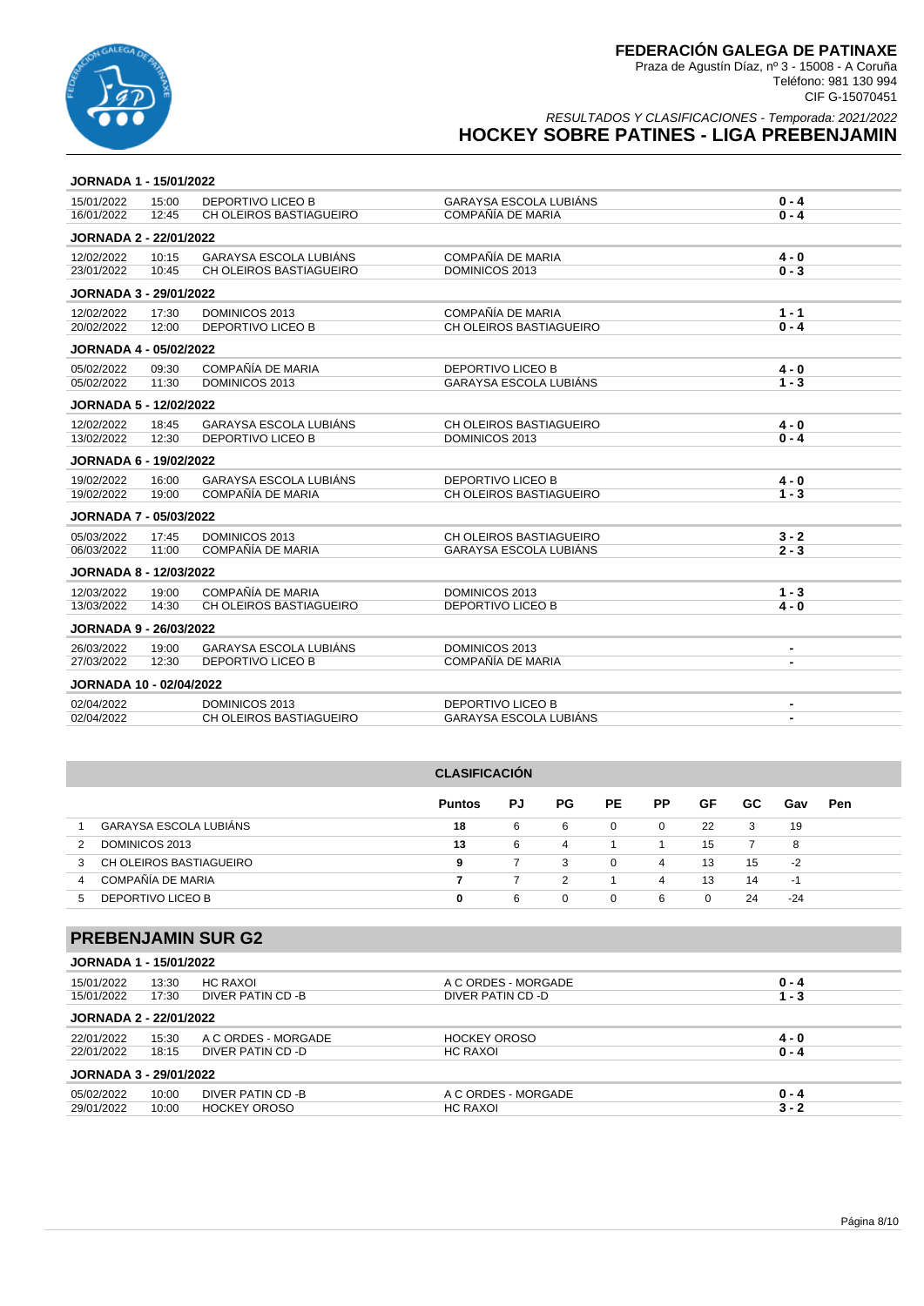

RESULTADOS Y CLASIFICACIONES - Temporada: 2021/2022 **HOCKEY SOBRE PATINES - LIGA PREBENJAMIN**

| <b>JORNADA 1 - 15/01/2022</b>  |       |                               |                               |                |
|--------------------------------|-------|-------------------------------|-------------------------------|----------------|
| 15/01/2022                     | 15:00 | <b>DEPORTIVO LICEO B</b>      | <b>GARAYSA ESCOLA LUBIÁNS</b> | $0 - 4$        |
| 16/01/2022                     | 12:45 | CH OLEIROS BASTIAGUEIRO       | COMPAÑÍA DE MARIA             | $0 - 4$        |
| <b>JORNADA 2 - 22/01/2022</b>  |       |                               |                               |                |
| 12/02/2022                     | 10:15 | <b>GARAYSA ESCOLA LUBIÁNS</b> | COMPAÑÍA DE MARIA             | $4 - 0$        |
| 23/01/2022                     | 10:45 | CH OLEIROS BASTIAGUEIRO       | DOMINICOS 2013                | $0 - 3$        |
| JORNADA 3 - 29/01/2022         |       |                               |                               |                |
| 12/02/2022                     | 17:30 | DOMINICOS 2013                | COMPAÑÍA DE MARIA             | $1 - 1$        |
| 20/02/2022                     | 12:00 | <b>DEPORTIVO LICEO B</b>      | CH OLEIROS BASTIAGUEIRO       | $0 - 4$        |
| <b>JORNADA 4 - 05/02/2022</b>  |       |                               |                               |                |
| 05/02/2022                     | 09:30 | COMPAÑÍA DE MARIA             | <b>DEPORTIVO LICEO B</b>      | $4 - 0$        |
| 05/02/2022                     | 11:30 | DOMINICOS 2013                | <b>GARAYSA ESCOLA LUBIÁNS</b> | $1 - 3$        |
| <b>JORNADA 5 - 12/02/2022</b>  |       |                               |                               |                |
| 12/02/2022                     | 18:45 | <b>GARAYSA ESCOLA LUBIÁNS</b> | CH OLEIROS BASTIAGUEIRO       | $4 - 0$        |
| 13/02/2022                     | 12:30 | <b>DEPORTIVO LICEO B</b>      | DOMINICOS 2013                | $0 - 4$        |
| <b>JORNADA 6 - 19/02/2022</b>  |       |                               |                               |                |
| 19/02/2022                     | 16:00 | <b>GARAYSA ESCOLA LUBIÁNS</b> | <b>DEPORTIVO LICEO B</b>      | $4 - 0$        |
| 19/02/2022                     | 19:00 | COMPAÑÍA DE MARIA             | CH OLEIROS BASTIAGUEIRO       | $1 - 3$        |
| JORNADA 7 - 05/03/2022         |       |                               |                               |                |
| 05/03/2022                     | 17:45 | DOMINICOS 2013                | CH OLEIROS BASTIAGUEIRO       | $3 - 2$        |
| 06/03/2022                     | 11:00 | COMPAÑÍA DE MARIA             | <b>GARAYSA ESCOLA LUBIÁNS</b> | $2 - 3$        |
| <b>JORNADA 8 - 12/03/2022</b>  |       |                               |                               |                |
| 12/03/2022                     | 19:00 | COMPAÑÍA DE MARIA             | DOMINICOS 2013                | $1 - 3$        |
| 13/03/2022                     | 14:30 | CH OLEIROS BASTIAGUEIRO       | <b>DEPORTIVO LICEO B</b>      | $4 - 0$        |
| <b>JORNADA 9 - 26/03/2022</b>  |       |                               |                               |                |
| 26/03/2022                     | 19:00 | <b>GARAYSA ESCOLA LUBIÁNS</b> | DOMINICOS 2013                |                |
| 27/03/2022                     | 12:30 | <b>DEPORTIVO LICEO B</b>      | COMPAÑÍA DE MARIA             | $\blacksquare$ |
| <b>JORNADA 10 - 02/04/2022</b> |       |                               |                               |                |
| 02/04/2022                     |       | DOMINICOS 2013                | DEPORTIVO LICEO B             | $\blacksquare$ |
| 02/04/2022                     |       | CH OLEIROS BASTIAGUEIRO       | <b>GARAYSA ESCOLA LUBIÁNS</b> | $\blacksquare$ |
|                                |       |                               |                               |                |

|   |                         | <b>CLASIFICACIÓN</b> |    |               |          |             |          |     |      |            |
|---|-------------------------|----------------------|----|---------------|----------|-------------|----------|-----|------|------------|
|   |                         | <b>Puntos</b>        | PJ | PG.           | PE.      | <b>PP</b>   | GF       | GC. | Gav  | <b>Pen</b> |
|   | GARAYSA ESCOLA LUBIÁNS  | 18                   | 6  | 6             | 0        | $\mathbf 0$ | 22       | 3   | 19   |            |
|   | DOMINICOS 2013          | 13                   | 6  | 4             |          | 1           | 15       |     | 8    |            |
| 3 | CH OLEIROS BASTIAGUEIRO | 9                    | 7  | 3             | 0        | 4           | 13       | 15  | $-2$ |            |
| 4 | COMPAÑÍA DE MARIA       |                      |    | $\mathcal{P}$ |          | 4           | 13       | 14  | -1   |            |
| 5 | DEPORTIVO LICEO B       | $\bf{0}$             | 6  | 0             | $\Omega$ | 6           | $\Omega$ | 24  | -24  |            |

# **PREBENJAMIN SUR G2**

|                               |       | <b>PREDENJAMIN SUR UZ</b> |                     |         |
|-------------------------------|-------|---------------------------|---------------------|---------|
| <b>JORNADA 1 - 15/01/2022</b> |       |                           |                     |         |
| 15/01/2022                    | 13:30 | HC RAXOI                  | A C ORDES - MORGADE | $0 - 4$ |
| 15/01/2022                    | 17:30 | DIVER PATIN CD -B         | DIVER PATIN CD -D   | $1 - 3$ |
| <b>JORNADA 2 - 22/01/2022</b> |       |                           |                     |         |
| 22/01/2022                    | 15:30 | A C ORDES - MORGADE       | <b>HOCKEY OROSO</b> | $4 - 0$ |
| 22/01/2022                    | 18:15 | DIVER PATIN CD -D         | <b>HC RAXOI</b>     | $0 - 4$ |
| JORNADA 3 - 29/01/2022        |       |                           |                     |         |
| 05/02/2022                    | 10:00 | DIVER PATIN CD -B         | A C ORDES - MORGADE | $0 - 4$ |
| 29/01/2022                    | 10:00 | <b>HOCKEY OROSO</b>       | <b>HC RAXOI</b>     | $3 - 2$ |
|                               |       |                           |                     |         |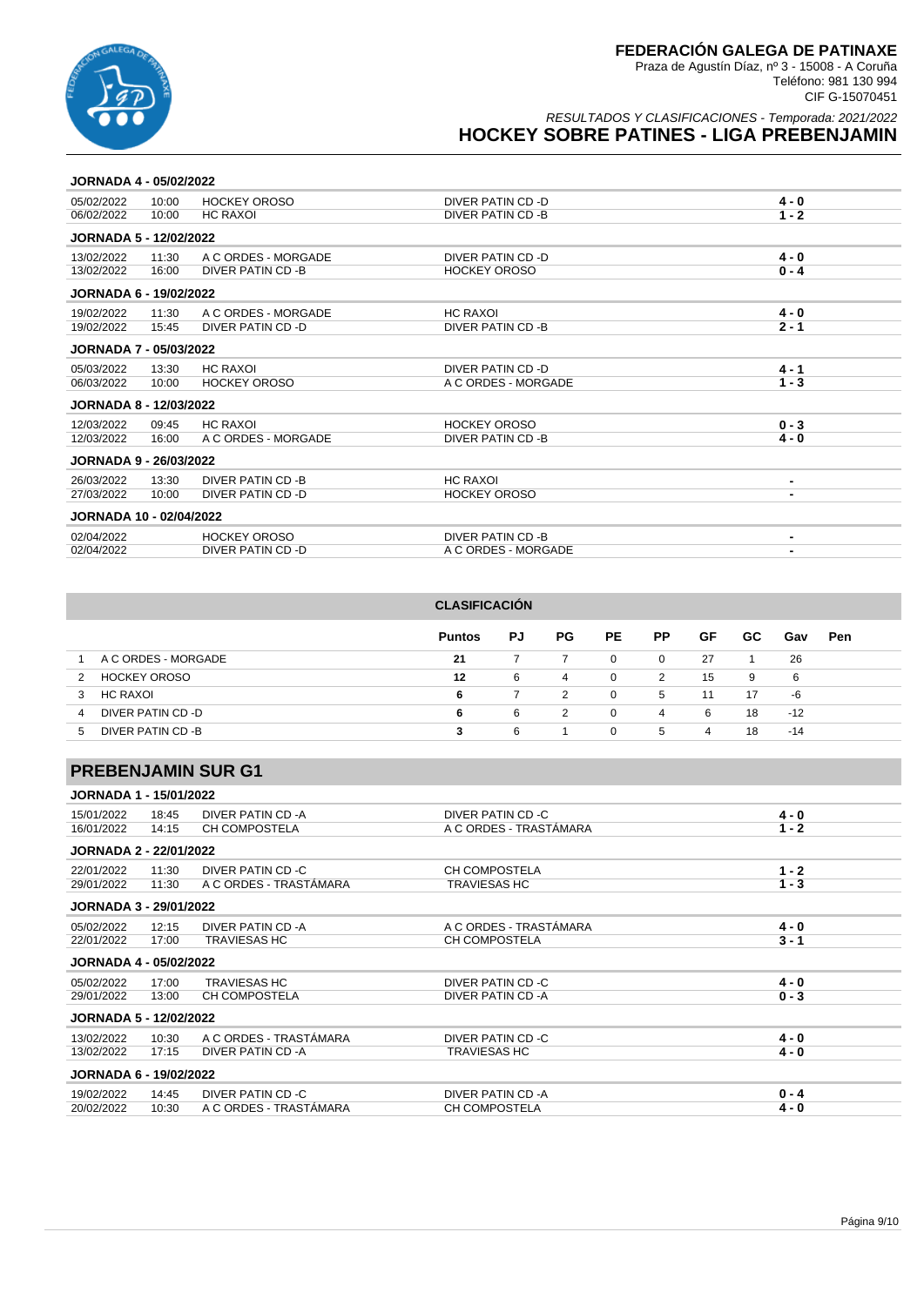

**JORNADA 4 - 05/02/2022**

Praza de Agustín Díaz, nº 3 - 15008 - A Coruña Teléfono: 981 130 994 CIF G-15070451

### RESULTADOS Y CLASIFICACIONES - Temporada: 2021/2022 **HOCKEY SOBRE PATINES - LIGA PREBENJAMIN**

| 05/02/2022                    | 10:00 | <b>HOCKEY OROSO</b> | DIVER PATIN CD -D   | 4 - 0   |
|-------------------------------|-------|---------------------|---------------------|---------|
| 06/02/2022                    | 10:00 | HC RAXOI            | DIVER PATIN CD -B   | 1 - 2   |
| <b>JORNADA 5 - 12/02/2022</b> |       |                     |                     |         |
| 13/02/2022                    | 11:30 | A C ORDES - MORGADE | DIVER PATIN CD -D   | $4 - 0$ |
| 13/02/2022                    | 16:00 | DIVER PATIN CD -B   | <b>HOCKEY OROSO</b> | $0 - 4$ |
| <b>JORNADA 6 - 19/02/2022</b> |       |                     |                     |         |
| 19/02/2022                    | 11:30 | A C ORDES - MORGADE | HC RAXOI            | 4 - 0   |

| 19/02/2022                     | 11:30 | A C ORDES - MORGADE | <b>HC RAXOI</b>     | $4 - 0$                  |
|--------------------------------|-------|---------------------|---------------------|--------------------------|
| 19/02/2022                     | 15:45 | DIVER PATIN CD -D   | DIVER PATIN CD -B   | $2 - 1$                  |
| <b>JORNADA 7 - 05/03/2022</b>  |       |                     |                     |                          |
| 05/03/2022                     | 13:30 | <b>HC RAXOI</b>     | DIVER PATIN CD -D   | $4 - 1$                  |
| 06/03/2022                     | 10:00 | <b>HOCKEY OROSO</b> | A C ORDES - MORGADE | $1 - 3$                  |
| <b>JORNADA 8 - 12/03/2022</b>  |       |                     |                     |                          |
| 12/03/2022                     | 09:45 | <b>HC RAXOI</b>     | <b>HOCKEY OROSO</b> | $0 - 3$                  |
| 12/03/2022                     | 16:00 | A C ORDES - MORGADE | DIVER PATIN CD -B   | $4 - 0$                  |
| <b>JORNADA 9 - 26/03/2022</b>  |       |                     |                     |                          |
| 26/03/2022                     | 13:30 | DIVER PATIN CD -B   | <b>HC RAXOI</b>     | $\overline{\phantom{0}}$ |
| 27/03/2022                     | 10:00 | DIVER PATIN CD -D   | <b>HOCKEY OROSO</b> | $\overline{\phantom{a}}$ |
| <b>JORNADA 10 - 02/04/2022</b> |       |                     |                     |                          |
| 02/04/2022                     |       | <b>HOCKEY OROSO</b> | DIVER PATIN CD -B   |                          |
| 02/04/2022                     |       | DIVER PATIN CD -D   | A C ORDES - MORGADE | -                        |

|    |                     | <b>CLASIFICACIÓN</b> |                |     |             |                |    |     |       |            |
|----|---------------------|----------------------|----------------|-----|-------------|----------------|----|-----|-------|------------|
|    |                     | <b>Puntos</b>        | PJ             | PG. | PE.         | PP.            | GF | GC. | Gav   | <b>Pen</b> |
|    | A C ORDES - MORGADE | 21                   | 7              |     | $\mathbf 0$ | $\overline{0}$ | 27 | -1  | 26    |            |
| 2  | <b>HOCKEY OROSO</b> | 12                   | 6              | 4   | $\mathbf 0$ | 2              | 15 | 9   | 6     |            |
| 3  | HC RAXOI            | 6                    | $\overline{7}$ | 2   | $\mathbf 0$ | 5              | 11 | 17  | -6    |            |
| 4  | DIVER PATIN CD -D   | 6                    | 6              | 2   | $\Omega$    | $\overline{4}$ | 6  | 18  | $-12$ |            |
| 5. | DIVER PATIN CD -B   | 3                    | 6              |     | $\Omega$    | 5              | 4  | 18  | $-14$ |            |

# **PREBENJAMIN SUR G1**

| <b>JORNADA 1 - 15/01/2022</b> |  |
|-------------------------------|--|
|-------------------------------|--|

| 15/01/2022                    | 18:45 | DIVER PATIN CD -A      | DIVER PATIN CD -C      | $4 - 0$ |
|-------------------------------|-------|------------------------|------------------------|---------|
| 16/01/2022                    | 14:15 | <b>CH COMPOSTELA</b>   | A C ORDES - TRASTÁMARA | $1 - 2$ |
| <b>JORNADA 2 - 22/01/2022</b> |       |                        |                        |         |
| 22/01/2022                    | 11:30 | DIVER PATIN CD -C      | <b>CH COMPOSTELA</b>   | $1 - 2$ |
| 29/01/2022                    | 11:30 | A C ORDES - TRASTÁMARA | <b>TRAVIESAS HC</b>    | $1 - 3$ |
| <b>JORNADA 3 - 29/01/2022</b> |       |                        |                        |         |
| 05/02/2022                    | 12:15 | DIVER PATIN CD -A      | A C ORDES - TRASTÁMARA | $4 - 0$ |
| 22/01/2022                    | 17:00 | <b>TRAVIESAS HC</b>    | <b>CH COMPOSTELA</b>   | $3 - 1$ |
| <b>JORNADA 4 - 05/02/2022</b> |       |                        |                        |         |
| 05/02/2022                    | 17:00 | <b>TRAVIESAS HC</b>    | DIVER PATIN CD -C      | 4 - 0   |
| 29/01/2022                    | 13:00 | <b>CH COMPOSTELA</b>   | DIVER PATIN CD -A      | $0 - 3$ |
| <b>JORNADA 5 - 12/02/2022</b> |       |                        |                        |         |
| 13/02/2022                    | 10:30 | A C ORDES - TRASTÁMARA | DIVER PATIN CD -C      | $4 - 0$ |
| 13/02/2022                    | 17:15 | DIVER PATIN CD -A      | <b>TRAVIESAS HC</b>    | $4 - 0$ |
| <b>JORNADA 6 - 19/02/2022</b> |       |                        |                        |         |
| 19/02/2022                    | 14:45 | DIVER PATIN CD -C      | DIVER PATIN CD -A      | $0 - 4$ |
| 20/02/2022                    | 10:30 | A C ORDES - TRASTÁMARA | <b>CH COMPOSTELA</b>   | $4 - 0$ |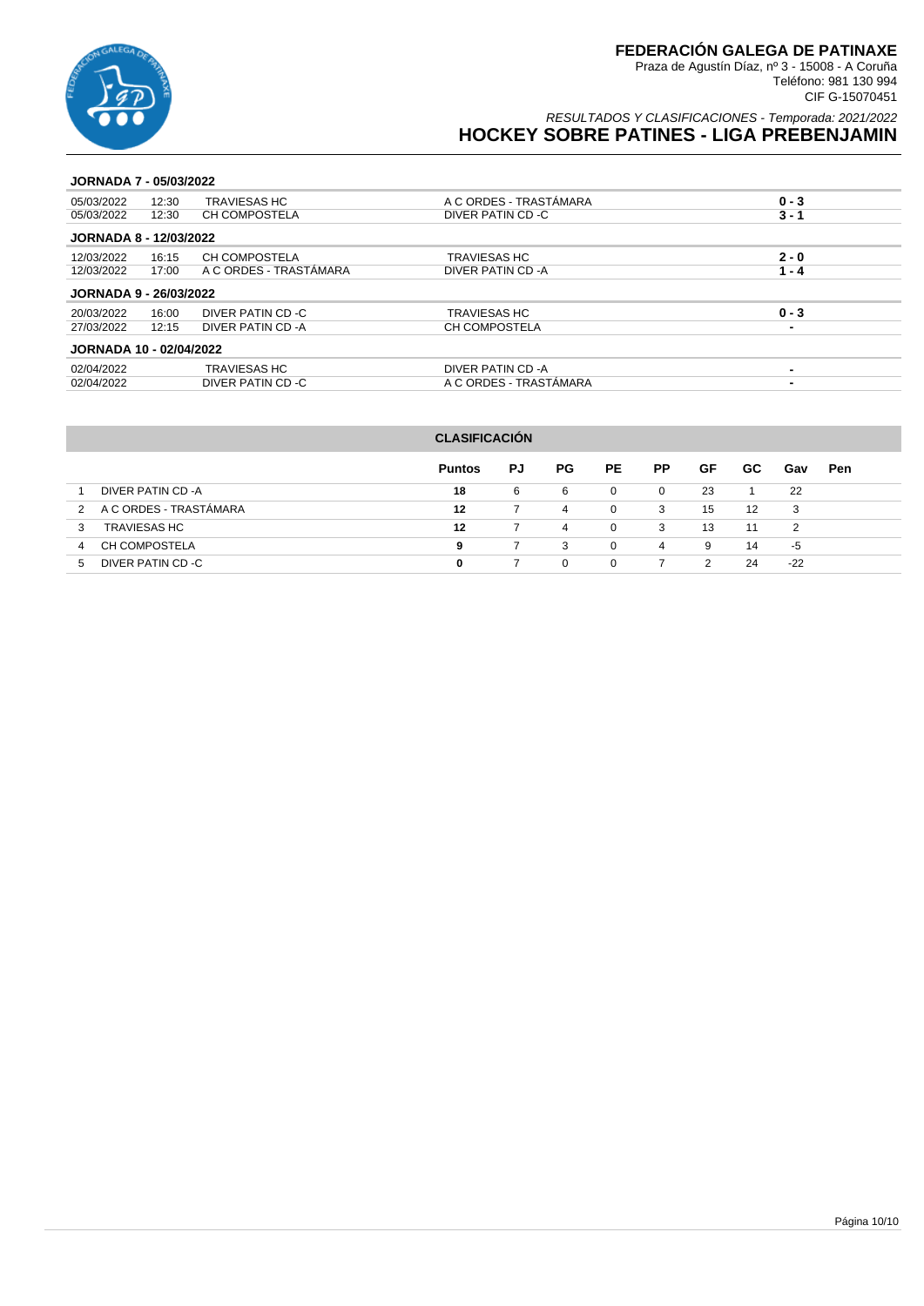

RESULTADOS Y CLASIFICACIONES - Temporada: 2021/2022 **HOCKEY SOBRE PATINES - LIGA PREBENJAMIN**

### **JORNADA 7 - 05/03/2022**

| 05/03/2022                     | 12:30 | <b>TRAVIESAS HC</b>    | A C ORDES - TRASTÁMARA | $0 - 3$                  |
|--------------------------------|-------|------------------------|------------------------|--------------------------|
| 05/03/2022                     | 12:30 | CH COMPOSTELA          | DIVER PATIN CD -C      | $3 - 1$                  |
| <b>JORNADA 8 - 12/03/2022</b>  |       |                        |                        |                          |
| 12/03/2022                     | 16:15 | CH COMPOSTELA          | <b>TRAVIESAS HC</b>    | $2 - 0$                  |
| 12/03/2022                     | 17:00 | A C ORDES - TRASTÁMARA | DIVER PATIN CD - A     | $1 - 4$                  |
| <b>JORNADA 9 - 26/03/2022</b>  |       |                        |                        |                          |
| 20/03/2022                     | 16:00 | DIVER PATIN CD -C      | <b>TRAVIESAS HC</b>    | $0 - 3$                  |
| 27/03/2022                     | 12:15 | DIVER PATIN CD -A      | CH COMPOSTELA          | -                        |
| <b>JORNADA 10 - 02/04/2022</b> |       |                        |                        |                          |
| 02/04/2022                     |       | <b>TRAVIESAS HC</b>    | DIVER PATIN CD -A      | $\overline{\phantom{0}}$ |
| 02/04/2022                     |       | DIVER PATIN CD -C      | A C ORDES - TRASTÁMARA | -                        |
|                                |       |                        |                        |                          |

|                                         | <b>CLASIFICACIÓN</b> |    |     |     |           |    |     |       |            |
|-----------------------------------------|----------------------|----|-----|-----|-----------|----|-----|-------|------------|
|                                         | <b>Puntos</b>        | PJ | PG. | PE. | <b>PP</b> | GF | GC. | Gav   | <b>Pen</b> |
| DIVER PATIN CD -A                       | 18                   | 6  | 6   | 0   | $\Omega$  | 23 |     | 22    |            |
| A C ORDES - TRASTÁMARA<br>$\mathcal{P}$ | 12                   |    | 4   | 0   | 3         | 15 | 12  | 3     |            |
| <b>TRAVIESAS HC</b><br>3                | 12                   |    | 4   | 0   | 3         | 13 | 11  | 2     |            |
| <b>CH COMPOSTELA</b><br>4               | 9                    | 7  | 3   | 0   | 4         | 9  | 14  | -5    |            |
| DIVER PATIN CD-C<br>5                   | 0                    |    | 0   | 0   |           | 2  | 24  | $-22$ |            |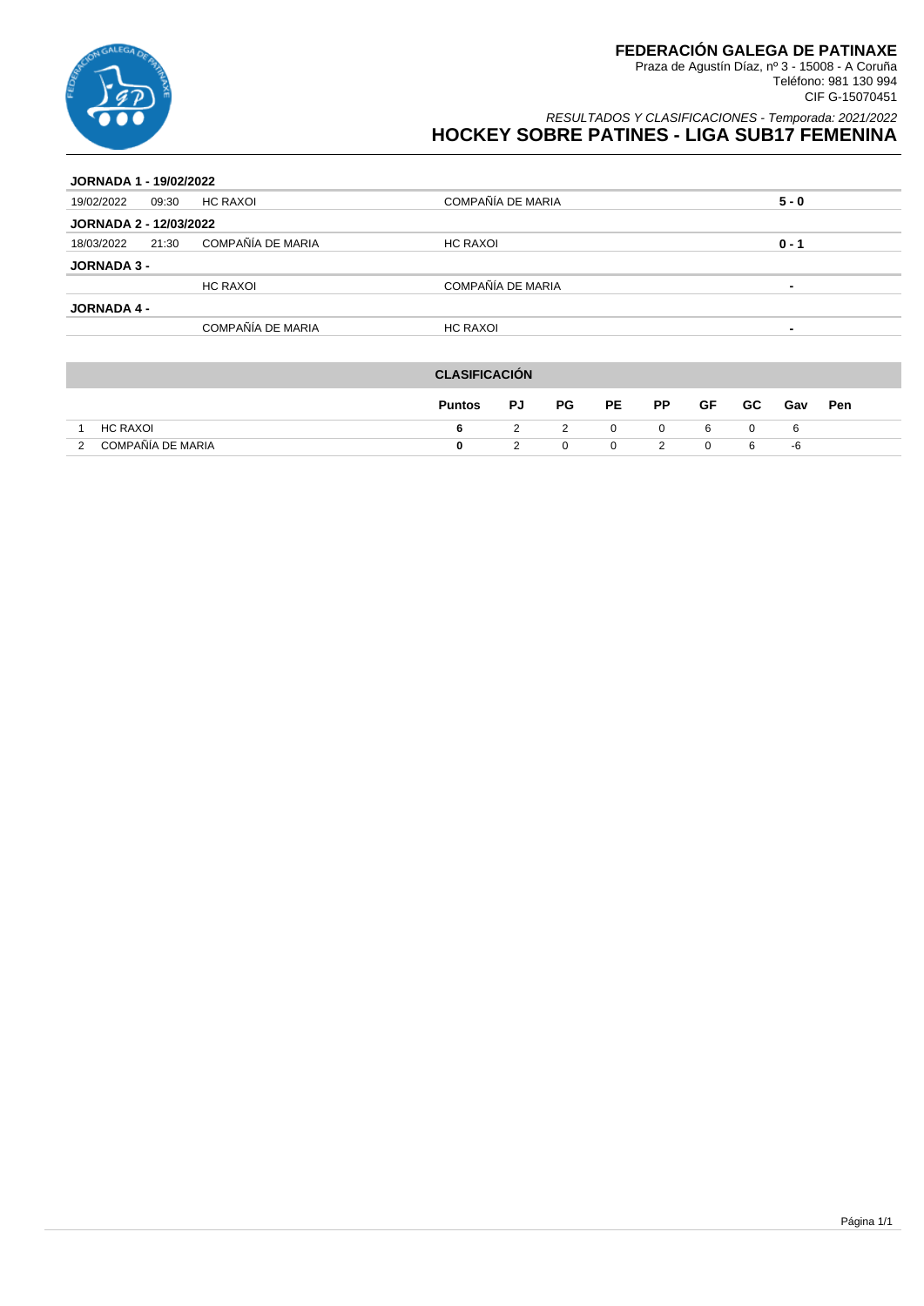

| <b>JORNADA 1 - 19/02/2022</b> |       |                   |                   |                          |  |  |  |
|-------------------------------|-------|-------------------|-------------------|--------------------------|--|--|--|
| 19/02/2022                    | 09:30 | <b>HC RAXOI</b>   | COMPAÑÍA DE MARIA | $5 - 0$                  |  |  |  |
| <b>JORNADA 2 - 12/03/2022</b> |       |                   |                   |                          |  |  |  |
| 18/03/2022                    | 21:30 | COMPAÑÍA DE MARIA | <b>HC RAXOI</b>   | $0 - 1$                  |  |  |  |
| <b>JORNADA 3 -</b>            |       |                   |                   |                          |  |  |  |
|                               |       | <b>HC RAXOI</b>   | COMPAÑÍA DE MARIA | $\overline{\phantom{0}}$ |  |  |  |
| <b>JORNADA 4 -</b>            |       |                   |                   |                          |  |  |  |
|                               |       | COMPAÑÍA DE MARIA | <b>HC RAXOI</b>   | $\overline{\phantom{0}}$ |  |  |  |
|                               |       |                   |                   |                          |  |  |  |

|                        | <b>CLASIFICACIÓN</b> |    |                         |              |                |     |     |     |     |
|------------------------|----------------------|----|-------------------------|--------------|----------------|-----|-----|-----|-----|
|                        | <b>Puntos</b>        | PJ | PG                      | PE –         | <b>PP</b>      | GF  | GC. | Gav | Pen |
| HC RAXOI               | 6.                   |    | $\overline{\mathbf{2}}$ | $\mathbf{0}$ | 0              | - 6 |     | -6  |     |
| COMPAÑÍA DE MARIA<br>2 | 0                    |    | $\Omega$                | $\mathbf{0}$ | $\overline{2}$ | - 0 | - 6 | -6  |     |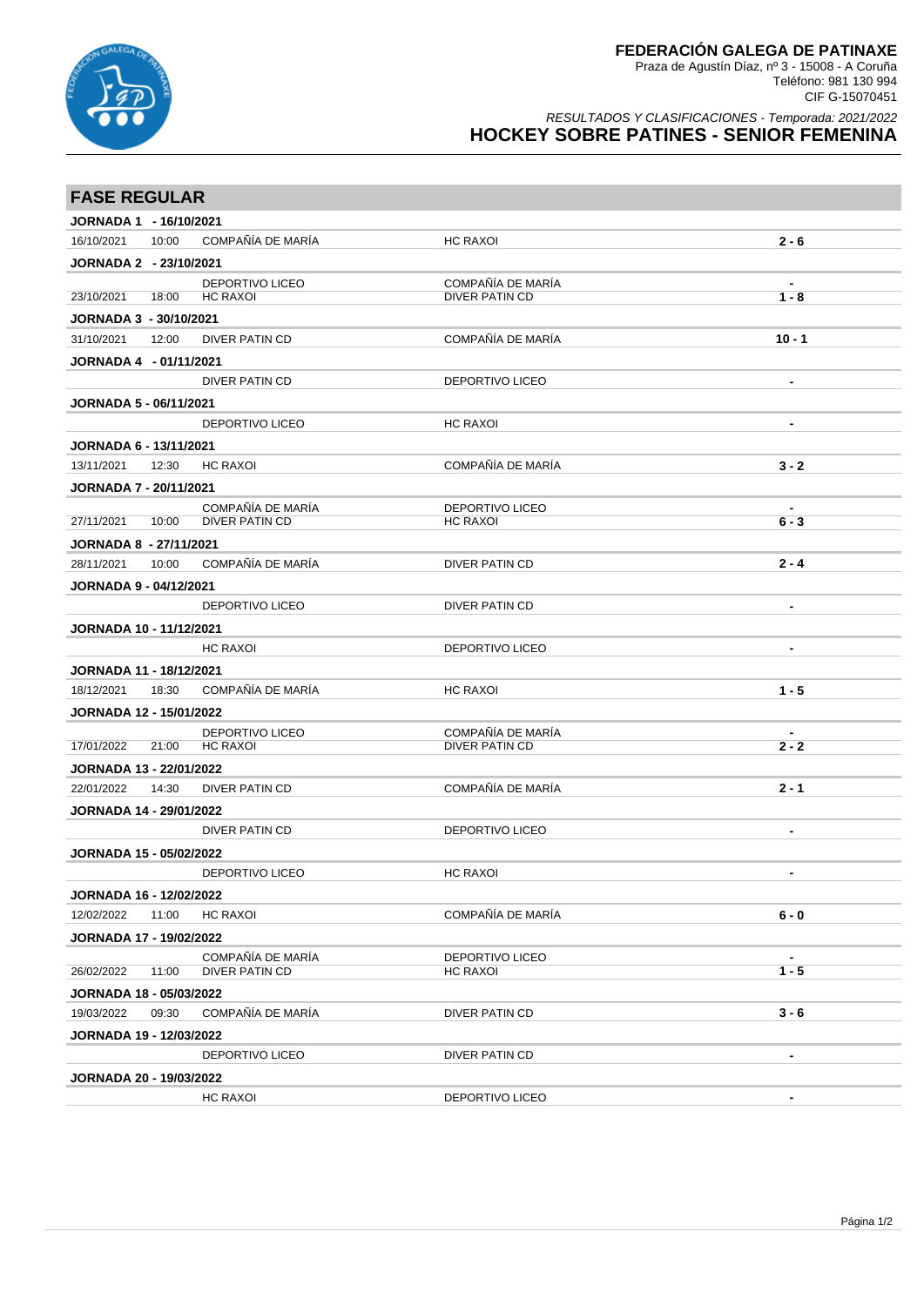

Teléfono: 981 130 994 CIF G-15070451

| <b>FASE REGULAR</b>            |       |                                    |                                     |                          |
|--------------------------------|-------|------------------------------------|-------------------------------------|--------------------------|
| JORNADA 1 - 16/10/2021         |       |                                    |                                     |                          |
| 16/10/2021                     | 10:00 | COMPAÑÍA DE MARÍA                  | <b>HC RAXOI</b>                     | $2 - 6$                  |
| JORNADA 2 - 23/10/2021         |       |                                    |                                     |                          |
| 23/10/2021                     | 18:00 | DEPORTIVO LICEO<br><b>HC RAXOI</b> | COMPAÑÍA DE MARÍA<br>DIVER PATIN CD | $1 - 8$                  |
| <b>JORNADA 3 - 30/10/2021</b>  |       |                                    |                                     |                          |
| 31/10/2021                     | 12:00 | <b>DIVER PATIN CD</b>              | COMPAÑÍA DE MARÍA                   | $10 - 1$                 |
| JORNADA 4 - 01/11/2021         |       |                                    |                                     |                          |
|                                |       | <b>DIVER PATIN CD</b>              | <b>DEPORTIVO LICEO</b>              | $\blacksquare$           |
| <b>JORNADA 5 - 06/11/2021</b>  |       |                                    |                                     |                          |
|                                |       | <b>DEPORTIVO LICEO</b>             | HC RAXOI                            | $\blacksquare$           |
| <b>JORNADA 6 - 13/11/2021</b>  |       |                                    |                                     |                          |
| 13/11/2021                     | 12:30 | <b>HC RAXOI</b>                    | COMPAÑÍA DE MARÍA                   | $3 - 2$                  |
| <b>JORNADA 7 - 20/11/2021</b>  |       |                                    |                                     |                          |
|                                |       | COMPAÑÍA DE MARÍA                  | <b>DEPORTIVO LICEO</b>              |                          |
| 27/11/2021                     | 10:00 | <b>DIVER PATIN CD</b>              | <b>HC RAXOI</b>                     | $6 - 3$                  |
| <b>JORNADA 8 - 27/11/2021</b>  |       |                                    |                                     |                          |
| 28/11/2021                     | 10:00 | COMPAÑÍA DE MARÍA                  | <b>DIVER PATIN CD</b>               | $2 - 4$                  |
| <b>JORNADA 9 - 04/12/2021</b>  |       |                                    |                                     |                          |
|                                |       | <b>DEPORTIVO LICEO</b>             | <b>DIVER PATIN CD</b>               | $\blacksquare$           |
| <b>JORNADA 10 - 11/12/2021</b> |       |                                    |                                     |                          |
|                                |       | <b>HC RAXOI</b>                    | <b>DEPORTIVO LICEO</b>              | $\overline{\phantom{a}}$ |
| <b>JORNADA 11 - 18/12/2021</b> |       |                                    |                                     |                          |
| 18/12/2021                     | 18:30 | COMPAÑÍA DE MARÍA                  | <b>HC RAXOI</b>                     | $1 - 5$                  |
| <b>JORNADA 12 - 15/01/2022</b> |       |                                    |                                     |                          |
|                                |       | DEPORTIVO LICEO                    | COMPAÑÍA DE MARÍA                   |                          |
| 17/01/2022                     | 21:00 | <b>HC RAXOI</b>                    | <b>DIVER PATIN CD</b>               | $2 - 2$                  |
| <b>JORNADA 13 - 22/01/2022</b> |       |                                    |                                     |                          |
| 22/01/2022                     | 14:30 | <b>DIVER PATIN CD</b>              | COMPAÑÍA DE MARÍA                   | $2 - 1$                  |
| <b>JORNADA 14 - 29/01/2022</b> |       |                                    |                                     |                          |
|                                |       | <b>DIVER PATIN CD</b>              | <b>DEPORTIVO LICEO</b>              |                          |
| JORNADA 15 - 05/02/2022        |       |                                    |                                     |                          |
|                                |       | <b>DEPORTIVO LICEO</b>             | HC RAXOI                            |                          |
| <b>JORNADA 16 - 12/02/2022</b> |       |                                    |                                     |                          |
| 12/02/2022                     | 11:00 | <b>HC RAXOI</b>                    | COMPAÑÍA DE MARÍA                   | $6 - 0$                  |
| <b>JORNADA 17 - 19/02/2022</b> |       |                                    |                                     |                          |
|                                |       | COMPAÑÍA DE MARÍA                  | DEPORTIVO LICEO                     |                          |
| 26/02/2022                     | 11:00 | DIVER PATIN CD                     | HC RAXOI                            | $1 - 5$                  |
| <b>JORNADA 18 - 05/03/2022</b> |       |                                    |                                     |                          |
| 19/03/2022                     | 09:30 | COMPAÑÍA DE MARÍA                  | DIVER PATIN CD                      | $3 - 6$                  |
| <b>JORNADA 19 - 12/03/2022</b> |       |                                    |                                     |                          |
|                                |       | DEPORTIVO LICEO                    | DIVER PATIN CD                      |                          |
| <b>JORNADA 20 - 19/03/2022</b> |       |                                    |                                     |                          |
|                                |       | <b>HC RAXOI</b>                    | DEPORTIVO LICEO                     | $\blacksquare$           |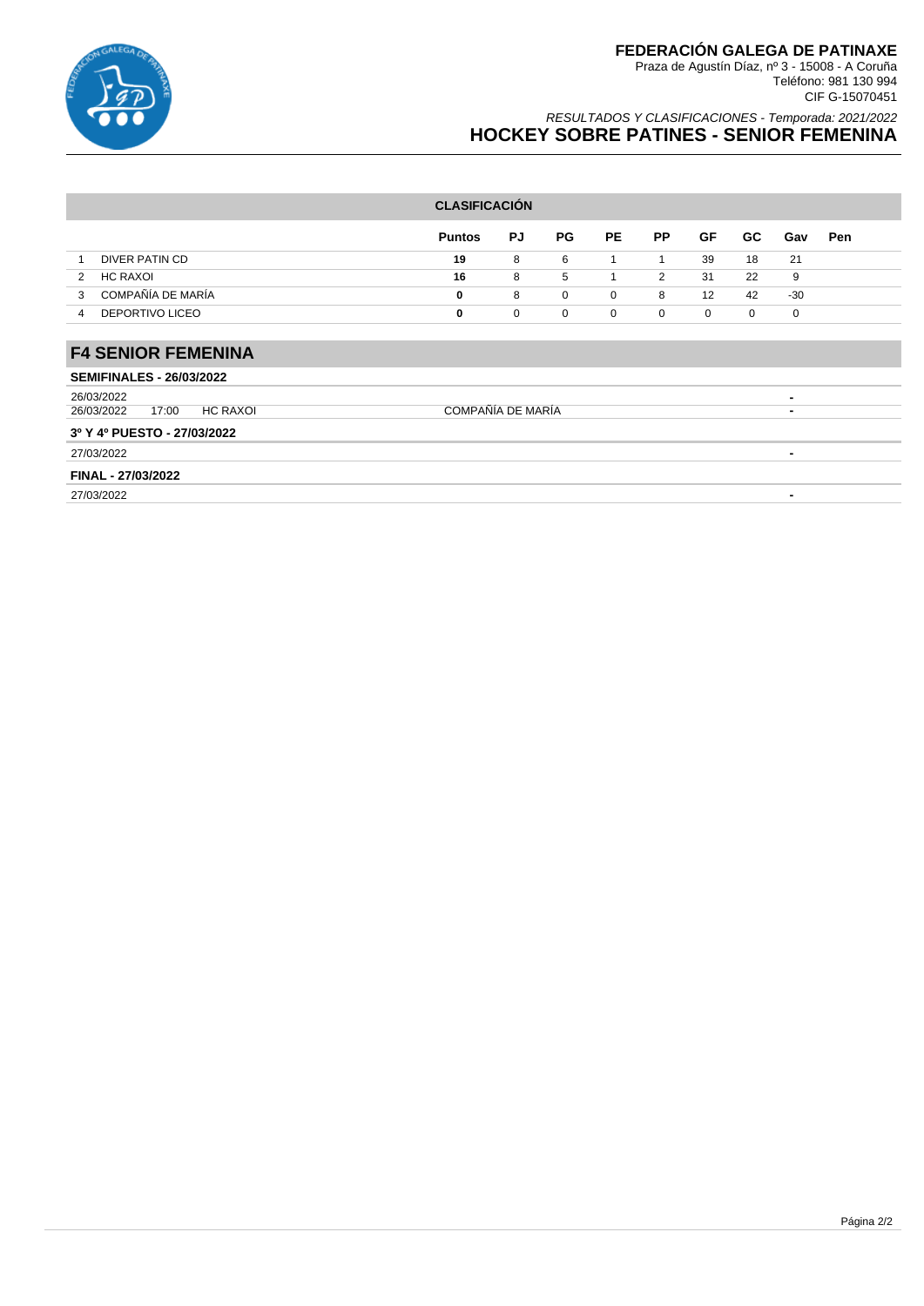

|                                        | <b>CLASIFICACIÓN</b> |             |             |           |                |           |           |                          |     |
|----------------------------------------|----------------------|-------------|-------------|-----------|----------------|-----------|-----------|--------------------------|-----|
|                                        | <b>Puntos</b>        | <b>PJ</b>   | PG          | <b>PE</b> | <b>PP</b>      | <b>GF</b> | <b>GC</b> | Gav                      | Pen |
| DIVER PATIN CD<br>1                    | 19                   | 8           | 6           |           | 1              | 39        | 18        | 21                       |     |
| HC RAXOI<br>2                          | 16                   | 8           | 5           |           | $\overline{2}$ | 31        | 22        | 9                        |     |
| COMPAÑÍA DE MARÍA<br>3                 | 0                    | 8           | $\mathbf 0$ | 0         | 8              | 12        | 42        | $-30$                    |     |
| <b>DEPORTIVO LICEO</b><br>4            | 0                    | $\mathbf 0$ | 0           | 0         | 0              | 0         | 0         | 0                        |     |
|                                        |                      |             |             |           |                |           |           |                          |     |
| <b>F4 SENIOR FEMENINA</b>              |                      |             |             |           |                |           |           |                          |     |
| <b>SEMIFINALES - 26/03/2022</b>        |                      |             |             |           |                |           |           |                          |     |
| 26/03/2022                             |                      |             |             |           |                |           |           | ۰                        |     |
| <b>HC RAXOI</b><br>26/03/2022<br>17:00 | COMPAÑÍA DE MARÍA    |             |             |           |                |           |           | $\overline{\phantom{0}}$ |     |
| 3º Y 4º PUESTO - 27/03/2022            |                      |             |             |           |                |           |           |                          |     |
| 27/03/2022                             |                      |             |             |           |                |           |           | $\overline{\phantom{0}}$ |     |
| FINAL - 27/03/2022                     |                      |             |             |           |                |           |           |                          |     |
| 27/03/2022                             |                      |             |             |           |                |           |           | $\blacksquare$           |     |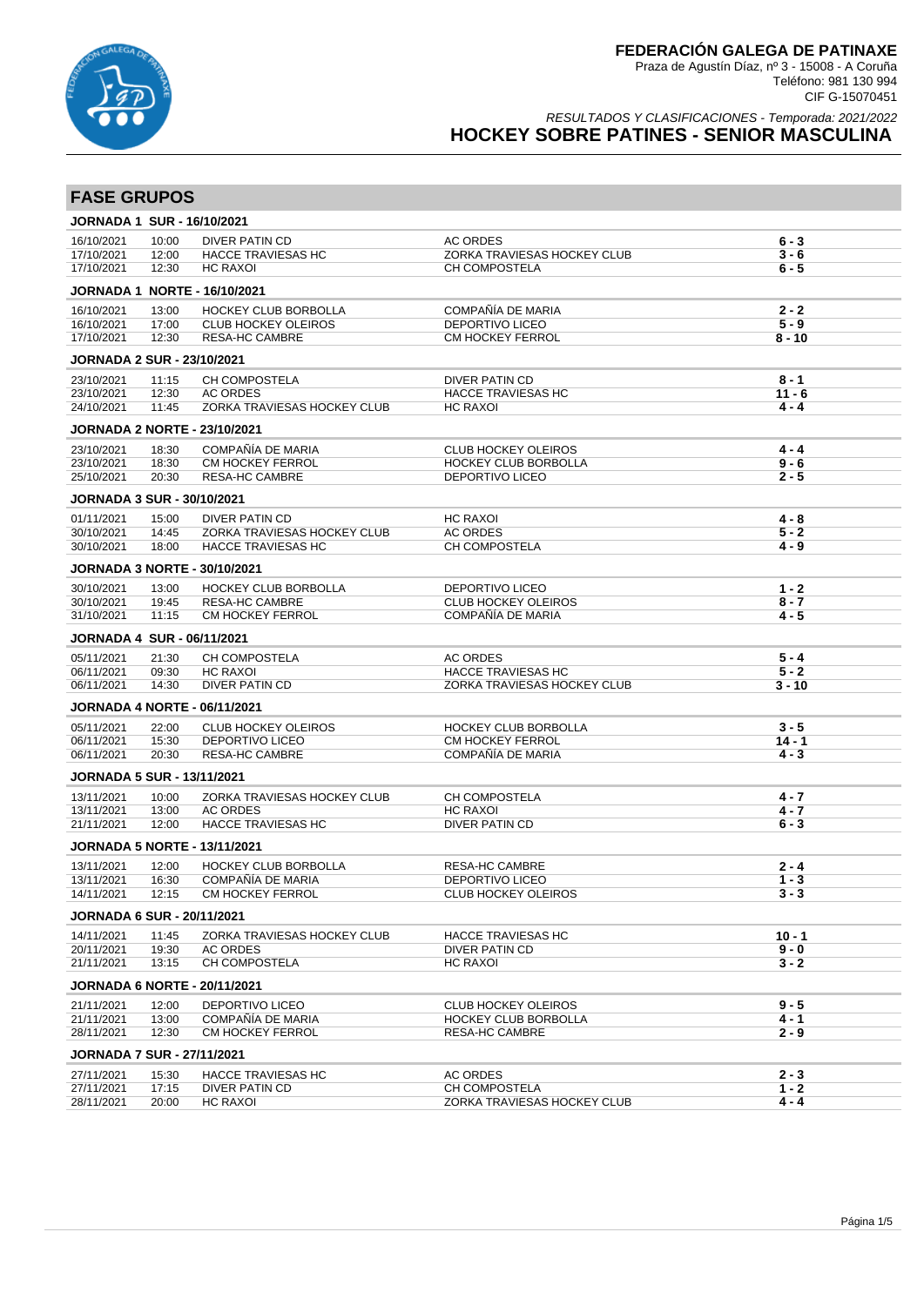

### RESULTADOS Y CLASIFICACIONES - Temporada: 2021/2022 **HOCKEY SOBRE PATINES - SENIOR MASCULINA**

| <b>FASE GRUPOS</b>                |                |                                                          |                                                       |                    |
|-----------------------------------|----------------|----------------------------------------------------------|-------------------------------------------------------|--------------------|
| <b>JORNADA 1 SUR - 16/10/2021</b> |                |                                                          |                                                       |                    |
| 16/10/2021                        | 10:00          | DIVER PATIN CD                                           | <b>AC ORDES</b>                                       | $6 - 3$            |
| 17/10/2021                        | 12:00          | <b>HACCE TRAVIESAS HC</b>                                | ZORKA TRAVIESAS HOCKEY CLUB                           | $3 - 6$            |
| 17/10/2021                        | 12:30          | <b>HC RAXOI</b>                                          | CH COMPOSTELA                                         | $6 - 5$            |
|                                   |                | <b>JORNADA 1 NORTE - 16/10/2021</b>                      |                                                       |                    |
| 16/10/2021                        | 13:00          | HOCKEY CLUB BORBOLLA                                     | COMPAÑÍA DE MARIA                                     | $2 - 2$            |
| 16/10/2021                        | 17:00          | <b>CLUB HOCKEY OLEIROS</b>                               | <b>DEPORTIVO LICEO</b>                                | $5 - 9$            |
| 17/10/2021                        | 12:30          | <b>RESA-HC CAMBRE</b>                                    | CM HOCKEY FERROL                                      | $8 - 10$           |
| <b>JORNADA 2 SUR - 23/10/2021</b> |                |                                                          |                                                       |                    |
| 23/10/2021                        | 11:15          | CH COMPOSTELA                                            | <b>DIVER PATIN CD</b>                                 | $8 - 1$            |
| 23/10/2021<br>24/10/2021          | 12:30<br>11:45 | <b>AC ORDES</b><br>ZORKA TRAVIESAS HOCKEY CLUB           | <b>HACCE TRAVIESAS HC</b><br><b>HC RAXOI</b>          | 11 - 6<br>$4 - 4$  |
|                                   |                |                                                          |                                                       |                    |
|                                   |                | <b>JORNADA 2 NORTE - 23/10/2021</b>                      |                                                       |                    |
| 23/10/2021                        | 18:30          | COMPAÑÍA DE MARIA                                        | <b>CLUB HOCKEY OLEIROS</b>                            | $4 - 4$            |
| 23/10/2021<br>25/10/2021          | 18:30<br>20:30 | <b>CM HOCKEY FERROL</b><br><b>RESA-HC CAMBRE</b>         | <b>HOCKEY CLUB BORBOLLA</b><br><b>DEPORTIVO LICEO</b> | $9 - 6$<br>2 - 5   |
|                                   |                |                                                          |                                                       |                    |
| <b>JORNADA 3 SUR - 30/10/2021</b> |                |                                                          |                                                       |                    |
| 01/11/2021                        | 15:00          | <b>DIVER PATIN CD</b>                                    | <b>HC RAXOI</b>                                       | $4 - 8$            |
| 30/10/2021<br>30/10/2021          | 14:45<br>18:00 | ZORKA TRAVIESAS HOCKEY CLUB<br><b>HACCE TRAVIESAS HC</b> | AC ORDES<br>CH COMPOSTELA                             | $5 - 2$<br>$4 - 9$ |
|                                   |                | <b>JORNADA 3 NORTE - 30/10/2021</b>                      |                                                       |                    |
| 30/10/2021                        | 13:00          | <b>HOCKEY CLUB BORBOLLA</b>                              | <b>DEPORTIVO LICEO</b>                                | $1 - 2$            |
| 30/10/2021                        | 19:45          | <b>RESA-HC CAMBRE</b>                                    | <b>CLUB HOCKEY OLEIROS</b>                            | $8 - 7$            |
| 31/10/2021                        | 11:15          | CM HOCKEY FERROL                                         | COMPAÑÍA DE MARIA                                     | $4 - 5$            |
| <b>JORNADA 4 SUR - 06/11/2021</b> |                |                                                          |                                                       |                    |
| 05/11/2021                        | 21:30          | CH COMPOSTELA                                            | <b>AC ORDES</b>                                       | $5 - 4$            |
| 06/11/2021                        | 09:30          | <b>HC RAXOI</b>                                          | <b>HACCE TRAVIESAS HC</b>                             | $5 - 2$            |
| 06/11/2021                        | 14:30          | <b>DIVER PATIN CD</b>                                    | ZORKA TRAVIESAS HOCKEY CLUB                           | $3 - 10$           |
|                                   |                | <b>JORNADA 4 NORTE - 06/11/2021</b>                      |                                                       |                    |
| 05/11/2021                        | 22:00          | <b>CLUB HOCKEY OLEIROS</b>                               | <b>HOCKEY CLUB BORBOLLA</b>                           | $3 - 5$            |
| 06/11/2021                        | 15:30          | <b>DEPORTIVO LICEO</b>                                   | <b>CM HOCKEY FERROL</b>                               | $14 - 1$           |
| 06/11/2021                        | 20:30          | <b>RESA-HC CAMBRE</b>                                    | COMPAÑÍA DE MARIA                                     | $4 - 3$            |
| <b>JORNADA 5 SUR - 13/11/2021</b> |                |                                                          |                                                       |                    |
| 13/11/2021                        | 10:00          | ZORKA TRAVIESAS HOCKEY CLUB                              | CH COMPOSTELA                                         | 4 - 7              |
| 13/11/2021<br>21/11/2021          | 13:00<br>12:00 | <b>AC ORDES</b>                                          | <b>HC RAXOI</b><br>DIVER PATIN CD                     | $4 - 7$            |
|                                   |                | <b>HACCE TRAVIESAS HC</b>                                |                                                       | $6 - 3$            |
|                                   |                | <b>JORNADA 5 NORTE - 13/11/2021</b>                      |                                                       |                    |
| 13/11/2021                        | 12:00          | <b>HOCKEY CLUB BORBOLLA</b>                              | <b>RESA-HC CAMBRE</b>                                 | $2 - 4$            |
| 13/11/2021<br>14/11/2021          | 16:30<br>12:15 | COMPAÑÍA DE MARIA<br>CM HOCKEY FERROL                    | DEPORTIVO LICEO<br><b>CLUB HOCKEY OLEIROS</b>         | $1 - 3$<br>$3 - 3$ |
| <b>JORNADA 6 SUR - 20/11/2021</b> |                |                                                          |                                                       |                    |
| 14/11/2021                        |                |                                                          |                                                       | $10 - 1$           |
| 20/11/2021                        | 11:45<br>19:30 | ZORKA TRAVIESAS HOCKEY CLUB<br><b>AC ORDES</b>           | <b>HACCE TRAVIESAS HC</b><br>DIVER PATIN CD           | $9 - 0$            |
| 21/11/2021                        | 13:15          | CH COMPOSTELA                                            | <b>HC RAXOI</b>                                       | $3 - 2$            |
|                                   |                | <b>JORNADA 6 NORTE - 20/11/2021</b>                      |                                                       |                    |
| 21/11/2021                        | 12:00          | <b>DEPORTIVO LICEO</b>                                   | <b>CLUB HOCKEY OLEIROS</b>                            | $9 - 5$            |
| 21/11/2021                        | 13:00          | COMPAÑÍA DE MARIA                                        | HOCKEY CLUB BORBOLLA                                  | $4 - 1$            |
| 28/11/2021                        | 12:30          | CM HOCKEY FERROL                                         | <b>RESA-HC CAMBRE</b>                                 | $2 - 9$            |
| <b>JORNADA 7 SUR - 27/11/2021</b> |                |                                                          |                                                       |                    |
|                                   |                |                                                          |                                                       |                    |
| 27/11/2021                        | 15:30          | <b>HACCE TRAVIESAS HC</b>                                | <b>AC ORDES</b>                                       | $2 - 3$            |
| 27/11/2021<br>28/11/2021          | 17:15<br>20:00 | DIVER PATIN CD<br>HC RAXOI                               | CH COMPOSTELA<br>ZORKA TRAVIESAS HOCKEY CLUB          | $1 - 2$<br>$4 - 4$ |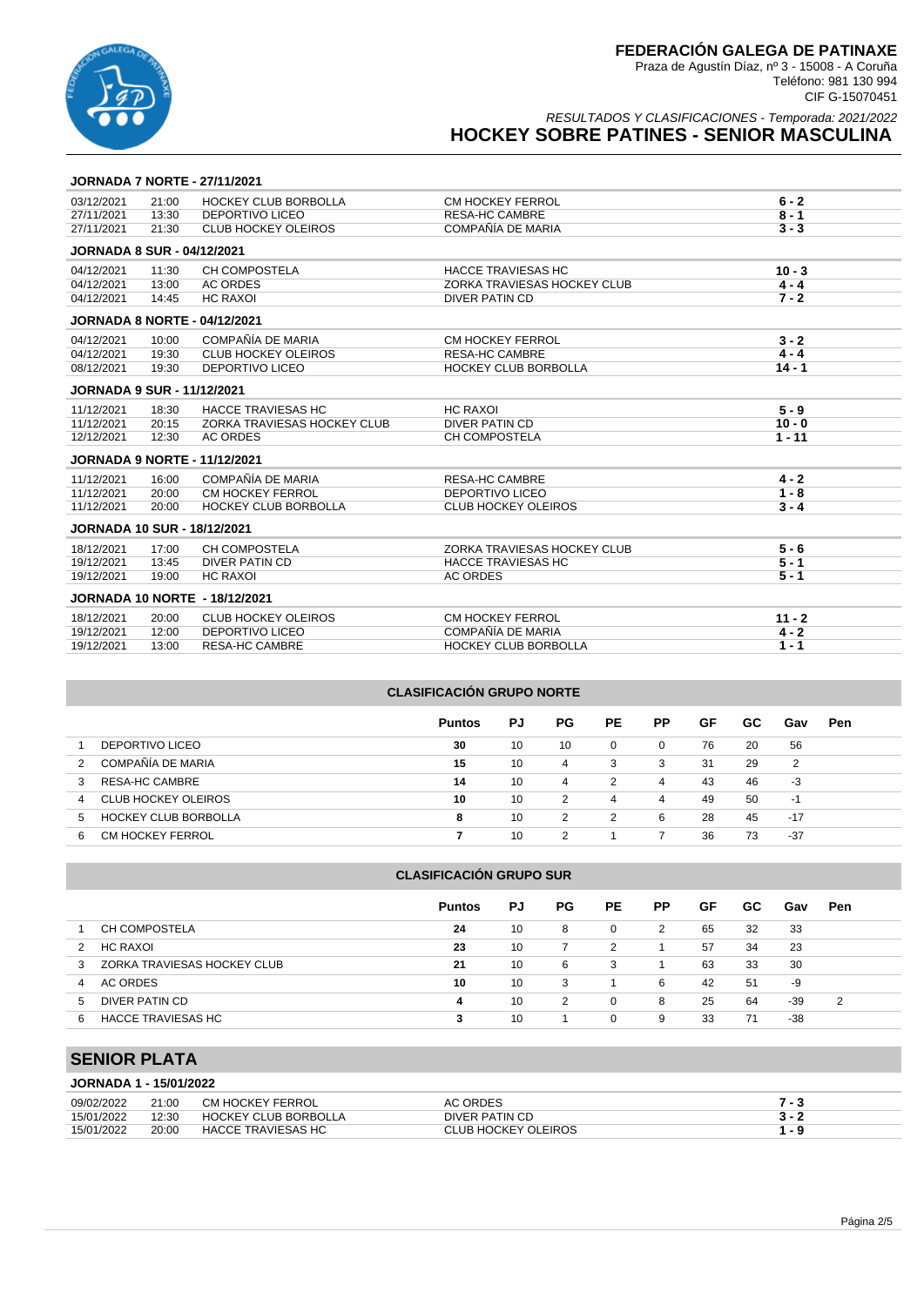

RESULTADOS Y CLASIFICACIONES - Temporada: 2021/2022

# **HOCKEY SOBRE PATINES - SENIOR MASCULINA**

### **JORNADA 7 NORTE - 27/11/2021**

| 03/12/2021                         | 21:00 | <b>HOCKEY CLUB BORBOLLA</b>          | CM HOCKEY FERROL            | $6 - 2$  |
|------------------------------------|-------|--------------------------------------|-----------------------------|----------|
| 27/11/2021                         | 13:30 | <b>DEPORTIVO LICEO</b>               | <b>RESA-HC CAMBRE</b>       | $8 - 1$  |
| 27/11/2021                         | 21:30 | <b>CLUB HOCKEY OLEIROS</b>           | COMPAÑÍA DE MARIA           | $3 - 3$  |
| <b>JORNADA 8 SUR - 04/12/2021</b>  |       |                                      |                             |          |
| 04/12/2021                         | 11:30 | <b>CH COMPOSTELA</b>                 | <b>HACCE TRAVIESAS HC</b>   | $10 - 3$ |
| 04/12/2021                         | 13:00 | <b>AC ORDES</b>                      | ZORKA TRAVIESAS HOCKEY CLUB | $4 - 4$  |
| 04/12/2021                         | 14:45 | <b>HC RAXOI</b>                      | <b>DIVER PATIN CD</b>       | $7 - 2$  |
|                                    |       | <b>JORNADA 8 NORTE - 04/12/2021</b>  |                             |          |
| 04/12/2021                         | 10:00 | COMPAÑÍA DE MARIA                    | CM HOCKEY FERROL            | $3 - 2$  |
| 04/12/2021                         | 19:30 | <b>CLUB HOCKEY OLEIROS</b>           | <b>RESA-HC CAMBRE</b>       | $4 - 4$  |
| 08/12/2021                         | 19:30 | <b>DEPORTIVO LICEO</b>               | <b>HOCKEY CLUB BORBOLLA</b> | $14 - 1$ |
| <b>JORNADA 9 SUR - 11/12/2021</b>  |       |                                      |                             |          |
| 11/12/2021                         | 18:30 | <b>HACCE TRAVIESAS HC</b>            | <b>HC RAXOI</b>             | $5 - 9$  |
| 11/12/2021                         | 20:15 | ZORKA TRAVIESAS HOCKEY CLUB          | DIVER PATIN CD              | $10 - 0$ |
| 12/12/2021                         | 12:30 | <b>AC ORDES</b>                      | <b>CH COMPOSTELA</b>        | $1 - 11$ |
|                                    |       | <b>JORNADA 9 NORTE - 11/12/2021</b>  |                             |          |
| 11/12/2021                         | 16:00 | COMPAÑÍA DE MARIA                    | <b>RESA-HC CAMBRE</b>       | $4 - 2$  |
| 11/12/2021                         | 20:00 | CM HOCKEY FERROL                     | DEPORTIVO LICEO             | $1 - 8$  |
| 11/12/2021                         | 20:00 | <b>HOCKEY CLUB BORBOLLA</b>          | <b>CLUB HOCKEY OLEIROS</b>  | $3 - 4$  |
| <b>JORNADA 10 SUR - 18/12/2021</b> |       |                                      |                             |          |
| 18/12/2021                         | 17:00 | <b>CH COMPOSTELA</b>                 | ZORKA TRAVIESAS HOCKEY CLUB | $5 - 6$  |
| 19/12/2021                         | 13:45 | <b>DIVER PATIN CD</b>                | <b>HACCE TRAVIESAS HC</b>   | $5 - 1$  |
| 19/12/2021                         | 19:00 | <b>HC RAXOI</b>                      | <b>AC ORDES</b>             | $5 - 1$  |
|                                    |       | <b>JORNADA 10 NORTE - 18/12/2021</b> |                             |          |
| 18/12/2021                         | 20:00 | <b>CLUB HOCKEY OLEIROS</b>           | CM HOCKEY FERROL            | $11 - 2$ |
| 19/12/2021                         | 12:00 | <b>DEPORTIVO LICEO</b>               | COMPAÑÍA DE MARIA           | $4 - 2$  |
| 19/12/2021                         | 13:00 | <b>RESA-HC CAMBRE</b>                | <b>HOCKEY CLUB BORBOLLA</b> | $1 - 1$  |

#### **CLASIFICACIÓN GRUPO NORTE**

|                                  | <b>Puntos</b> | PJ | <b>PG</b> | PE. | РP       | GF | GC. | Gav   | Pen |
|----------------------------------|---------------|----|-----------|-----|----------|----|-----|-------|-----|
| DEPORTIVO LICEO                  | 30            | 10 | 10        | 0   | $\Omega$ | 76 | 20  | 56    |     |
| COMPAÑÍA DE MARIA                | 15            | 10 | 4         | 3   | 3        | 31 | 29  | 2     |     |
| RESA-HC CAMBRE                   | 14            | 10 | 4         | 2   | 4        | 43 | 46  | -3    |     |
| CLUB HOCKEY OLEIROS<br>4         | 10            | 10 | 2         | 4   | 4        | 49 | 50  | ÷     |     |
| <b>HOCKEY CLUB BORBOLLA</b><br>5 | 8             | 10 | 2         | 2   | 6        | 28 | 45  | $-17$ |     |
| <b>CM HOCKEY FERROL</b><br>6     |               | 10 | 2         |     |          | 36 | 73  | $-37$ |     |

### **CLASIFICACIÓN GRUPO SUR**

|                                  | <b>Puntos</b> | PJ | PG. | PE.      | <b>PP</b> | GF | GC. | Gav | Pen |
|----------------------------------|---------------|----|-----|----------|-----------|----|-----|-----|-----|
| CH COMPOSTELA                    | 24            | 10 | 8   | 0        | 2         | 65 | 32  | 33  |     |
| <b>HC RAXOI</b><br>2             | 23            | 10 |     | 2        |           | 57 | 34  | 23  |     |
| ZORKA TRAVIESAS HOCKEY CLUB<br>3 | 21            | 10 | 6   | 3        |           | 63 | 33  | 30  |     |
| AC ORDES<br>4                    | 10            | 10 | 3   |          | 6         | 42 | 51  | -9  |     |
| DIVER PATIN CD<br>5              | 4             | 10 | 2   | $\Omega$ | 8         | 25 | 64  | -39 | 2   |
| HACCE TRAVIESAS HC<br>6          | 3             | 10 |     | $\Omega$ | 9         | 33 | 71  | -38 |     |

# **SENIOR PLATA**

### **JORNADA 1 - 15/01/2022**

| 09/02/2022 | 21:00 | CM HOCKEY FERROL     | <b>AC ORDES</b>     |  |
|------------|-------|----------------------|---------------------|--|
| 15/01/2022 | 12:30 | HOCKEY CLUB BORBOLLA | DIVER PATIN CD      |  |
| 15/01/2022 | 20:00 | HACCE TRAVIESAS HC   | CLUB HOCKEY OLEIROS |  |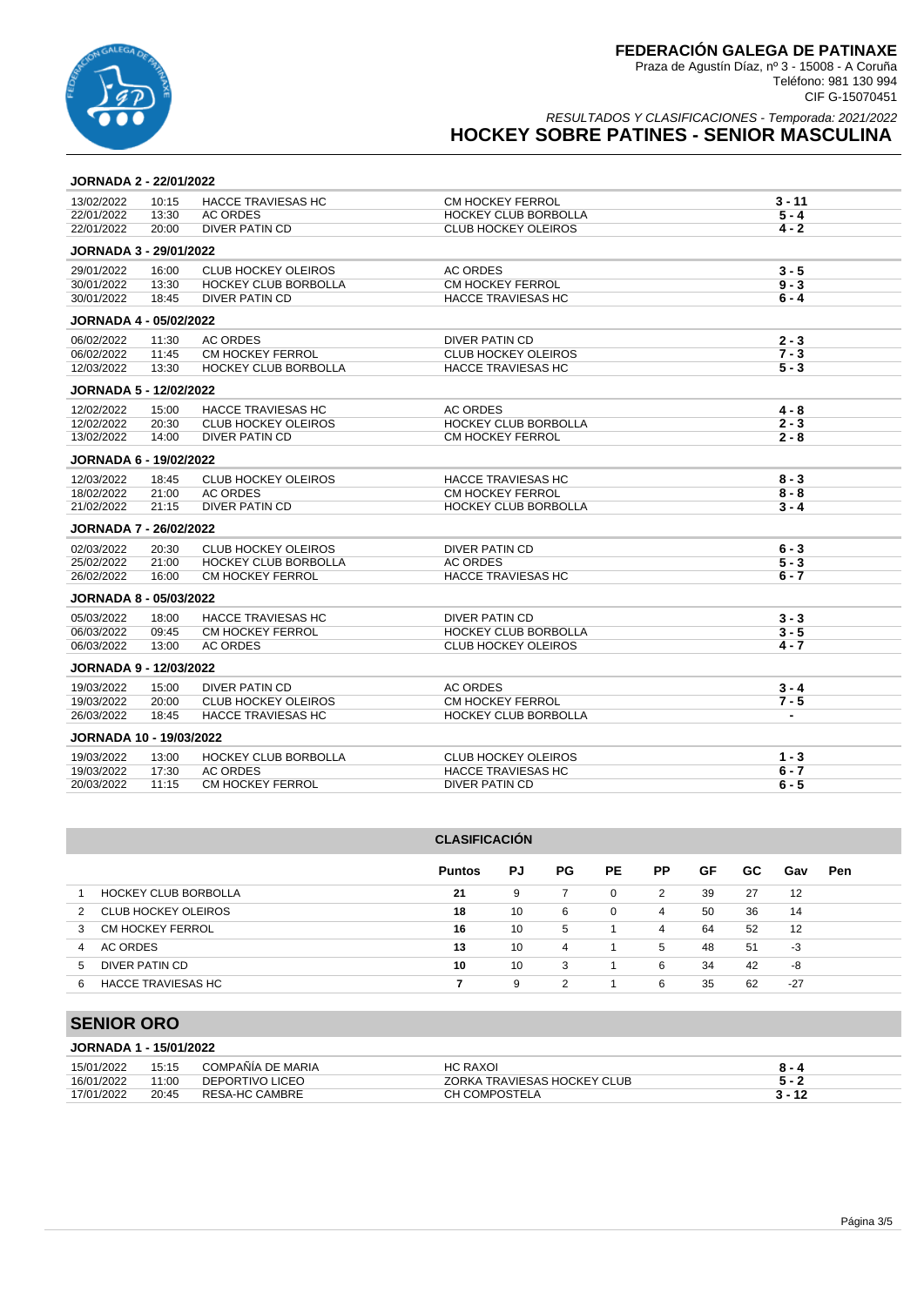

RESULTADOS Y CLASIFICACIONES - Temporada: 2021/2022

# **HOCKEY SOBRE PATINES - SENIOR MASCULINA**

### **JORNADA 2 - 22/01/2022**

| 13/02/2022                     | 10:15 | <b>HACCE TRAVIESAS HC</b>   | <b>CM HOCKEY FERROL</b>     | 3 - 11         |
|--------------------------------|-------|-----------------------------|-----------------------------|----------------|
| 22/01/2022                     | 13:30 | <b>AC ORDES</b>             | <b>HOCKEY CLUB BORBOLLA</b> | $5 - 4$        |
| 22/01/2022                     | 20:00 | <b>DIVER PATIN CD</b>       | <b>CLUB HOCKEY OLEIROS</b>  | $4 - 2$        |
| <b>JORNADA 3 - 29/01/2022</b>  |       |                             |                             |                |
| 29/01/2022                     | 16:00 | <b>CLUB HOCKEY OLEIROS</b>  | <b>AC ORDES</b>             | $3 - 5$        |
| 30/01/2022                     | 13:30 | <b>HOCKEY CLUB BORBOLLA</b> | CM HOCKEY FERROL            | $9 - 3$        |
| 30/01/2022                     | 18:45 | DIVER PATIN CD              | <b>HACCE TRAVIESAS HC</b>   | $6 - 4$        |
| <b>JORNADA 4 - 05/02/2022</b>  |       |                             |                             |                |
| 06/02/2022                     | 11:30 | <b>AC ORDES</b>             | <b>DIVER PATIN CD</b>       | $2 - 3$        |
| 06/02/2022                     | 11:45 | CM HOCKEY FERROL            | <b>CLUB HOCKEY OLEIROS</b>  | $7 - 3$        |
| 12/03/2022                     | 13:30 | <b>HOCKEY CLUB BORBOLLA</b> | <b>HACCE TRAVIESAS HC</b>   | $5 - 3$        |
| <b>JORNADA 5 - 12/02/2022</b>  |       |                             |                             |                |
| 12/02/2022                     | 15:00 | <b>HACCE TRAVIESAS HC</b>   | <b>AC ORDES</b>             | $4 - 8$        |
| 12/02/2022                     | 20:30 | <b>CLUB HOCKEY OLEIROS</b>  | <b>HOCKEY CLUB BORBOLLA</b> | $2 - 3$        |
| 13/02/2022                     | 14:00 | <b>DIVER PATIN CD</b>       | <b>CM HOCKEY FERROL</b>     | $2 - 8$        |
| <b>JORNADA 6 - 19/02/2022</b>  |       |                             |                             |                |
| 12/03/2022                     | 18:45 | <b>CLUB HOCKEY OLEIROS</b>  | <b>HACCE TRAVIESAS HC</b>   | $8 - 3$        |
| 18/02/2022                     | 21:00 | <b>AC ORDES</b>             | CM HOCKEY FERROL            | $8 - 8$        |
| 21/02/2022                     | 21:15 | <b>DIVER PATIN CD</b>       | HOCKEY CLUB BORBOLLA        | $3 - 4$        |
| <b>JORNADA 7 - 26/02/2022</b>  |       |                             |                             |                |
| 02/03/2022                     | 20:30 | <b>CLUB HOCKEY OLEIROS</b>  | <b>DIVER PATIN CD</b>       | $6 - 3$        |
| 25/02/2022                     | 21:00 | <b>HOCKEY CLUB BORBOLLA</b> | <b>AC ORDES</b>             | $5 - 3$        |
| 26/02/2022                     | 16:00 | CM HOCKEY FERROL            | <b>HACCE TRAVIESAS HC</b>   | $6 - 7$        |
| <b>JORNADA 8 - 05/03/2022</b>  |       |                             |                             |                |
| 05/03/2022                     | 18:00 | <b>HACCE TRAVIESAS HC</b>   | <b>DIVER PATIN CD</b>       | $3 - 3$        |
| 06/03/2022                     | 09:45 | CM HOCKEY FERROL            | HOCKEY CLUB BORBOLLA        | $3 - 5$        |
| 06/03/2022                     | 13:00 | <b>AC ORDES</b>             | <b>CLUB HOCKEY OLEIROS</b>  | $4 - 7$        |
| <b>JORNADA 9 - 12/03/2022</b>  |       |                             |                             |                |
| 19/03/2022                     | 15:00 | DIVER PATIN CD              | <b>AC ORDES</b>             | $3 - 4$        |
| 19/03/2022                     | 20:00 | <b>CLUB HOCKEY OLEIROS</b>  | CM HOCKEY FERROL            | $7 - 5$        |
| 26/03/2022                     | 18:45 | <b>HACCE TRAVIESAS HC</b>   | <b>HOCKEY CLUB BORBOLLA</b> | $\overline{a}$ |
| <b>JORNADA 10 - 19/03/2022</b> |       |                             |                             |                |
| 19/03/2022                     | 13:00 | <b>HOCKEY CLUB BORBOLLA</b> | <b>CLUB HOCKEY OLEIROS</b>  | $1 - 3$        |
| 19/03/2022                     | 17:30 | <b>AC ORDES</b>             | <b>HACCE TRAVIESAS HC</b>   | $6 - 7$        |
| 20/03/2022                     | 11:15 | <b>CM HOCKEY FERROL</b>     | <b>DIVER PATIN CD</b>       | $6 - 5$        |
|                                |       |                             |                             |                |

|               | <b>CLASIFICACIÓN</b>        |               |    |     |           |                |    |     |       |            |  |
|---------------|-----------------------------|---------------|----|-----|-----------|----------------|----|-----|-------|------------|--|
|               |                             | <b>Puntos</b> | PJ | PG. | <b>PE</b> | <b>PP</b>      | GF | GC. | Gav   | <b>Pen</b> |  |
|               | <b>HOCKEY CLUB BORBOLLA</b> | 21            | 9  |     | 0         | 2              | 39 | 27  | 12    |            |  |
| $\mathcal{P}$ | CLUB HOCKEY OLEIROS         | 18            | 10 | 6   | 0         | 4              | 50 | 36  | 14    |            |  |
| 3             | CM HOCKEY FERROL            | 16            | 10 | 5   |           | $\overline{4}$ | 64 | 52  | 12    |            |  |
| 4             | AC ORDES                    | 13            | 10 | 4   | 1.        | 5              | 48 | 51  | -3    |            |  |
| 5             | DIVER PATIN CD              | 10            | 10 | 3   |           | 6              | 34 | 42  | -8    |            |  |
| 6             | HACCE TRAVIESAS HC          |               | 9  | 2   |           | 6              | 35 | 62  | $-27$ |            |  |

# **SENIOR ORO**

|  | <b>JORNADA 1 - 15/01/2022</b> |
|--|-------------------------------|
|--|-------------------------------|

| 15/01/2022 | 15:15 | COMPAÑÍA DE MARIA | <b>HC RAXOI</b>             | 8 - 4    |
|------------|-------|-------------------|-----------------------------|----------|
| 16/01/2022 | 11:00 | DEPORTIVO LICEO   | ZORKA TRAVIESAS HOCKEY CLUB |          |
| 17/01/2022 | 20:45 | RESA-HC CAMBRE    | CH COMPOSTELA               | $3 - 12$ |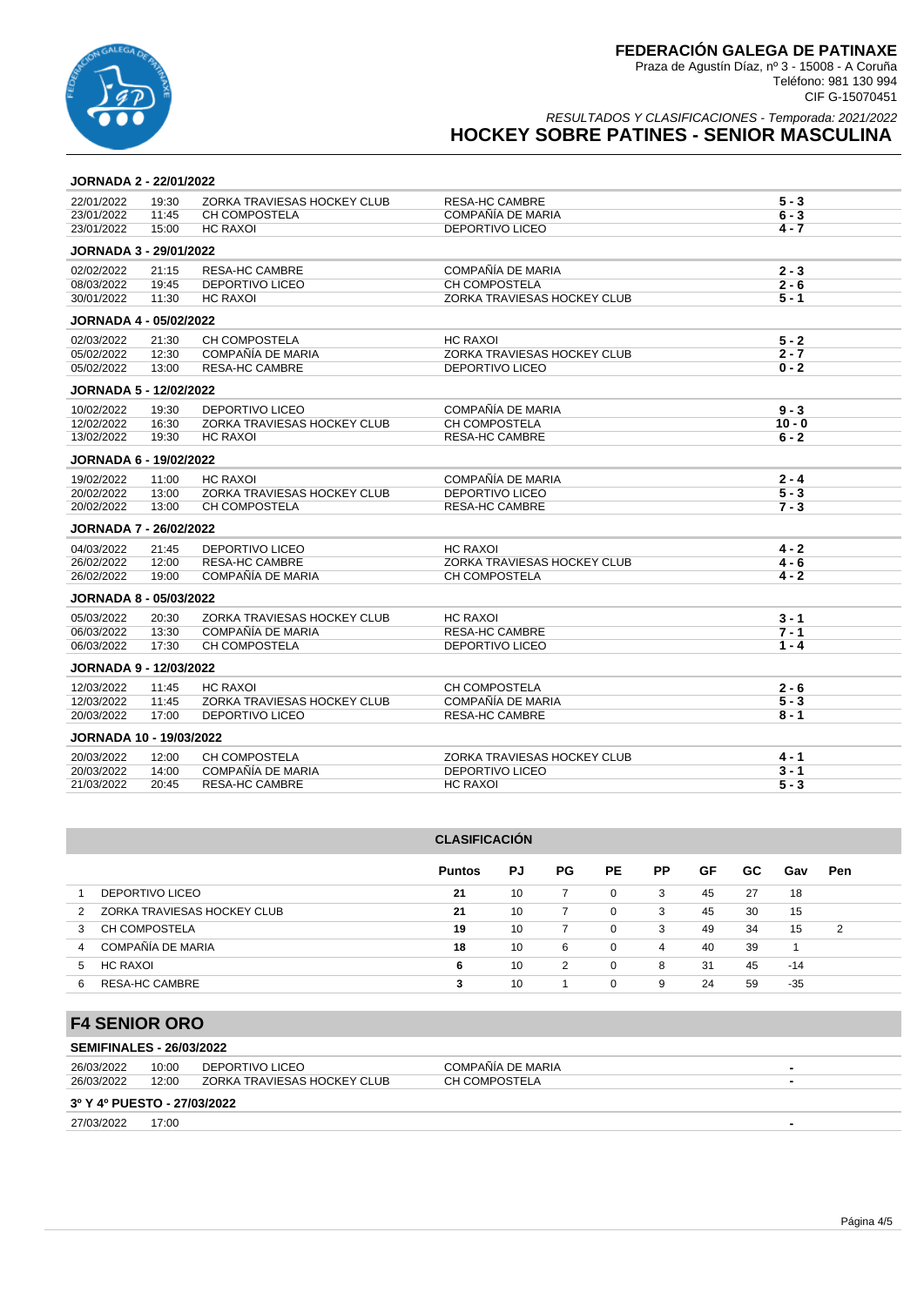

RESULTADOS Y CLASIFICACIONES - Temporada: 2021/2022

# **HOCKEY SOBRE PATINES - SENIOR MASCULINA**

#### **JORNADA 2 - 22/01/2022**

| 22/01/2022                     | 19:30 | ZORKA TRAVIESAS HOCKEY CLUB | <b>RESA-HC CAMBRE</b>       | $5 - 3$  |
|--------------------------------|-------|-----------------------------|-----------------------------|----------|
| 23/01/2022                     | 11:45 | <b>CH COMPOSTELA</b>        | COMPAÑÍA DE MARIA           | $6 - 3$  |
| 23/01/2022                     | 15:00 | <b>HC RAXOI</b>             | <b>DEPORTIVO LICEO</b>      | $4 - 7$  |
| JORNADA 3 - 29/01/2022         |       |                             |                             |          |
|                                |       |                             |                             |          |
| 02/02/2022                     | 21:15 | <b>RESA-HC CAMBRE</b>       | COMPAÑÍA DE MARIA           | $2 - 3$  |
| 08/03/2022                     | 19:45 | <b>DEPORTIVO LICEO</b>      | CH COMPOSTELA               | $2 - 6$  |
| 30/01/2022                     | 11:30 | <b>HC RAXOI</b>             | ZORKA TRAVIESAS HOCKEY CLUB | $5 - 1$  |
| <b>JORNADA 4 - 05/02/2022</b>  |       |                             |                             |          |
| 02/03/2022                     | 21:30 | <b>CH COMPOSTELA</b>        | <b>HC RAXOI</b>             | $5 - 2$  |
| 05/02/2022                     | 12:30 | COMPAÑÍA DE MARIA           | ZORKA TRAVIESAS HOCKEY CLUB | $2 - 7$  |
| 05/02/2022                     | 13:00 | <b>RESA-HC CAMBRE</b>       | <b>DEPORTIVO LICEO</b>      | $0 - 2$  |
| <b>JORNADA 5 - 12/02/2022</b>  |       |                             |                             |          |
| 10/02/2022                     | 19:30 | <b>DEPORTIVO LICEO</b>      | COMPAÑÍA DE MARIA           | $9 - 3$  |
| 12/02/2022                     | 16:30 | ZORKA TRAVIESAS HOCKEY CLUB | CH COMPOSTELA               | $10 - 0$ |
| 13/02/2022                     | 19:30 | <b>HC RAXOI</b>             | <b>RESA-HC CAMBRE</b>       | $6 - 2$  |
| <b>JORNADA 6 - 19/02/2022</b>  |       |                             |                             |          |
| 19/02/2022                     | 11:00 | <b>HC RAXOI</b>             | COMPAÑÍA DE MARIA           | $2 - 4$  |
| 20/02/2022                     | 13:00 | ZORKA TRAVIESAS HOCKEY CLUB | <b>DEPORTIVO LICEO</b>      | $5 - 3$  |
| 20/02/2022                     | 13:00 | <b>CH COMPOSTELA</b>        | <b>RESA-HC CAMBRE</b>       | $7 - 3$  |
| <b>JORNADA 7 - 26/02/2022</b>  |       |                             |                             |          |
| 04/03/2022                     | 21:45 | <b>DEPORTIVO LICEO</b>      | <b>HC RAXOI</b>             | $4 - 2$  |
| 26/02/2022                     | 12:00 | <b>RESA-HC CAMBRE</b>       | ZORKA TRAVIESAS HOCKEY CLUB | $4 - 6$  |
| 26/02/2022                     | 19:00 | COMPAÑÍA DE MARIA           | CH COMPOSTELA               | $4 - 2$  |
| <b>JORNADA 8 - 05/03/2022</b>  |       |                             |                             |          |
| 05/03/2022                     | 20:30 | ZORKA TRAVIESAS HOCKEY CLUB | <b>HC RAXOI</b>             | $3 - 1$  |
| 06/03/2022                     | 13:30 | COMPAÑÍA DE MARIA           | <b>RESA-HC CAMBRE</b>       | $7 - 1$  |
| 06/03/2022                     | 17:30 | <b>CH COMPOSTELA</b>        | <b>DEPORTIVO LICEO</b>      | $1 - 4$  |
|                                |       |                             |                             |          |
| <b>JORNADA 9 - 12/03/2022</b>  |       |                             |                             |          |
| 12/03/2022                     | 11:45 | <b>HC RAXOI</b>             | CH COMPOSTELA               | $2 - 6$  |
| 12/03/2022                     | 11:45 | ZORKA TRAVIESAS HOCKEY CLUB | COMPAÑÍA DE MARIA           | $5 - 3$  |
| 20/03/2022                     | 17:00 | <b>DEPORTIVO LICEO</b>      | <b>RESA-HC CAMBRE</b>       | $8 - 1$  |
| <b>JORNADA 10 - 19/03/2022</b> |       |                             |                             |          |
| 20/03/2022                     | 12:00 | CH COMPOSTELA               | ZORKA TRAVIESAS HOCKEY CLUB | $4 - 1$  |
| 20/03/2022                     | 14:00 | COMPAÑÍA DE MARIA           | <b>DEPORTIVO LICEO</b>      | $3 - 1$  |
| 21/03/2022                     | 20:45 | <b>RESA-HC CAMBRE</b>       | <b>HC RAXOI</b>             | $5 - 3$  |
|                                |       |                             |                             |          |

| <b>CLASIFICACIÓN</b>             |               |    |                |          |     |    |     |       |            |  |
|----------------------------------|---------------|----|----------------|----------|-----|----|-----|-------|------------|--|
|                                  | <b>Puntos</b> | PJ | PG.            | PE.      | PP. | GF | GC. | Gav   | <b>Pen</b> |  |
| DEPORTIVO LICEO                  | 21            | 10 | 7              | 0        | 3   | 45 | 27  | 18    |            |  |
| ZORKA TRAVIESAS HOCKEY CLUB<br>2 | 21            | 10 | $\overline{7}$ | 0        | 3   | 45 | 30  | 15    |            |  |
| <b>CH COMPOSTELA</b><br>3        | 19            | 10 | $\overline{7}$ | $\Omega$ | 3   | 49 | 34  | 15    | 2          |  |
| COMPAÑÍA DE MARIA<br>4           | 18            | 10 | 6              | $\Omega$ | 4   | 40 | 39  |       |            |  |
| HC RAXOI<br>5                    | 6             | 10 | 2              | $\Omega$ | 8   | 31 | 45  | $-14$ |            |  |
| RESA-HC CAMBRE<br>6              | 3             | 10 |                | $\Omega$ | 9   | 24 | 59  | $-35$ |            |  |

# **F4 SENIOR ORO**

| 26/03/2022                  | 10:00 | DEPORTIVO LICEO             | COMPAÑÍA DE MARIA |  |
|-----------------------------|-------|-----------------------------|-------------------|--|
| 26/03/2022                  | 12:00 | ZORKA TRAVIESAS HOCKEY CLUB | CH COMPOSTELA     |  |
| 3º Y 4º PUESTO - 27/03/2022 |       |                             |                   |  |

27/03/2022 17:00 **-**